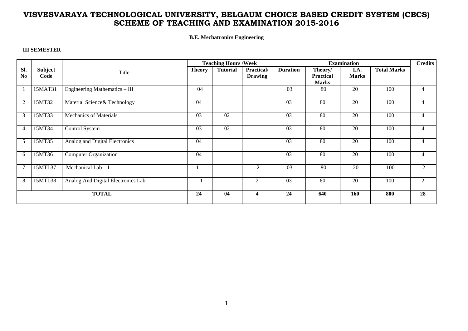**B.E. Mechatronics Engineering** 

#### **III SEMESTER**

|                |         |                                    | <b>Teaching Hours /Week</b> |                 |                |                 | <b>Credits</b>   |                 |                    |                |
|----------------|---------|------------------------------------|-----------------------------|-----------------|----------------|-----------------|------------------|-----------------|--------------------|----------------|
| SI.            | Subject | Title                              | <b>Theory</b>               | <b>Tutorial</b> | Practical/     | <b>Duration</b> | Theory/          | I.A.            | <b>Total Marks</b> |                |
| N <sub>0</sub> | Code    |                                    |                             |                 | <b>Drawing</b> |                 | <b>Practical</b> | <b>Marks</b>    |                    |                |
|                |         |                                    |                             |                 |                |                 | <b>Marks</b>     |                 |                    |                |
|                | 15MAT31 | Engineering Mathematics - III      | 04                          |                 |                | 03              | 80               | 20              | 100                |                |
| $\overline{2}$ | 15MT32  | Material Science& Technology       | 04                          |                 |                | 03              | 80               | 20              | 100                | 4              |
| 3              | 15MT33  | <b>Mechanics of Materials</b>      | 03                          | 02              |                | $\overline{03}$ | 80               | 20              | 100                |                |
| 4              | 15MT34  | <b>Control System</b>              | $\overline{03}$             | $\overline{02}$ |                | $\overline{03}$ | $\overline{80}$  | 20              | 100                | 4              |
| 5              | 15MT35  | Analog and Digital Electronics     | 04                          |                 |                | $\overline{03}$ | $\overline{80}$  | $\overline{20}$ | 100                |                |
| 6              | 15MT36  | <b>Computer Organization</b>       | 04                          |                 |                | 03              | 80               | 20              | 100                | $\overline{4}$ |
| 7              | 15MTL37 | Mechanical Lab $- I$               |                             |                 | 2              | 03              | 80               | 20              | 100                | $\mathfrak{D}$ |
| 8              | 15MTL38 | Analog And Digital Electronics Lab |                             |                 | 2              | $\overline{03}$ | $\overline{80}$  | 20              | 100                | $\mathfrak{D}$ |
| <b>TOTAL</b>   |         | 24                                 | 04                          | 4               | 24             | 640             | 160              | 800             | 28                 |                |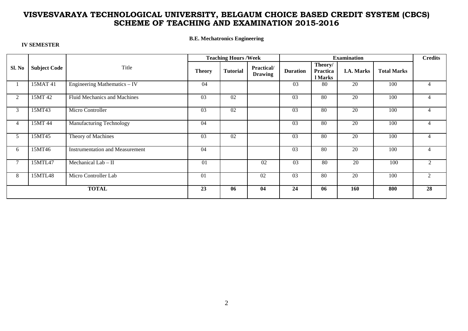**B.E. Mechatronics Engineering** 

| <b>IV SEMESTER</b> |  |
|--------------------|--|
|                    |  |

|                |                     |                                        | <b>Teaching Hours /Week</b> |                 |                              |                 | <b>Credits</b>                 |                   |                    |                |
|----------------|---------------------|----------------------------------------|-----------------------------|-----------------|------------------------------|-----------------|--------------------------------|-------------------|--------------------|----------------|
| Sl. No         | <b>Subject Code</b> | Title                                  | <b>Theory</b>               | <b>Tutorial</b> | Practical/<br><b>Drawing</b> | <b>Duration</b> | Theory/<br>Practica<br>l Marks | <b>I.A. Marks</b> | <b>Total Marks</b> |                |
|                | 15MAT 41            | Engineering Mathematics - IV           | 04                          |                 |                              | 03              | 80                             | 20                | 100                | 4              |
| $\overline{2}$ | 15MT 42             | Fluid Mechanics and Machines           | 03                          | 02              |                              | 03              | 80                             | 20                | 100                | 4              |
| 3              | 15MT43              | Micro Controller                       | 03                          | $\overline{02}$ |                              | 03              | 80                             | 20                | 100                | 4              |
| $\overline{4}$ | 15MT 44             | <b>Manufacturing Technology</b>        | 04                          |                 |                              | 03              | 80                             | 20                | 100                | $\overline{4}$ |
| 5              | 15MT45              | Theory of Machines                     | 03                          | 02              |                              | 03              | 80                             | 20                | 100                | $\overline{4}$ |
| 6              | 15MT46              | <b>Instrumentation and Measurement</b> | 04                          |                 |                              | 03              | 80                             | 20                | 100                | $\overline{4}$ |
|                | 15MTL47             | Mechanical Lab $-$ II                  | 01                          |                 | 02                           | 03              | 80                             | 20                | 100                | 2              |
| 8              | 15MTL48             | Micro Controller Lab                   | 01                          |                 | 02                           | 03              | 80                             | $\overline{20}$   | 100                | 2              |
| <b>TOTAL</b>   |                     | 23                                     | 06                          | 04              | 24                           | 06              | 160                            | 800               | 28                 |                |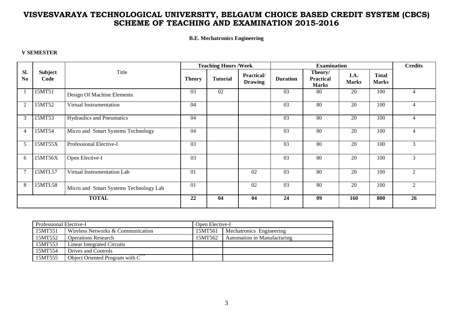**B.E. Mechatronics Engineering** 

#### **V SEMESTER**

|                |                 |                                        | <b>Teaching Hours /Week</b> |                 |                              | <b>Examination</b> |                                             |                      | <b>Credits</b>               |                |
|----------------|-----------------|----------------------------------------|-----------------------------|-----------------|------------------------------|--------------------|---------------------------------------------|----------------------|------------------------------|----------------|
| Sl.<br>No      | Subject<br>Code | Title                                  | <b>Theory</b>               | <b>Tutorial</b> | Practical/<br><b>Drawing</b> | <b>Duration</b>    | Theory/<br><b>Practical</b><br><b>Marks</b> | I.A.<br><b>Marks</b> | <b>Total</b><br><b>Marks</b> |                |
|                | 15MT51          | Design Of Machine Elements             | 03                          | 02              |                              | 03                 | 80                                          | 20                   | 100                          | $\overline{4}$ |
| 2              | 15MT52          | Virtual Instrumentation                | 04                          |                 |                              | $\overline{03}$    | 80                                          | $\overline{20}$      | 100                          | $\overline{4}$ |
| 3              | 15MT53          | <b>Hydraulics and Pneumatics</b>       | 04                          |                 |                              | 03                 | 80                                          | $\overline{20}$      | 100                          |                |
| $\overline{4}$ | 15MT54          | Micro and Smart Systems Technology     | 04                          |                 |                              | 03                 | 80                                          | 20                   | 100                          | $\overline{4}$ |
| 5              | 15MT55X         | Professional Elective-I                | 0 <sub>3</sub>              |                 |                              | 03                 | 80                                          | 20                   | 100                          | 3              |
| 6              | 15MT56X         | Open Elective-I                        | 03                          |                 |                              | 03                 | 80                                          | 20                   | 100                          | $\mathcal{E}$  |
|                | 15MTL57         | Virtual Instrumentation Lab            | $\overline{01}$             |                 | 02                           | $\overline{03}$    | 80                                          | $\overline{20}$      | 100                          | $\mathfrak{D}$ |
| 8              | 15MTL58         | Micro and Smart Systems Technology Lab | $\overline{01}$             |                 | 02                           | $\overline{03}$    | 80                                          | $\overline{20}$      | 100                          | $\mathfrak{D}$ |
| <b>TOTAL</b>   |                 | 22                                     | 04                          | 04              | 24                           | 09                 | 160                                         | 800                  | 26                           |                |

| Professional Elective-I |                                                  | Open Elective-I |                             |  |  |  |
|-------------------------|--------------------------------------------------|-----------------|-----------------------------|--|--|--|
| 15MT551                 | Wireless Networks & Communication                | 15MT561         | Mechatronics Engineering    |  |  |  |
| 15MT552                 | <b>Operations Research</b>                       | 15MT562         | Automation in Manufacturing |  |  |  |
| 15MT553                 | Linear Integrated Circuits                       |                 |                             |  |  |  |
| 15MT554                 | Drives and Controls                              |                 |                             |  |  |  |
| 15MT555                 | Object Oriented Program with $\overline{C^{++}}$ |                 |                             |  |  |  |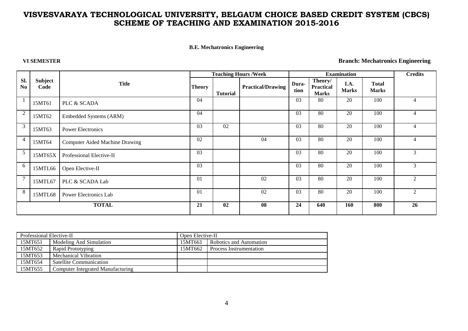#### **B.E. Mechatronics Engineering**

**VI SEMESTER Branch: Mechatronics Engineering** 

|                       |                 |                                       |               |                 | <b>Teaching Hours /Week</b> |                 |                                      | <b>Examination</b>   |                              | <b>Credits</b> |
|-----------------------|-----------------|---------------------------------------|---------------|-----------------|-----------------------------|-----------------|--------------------------------------|----------------------|------------------------------|----------------|
| Sl.<br>N <sub>o</sub> | Subject<br>Code | <b>Title</b>                          | <b>Theory</b> | <b>Tutorial</b> | <b>Practical/Drawing</b>    | Dura-<br>tion   | Theory/<br>Practical<br><b>Marks</b> | I.A.<br><b>Marks</b> | <b>Total</b><br><b>Marks</b> |                |
|                       | 15MT61          | PLC & SCADA                           | 04            |                 |                             | 03              | 80                                   | 20                   | 100                          |                |
| 2                     | 15MT62          | Embedded Systems (ARM)                | 04            |                 |                             | 03              | 80                                   | 20                   | 100                          |                |
| 3                     | 15MT63          | <b>Power Electronics</b>              | 03            | 02              |                             | 03              | 80                                   | 20                   | 100                          |                |
| 4                     | 15MT64          | <b>Computer Aided Machine Drawing</b> | 02            |                 | 04                          | 03              | 80                                   | 20                   | 100                          |                |
| 5                     | 15MT65X         | Professional Elective-II              | 03            |                 |                             | 03              | 80                                   | 20                   | 100                          | $\mathcal{R}$  |
| 6                     | 15MTL66         | Open Elective-II                      | 03            |                 |                             | 03              | 80                                   | 20                   | 100                          | 3              |
| $\overline{7}$        | 15MTL67         | PLC & SCADA Lab                       | 01            |                 | $\overline{02}$             | $\overline{03}$ | 80                                   | 20                   | 100                          | $\mathfrak{D}$ |
| 8                     | 15MTL68         | Power Electronics Lab                 | 01            |                 | 02                          | 03              | 80                                   | 20                   | 100                          | $\mathcal{L}$  |
| <b>TOTAL</b>          |                 | 21                                    | 02            | 08              | 24                          | 640             | 160                                  | 800                  | 26                           |                |

| Professional Elective-II |                                   | Open Elective-II |                                |  |  |  |
|--------------------------|-----------------------------------|------------------|--------------------------------|--|--|--|
| 15MT651                  | Modeling And Simulation           | 15MT661          | Robotics and Automation        |  |  |  |
| 15MT652                  | Rapid Prototyping                 | 15MT662          | <b>Process Instrumentation</b> |  |  |  |
| 15MT653                  | Mechanical Vibration              |                  |                                |  |  |  |
| 15MT654                  | Satellite Communication           |                  |                                |  |  |  |
| 15MT655                  | Computer Integrated Manufacturing |                  |                                |  |  |  |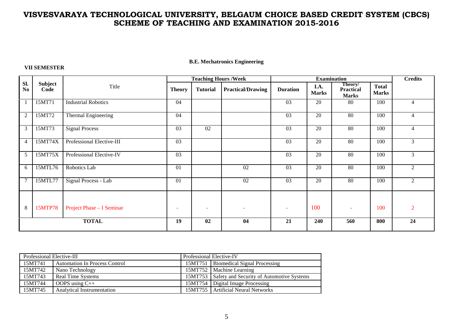#### **B.E. Mechatronics Engineering**

#### **VII SEMESTER**

|                |                        |                            | <b>Teaching Hours /Week</b> |                          | <b>Examination</b>       |                 |                      |                                             | <b>Credits</b>               |                |
|----------------|------------------------|----------------------------|-----------------------------|--------------------------|--------------------------|-----------------|----------------------|---------------------------------------------|------------------------------|----------------|
| Sl.<br>No      | <b>Subject</b><br>Code | Title                      | <b>Theory</b>               | <b>Tutorial</b>          | <b>Practical/Drawing</b> | <b>Duration</b> | I.A.<br><b>Marks</b> | Theory/<br><b>Practical</b><br><b>Marks</b> | <b>Total</b><br><b>Marks</b> |                |
|                | 15MT71                 | <b>Industrial Robotics</b> | 04                          |                          |                          | $\overline{03}$ | $\overline{20}$      | 80                                          | 100                          | 4              |
| 2              | 15MT72                 | <b>Thermal Engineering</b> | 04                          |                          |                          | 03              | $\overline{20}$      | 80                                          | 100                          | 4              |
| 3              | 15MT73                 | <b>Signal Process</b>      | $\overline{03}$             | $\overline{02}$          |                          | $\overline{03}$ | $\overline{20}$      | 80                                          | 100                          | 4              |
| $\overline{4}$ | 15MT74X                | Professional Elective-III  | $\overline{03}$             |                          |                          | 03              | 20                   | 80                                          | 100                          | 3              |
| 5              | 15MT75X                | Professional Elective-IV   | 03                          |                          |                          | 03              | 20                   | 80                                          | 100                          | 3              |
| 6              | 15MTL76                | Robotics Lab               | 01                          |                          | 02                       | 03              | 20                   | 80                                          | 100                          | $\mathfrak{D}$ |
| $\overline{7}$ | 15MTL77                | Signal Process - Lab       | 01                          |                          | 02                       | 03              | 20                   | 80                                          | 100                          | $\mathfrak{D}$ |
|                |                        |                            |                             |                          |                          |                 |                      |                                             |                              |                |
| 8              | <b>15MTP78</b>         | Project Phase - I Seminar  | ٠                           | $\overline{\phantom{a}}$ | $\overline{\phantom{a}}$ |                 | 100                  | $\overline{\phantom{a}}$                    | 100                          | 2              |
| <b>TOTAL</b>   |                        | 19                         | 02                          | 04                       | 21                       | 240             | 560                  | 800                                         | 24                           |                |

| Professional Elective-III |                                      |  | Professional Elective-IV                          |  |  |  |  |
|---------------------------|--------------------------------------|--|---------------------------------------------------|--|--|--|--|
| 15MT741                   | <b>Automation In Process Control</b> |  | 15MT751   Biomedical Signal Processing            |  |  |  |  |
| 15MT742                   | Nano Technology                      |  | 15MT752   Machine Learning                        |  |  |  |  |
| 15MT743                   | <b>Real Time Systems</b>             |  | 15MT753 Safety and Security of Automotive Systems |  |  |  |  |
| 15MT744                   | OOPS using $C++$                     |  | 15MT754   Digital Image Processing                |  |  |  |  |
| 15MT745                   | <b>Analytical Instrumentation</b>    |  | 15MT755   Artificial Neural Networks              |  |  |  |  |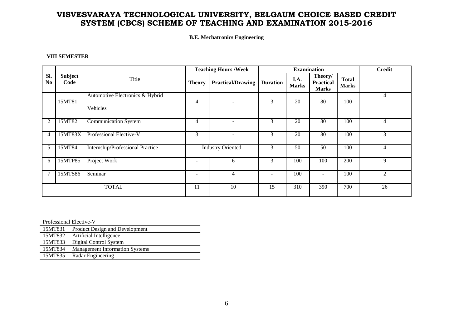#### **B.E. Mechatronics Engineering**

#### **VIII SEMESTER**

|                       |                 |                                             | <b>Teaching Hours /Week</b> |                          |                          | <b>Examination</b>   |                                             |                              | <b>Credit</b>  |
|-----------------------|-----------------|---------------------------------------------|-----------------------------|--------------------------|--------------------------|----------------------|---------------------------------------------|------------------------------|----------------|
| SI.<br>N <sub>0</sub> | Subject<br>Code | Title                                       | <b>Theory</b>               | <b>Practical/Drawing</b> | <b>Duration</b>          | I.A.<br><b>Marks</b> | Theory/<br><b>Practical</b><br><b>Marks</b> | <b>Total</b><br><b>Marks</b> |                |
|                       | 15MT81          | Automotive Electronics & Hybrid<br>Vehicles | $\overline{4}$              |                          | 3                        | 20                   | 80                                          | 100                          | 4              |
| $\overline{2}$        | 15MT82          | <b>Communication System</b>                 | 4                           |                          | 3                        | 20                   | 80                                          | 100                          | 4              |
| 4                     | 15MT83X         | Professional Elective-V                     | 3                           | ۰                        | 3                        | 20                   | 80                                          | 100                          | 3              |
| 5                     | 15MT84          | Internship/Professional Practice            |                             | <b>Industry Oriented</b> | 3                        | 50                   | 50                                          | 100                          | 4              |
| 6                     | 15MTP85         | Project Work                                | $\overline{\phantom{a}}$    | 6                        | 3                        | 100                  | 100                                         | 200                          | 9              |
| 7                     | 15MTS86         | Seminar                                     |                             | $\overline{4}$           | $\overline{\phantom{a}}$ | 100                  |                                             | 100                          | $\overline{2}$ |
| <b>TOTAL</b>          |                 | 11                                          | 10                          | 15                       | 310                      | 390                  | 700                                         | 26                           |                |

|                              | Professional Elective-V               |  |  |  |  |  |  |  |
|------------------------------|---------------------------------------|--|--|--|--|--|--|--|
| 15MT831                      | Product Design and Development        |  |  |  |  |  |  |  |
| 15MT832                      | Artificial Intelligence               |  |  |  |  |  |  |  |
| 15MT833                      | Digital Control System                |  |  |  |  |  |  |  |
| 15MT834                      | <b>Management Information Systems</b> |  |  |  |  |  |  |  |
| 15MT835<br>Radar Engineering |                                       |  |  |  |  |  |  |  |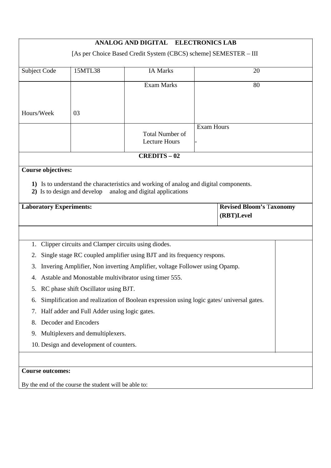|                                                                  | <b>ELECTRONICS LAB</b><br><b>ANALOG AND DIGITAL</b> |                                                                                          |                   |                                 |  |  |  |  |  |
|------------------------------------------------------------------|-----------------------------------------------------|------------------------------------------------------------------------------------------|-------------------|---------------------------------|--|--|--|--|--|
| [As per Choice Based Credit System (CBCS) scheme] SEMESTER - III |                                                     |                                                                                          |                   |                                 |  |  |  |  |  |
|                                                                  |                                                     |                                                                                          |                   |                                 |  |  |  |  |  |
| Subject Code                                                     | 15MTL38                                             | <b>IA Marks</b>                                                                          |                   | 20                              |  |  |  |  |  |
|                                                                  |                                                     | <b>Exam Marks</b>                                                                        |                   | 80                              |  |  |  |  |  |
|                                                                  |                                                     |                                                                                          |                   |                                 |  |  |  |  |  |
| Hours/Week                                                       | 03                                                  |                                                                                          |                   |                                 |  |  |  |  |  |
|                                                                  |                                                     |                                                                                          |                   |                                 |  |  |  |  |  |
|                                                                  |                                                     | <b>Total Number of</b>                                                                   | <b>Exam Hours</b> |                                 |  |  |  |  |  |
|                                                                  |                                                     | <b>Lecture Hours</b>                                                                     |                   |                                 |  |  |  |  |  |
|                                                                  |                                                     | <b>CREDITS-02</b>                                                                        |                   |                                 |  |  |  |  |  |
| <b>Course objectives:</b>                                        |                                                     |                                                                                          |                   |                                 |  |  |  |  |  |
|                                                                  |                                                     | 1) Is to understand the characteristics and working of analog and digital components.    |                   |                                 |  |  |  |  |  |
| 2) Is to design and develop                                      |                                                     | analog and digital applications                                                          |                   |                                 |  |  |  |  |  |
| <b>Laboratory Experiments:</b>                                   |                                                     |                                                                                          |                   | <b>Revised Bloom's Taxonomy</b> |  |  |  |  |  |
|                                                                  |                                                     |                                                                                          |                   | (RBT)Level                      |  |  |  |  |  |
|                                                                  |                                                     |                                                                                          |                   |                                 |  |  |  |  |  |
|                                                                  |                                                     |                                                                                          |                   |                                 |  |  |  |  |  |
| 1.                                                               |                                                     | Clipper circuits and Clamper circuits using diodes.                                      |                   |                                 |  |  |  |  |  |
| 2.                                                               |                                                     | Single stage RC coupled amplifier using BJT and its frequency respons.                   |                   |                                 |  |  |  |  |  |
| 3.                                                               |                                                     | Invering Amplifier, Non inverting Amplifier, voltage Follower using Opamp.               |                   |                                 |  |  |  |  |  |
| 4.                                                               |                                                     | Astable and Monostable multivibrator using timer 555.                                    |                   |                                 |  |  |  |  |  |
| 5.                                                               | RC phase shift Oscillator using BJT.                |                                                                                          |                   |                                 |  |  |  |  |  |
| 6.                                                               |                                                     | Simplification and realization of Boolean expression using logic gates/ universal gates. |                   |                                 |  |  |  |  |  |
| 7.                                                               | Half adder and Full Adder using logic gates.        |                                                                                          |                   |                                 |  |  |  |  |  |
| 8.                                                               | Decoder and Encoders                                |                                                                                          |                   |                                 |  |  |  |  |  |
| 9.                                                               | Multiplexers and demultiplexers.                    |                                                                                          |                   |                                 |  |  |  |  |  |
|                                                                  | 10. Design and development of counters.             |                                                                                          |                   |                                 |  |  |  |  |  |
|                                                                  |                                                     |                                                                                          |                   |                                 |  |  |  |  |  |
|                                                                  | <b>Course outcomes:</b>                             |                                                                                          |                   |                                 |  |  |  |  |  |
| By the end of the course the student will be able to:            |                                                     |                                                                                          |                   |                                 |  |  |  |  |  |
|                                                                  |                                                     |                                                                                          |                   |                                 |  |  |  |  |  |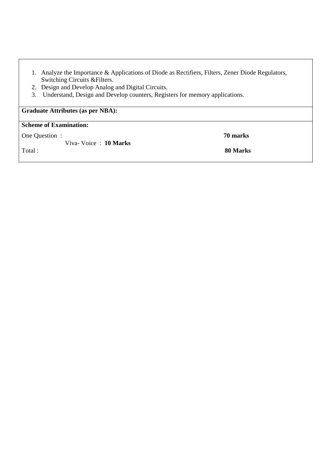| 1. Analyze the Importance & Applications of Diode as Rectifiers, Filters, Zener Diode Regulators, |
|---------------------------------------------------------------------------------------------------|
| Switching Circuits & Filters.                                                                     |

2. Design and Develop Analog and Digital Circuits.

Viva- Voice : **10 Marks** 

3. Understand, Design and Develop counters, Registers for memory applications.

**Graduate Attributes (as per NBA):** 

#### **Scheme of Examination:**

One Question : **70 marks** 

Total : **80 Marks**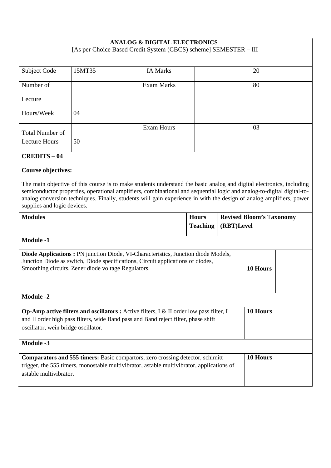| <b>ANALOG &amp; DIGITAL ELECTRONICS</b><br>[As per Choice Based Credit System (CBCS) scheme] SEMESTER - III                                                                                                                                                                                                                                                                                                                       |                                                                                                                                                                                                                                                |                   |  |  |    |  |
|-----------------------------------------------------------------------------------------------------------------------------------------------------------------------------------------------------------------------------------------------------------------------------------------------------------------------------------------------------------------------------------------------------------------------------------|------------------------------------------------------------------------------------------------------------------------------------------------------------------------------------------------------------------------------------------------|-------------------|--|--|----|--|
| Subject Code                                                                                                                                                                                                                                                                                                                                                                                                                      | 15MT35<br><b>IA Marks</b><br>20                                                                                                                                                                                                                |                   |  |  |    |  |
| Number of                                                                                                                                                                                                                                                                                                                                                                                                                         |                                                                                                                                                                                                                                                | <b>Exam Marks</b> |  |  | 80 |  |
| Lecture                                                                                                                                                                                                                                                                                                                                                                                                                           |                                                                                                                                                                                                                                                |                   |  |  |    |  |
| Hours/Week                                                                                                                                                                                                                                                                                                                                                                                                                        | 04                                                                                                                                                                                                                                             |                   |  |  |    |  |
| <b>Total Number of</b><br><b>Lecture Hours</b>                                                                                                                                                                                                                                                                                                                                                                                    | 50                                                                                                                                                                                                                                             | <b>Exam Hours</b> |  |  | 03 |  |
| <b>CREDITS - 04</b>                                                                                                                                                                                                                                                                                                                                                                                                               |                                                                                                                                                                                                                                                |                   |  |  |    |  |
| <b>Course objectives:</b><br>The main objective of this course is to make students understand the basic analog and digital electronics, including<br>semiconductor properties, operational amplifiers, combinational and sequential logic and analog-to-digital digital-to-<br>analog conversion techniques. Finally, students will gain experience in with the design of analog amplifiers, power<br>supplies and logic devices. |                                                                                                                                                                                                                                                |                   |  |  |    |  |
| <b>Modules</b><br><b>Hours</b><br><b>Revised Bloom's Taxonomy</b><br><b>Teaching</b><br>(RBT)Level                                                                                                                                                                                                                                                                                                                                |                                                                                                                                                                                                                                                |                   |  |  |    |  |
| <b>Module -1</b>                                                                                                                                                                                                                                                                                                                                                                                                                  |                                                                                                                                                                                                                                                |                   |  |  |    |  |
|                                                                                                                                                                                                                                                                                                                                                                                                                                   | <b>Diode Applications:</b> PN junction Diode, VI-Characteristics, Junction diode Models,<br>Junction Diode as switch, Diode specifications, Circuit applications of diodes,<br>Smoothing circuits, Zener diode voltage Regulators.<br>10 Hours |                   |  |  |    |  |
| <b>Module -2</b>                                                                                                                                                                                                                                                                                                                                                                                                                  |                                                                                                                                                                                                                                                |                   |  |  |    |  |
| 10 Hours<br><b>Op-Amp active filters and oscillators :</b> Active filters, $I \& II$ order low pass filter, I<br>and II order high pass filters, wide Band pass and Band reject filter, phase shift<br>oscillator, wein bridge oscillator.                                                                                                                                                                                        |                                                                                                                                                                                                                                                |                   |  |  |    |  |
| <b>Module -3</b>                                                                                                                                                                                                                                                                                                                                                                                                                  |                                                                                                                                                                                                                                                |                   |  |  |    |  |
| 10 Hours<br><b>Comparators and 555 timers:</b> Basic compartors, zero crossing detector, schimitt<br>trigger, the 555 timers, monostable multivibrator, astable multivibrator, applications of<br>astable multivibrator.                                                                                                                                                                                                          |                                                                                                                                                                                                                                                |                   |  |  |    |  |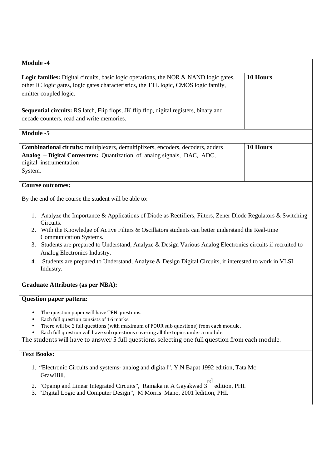| <b>Module -4</b>                                                                                                                                                                                               |          |  |
|----------------------------------------------------------------------------------------------------------------------------------------------------------------------------------------------------------------|----------|--|
| <b>Logic families:</b> Digital circuits, basic logic operations, the NOR & NAND logic gates,<br>other IC logic gates, logic gates characteristics, the TTL logic, CMOS logic family,<br>emitter coupled logic. | 10 Hours |  |
| <b>Sequential circuits:</b> RS latch, Flip flops, JK flip flop, digital registers, binary and<br>decade counters, read and write memories.                                                                     |          |  |
| Module -5                                                                                                                                                                                                      |          |  |
| <b>Combinational circuits:</b> multiplexers, demultiplixers, encoders, decoders, adders<br>Analog - Digital Converters: Quantization of analog signals, DAC, ADC,<br>digital instrumentation<br>System.        | 10 Hours |  |

#### **Course outcomes:**

By the end of the course the student will be able to:

- 1. Analyze the Importance & Applications of Diode as Rectifiers, Filters, Zener Diode Regulators & Switching Circuits.
- 2. With the Knowledge of Active Filters & Oscillators students can better understand the Real-time Communication Systems.
- 3. Students are prepared to Understand, Analyze & Design Various Analog Electronics circuits if recruited to Analog Electronics Industry.
- 4. Students are prepared to Understand, Analyze & Design Digital Circuits, if interested to work in VLSI Industry.

#### **Graduate Attributes (as per NBA):**

#### **Question paper pattern:**

- The question paper will have TEN questions.
- Each full question consists of 16 marks.
- There will be 2 full questions (with maximum of FOUR sub questions) from each module.
- Each full question will have sub questions covering all the topics under a module.

The students will have to answer 5 full questions, selecting one full question from each module.

#### **Text Books:**

- 1. "Electronic Circuits and systems- analog and digita l", Y.N Bapat 1992 edition, Tata Mc GrawHill.
- 2. "Opamp and Linear Integrated Circuits", Ramaka nt A Gayakwad 3 rd edition, PHI.
- 3. "Digital Logic and Computer Design", M Morris Mano, 2001 ledition, PHI.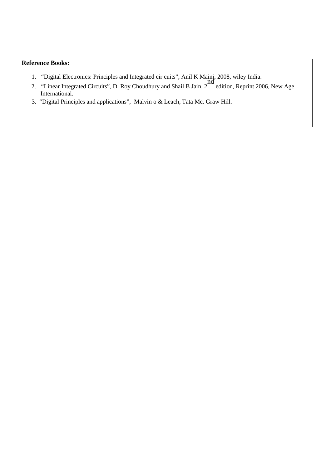- 1. "Digital Electronics: Principles and Integrated cir cuits", Anil K Maini, 2008, wiley India.
- 2. "Linear Integrated Circuits", D. Roy Choudhury and Shail B Jain, 2 nd edition, Reprint 2006, New Age International.
- 3. "Digital Principles and applications", Malvin o & Leach, Tata Mc. Graw Hill.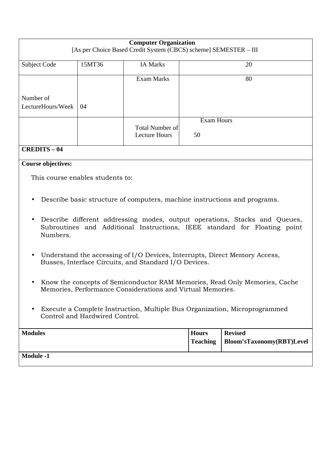| <b>Computer Organization</b><br>[As per Choice Based Credit System (CBCS) scheme] SEMESTER - III |        |                                                |                   |  |  |  |
|--------------------------------------------------------------------------------------------------|--------|------------------------------------------------|-------------------|--|--|--|
| <b>Subject Code</b>                                                                              | 15MT36 | <b>IA Marks</b>                                | 20                |  |  |  |
| Exam Marks<br>80                                                                                 |        |                                                |                   |  |  |  |
| Number of                                                                                        |        |                                                |                   |  |  |  |
| LectureHours/Week<br>04                                                                          |        |                                                |                   |  |  |  |
|                                                                                                  |        |                                                | <b>Exam Hours</b> |  |  |  |
| $\alpha$ n nn ma $\alpha$                                                                        |        | <b>Total Number of</b><br><b>Lecture Hours</b> | 50                |  |  |  |

### **CREDITS – 04**

#### **Course objectives:**

This course enables students to:

- Describe basic structure of computers, machine instructions and programs.
- Describe different addressing modes, output operations, Stacks and Queues, Subroutines and Additional Instructions, IEEE standard for Floating point Numbers.
- Understand the accessing of I/O Devices, Interrupts, Direct Memory Access, Busses, Interface Circuits, and Standard I/O Devices.
- Know the concepts of Semiconductor RAM Memories, Read Only Memories, Cache Memories, Performance Considerations and Virtual Memories.
- Execute a Complete Instruction, Multiple Bus Organization, Microprogrammed Control and Hardwired Control.

| <b>Modules</b>   | <b>Hours</b> | <b>Revised</b><br>Teaching   Bloom'sTaxonomy(RBT)Level |
|------------------|--------------|--------------------------------------------------------|
| <b>Module -1</b> |              |                                                        |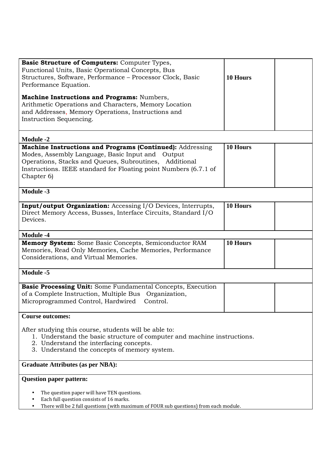| Basic Structure of Computers: Computer Types,<br>Functional Units, Basic Operational Concepts, Bus<br>Structures, Software, Performance - Processor Clock, Basic<br>Performance Equation.<br>Machine Instructions and Programs: Numbers,<br>Arithmetic Operations and Characters, Memory Location<br>and Addresses, Memory Operations, Instructions and<br>Instruction Sequencing. | 10 Hours |  |  |  |  |
|------------------------------------------------------------------------------------------------------------------------------------------------------------------------------------------------------------------------------------------------------------------------------------------------------------------------------------------------------------------------------------|----------|--|--|--|--|
| <b>Module -2</b>                                                                                                                                                                                                                                                                                                                                                                   |          |  |  |  |  |
| Machine Instructions and Programs (Continued): Addressing<br>Modes, Assembly Language, Basic Input and Output<br>Operations, Stacks and Queues, Subroutines, Additional<br>Instructions. IEEE standard for Floating point Numbers (6.7.1 of<br>Chapter 6)                                                                                                                          | 10 Hours |  |  |  |  |
| <b>Module -3</b>                                                                                                                                                                                                                                                                                                                                                                   |          |  |  |  |  |
| <b>Input/output Organization:</b> Accessing I/O Devices, Interrupts,<br>Direct Memory Access, Busses, Interface Circuits, Standard I/O<br>Devices.                                                                                                                                                                                                                                 | 10 Hours |  |  |  |  |
| <b>Module -4</b>                                                                                                                                                                                                                                                                                                                                                                   |          |  |  |  |  |
| Memory System: Some Basic Concepts, Semiconductor RAM<br>Memories, Read Only Memories, Cache Memories, Performance<br>Considerations, and Virtual Memories.                                                                                                                                                                                                                        | 10 Hours |  |  |  |  |
| Module -5                                                                                                                                                                                                                                                                                                                                                                          |          |  |  |  |  |
| Basic Processing Unit: Some Fundamental Concepts, Execution<br>of a Complete Instruction, Multiple Bus Organization,<br>Microprogrammed Control, Hardwired<br>Control.                                                                                                                                                                                                             |          |  |  |  |  |
| <b>Course outcomes:</b>                                                                                                                                                                                                                                                                                                                                                            |          |  |  |  |  |
| After studying this course, students will be able to:<br>1. Understand the basic structure of computer and machine instructions.<br>2. Understand the interfacing concepts.<br>3. Understand the concepts of memory system.                                                                                                                                                        |          |  |  |  |  |
| <b>Graduate Attributes (as per NBA):</b>                                                                                                                                                                                                                                                                                                                                           |          |  |  |  |  |
| <b>Question paper pattern:</b>                                                                                                                                                                                                                                                                                                                                                     |          |  |  |  |  |
| The question paper will have TEN questions.<br>Each full question consists of 16 marks.<br>There will be 2 full questions (with maximum of FOUR sub questions) from each module.<br>٠                                                                                                                                                                                              |          |  |  |  |  |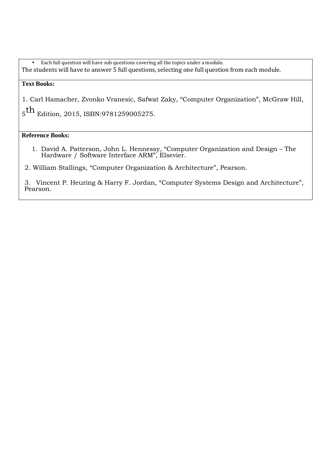• Each full question will have sub questions covering all the topics under a module. The students will have to answer 5 full questions, selecting one full question from each module.

#### **Text Books:**

1. Carl Hamacher, Zvonko Vranesic, Safwat Zaky, "Computer Organization", McGraw Hill,

 $\rm _5th$  Edition, 2015, ISBN:9781259005275.

**Reference Books:** 

1. David A. Patterson, John L. Hennessy, "Computer Organization and Design – The Hardware / Software Interface ARM"*,* Elsevier.

2. William Stallings, "Computer Organization & Architecture", Pearson.

3. Vincent P. Heuring & Harry F. Jordan, "Computer Systems Design and Architecture", Pearson.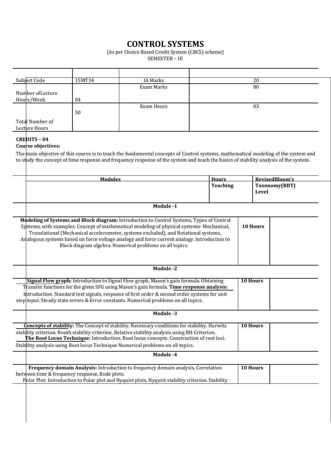### **CONTROL SYSTEMS**

[As per Choice Based Credit System (CBCS) scheme]

SEMESTER – III

| Subject Code      | 15MT34 | IA Marks   | 20 |
|-------------------|--------|------------|----|
|                   |        | Exam Marks | 80 |
| Number of Lecture |        |            |    |
| Hours/Week        | 04     |            |    |
|                   |        | Exam Hours | 03 |
|                   | 50     |            |    |
| Total Number of   |        |            |    |
| Lecture Hours     |        |            |    |

#### **CREDITS – 04**

#### **Course objectives:**

The main objective of this course is to teach the fundamental concepts of Control systems, mathematical modeling of the system and to study the concept of time response and frequency response of the system and teach the basics of stability analysis of the system.

| <b>Modules</b>                                                                                                                                                                                                                                                                                                                                                                                                                         | <b>Hours</b>    | RevisedBloom's                |
|----------------------------------------------------------------------------------------------------------------------------------------------------------------------------------------------------------------------------------------------------------------------------------------------------------------------------------------------------------------------------------------------------------------------------------------|-----------------|-------------------------------|
|                                                                                                                                                                                                                                                                                                                                                                                                                                        | <b>Teaching</b> | Taxonomy(RBT)<br><b>Level</b> |
| Module -1                                                                                                                                                                                                                                                                                                                                                                                                                              |                 |                               |
| Modeling of Systems and Block diagram: Introduction to Control Systems, Types of Control<br>Systems, with examples. Concept of mathematical modeling of physical systems-Mechanical,<br>Translational (Mechanical accelerometer, systems excluded), and Rotational systems,<br>Analogous systems based on force voltage analogy and force current analogy. Introduction to<br>Block diagram algebra. Numerical problems on all topics. |                 | <b>10 Hours</b>               |
| Module -2                                                                                                                                                                                                                                                                                                                                                                                                                              |                 |                               |
| Signal Flow graph: Introduction to Signal Flow graph, Mason's gain formula. Obtaining<br>Transfer functions for the given SFG using Mason's gain formula. Time response analysis:<br>Introduction. Standard test signals, response of first order & second order systems for unit<br>step input. Steady state errors & Error constants. Numerical problems on all topics.                                                              |                 | 10 Hours                      |
| Module -3                                                                                                                                                                                                                                                                                                                                                                                                                              |                 |                               |
| <b>Concepts of stability:</b> The Concept of stability. Necessary conditions for stability. Hurwitz<br>stability criterion. Routh stability criterion. Relative stability analysis using RH Criterion.<br>The Root Locus Technique: Introduction. Root locus concepts. Construction of root loci.<br>Stability analysis using Root locus Technique Numerical problems on all topics.                                                   |                 | <b>10 Hours</b>               |
| Module -4                                                                                                                                                                                                                                                                                                                                                                                                                              |                 |                               |
| Frequency domain Analysis: Introduction to frequency domain analysis, Correlation<br>between time & frequency response, Bode plots.<br>Polar Plot: Introduction to Polar plot and Nyquist plots, Nyquist stability criterion. Stability                                                                                                                                                                                                |                 | 10 Hours                      |
|                                                                                                                                                                                                                                                                                                                                                                                                                                        |                 |                               |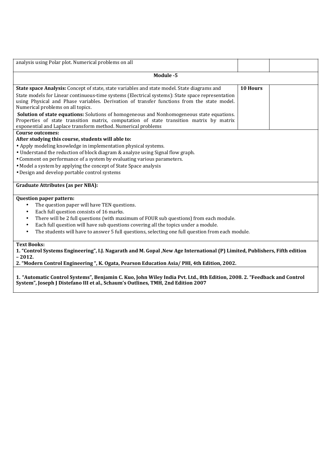| analysis using Polar plot. Numerical problems on all                                                                                                                                                                                                                                                                                                                                                                                                                                                                                                                                              |          |  |  |  |
|---------------------------------------------------------------------------------------------------------------------------------------------------------------------------------------------------------------------------------------------------------------------------------------------------------------------------------------------------------------------------------------------------------------------------------------------------------------------------------------------------------------------------------------------------------------------------------------------------|----------|--|--|--|
| Module -5                                                                                                                                                                                                                                                                                                                                                                                                                                                                                                                                                                                         |          |  |  |  |
| State space Analysis: Concept of state, state variables and state model. State diagrams and<br>State models for Linear continuous-time systems (Electrical systems): State space representation<br>using Physical and Phase variables. Derivation of transfer functions from the state model.<br>Numerical problems on all topics.<br><b>Solution of state equations:</b> Solutions of homogeneous and Nonhomogeneous state equations.<br>Properties of state transition matrix, computation of state transition matrix by matrix<br>exponential and Laplace transform method. Numerical problems | 10 Hours |  |  |  |
| Course outcomes:<br>After studying this course, students will able to:<br>• Apply modeling knowledge in implementation physical systems.<br>• Understand the reduction of block diagram & analyze using Signal flow graph.<br>• Comment on performance of a system by evaluating various parameters.<br>• Model a system by applying the concept of State Space analysis<br>• Design and develop portable control systems                                                                                                                                                                         |          |  |  |  |
| <b>Graduate Attributes (as per NBA):</b>                                                                                                                                                                                                                                                                                                                                                                                                                                                                                                                                                          |          |  |  |  |
| <b>Question paper pattern:</b><br>The question paper will have TEN questions.<br>٠<br>Each full question consists of 16 marks.<br>$\bullet$<br>There will be 2 full questions (with maximum of FOUR sub questions) from each module.<br>٠<br>Each full question will have sub questions covering all the topics under a module.<br>$\bullet$<br>The students will have to answer 5 full questions, selecting one full question from each module.<br>$\bullet$                                                                                                                                     |          |  |  |  |
| <b>Text Books:</b><br>1. "Control Systems Engineering", I.J. Nagarath and M. Gopal , New Age International (P) Limited, Publishers, Fifth edition<br>$-2012.$                                                                                                                                                                                                                                                                                                                                                                                                                                     |          |  |  |  |

**2. "Modern Control Engineering ", K. Ogata, Pearson Education Asia/ PHI, 4th Edition, 2002.** 

**1. "Automatic Control Systems", Benjamin C. Kuo, John Wiley India Pvt. Ltd., 8th Edition, 2008. 2. "Feedback and Control System", Joseph J Distefano III et al., Schaum's Outlines, TMH, 2nd Edition 2007**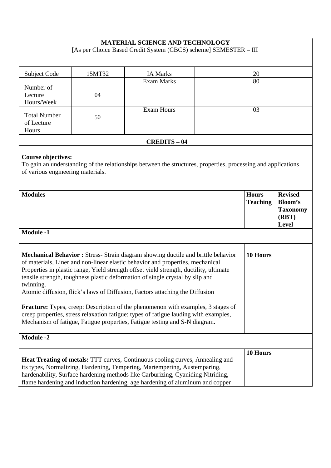| <b>MATERIAL SCIENCE AND TECHNOLOGY</b><br>[As per Choice Based Credit System (CBCS) scheme] SEMESTER - III                                                                                                                                                                                                                                                                                                                                                                                                                                                                                                                                 |                                                                                                                 |                                                                                                                                                                                                                                                                                                                                       |  |          |  |  |
|--------------------------------------------------------------------------------------------------------------------------------------------------------------------------------------------------------------------------------------------------------------------------------------------------------------------------------------------------------------------------------------------------------------------------------------------------------------------------------------------------------------------------------------------------------------------------------------------------------------------------------------------|-----------------------------------------------------------------------------------------------------------------|---------------------------------------------------------------------------------------------------------------------------------------------------------------------------------------------------------------------------------------------------------------------------------------------------------------------------------------|--|----------|--|--|
|                                                                                                                                                                                                                                                                                                                                                                                                                                                                                                                                                                                                                                            |                                                                                                                 |                                                                                                                                                                                                                                                                                                                                       |  |          |  |  |
| Subject Code                                                                                                                                                                                                                                                                                                                                                                                                                                                                                                                                                                                                                               | 15MT32                                                                                                          | <b>IA Marks</b>                                                                                                                                                                                                                                                                                                                       |  | 20       |  |  |
| Number of                                                                                                                                                                                                                                                                                                                                                                                                                                                                                                                                                                                                                                  |                                                                                                                 | <b>Exam Marks</b>                                                                                                                                                                                                                                                                                                                     |  | 80       |  |  |
| Lecture<br>Hours/Week                                                                                                                                                                                                                                                                                                                                                                                                                                                                                                                                                                                                                      | 04                                                                                                              |                                                                                                                                                                                                                                                                                                                                       |  |          |  |  |
| <b>Total Number</b><br>of Lecture<br>Hours                                                                                                                                                                                                                                                                                                                                                                                                                                                                                                                                                                                                 | 50                                                                                                              | <b>Exam Hours</b>                                                                                                                                                                                                                                                                                                                     |  | 03       |  |  |
|                                                                                                                                                                                                                                                                                                                                                                                                                                                                                                                                                                                                                                            |                                                                                                                 | <b>CREDITS - 04</b>                                                                                                                                                                                                                                                                                                                   |  |          |  |  |
| <b>Course objectives:</b><br>To gain an understanding of the relationships between the structures, properties, processing and applications<br>of various engineering materials.                                                                                                                                                                                                                                                                                                                                                                                                                                                            |                                                                                                                 |                                                                                                                                                                                                                                                                                                                                       |  |          |  |  |
| <b>Modules</b>                                                                                                                                                                                                                                                                                                                                                                                                                                                                                                                                                                                                                             | <b>Revised</b><br><b>Hours</b><br><b>Bloom's</b><br><b>Teaching</b><br><b>Taxonomy</b><br>(RBT)<br><b>Level</b> |                                                                                                                                                                                                                                                                                                                                       |  |          |  |  |
|                                                                                                                                                                                                                                                                                                                                                                                                                                                                                                                                                                                                                                            | <b>Module -1</b>                                                                                                |                                                                                                                                                                                                                                                                                                                                       |  |          |  |  |
| 10 Hours<br>Mechanical Behavior : Stress- Strain diagram showing ductile and brittle behavior<br>of materials, Liner and non-linear elastic behavior and properties, mechanical<br>Properties in plastic range, Yield strength offset yield strength, ductility, ultimate<br>tensile strength, toughness plastic deformation of single crystal by slip and<br>twinning.<br>Atomic diffusion, flick's laws of Diffusion, Factors attaching the Diffusion<br><b>Fracture:</b> Types, creep: Description of the phenomenon with examples, 3 stages of<br>creep properties, stress relaxation fatigue: types of fatigue lauding with examples, |                                                                                                                 |                                                                                                                                                                                                                                                                                                                                       |  |          |  |  |
|                                                                                                                                                                                                                                                                                                                                                                                                                                                                                                                                                                                                                                            |                                                                                                                 | Mechanism of fatigue, Fatigue properties, Fatigue testing and S-N diagram.                                                                                                                                                                                                                                                            |  |          |  |  |
| <b>Module -2</b>                                                                                                                                                                                                                                                                                                                                                                                                                                                                                                                                                                                                                           |                                                                                                                 |                                                                                                                                                                                                                                                                                                                                       |  |          |  |  |
|                                                                                                                                                                                                                                                                                                                                                                                                                                                                                                                                                                                                                                            |                                                                                                                 | <b>Heat Treating of metals:</b> TTT curves, Continuous cooling curves, Annealing and<br>its types, Normalizing, Hardening, Tempering, Martempering, Austemparing,<br>hardenability, Surface hardening methods like Carburizing, Cyaniding Nitriding,<br>flame hardening and induction hardening, age hardening of aluminum and copper |  | 10 Hours |  |  |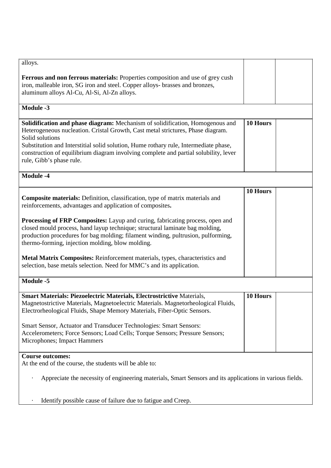| alloys.                                                                                                                                                                                                                                                                                                                                                                                            |          |  |
|----------------------------------------------------------------------------------------------------------------------------------------------------------------------------------------------------------------------------------------------------------------------------------------------------------------------------------------------------------------------------------------------------|----------|--|
| Ferrous and non ferrous materials: Properties composition and use of grey cush<br>iron, malleable iron, SG iron and steel. Copper alloys- brasses and bronzes,<br>aluminum alloys Al-Cu, Al-Si, Al-Zn alloys.                                                                                                                                                                                      |          |  |
| Module -3                                                                                                                                                                                                                                                                                                                                                                                          |          |  |
| Solidification and phase diagram: Mechanism of solidification, Homogenous and<br>Heterogeneous nucleation. Cristal Growth, Cast metal strictures, Phase diagram.<br>Solid solutions<br>Substitution and Interstitial solid solution, Hume rothary rule, Intermediate phase,<br>construction of equilibrium diagram involving complete and partial solubility, lever<br>rule, Gibb's phase rule.    | 10 Hours |  |
| Module -4                                                                                                                                                                                                                                                                                                                                                                                          |          |  |
| Composite materials: Definition, classification, type of matrix materials and<br>reinforcements, advantages and application of composites.                                                                                                                                                                                                                                                         | 10 Hours |  |
| <b>Processing of FRP Composites:</b> Layup and curing, fabricating process, open and<br>closed mould process, hand layup technique; structural laminate bag molding,<br>production procedures for bag molding; filament winding, pultrusion, pulforming,<br>thermo-forming, injection molding, blow molding.                                                                                       |          |  |
| Metal Matrix Composites: Reinforcement materials, types, characteristics and<br>selection, base metals selection. Need for MMC's and its application.                                                                                                                                                                                                                                              |          |  |
| <b>Module -5</b>                                                                                                                                                                                                                                                                                                                                                                                   |          |  |
| <b>Smart Materials: Piezoelectric Materials, Electrostrictive Materials,</b><br>Magnetostrictive Materials, Magnetoelectric Materials. Magnetorheological Fluids,<br>Electrorheological Fluids, Shape Memory Materials, Fiber-Optic Sensors.<br>Smart Sensor, Actuator and Transducer Technologies: Smart Sensors:<br>Accelerometers; Force Sensors; Load Cells; Torque Sensors; Pressure Sensors; | 10 Hours |  |
| Microphones; Impact Hammers                                                                                                                                                                                                                                                                                                                                                                        |          |  |
| <b>Course outcomes:</b><br>At the end of the course, the students will be able to:                                                                                                                                                                                                                                                                                                                 |          |  |
| Appreciate the necessity of engineering materials, Smart Sensors and its applications in various fields.                                                                                                                                                                                                                                                                                           |          |  |
| Identify possible cause of failure due to fatigue and Creep.                                                                                                                                                                                                                                                                                                                                       |          |  |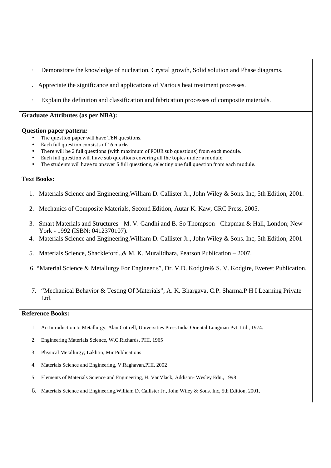- Demonstrate the knowledge of nucleation, Crystal growth, Solid solution and Phase diagrams.
- . Appreciate the significance and applications of Various heat treatment processes.
- Explain the definition and classification and fabrication processes of composite materials.

#### **Graduate Attributes (as per NBA):**

#### **Question paper pattern:**

- The question paper will have TEN questions.
- Each full question consists of 16 marks.
- There will be 2 full questions (with maximum of FOUR sub questions) from each module.
- Each full question will have sub questions covering all the topics under a module.
- The students will have to answer 5 full questions, selecting one full question from each module.

#### **Text Books:**

- 1. Materials Science and Engineering,William D. Callister Jr., John Wiley & Sons. Inc, 5th Edition, 2001.
- 2. Mechanics of Composite Materials, Second Edition, Autar K. Kaw, CRC Press, 2005.
- 3. Smart Materials and Structures M. V. Gandhi and B. So Thompson Chapman & Hall, London; New York - 1992 (ISBN: 0412370107).
- 4. Materials Science and Engineering,William D. Callister Jr., John Wiley & Sons. Inc, 5th Edition, 2001
- 5. Materials Science, Shackleford.,& M. K. Muralidhara, Pearson Publication 2007.
- 6. "Material Science & Metallurgy For Engineer s", Dr. V.D. Kodgire& S. V. Kodgire, Everest Publication.
- 7. "Mechanical Behavior & Testing Of Materials", A. K. Bhargava, C.P. Sharma.P H I Learning Private Ltd.

- 1. An Introduction to Metallurgy; Alan Cottrell, Universities Press India Oriental Longman Pvt. Ltd., 1974.
- 2. Engineering Materials Science, W.C.Richards, PHI, 1965
- 3. Physical Metallurgy; Lakhtin, Mir Publications
- 4. Materials Science and Engineering, V.Raghavan,PHI, 2002
- 5. Elements of Materials Science and Engineering, H. VanVlack, Addison- Wesley Edn., 1998
- 6. Materials Science and Engineering,William D. Callister Jr., John Wiley & Sons. Inc, 5th Edition, 2001.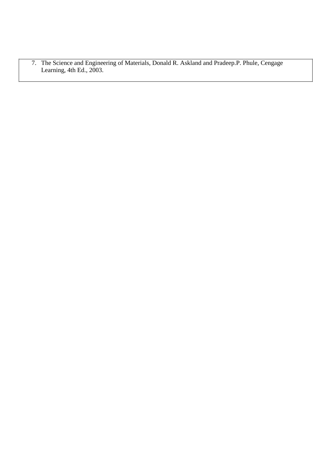7. The Science and Engineering of Materials, Donald R. Askland and Pradeep.P. Phule, Cengage Learning, 4th Ed., 2003.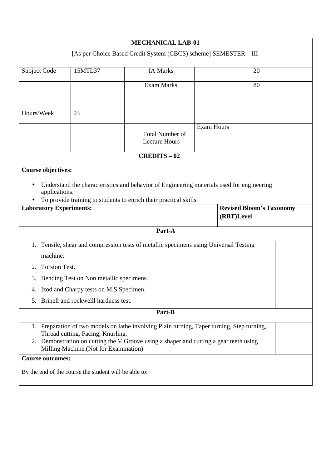|            |                                                                                                                                                                                                              |                                                                                   | <b>MECHANICAL LAB-01</b>                                                                                                                                                              |                   |  |  |  |
|------------|--------------------------------------------------------------------------------------------------------------------------------------------------------------------------------------------------------------|-----------------------------------------------------------------------------------|---------------------------------------------------------------------------------------------------------------------------------------------------------------------------------------|-------------------|--|--|--|
|            |                                                                                                                                                                                                              |                                                                                   | [As per Choice Based Credit System (CBCS) scheme] SEMESTER - III                                                                                                                      |                   |  |  |  |
|            | 15MTL37<br><b>IA Marks</b><br>20<br>Subject Code                                                                                                                                                             |                                                                                   |                                                                                                                                                                                       |                   |  |  |  |
|            | <b>Exam Marks</b><br>80                                                                                                                                                                                      |                                                                                   |                                                                                                                                                                                       |                   |  |  |  |
| Hours/Week |                                                                                                                                                                                                              | 03                                                                                |                                                                                                                                                                                       |                   |  |  |  |
|            |                                                                                                                                                                                                              |                                                                                   | <b>Total Number of</b><br><b>Lecture Hours</b>                                                                                                                                        | <b>Exam Hours</b> |  |  |  |
|            |                                                                                                                                                                                                              |                                                                                   | <b>CREDITS-02</b>                                                                                                                                                                     |                   |  |  |  |
|            | <b>Course objectives:</b><br>Understand the characteristics and behavior of Engineering materials used for engineering<br>applications.<br>To provide training to students to enrich their practical skills. |                                                                                   |                                                                                                                                                                                       |                   |  |  |  |
|            | <b>Revised Bloom's Taxonomy</b><br><b>Laboratory Experiments:</b><br>(RBT)Level                                                                                                                              |                                                                                   |                                                                                                                                                                                       |                   |  |  |  |
|            |                                                                                                                                                                                                              |                                                                                   | Part-A                                                                                                                                                                                |                   |  |  |  |
| 2.         | machine.<br><b>Torsion Test.</b>                                                                                                                                                                             |                                                                                   | 1. Tensile, shear and compression tests of metallic specimens using Universal Testing                                                                                                 |                   |  |  |  |
| 3.         |                                                                                                                                                                                                              | Bending Test on Non metallic specimens.                                           |                                                                                                                                                                                       |                   |  |  |  |
| 5.         |                                                                                                                                                                                                              | 4. Izod and Charpy tests on M.S Specimen.<br>Brinell and rockwelll hardness test. |                                                                                                                                                                                       |                   |  |  |  |
|            |                                                                                                                                                                                                              |                                                                                   | Part-B                                                                                                                                                                                |                   |  |  |  |
|            |                                                                                                                                                                                                              |                                                                                   |                                                                                                                                                                                       |                   |  |  |  |
|            |                                                                                                                                                                                                              | Thread cutting, Facing, Knurling.<br>Milling Machine. (Not for Examination)       | 1. Preparation of two models on lathe involving Plain turning, Taper turning, Step turning,<br>2. Demonstration on cutting the V Groove using a shaper and cutting a gear teeth using |                   |  |  |  |
|            | <b>Course outcomes:</b>                                                                                                                                                                                      |                                                                                   |                                                                                                                                                                                       |                   |  |  |  |
|            |                                                                                                                                                                                                              | By the end of the course the student will be able to:                             |                                                                                                                                                                                       |                   |  |  |  |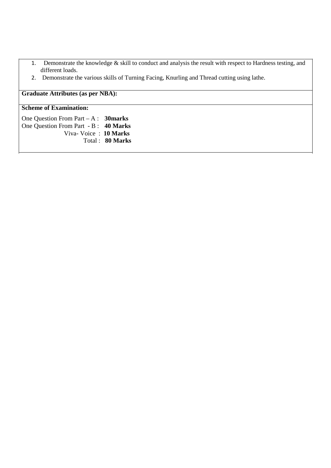- 1. Demonstrate the knowledge & skill to conduct and analysis the result with respect to Hardness testing, and different loads.
- 2. Demonstrate the various skills of Turning Facing, Knurling and Thread cutting using lathe.

### **Graduate Attributes (as per NBA):**

#### **Scheme of Examination:**

One Question From Part – A : **30marks**  One Question From Part - B : **40 Marks**  Viva- Voice : **10 Marks**  Total : **80 Marks**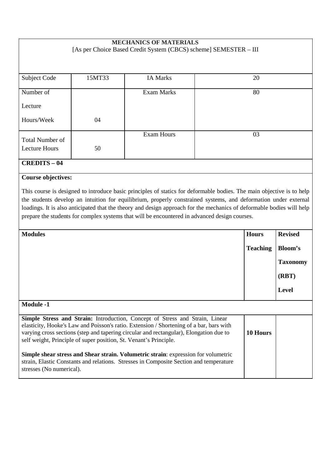#### **MECHANICS OF MATERIALS**  [As per Choice Based Credit System (CBCS) scheme] SEMESTER – III

| <b>Subject Code</b>  | 15MT33 | <b>IA Marks</b> | 20 |
|----------------------|--------|-----------------|----|
| Number of            |        | Exam Marks      | 80 |
| Lecture              |        |                 |    |
| Hours/Week           | 04     |                 |    |
| Total Number of      |        | Exam Hours      | 03 |
| <b>Lecture Hours</b> | 50     |                 |    |
| <b>CREDITS - 04</b>  |        |                 |    |

### **Course objectives:**

This course is designed to introduce basic principles of statics for deformable bodies. The main objective is to help the students develop an intuition for equilibrium, properly constrained systems, and deformation under external loadings. It is also anticipated that the theory and design approach for the mechanics of deformable bodies will help prepare the students for complex systems that will be encountered in advanced design courses.

| <b>Modules</b>                                                                                                                                                                                                                                                                                                                                | <b>Hours</b>    | <b>Revised</b>  |
|-----------------------------------------------------------------------------------------------------------------------------------------------------------------------------------------------------------------------------------------------------------------------------------------------------------------------------------------------|-----------------|-----------------|
|                                                                                                                                                                                                                                                                                                                                               | <b>Teaching</b> | Bloom's         |
|                                                                                                                                                                                                                                                                                                                                               |                 | <b>Taxonomy</b> |
|                                                                                                                                                                                                                                                                                                                                               |                 | (RBT)           |
|                                                                                                                                                                                                                                                                                                                                               |                 | Level           |
| <b>Module -1</b>                                                                                                                                                                                                                                                                                                                              |                 |                 |
| <b>Simple Stress and Strain:</b> Introduction, Concept of Stress and Strain, Linear<br>elasticity, Hooke's Law and Poisson's ratio. Extension / Shortening of a bar, bars with<br>varying cross sections (step and tapering circular and rectangular), Elongation due to<br>self weight, Principle of super position, St. Venant's Principle. | 10 Hours        |                 |
| <b>Simple shear stress and Shear strain. Volumetric strain:</b> expression for volumetric<br>strain, Elastic Constants and relations. Stresses in Composite Section and temperature<br>stresses (No numerical).                                                                                                                               |                 |                 |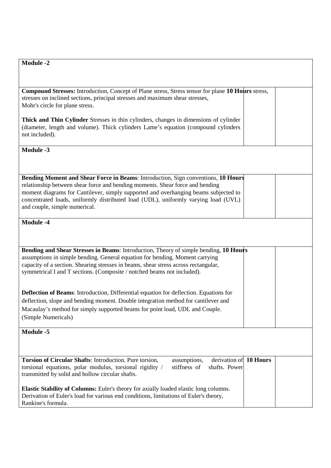**Compound Stresses:** Introduction, Concept of Plane stress, Stress tensor for plane **10 Hours** stress, stresses on inclined sections, principal stresses and maximum shear stresses, Mohr's circle for plane stress.

**Thick and Thin Cylinder** Stresses in thin cylinders, changes in dimensions of cylinder (diameter, length and volume). Thick cylinders Lame's equation (compound cylinders not included).

**Module -3** 

**Bending Moment and Shear Force in Beams**: Introduction, Sign conventions, **10 Hours** relationship between shear force and bending moments. Shear force and bending moment diagrams for Cantilever, simply supported and overhanging beams subjected to concentrated loads, uniformly distributed load (UDL), uniformly varying load (UVL) and couple, simple numerical.

**Module -4** 

**Bending and Shear Stresses in Beams**: Introduction, Theory of simple bending, **10 Hours** assumptions in simple bending. General equation for bending. Moment carrying capacity of a section. Shearing stresses in beams, shear stress across rectangular, symmetrical I and T sections. (Composite / notched beams not included). **Deflection of Beams**: Introduction, Differential equation for deflection. Equations for deflection, slope and bending moment. Double integration method for cantilever and Macaulay's method for simply supported beams for point load, UDL and Couple. (Simple Numericals) **Module -5** 

| <b>Torsion of Circular Shafts:</b> Introduction. Pure torsion,<br>assumptions,               | derivation of 10 Hours |  |
|----------------------------------------------------------------------------------------------|------------------------|--|
| stiffness of shafts. Power<br>torsional equations, polar modulus, torsional rigidity /       |                        |  |
| transmitted by solid and hollow circular shafts.                                             |                        |  |
|                                                                                              |                        |  |
| <b>Elastic Stability of Columns:</b> Euler's theory for axially loaded elastic long columns. |                        |  |
| Derivation of Euler's load for various end conditions, limitations of Euler's theory,        |                        |  |
| Rankine's formula.                                                                           |                        |  |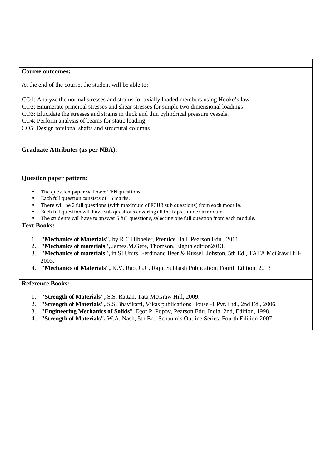#### **Course outcomes:**

At the end of the course, the student will be able to:

CO1: Analyze the normal stresses and strains for axially loaded members using Hooke's law

CO2: Enumerate principal stresses and shear stresses for simple two dimensional loadings

CO3: Elucidate the stresses and strains in thick and thin cylindrical pressure vessels.

CO4: Perform analysis of beams for static loading.

CO5: Design torsional shafts and structural columns

#### **Graduate Attributes (as per NBA):**

#### **Question paper pattern:**

- The question paper will have TEN questions.
- Each full question consists of 16 marks.
- There will be 2 full questions (with maximum of FOUR sub questions) from each module.
- Each full question will have sub questions covering all the topics under a module.
- The students will have to answer 5 full questions, selecting one full question from each module.

#### **Text Books:**

- 1. **"Mechanics of Materials",** by R.C.Hibbeler, Prentice Hall. Pearson Edu., 2011.
- 2. **"Mechanics of materials",** James.M.Gere, Thomson, Eighth edition2013.
- 3. **"Mechanics of materials",** in SI Units, Ferdinand Beer & Russell Johston, 5th Ed., TATA McGraw Hill-2003.
- 4. **"Mechanics of Materials",** K.V. Rao, G.C. Raju, Subhash Publication, Fourth Edition, 2013

- 1. **"Strength of Materials",** S.S. Rattan, Tata McGraw Hill, 2009.
- 2. **"Strength of Materials",** S.S.Bhavikatti, Vikas publications House -1 Pvt. Ltd., 2nd Ed., 2006.
- 3. **"Engineering Mechanics of Solids**", Egor.P. Popov, Pearson Edu. India, 2nd, Edition, 1998.
- 4. **"Strength of Materials",** W.A. Nash, 5th Ed., Schaum's Outline Series, Fourth Edition-2007.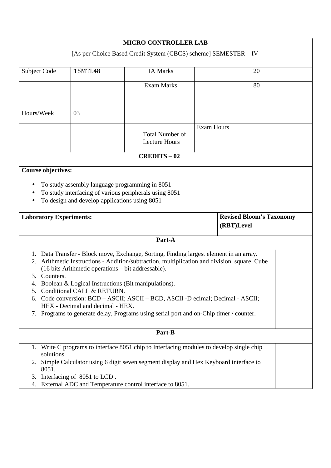| <b>MICRO CONTROLLER LAB</b>                                                                                                                               |                                                                                                                                                                                |                                                                                                                                                                                  |                                                                                                                                                                                    |  |  |  |
|-----------------------------------------------------------------------------------------------------------------------------------------------------------|--------------------------------------------------------------------------------------------------------------------------------------------------------------------------------|----------------------------------------------------------------------------------------------------------------------------------------------------------------------------------|------------------------------------------------------------------------------------------------------------------------------------------------------------------------------------|--|--|--|
| [As per Choice Based Credit System (CBCS) scheme] SEMESTER - IV                                                                                           |                                                                                                                                                                                |                                                                                                                                                                                  |                                                                                                                                                                                    |  |  |  |
| Subject Code                                                                                                                                              | 15MTL48                                                                                                                                                                        | <b>IA Marks</b>                                                                                                                                                                  | 20                                                                                                                                                                                 |  |  |  |
|                                                                                                                                                           |                                                                                                                                                                                | <b>Exam Marks</b>                                                                                                                                                                | 80                                                                                                                                                                                 |  |  |  |
| Hours/Week                                                                                                                                                | 03                                                                                                                                                                             |                                                                                                                                                                                  |                                                                                                                                                                                    |  |  |  |
|                                                                                                                                                           |                                                                                                                                                                                | <b>Total Number of</b><br><b>Lecture Hours</b>                                                                                                                                   | <b>Exam Hours</b>                                                                                                                                                                  |  |  |  |
|                                                                                                                                                           |                                                                                                                                                                                | <b>CREDITS-02</b>                                                                                                                                                                |                                                                                                                                                                                    |  |  |  |
| <b>Course objectives:</b>                                                                                                                                 |                                                                                                                                                                                |                                                                                                                                                                                  |                                                                                                                                                                                    |  |  |  |
| To study assembly language programming in 8051<br>To study interfacing of various peripherals using 8051<br>To design and develop applications using 8051 |                                                                                                                                                                                |                                                                                                                                                                                  |                                                                                                                                                                                    |  |  |  |
| <b>Revised Bloom's Taxonomy</b><br><b>Laboratory Experiments:</b><br>(RBT)Level                                                                           |                                                                                                                                                                                |                                                                                                                                                                                  |                                                                                                                                                                                    |  |  |  |
|                                                                                                                                                           |                                                                                                                                                                                |                                                                                                                                                                                  |                                                                                                                                                                                    |  |  |  |
|                                                                                                                                                           |                                                                                                                                                                                | Part-A                                                                                                                                                                           |                                                                                                                                                                                    |  |  |  |
| 3. Counters.<br>4.                                                                                                                                        | (16 bits Arithmetic operations – bit addressable).<br>Boolean & Logical Instructions (Bit manipulations).<br>5. Conditional CALL & RETURN.<br>HEX - Decimal and decimal - HEX. | 1. Data Transfer - Block move, Exchange, Sorting, Finding largest element in an array.<br>7. Programs to generate delay, Programs using serial port and on-Chip timer / counter. | 2. Arithmetic Instructions - Addition/subtraction, multiplication and division, square, Cube<br>6. Code conversion: BCD – ASCII; ASCII – BCD, ASCII -D ecimal; Decimal - ASCII;    |  |  |  |
|                                                                                                                                                           |                                                                                                                                                                                | Part-B                                                                                                                                                                           |                                                                                                                                                                                    |  |  |  |
| solutions.<br>8051.<br>3.                                                                                                                                 | Interfacing of 8051 to LCD.                                                                                                                                                    |                                                                                                                                                                                  | 1. Write C programs to interface 8051 chip to Interfacing modules to develop single chip<br>2. Simple Calculator using 6 digit seven segment display and Hex Keyboard interface to |  |  |  |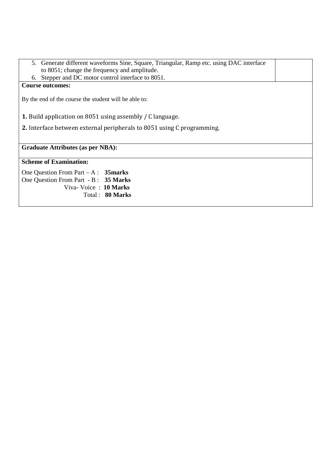| 5. Generate different waveforms Sine, Square, Triangular, Ramp etc. using DAC interface |  |
|-----------------------------------------------------------------------------------------|--|
| to 8051; change the frequency and amplitude.                                            |  |
| 6. Stepper and DC motor control interface to 8051.                                      |  |
| <b>Course outcomes:</b>                                                                 |  |
| By the end of the course the student will be able to:                                   |  |

**1.** Build application on 8051 using assembly / C language.

**2.** Interface between external peripherals to 8051 using C programming.

**Graduate Attributes (as per NBA):** 

#### **Scheme of Examination:**

One Question From Part – A : **35marks**  One Question From Part - B : **35 Marks**  Viva- Voice : **10 Marks**  Total : **80 Marks**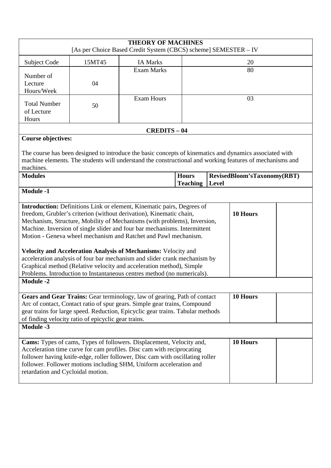| <b>THEORY OF MACHINES</b><br>[As per Choice Based Credit System (CBCS) scheme] SEMESTER - IV                                                                                                                                                                                                                                                                                                                                                                                                                                                                                                                                                                                            |        |                                                                                                                                                                                                                                                                                                      |                                 |       |                             |  |  |  |
|-----------------------------------------------------------------------------------------------------------------------------------------------------------------------------------------------------------------------------------------------------------------------------------------------------------------------------------------------------------------------------------------------------------------------------------------------------------------------------------------------------------------------------------------------------------------------------------------------------------------------------------------------------------------------------------------|--------|------------------------------------------------------------------------------------------------------------------------------------------------------------------------------------------------------------------------------------------------------------------------------------------------------|---------------------------------|-------|-----------------------------|--|--|--|
| Subject Code                                                                                                                                                                                                                                                                                                                                                                                                                                                                                                                                                                                                                                                                            | 15MT45 | <b>IA Marks</b>                                                                                                                                                                                                                                                                                      |                                 |       | 20                          |  |  |  |
| Number of<br>Lecture<br>Hours/Week                                                                                                                                                                                                                                                                                                                                                                                                                                                                                                                                                                                                                                                      | 04     | <b>Exam Marks</b>                                                                                                                                                                                                                                                                                    |                                 | 80    |                             |  |  |  |
| <b>Total Number</b><br>of Lecture<br>Hours                                                                                                                                                                                                                                                                                                                                                                                                                                                                                                                                                                                                                                              | 50     | <b>Exam Hours</b>                                                                                                                                                                                                                                                                                    |                                 | 03    |                             |  |  |  |
|                                                                                                                                                                                                                                                                                                                                                                                                                                                                                                                                                                                                                                                                                         |        | <b>CREDITS - 04</b>                                                                                                                                                                                                                                                                                  |                                 |       |                             |  |  |  |
| <b>Course objectives:</b>                                                                                                                                                                                                                                                                                                                                                                                                                                                                                                                                                                                                                                                               |        | The course has been designed to introduce the basic concepts of kinematics and dynamics associated with                                                                                                                                                                                              |                                 |       |                             |  |  |  |
| machines.                                                                                                                                                                                                                                                                                                                                                                                                                                                                                                                                                                                                                                                                               |        | machine elements. The students will understand the constructional and working features of mechanisms and                                                                                                                                                                                             |                                 |       |                             |  |  |  |
| <b>Modules</b>                                                                                                                                                                                                                                                                                                                                                                                                                                                                                                                                                                                                                                                                          |        |                                                                                                                                                                                                                                                                                                      | <b>Hours</b><br><b>Teaching</b> | Level | RevisedBloom'sTaxonomy(RBT) |  |  |  |
| <b>Module -1</b>                                                                                                                                                                                                                                                                                                                                                                                                                                                                                                                                                                                                                                                                        |        |                                                                                                                                                                                                                                                                                                      |                                 |       |                             |  |  |  |
| Introduction: Definitions Link or element, Kinematic pairs, Degrees of<br>10 Hours<br>freedom, Grubler's criterion (without derivation), Kinematic chain,<br>Mechanism, Structure, Mobility of Mechanisms (with problems), Inversion,<br>Machine. Inversion of single slider and four bar mechanisms. Intermittent<br>Motion - Geneva wheel mechanism and Ratchet and Pawl mechanism.<br>Velocity and Acceleration Analysis of Mechanisms: Velocity and<br>acceleration analysis of four bar mechanism and slider crank mechanism by<br>Graphical method (Relative velocity and acceleration method), Simple<br>Problems. Introduction to Instantaneous centres method (no numericals). |        |                                                                                                                                                                                                                                                                                                      |                                 |       |                             |  |  |  |
| <b>Module -2</b>                                                                                                                                                                                                                                                                                                                                                                                                                                                                                                                                                                                                                                                                        |        |                                                                                                                                                                                                                                                                                                      |                                 |       |                             |  |  |  |
| 10 Hours<br>Gears and Gear Trains: Gear terminology, law of gearing, Path of contact<br>Arc of contact, Contact ratio of spur gears. Simple gear trains, Compound<br>gear trains for large speed. Reduction, Epicyclic gear trains. Tabular methods<br>of finding velocity ratio of epicyclic gear trains.<br><b>Module -3</b>                                                                                                                                                                                                                                                                                                                                                          |        |                                                                                                                                                                                                                                                                                                      |                                 |       |                             |  |  |  |
| retardation and Cycloidal motion.                                                                                                                                                                                                                                                                                                                                                                                                                                                                                                                                                                                                                                                       |        | Cams: Types of cams, Types of followers. Displacement, Velocity and,<br>Acceleration time curve for cam profiles. Disc cam with reciprocating<br>follower having knife-edge, roller follower, Disc cam with oscillating roller<br>follower. Follower motions including SHM, Uniform acceleration and |                                 |       | 10 Hours                    |  |  |  |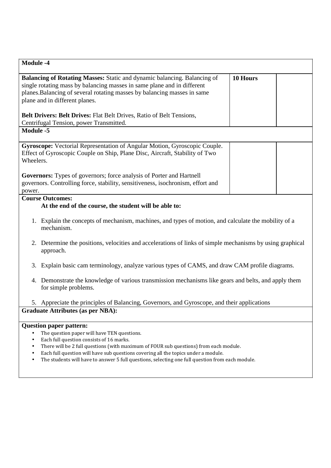| <b>Module -4</b>                                                                                                                                                                                                                                                                                                                                                                                                                                                 |          |  |  |  |
|------------------------------------------------------------------------------------------------------------------------------------------------------------------------------------------------------------------------------------------------------------------------------------------------------------------------------------------------------------------------------------------------------------------------------------------------------------------|----------|--|--|--|
| Balancing of Rotating Masses: Static and dynamic balancing. Balancing of<br>single rotating mass by balancing masses in same plane and in different<br>planes. Balancing of several rotating masses by balancing masses in same<br>plane and in different planes.<br><b>Belt Drivers: Belt Drives:</b> Flat Belt Drives, Ratio of Belt Tensions,                                                                                                                 | 10 Hours |  |  |  |
| Centrifugal Tension, power Transmitted.                                                                                                                                                                                                                                                                                                                                                                                                                          |          |  |  |  |
| Module -5                                                                                                                                                                                                                                                                                                                                                                                                                                                        |          |  |  |  |
| Gyroscope: Vectorial Representation of Angular Motion, Gyroscopic Couple.<br>Effect of Gyroscopic Couple on Ship, Plane Disc, Aircraft, Stability of Two<br>Wheelers.                                                                                                                                                                                                                                                                                            |          |  |  |  |
| <b>Governors:</b> Types of governors; force analysis of Porter and Hartnell<br>governors. Controlling force, stability, sensitiveness, isochronism, effort and<br>power.                                                                                                                                                                                                                                                                                         |          |  |  |  |
| <b>Course Outcomes:</b><br>At the end of the course, the student will be able to:                                                                                                                                                                                                                                                                                                                                                                                |          |  |  |  |
| 1. Explain the concepts of mechanism, machines, and types of motion, and calculate the mobility of a<br>mechanism.                                                                                                                                                                                                                                                                                                                                               |          |  |  |  |
| 2. Determine the positions, velocities and accelerations of links of simple mechanisms by using graphical<br>approach.                                                                                                                                                                                                                                                                                                                                           |          |  |  |  |
| Explain basic cam terminology, analyze various types of CAMS, and draw CAM profile diagrams.<br>3.                                                                                                                                                                                                                                                                                                                                                               |          |  |  |  |
| Demonstrate the knowledge of various transmission mechanisms like gears and belts, and apply them<br>4.<br>for simple problems.                                                                                                                                                                                                                                                                                                                                  |          |  |  |  |
| 5. Appreciate the principles of Balancing, Governors, and Gyroscope, and their applications                                                                                                                                                                                                                                                                                                                                                                      |          |  |  |  |
| <b>Graduate Attributes (as per NBA):</b>                                                                                                                                                                                                                                                                                                                                                                                                                         |          |  |  |  |
| <b>Question paper pattern:</b><br>The question paper will have TEN questions.<br>Each full question consists of 16 marks.<br>$\bullet$<br>There will be 2 full questions (with maximum of FOUR sub questions) from each module.<br>$\bullet$<br>Each full question will have sub questions covering all the topics under a module.<br>$\bullet$<br>The students will have to answer 5 full questions, selecting one full question from each module.<br>$\bullet$ |          |  |  |  |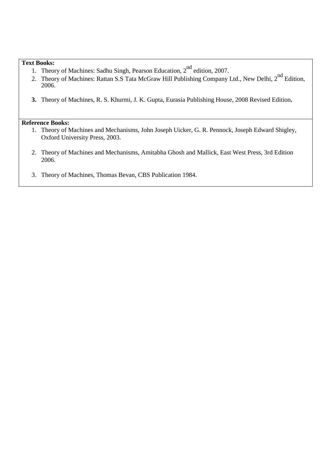#### **Text Books:**

- 1. Theory of Machines: Sadhu Singh, Pearson Education, 2<sup>nd</sup> edition, 2007.
- 2. Theory of Machines: Rattan S.S Tata McGraw Hill Publishing Company Ltd., New Delhi, 2<sup>nd</sup> Edition, 2006.
- **3.** Theory of Machines, R. S. Khurmi, J. K. Gupta, Eurasia Publishing House, 2008 Revised Edition**.**

- 1. Theory of Machines and Mechanisms, John Joseph Uicker, G. R. Pennock, Joseph Edward Shigley, Oxford University Press, 2003.
- 2. Theory of Machines and Mechanisms, Amitabha Ghosh and Mallick, East West Press, 3rd Edition 2006.
- 3. Theory of Machines, Thomas Bevan, CBS Publication 1984.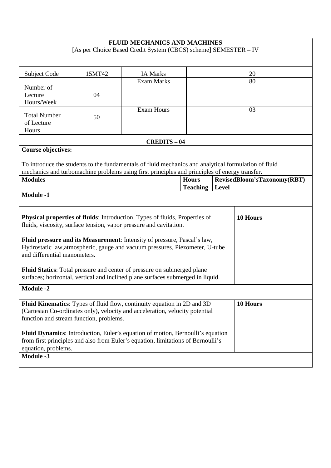|                                                                                                                                                                                                                |                                                                                                                                                                                          | <b>FLUID MECHANICS AND MACHINES</b><br>[As per Choice Based Credit System (CBCS) scheme] SEMESTER - IV                                                                                                |                                 |       |                             |  |  |
|----------------------------------------------------------------------------------------------------------------------------------------------------------------------------------------------------------------|------------------------------------------------------------------------------------------------------------------------------------------------------------------------------------------|-------------------------------------------------------------------------------------------------------------------------------------------------------------------------------------------------------|---------------------------------|-------|-----------------------------|--|--|
| Subject Code                                                                                                                                                                                                   | 15MT42                                                                                                                                                                                   | <b>IA Marks</b>                                                                                                                                                                                       | 20                              |       |                             |  |  |
| Number of<br>Lecture<br>Hours/Week                                                                                                                                                                             | 04                                                                                                                                                                                       | <b>Exam Marks</b>                                                                                                                                                                                     |                                 | 80    |                             |  |  |
| <b>Total Number</b><br>of Lecture<br>Hours                                                                                                                                                                     | 50                                                                                                                                                                                       | <b>Exam Hours</b>                                                                                                                                                                                     |                                 | 03    |                             |  |  |
|                                                                                                                                                                                                                |                                                                                                                                                                                          | <b>CREDITS-04</b>                                                                                                                                                                                     |                                 |       |                             |  |  |
| <b>Course objectives:</b>                                                                                                                                                                                      |                                                                                                                                                                                          | To introduce the students to the fundamentals of fluid mechanics and analytical formulation of fluid<br>mechanics and turbomachine problems using first principles and principles of energy transfer. |                                 |       |                             |  |  |
| <b>Modules</b>                                                                                                                                                                                                 |                                                                                                                                                                                          |                                                                                                                                                                                                       | <b>Hours</b><br><b>Teaching</b> | Level | RevisedBloom'sTaxonomy(RBT) |  |  |
| <b>Module -1</b>                                                                                                                                                                                               |                                                                                                                                                                                          |                                                                                                                                                                                                       |                                 |       |                             |  |  |
|                                                                                                                                                                                                                | <b>Physical properties of fluids:</b> Introduction, Types of fluids, Properties of<br>10 Hours<br>fluids, viscosity, surface tension, vapor pressure and cavitation.                     |                                                                                                                                                                                                       |                                 |       |                             |  |  |
|                                                                                                                                                                                                                | Fluid pressure and its Measurement: Intensity of pressure, Pascal's law,<br>Hydrostatic law, atmospheric, gauge and vacuum pressures, Piezometer, U-tube<br>and differential manometers. |                                                                                                                                                                                                       |                                 |       |                             |  |  |
|                                                                                                                                                                                                                | Fluid Statics: Total pressure and center of pressure on submerged plane<br>surfaces; horizontal, vertical and inclined plane surfaces submerged in liquid.                               |                                                                                                                                                                                                       |                                 |       |                             |  |  |
| <b>Module -2</b>                                                                                                                                                                                               |                                                                                                                                                                                          |                                                                                                                                                                                                       |                                 |       |                             |  |  |
| Fluid Kinematics: Types of fluid flow, continuity equation in 2D and 3D<br>10 Hours<br>(Cartesian Co-ordinates only), velocity and acceleration, velocity potential<br>function and stream function, problems. |                                                                                                                                                                                          |                                                                                                                                                                                                       |                                 |       |                             |  |  |
| Fluid Dynamics: Introduction, Euler's equation of motion, Bernoulli's equation<br>from first principles and also from Euler's equation, limitations of Bernoulli's<br>equation, problems.                      |                                                                                                                                                                                          |                                                                                                                                                                                                       |                                 |       |                             |  |  |
| <b>Module -3</b>                                                                                                                                                                                               |                                                                                                                                                                                          |                                                                                                                                                                                                       |                                 |       |                             |  |  |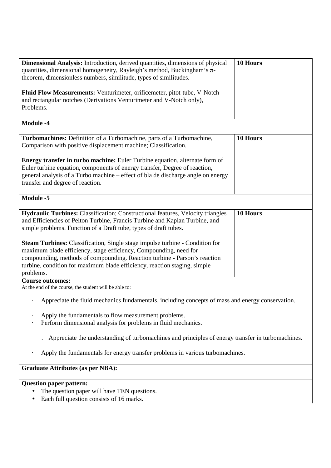| Dimensional Analysis: Introduction, derived quantities, dimensions of physical<br>quantities, dimensional homogeneity, Rayleigh's method, Buckingham's $\pi$ -                                                                                                                    | 10 Hours |  |  |  |
|-----------------------------------------------------------------------------------------------------------------------------------------------------------------------------------------------------------------------------------------------------------------------------------|----------|--|--|--|
| theorem, dimensionless numbers, similitude, types of similitudes.                                                                                                                                                                                                                 |          |  |  |  |
| Fluid Flow Measurements: Venturimeter, orificemeter, pitot-tube, V-Notch<br>and rectangular notches (Derivations Venturimeter and V-Notch only),<br>Problems.                                                                                                                     |          |  |  |  |
| <b>Module -4</b>                                                                                                                                                                                                                                                                  |          |  |  |  |
| Turbomachines: Definition of a Turbomachine, parts of a Turbomachine,<br>Comparison with positive displacement machine; Classification.                                                                                                                                           | 10 Hours |  |  |  |
| Energy transfer in turbo machine: Euler Turbine equation, alternate form of<br>Euler turbine equation, components of energy transfer, Degree of reaction,<br>general analysis of a Turbo machine – effect of bla de discharge angle on energy<br>transfer and degree of reaction. |          |  |  |  |
| Module -5                                                                                                                                                                                                                                                                         |          |  |  |  |
| Hydraulic Turbines: Classification; Constructional features, Velocity triangles<br>and Efficiencies of Pelton Turbine, Francis Turbine and Kaplan Turbine, and<br>simple problems. Function of a Draft tube, types of draft tubes.                                                | 10 Hours |  |  |  |
| <b>Steam Turbines:</b> Classification, Single stage impulse turbine - Condition for                                                                                                                                                                                               |          |  |  |  |
| maximum blade efficiency, stage efficiency, Compounding, need for<br>compounding, methods of compounding. Reaction turbine - Parson's reaction<br>turbine, condition for maximum blade efficiency, reaction staging, simple<br>problems.                                          |          |  |  |  |
| <b>Course outcomes:</b><br>At the end of the course, the student will be able to:                                                                                                                                                                                                 |          |  |  |  |
| Appreciate the fluid mechanics fundamentals, including concepts of mass and energy conservation.                                                                                                                                                                                  |          |  |  |  |
| Apply the fundamentals to flow measurement problems.<br>Perform dimensional analysis for problems in fluid mechanics.                                                                                                                                                             |          |  |  |  |
| Appreciate the understanding of turbomachines and principles of energy transfer in turbomachines.                                                                                                                                                                                 |          |  |  |  |
| Apply the fundamentals for energy transfer problems in various turbomachines.                                                                                                                                                                                                     |          |  |  |  |
| <b>Graduate Attributes (as per NBA):</b>                                                                                                                                                                                                                                          |          |  |  |  |
| <b>Question paper pattern:</b>                                                                                                                                                                                                                                                    |          |  |  |  |
| The question paper will have TEN questions.<br>Each full question consists of 16 marks                                                                                                                                                                                            |          |  |  |  |

• Each full question consists of 16 marks.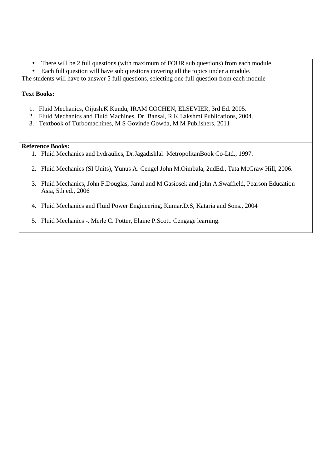- There will be 2 full questions (with maximum of FOUR sub questions) from each module.
- Each full question will have sub questions covering all the topics under a module.
- The students will have to answer 5 full questions, selecting one full question from each module

#### **Text Books:**

- 1. Fluid Mechanics, Oijush.K.Kundu, IRAM COCHEN, ELSEVIER, 3rd Ed. 2005.
- 2. Fluid Mechanics and Fluid Machines, Dr. Bansal, R.K.Lakshmi Publications, 2004.
- 3. Textbook of Turbomachines, M S Govinde Gowda, M M Publishers, 2011

- 1. Fluid Mechanics and hydraulics, Dr.Jagadishlal: MetropolitanBook Co-Ltd., 1997.
- 2. Fluid Mechanics (SI Units), Yunus A. Cengel John M.Oimbala, 2ndEd., Tata McGraw Hill, 2006.
- 3. Fluid Mechanics, John F.Douglas, Janul and M.Gasiosek and john A.Swaffield, Pearson Education Asia, 5th ed., 2006
- 4. Fluid Mechanics and Fluid Power Engineering, Kumar.D.S, Kataria and Sons., 2004
- 5. Fluid Mechanics -. Merle C. Potter, Elaine P.Scott. Cengage learning.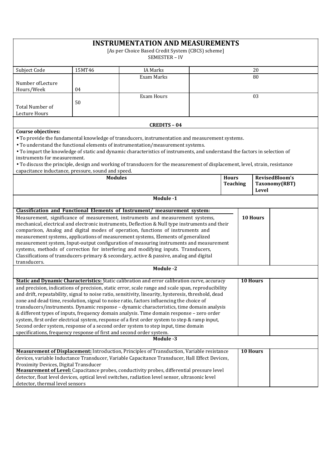|                                                                                                                                                                                                                                                                                                                                                                                                                                                                                                                                                                                                                                                                                                                                                                                                                                                                            |                | <b>INSTRUMENTATION AND MEASUREMENTS</b>                                                                                                                                                                                                                                                                                                                                                                                                                                 |  |                                 |  |                                                 |
|----------------------------------------------------------------------------------------------------------------------------------------------------------------------------------------------------------------------------------------------------------------------------------------------------------------------------------------------------------------------------------------------------------------------------------------------------------------------------------------------------------------------------------------------------------------------------------------------------------------------------------------------------------------------------------------------------------------------------------------------------------------------------------------------------------------------------------------------------------------------------|----------------|-------------------------------------------------------------------------------------------------------------------------------------------------------------------------------------------------------------------------------------------------------------------------------------------------------------------------------------------------------------------------------------------------------------------------------------------------------------------------|--|---------------------------------|--|-------------------------------------------------|
| [As per Choice Based Credit System (CBCS) scheme]                                                                                                                                                                                                                                                                                                                                                                                                                                                                                                                                                                                                                                                                                                                                                                                                                          |                |                                                                                                                                                                                                                                                                                                                                                                                                                                                                         |  |                                 |  |                                                 |
|                                                                                                                                                                                                                                                                                                                                                                                                                                                                                                                                                                                                                                                                                                                                                                                                                                                                            |                | <b>SEMESTER - IV</b>                                                                                                                                                                                                                                                                                                                                                                                                                                                    |  |                                 |  |                                                 |
| Subject Code                                                                                                                                                                                                                                                                                                                                                                                                                                                                                                                                                                                                                                                                                                                                                                                                                                                               | 15MT46         | <b>IA Marks</b><br>20                                                                                                                                                                                                                                                                                                                                                                                                                                                   |  |                                 |  |                                                 |
|                                                                                                                                                                                                                                                                                                                                                                                                                                                                                                                                                                                                                                                                                                                                                                                                                                                                            |                | Exam Marks<br>80                                                                                                                                                                                                                                                                                                                                                                                                                                                        |  |                                 |  |                                                 |
| Number of Lecture<br>Hours/Week                                                                                                                                                                                                                                                                                                                                                                                                                                                                                                                                                                                                                                                                                                                                                                                                                                            | 04             |                                                                                                                                                                                                                                                                                                                                                                                                                                                                         |  |                                 |  |                                                 |
| <b>Total Number of</b><br>Lecture Hours                                                                                                                                                                                                                                                                                                                                                                                                                                                                                                                                                                                                                                                                                                                                                                                                                                    | 50             | <b>Exam Hours</b><br>03                                                                                                                                                                                                                                                                                                                                                                                                                                                 |  |                                 |  |                                                 |
|                                                                                                                                                                                                                                                                                                                                                                                                                                                                                                                                                                                                                                                                                                                                                                                                                                                                            |                |                                                                                                                                                                                                                                                                                                                                                                                                                                                                         |  |                                 |  |                                                 |
| <b>Course objectives:</b><br>instruments for measurement.                                                                                                                                                                                                                                                                                                                                                                                                                                                                                                                                                                                                                                                                                                                                                                                                                  |                | <b>CREDITS - 04</b><br>• To provide the fundamental knowledge of transducers, instrumentation and measurement systems.<br>• To understand the functional elements of instrumentation/measurement systems.<br>• To impart the knowledge of static and dynamic characteristics of instruments, and understand the factors in selection of<br>• To discuss the principle, design and working of transducers for the measurement of displacement, level, strain, resistance |  |                                 |  |                                                 |
| capacitance inductance, pressure, sound and speed.                                                                                                                                                                                                                                                                                                                                                                                                                                                                                                                                                                                                                                                                                                                                                                                                                         |                |                                                                                                                                                                                                                                                                                                                                                                                                                                                                         |  |                                 |  |                                                 |
|                                                                                                                                                                                                                                                                                                                                                                                                                                                                                                                                                                                                                                                                                                                                                                                                                                                                            | <b>Modules</b> |                                                                                                                                                                                                                                                                                                                                                                                                                                                                         |  | <b>Hours</b><br><b>Teaching</b> |  | RevisedBloom's<br>Taxonomy(RBT)<br><b>Level</b> |
|                                                                                                                                                                                                                                                                                                                                                                                                                                                                                                                                                                                                                                                                                                                                                                                                                                                                            |                | Module -1                                                                                                                                                                                                                                                                                                                                                                                                                                                               |  |                                 |  |                                                 |
|                                                                                                                                                                                                                                                                                                                                                                                                                                                                                                                                                                                                                                                                                                                                                                                                                                                                            |                |                                                                                                                                                                                                                                                                                                                                                                                                                                                                         |  |                                 |  |                                                 |
| Classification and Functional Elements of Instrument/ measurement system:<br>10 Hours<br>Measurement, significance of measurement, instruments and measurement systems,<br>mechanical, electrical and electronic instruments, Deflection & Null type instruments and their<br>comparison, Analog and digital modes of operation, functions of instruments and<br>measurement systems, applications of measurement systems, Elements of generalized<br>measurement system, Input-output configuration of measuring instruments and measurement<br>systems, methods of correction for interfering and modifying inputs. Transducers,<br>Classifications of transducers-primary & secondary, active & passive, analog and digital<br>transducers.                                                                                                                             |                |                                                                                                                                                                                                                                                                                                                                                                                                                                                                         |  |                                 |  |                                                 |
|                                                                                                                                                                                                                                                                                                                                                                                                                                                                                                                                                                                                                                                                                                                                                                                                                                                                            |                | Module -2                                                                                                                                                                                                                                                                                                                                                                                                                                                               |  |                                 |  |                                                 |
| Static and Dynamic Characteristics: Static calibration and error calibration curve, accuracy<br>10 Hours<br>and precision, indications of precision, static error, scale range and scale span, reproducibility<br>and drift, repeatability, signal to noise ratio, sensitivity, linearity, hysteresis, threshold, dead<br>zone and dead time, resolution, signal to noise ratio, factors influencing the choice of<br>transducers/instruments. Dynamic response - dynamic characteristics, time domain analysis<br>& different types of inputs, frequency domain analysis. Time domain response - zero order<br>system, first order electrical system, response of a first order system to step & ramp input,<br>Second order system, response of a second order system to step input, time domain<br>specifications, frequency response of first and second order system. |                |                                                                                                                                                                                                                                                                                                                                                                                                                                                                         |  |                                 |  |                                                 |
|                                                                                                                                                                                                                                                                                                                                                                                                                                                                                                                                                                                                                                                                                                                                                                                                                                                                            |                | Module -3                                                                                                                                                                                                                                                                                                                                                                                                                                                               |  |                                 |  |                                                 |
| <b>Measurement of Displacement:</b> Introduction, Principles of Transduction, Variable resistance<br><b>10 Hours</b><br>devices, variable Inductance Transducer, Variable Capacitance Transducer, Hall Effect Devices,<br>Proximity Devices, Digital Transducer<br>Measurement of Level: Capacitance probes, conductivity probes, differential pressure level<br>detector, float level devices, optical level switches, radiation level sensor, ultrasonic level<br>detector, thermal level sensors                                                                                                                                                                                                                                                                                                                                                                        |                |                                                                                                                                                                                                                                                                                                                                                                                                                                                                         |  |                                 |  |                                                 |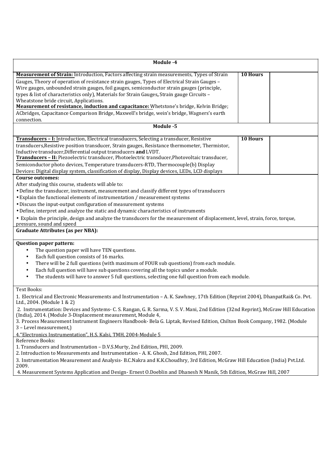| Module -4                                                                                                                                                                                                                                                                                                                                                                                                                                                                                                                                                                                                                                    |                 |  |
|----------------------------------------------------------------------------------------------------------------------------------------------------------------------------------------------------------------------------------------------------------------------------------------------------------------------------------------------------------------------------------------------------------------------------------------------------------------------------------------------------------------------------------------------------------------------------------------------------------------------------------------------|-----------------|--|
| Measurement of Strain: Introduction, Factors affecting strain measurements, Types of Strain<br>Gauges, Theory of operation of resistance strain gauges, Types of Electrical Strain Gauges -<br>Wire gauges, unbounded strain gauges, foil gauges, semiconductor strain gauges (principle,<br>types & list of characteristics only), Materials for Strain Gauges, Strain gauge Circuits -<br>Wheatstone bride circuit, Applications.<br>Measurement of resistance, induction and capacitance: Whetstone's bridge, Kelvin Bridge;<br>ACbridges, Capacitance Comparison Bridge, Maxwell's bridge, wein's bridge, Wagners's earth<br>connection. | <b>10 Hours</b> |  |
| Module -5                                                                                                                                                                                                                                                                                                                                                                                                                                                                                                                                                                                                                                    |                 |  |
| Transducers - I: Introduction, Electrical transducers, Selecting a transducer, Resistive<br>transducers, Resistive position transducer, Strain gauges, Resistance thermometer, Thermistor,<br>Inductive transducer, Differential output transducers and LVDT.<br>Transducers - II: Piezoelectric transducer, Photoelectric transducer, Photovoltaic transducer,<br>Semiconductor photo devices, Temperature transducers-RTD, Thermocouple(b) Display<br>Devices: Digital display system, classification of display, Display devices, LEDs, LCD displays                                                                                      | 10 Hours        |  |
| <b>Course outcomes:</b><br>After studying this course, students will able to:<br>· Define the transducer, instrument, measurement and classify different types of transducers<br>• Explain the functional elements of instrumentation / measurement systems<br>• Discuss the input-output configuration of measurement systems<br>• Define, interpret and analyze the static and dynamic characteristics of instruments<br>• Explain the principle, design and analyze the transducers for the measurement of displacement, level, strain, force, torque,<br>pressure, sound and speed<br><b>Graduate Attributes (as per NBA):</b>           |                 |  |
| Question paper pattern:<br>The question paper will have TEN questions.<br>Each full question consists of 16 marks.<br>$\bullet$<br>There will be 2 full questions (with maximum of FOUR sub questions) from each module.<br>Each full question will have sub questions covering all the topics under a module.<br>The students will have to answer 5 full questions, selecting one full question from each module.                                                                                                                                                                                                                           |                 |  |
| <b>Text Books:</b><br>1. Electrical and Electronic Measurements and Instrumentation - A. K. Sawhney, 17th Edition (Reprint 2004), DhanpatRai& Co. Pvt.<br>Ltd., 2004. (Module 1 & 2)<br>2. Instrumentation: Devices and Systems- C. S. Rangan, G. R. Sarma, V. S. V. Mani, 2nd Edition (32nd Reprint), McGraw Hill Education<br>(India), 2014. (Module 3-Displacement measurement, Module 4,<br>3. Process Measurement Instrument Engineers Handbook- Bela G. Liptak, Revised Edition, Chilton Book Company, 1982. (Module<br>3 - Level measurement,)<br>4. "Electronics Instrumentation", H.S. Kalsi, TMH, 2004-Module 5                    |                 |  |
| Reference Books:<br>1. Transducers and Instrumentation - D.V.S.Murty, 2nd Edition, PHI, 2009.<br>duction to Measurements and Instrumentation A.V. Check 2nd Edition DIII 2007                                                                                                                                                                                                                                                                                                                                                                                                                                                                |                 |  |

2. Introduction to Measurements and Instrumentation - A. K. Ghosh, 2nd Edition, PHI, 2007. 3. Instrumentation Measurement and Analysis- B.C.Nakra and K.K.Choudhry, 3rd Edition, McGraw Hill Education (India) Pvt.Ltd.

2009.

4. Measurement Systems Application and Design- Ernest O.Doeblin and Dhanesh N Manik, 5th Edition, McGraw Hill, 2007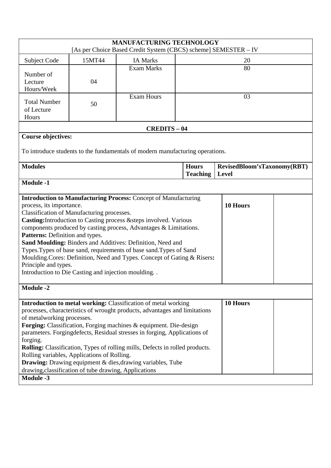| <b>MANUFACTURING TECHNOLOGY</b><br>[As per Choice Based Credit System (CBCS) scheme] SEMESTER - IV                                                                                                                                                                                                                                                                                                                                                                                                                                                                                                                                          |                           |                   |                                 |                                      |  |
|---------------------------------------------------------------------------------------------------------------------------------------------------------------------------------------------------------------------------------------------------------------------------------------------------------------------------------------------------------------------------------------------------------------------------------------------------------------------------------------------------------------------------------------------------------------------------------------------------------------------------------------------|---------------------------|-------------------|---------------------------------|--------------------------------------|--|
| Subject Code                                                                                                                                                                                                                                                                                                                                                                                                                                                                                                                                                                                                                                | 15MT44<br><b>IA Marks</b> |                   |                                 | 20                                   |  |
| Number of<br>Lecture<br>Hours/Week                                                                                                                                                                                                                                                                                                                                                                                                                                                                                                                                                                                                          | <b>Exam Marks</b><br>04   |                   | 80                              |                                      |  |
| <b>Total Number</b><br>of Lecture<br>Hours                                                                                                                                                                                                                                                                                                                                                                                                                                                                                                                                                                                                  | 50                        | <b>Exam Hours</b> | 03                              |                                      |  |
| <b>CREDITS - 04</b>                                                                                                                                                                                                                                                                                                                                                                                                                                                                                                                                                                                                                         |                           |                   |                                 |                                      |  |
| <b>Course objectives:</b>                                                                                                                                                                                                                                                                                                                                                                                                                                                                                                                                                                                                                   |                           |                   |                                 |                                      |  |
| To introduce students to the fundamentals of modern manufacturing operations.                                                                                                                                                                                                                                                                                                                                                                                                                                                                                                                                                               |                           |                   |                                 |                                      |  |
| <b>Modules</b>                                                                                                                                                                                                                                                                                                                                                                                                                                                                                                                                                                                                                              |                           |                   | <b>Hours</b><br><b>Teaching</b> | RevisedBloom'sTaxonomy(RBT)<br>Level |  |
| <b>Module -1</b>                                                                                                                                                                                                                                                                                                                                                                                                                                                                                                                                                                                                                            |                           |                   |                                 |                                      |  |
| <b>Introduction to Manufacturing Process:</b> Concept of Manufacturing<br>process, its importance.<br>10 Hours<br>Classification of Manufacturing processes.<br>Casting: Introduction to Casting process & steps involved. Various<br>components produced by casting process, Advantages & Limitations.<br>Patterns: Definition and types.<br>Sand Moulding: Binders and Additives: Definition, Need and<br>Types. Types of base sand, requirements of base sand. Types of Sand<br>Moulding.Cores: Definition, Need and Types. Concept of Gating & Risers:<br>Principle and types.<br>Introduction to Die Casting and injection moulding. . |                           |                   |                                 |                                      |  |
| <b>Module -2</b>                                                                                                                                                                                                                                                                                                                                                                                                                                                                                                                                                                                                                            |                           |                   |                                 |                                      |  |
| Introduction to metal working: Classification of metal working<br>processes, characteristics of wrought products, advantages and limitations<br>of metalworking processes.<br>Forging: Classification, Forging machines & equipment. Die-design<br>parameters. Forgingdefects, Residual stresses in forging, Applications of<br>forging.<br>Rolling: Classification, Types of rolling mills, Defects in rolled products.<br>Rolling variables, Applications of Rolling.<br><b>Drawing:</b> Drawing equipment & dies, drawing variables, Tube<br>drawing, classification of tube drawing, Applications<br><b>Module -3</b>                   |                           |                   |                                 | 10 Hours                             |  |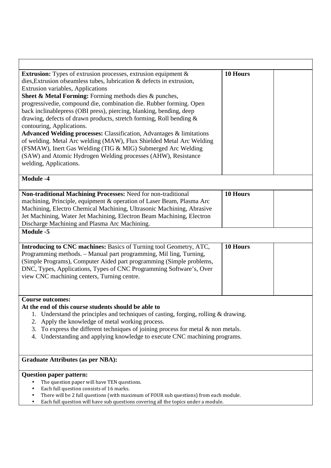| <b>Extrusion:</b> Types of extrusion processes, extrusion equipment $\&$<br>dies, Extrusion of seamless tubes, lubrication & defects in extrusion,<br><b>Extrusion variables, Applications</b><br>Sheet & Metal Forming: Forming methods dies & punches,<br>progressivedie, compound die, combination die. Rubber forming. Open<br>back inclinablepress (OBI press), piercing, blanking, bending, deep<br>drawing, defects of drawn products, stretch forming, Roll bending &<br>contouring, Applications.<br>Advanced Welding processes: Classification, Advantages & limitations<br>of welding. Metal Arc welding (MAW), Flux Shielded Metal Arc Welding<br>(FSMAW), Inert Gas Welding (TIG & MIG) Submerged Arc Welding<br>(SAW) and Atomic Hydrogen Welding processes (AHW), Resistance<br>welding, Applications. | 10 Hours |
|-----------------------------------------------------------------------------------------------------------------------------------------------------------------------------------------------------------------------------------------------------------------------------------------------------------------------------------------------------------------------------------------------------------------------------------------------------------------------------------------------------------------------------------------------------------------------------------------------------------------------------------------------------------------------------------------------------------------------------------------------------------------------------------------------------------------------|----------|
| <b>Module -4</b>                                                                                                                                                                                                                                                                                                                                                                                                                                                                                                                                                                                                                                                                                                                                                                                                      |          |
| Non-traditional Machining Processes: Need for non-traditional<br>machining, Principle, equipment & operation of Laser Beam, Plasma Arc<br>Machining, Electro Chemical Machining, Ultrasonic Machining, Abrasive<br>Jet Machining, Water Jet Machining, Electron Beam Machining, Electron<br>Discharge Machining and Plasma Arc Machining.                                                                                                                                                                                                                                                                                                                                                                                                                                                                             | 10 Hours |
| Module -5                                                                                                                                                                                                                                                                                                                                                                                                                                                                                                                                                                                                                                                                                                                                                                                                             |          |
| Introducing to CNC machines: Basics of Turning tool Geometry, ATC,<br>Programming methods. - Manual part programming, Mil ling, Turning,<br>(Simple Programs), Computer Aided part programming (Simple problems,<br>DNC, Types, Applications, Types of CNC Programming Software's, Over<br>view CNC machining centers, Turning centre.                                                                                                                                                                                                                                                                                                                                                                                                                                                                                | 10 Hours |
| <b>Course outcomes:</b><br>At the end of this course students should be able to<br>Understand the principles and techniques of casting, forging, rolling & drawing.<br>Apply the knowledge of metal working process.<br>2.<br>To express the different techniques of joining process for metal $\&$ non metals.<br>3.<br>Understanding and applying knowledge to execute CNC machining programs.<br>4.                                                                                                                                                                                                                                                                                                                                                                                                                |          |
| <b>Graduate Attributes (as per NBA):</b>                                                                                                                                                                                                                                                                                                                                                                                                                                                                                                                                                                                                                                                                                                                                                                              |          |
| <b>Question paper pattern:</b><br>The question paper will have TEN questions.<br>Each full question consists of 16 marks.<br>$\bullet$<br>There will be 2 full questions (with maximum of FOUR sub questions) from each module.<br>$\bullet$<br>Each full question will have sub questions covering all the topics under a module.<br>٠                                                                                                                                                                                                                                                                                                                                                                                                                                                                               |          |

Γ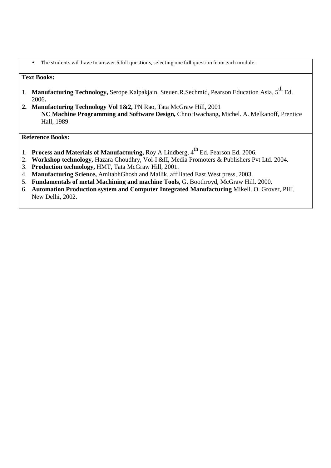• The students will have to answer 5 full questions, selecting one full question from each module.

### **Text Books:**

- 1. Manufacturing Technology, Serope Kalpakjain, Steuen.R.Sechmid, Pearson Education Asia, 5<sup>th</sup> Ed. 2006**.**
- **2. Manufacturing Technology Vol 1&2,** PN Rao, Tata McGraw Hill, 2001 **NC Machine Programming and Software Design,** ChnoHwachang**,** Michel. A. Melkanoff, Prentice Hall, 1989

**Reference Books:** 

- 1. **Process and Materials of Manufacturing, Roy A Lindberg, 4<sup>th</sup> Ed. Pearson Ed. 2006.**
- 2. **Workshop technology,** Hazara Choudhry, Vol-I &II, Media Promoters & Publishers Pvt Ltd. 2004.
- 3. **Production technology,** HMT, Tata McGraw Hill, 2001.
- 4. **Manufacturing Science,** AmitabhGhosh and Mallik, affiliated East West press, 2003.
- 5. **Fundamentals of metal Machining and machine Tools,** G. Boothroyd, McGraw Hill. 2000.
- 6. **Automation Production system and Computer Integrated Manufacturing** Mikell. O. Grover, PHI, New Delhi, 2002.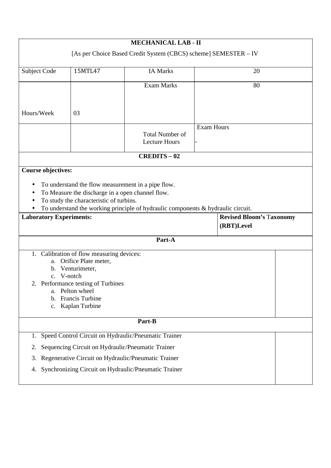|                      |                           |                                                                                                                                                                                                          | <b>MECHANICAL LAB - II</b>                                                                                                                                          |                   |                                               |  |  |  |
|----------------------|---------------------------|----------------------------------------------------------------------------------------------------------------------------------------------------------------------------------------------------------|---------------------------------------------------------------------------------------------------------------------------------------------------------------------|-------------------|-----------------------------------------------|--|--|--|
|                      |                           |                                                                                                                                                                                                          | [As per Choice Based Credit System (CBCS) scheme] SEMESTER - IV                                                                                                     |                   |                                               |  |  |  |
|                      | Subject Code              | 15MTL47                                                                                                                                                                                                  | <b>IA Marks</b>                                                                                                                                                     | 20                |                                               |  |  |  |
|                      |                           |                                                                                                                                                                                                          | <b>Exam Marks</b>                                                                                                                                                   |                   | 80                                            |  |  |  |
| Hours/Week           |                           | 03                                                                                                                                                                                                       |                                                                                                                                                                     |                   |                                               |  |  |  |
|                      |                           |                                                                                                                                                                                                          | <b>Total Number of</b><br><b>Lecture Hours</b>                                                                                                                      | <b>Exam Hours</b> |                                               |  |  |  |
|                      |                           |                                                                                                                                                                                                          | <b>CREDITS-02</b>                                                                                                                                                   |                   |                                               |  |  |  |
|                      | <b>Course objectives:</b> | To understand the flow measurement in a pipe flow.<br>To Measure the discharge in a open channel flow.<br>To study the characteristic of turbins.<br><b>Laboratory Experiments:</b>                      | To understand the working principle of hydraulic components & hydraulic circuit.                                                                                    |                   | <b>Revised Bloom's Taxonomy</b><br>(RBT)Level |  |  |  |
|                      |                           |                                                                                                                                                                                                          | Part-A                                                                                                                                                              |                   |                                               |  |  |  |
| $2^{\circ}$          | b.<br>c.                  | 1. Calibration of flow measuring devices:<br>a. Orifice Plate meter,<br>b. Venturimeter,<br>c. V-notch<br>Performance testing of Turbines<br>a. Pelton wheel<br>Francis Turbine<br><b>Kaplan Turbine</b> |                                                                                                                                                                     |                   |                                               |  |  |  |
|                      |                           |                                                                                                                                                                                                          | Part-B                                                                                                                                                              |                   |                                               |  |  |  |
| 1.<br>2.<br>3.<br>4. |                           | Sequencing Circuit on Hydraulic/Pneumatic Trainer                                                                                                                                                        | Speed Control Circuit on Hydraulic/Pneumatic Trainer<br>Regenerative Circuit on Hydraulic/Pneumatic Trainer<br>Synchronizing Circuit on Hydraulic/Pneumatic Trainer |                   |                                               |  |  |  |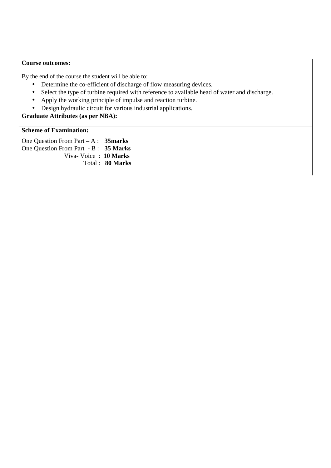#### **Course outcomes:**

By the end of the course the student will be able to:

- Determine the co-efficient of discharge of flow measuring devices.
- Select the type of turbine required with reference to available head of water and discharge.
- Apply the working principle of impulse and reaction turbine.
- Design hydraulic circuit for various industrial applications.

# **Graduate Attributes (as per NBA):**

#### **Scheme of Examination:**

One Question From Part – A : **35marks**  One Question From Part - B : **35 Marks**  Viva- Voice : **10 Marks**  Total : **80 Marks**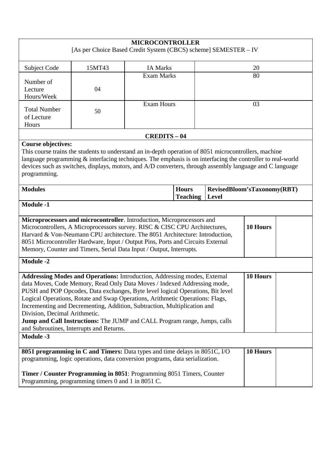| <b>MICROCONTROLLER</b><br>[As per Choice Based Credit System (CBCS) scheme] SEMESTER - IV                                                                                                                                                                                                                                                                                                                                                                                                                                                                                                      |        |                                                                                                                                                                                                                                                                                                                                    |       |                             |  |
|------------------------------------------------------------------------------------------------------------------------------------------------------------------------------------------------------------------------------------------------------------------------------------------------------------------------------------------------------------------------------------------------------------------------------------------------------------------------------------------------------------------------------------------------------------------------------------------------|--------|------------------------------------------------------------------------------------------------------------------------------------------------------------------------------------------------------------------------------------------------------------------------------------------------------------------------------------|-------|-----------------------------|--|
| Subject Code                                                                                                                                                                                                                                                                                                                                                                                                                                                                                                                                                                                   | 15MT43 | <b>IA Marks</b>                                                                                                                                                                                                                                                                                                                    |       | 20                          |  |
| Number of<br>Lecture<br>Hours/Week                                                                                                                                                                                                                                                                                                                                                                                                                                                                                                                                                             | 04     | <b>Exam Marks</b>                                                                                                                                                                                                                                                                                                                  | 80    |                             |  |
| <b>Total Number</b><br>of Lecture<br>Hours                                                                                                                                                                                                                                                                                                                                                                                                                                                                                                                                                     | 50     | <b>Exam Hours</b>                                                                                                                                                                                                                                                                                                                  | 03    |                             |  |
|                                                                                                                                                                                                                                                                                                                                                                                                                                                                                                                                                                                                |        | <b>CREDITS - 04</b>                                                                                                                                                                                                                                                                                                                |       |                             |  |
| <b>Course objectives:</b><br>programming.                                                                                                                                                                                                                                                                                                                                                                                                                                                                                                                                                      |        | This course trains the students to understand an in-depth operation of 8051 microcontrollers, machine<br>language programming $\&$ interfacing techniques. The emphasis is on interfacing the controller to real-world<br>devices such as switches, displays, motors, and A/D converters, through assembly language and C language |       |                             |  |
| <b>Modules</b>                                                                                                                                                                                                                                                                                                                                                                                                                                                                                                                                                                                 |        | <b>Hours</b><br><b>Teaching</b>                                                                                                                                                                                                                                                                                                    | Level | RevisedBloom'sTaxonomy(RBT) |  |
| <b>Module -1</b>                                                                                                                                                                                                                                                                                                                                                                                                                                                                                                                                                                               |        |                                                                                                                                                                                                                                                                                                                                    |       |                             |  |
| Microprocessors and microcontroller. Introduction, Microprocessors and<br>10 Hours<br>Microcontrollers, A Microprocessors survey. RISC & CISC CPU Architectures,<br>Harvard & Von-Neumann CPU architecture. The 8051 Architecture: Introduction,<br>8051 Microcontroller Hardware, Input / Output Pins, Ports and Circuits External<br>Memory, Counter and Timers, Serial Data Input / Output, Interrupts.                                                                                                                                                                                     |        |                                                                                                                                                                                                                                                                                                                                    |       |                             |  |
| <b>Module -2</b>                                                                                                                                                                                                                                                                                                                                                                                                                                                                                                                                                                               |        |                                                                                                                                                                                                                                                                                                                                    |       |                             |  |
| Addressing Modes and Operations: Introduction, Addressing modes, External<br>10 Hours<br>data Moves, Code Memory, Read Only Data Moves / Indexed Addressing mode,<br>PUSH and POP Opcodes, Data exchanges, Byte level logical Operations, Bit level<br>Logical Operations, Rotate and Swap Operations, Arithmetic Operations: Flags,<br>Incrementing and Decrementing, Addition, Subtraction, Multiplication and<br>Division, Decimal Arithmetic.<br>Jump and Call Instructions: The JUMP and CALL Program range, Jumps, calls<br>and Subroutines, Interrupts and Returns.<br><b>Module -3</b> |        |                                                                                                                                                                                                                                                                                                                                    |       |                             |  |
|                                                                                                                                                                                                                                                                                                                                                                                                                                                                                                                                                                                                |        |                                                                                                                                                                                                                                                                                                                                    |       |                             |  |
| 8051 programming in C and Timers: Data types and time delays in 8051C, I/O<br>programming, logic operations, data conversion programs, data serialization.                                                                                                                                                                                                                                                                                                                                                                                                                                     |        |                                                                                                                                                                                                                                                                                                                                    |       | 10 Hours                    |  |
| Timer / Counter Programming in 8051: Programming 8051 Timers, Counter<br>Programming, programming timers 0 and 1 in 8051 C.                                                                                                                                                                                                                                                                                                                                                                                                                                                                    |        |                                                                                                                                                                                                                                                                                                                                    |       |                             |  |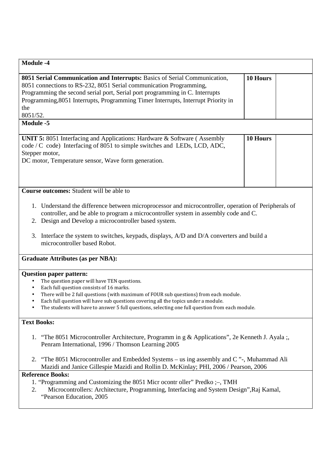| <b>Module -4</b>                                                                                                                                                                                                                                                                                                                                                                                                                       |          |  |  |  |  |
|----------------------------------------------------------------------------------------------------------------------------------------------------------------------------------------------------------------------------------------------------------------------------------------------------------------------------------------------------------------------------------------------------------------------------------------|----------|--|--|--|--|
| 8051 Serial Communication and Interrupts: Basics of Serial Communication,<br>8051 connections to RS-232, 8051 Serial communication Programming,<br>Programming the second serial port, Serial port programming in C. Interrupts<br>Programming, 8051 Interrupts, Programming Timer Interrupts, Interrupt Priority in<br>the<br>8051/52.<br><b>Module -5</b>                                                                            | 10 Hours |  |  |  |  |
|                                                                                                                                                                                                                                                                                                                                                                                                                                        |          |  |  |  |  |
| UNIT 5: 8051 Interfacing and Applications: Hardware & Software (Assembly<br>code / C code) Interfacing of 8051 to simple switches and LEDs, LCD, ADC,<br>Stepper motor,<br>DC motor, Temperature sensor, Wave form generation.                                                                                                                                                                                                         | 10 Hours |  |  |  |  |
| <b>Course outcomes:</b> Student will be able to                                                                                                                                                                                                                                                                                                                                                                                        |          |  |  |  |  |
| 1. Understand the difference between microprocessor and microcontroller, operation of Peripherals of<br>controller, and be able to program a microcontroller system in assembly code and C.<br>2. Design and Develop a microcontroller based system.<br>Interface the system to switches, keypads, displays, A/D and D/A converters and build a<br>3.<br>microcontroller based Robot.                                                  |          |  |  |  |  |
| <b>Graduate Attributes (as per NBA):</b>                                                                                                                                                                                                                                                                                                                                                                                               |          |  |  |  |  |
| <b>Question paper pattern:</b><br>The question paper will have TEN questions.<br>Each full question consists of 16 marks.<br>$\bullet$<br>There will be 2 full questions (with maximum of FOUR sub questions) from each module.<br>$\bullet$<br>Each full question will have sub questions covering all the topics under a module.<br>The students will have to answer 5 full questions, selecting one full question from each module. |          |  |  |  |  |
| <b>Text Books:</b>                                                                                                                                                                                                                                                                                                                                                                                                                     |          |  |  |  |  |
| 1. "The 8051 Microcontroller Architecture, Programm in g & Applications", 2e Kenneth J. Ayala ;,<br>Penram International, 1996 / Thomson Learning 2005                                                                                                                                                                                                                                                                                 |          |  |  |  |  |
| 2. "The 8051 Microcontroller and Embedded Systems – us ing assembly and C"-, Muhammad Ali<br>Mazidi and Janice Gillespie Mazidi and Rollin D. McKinlay; PHI, 2006 / Pearson, 2006                                                                                                                                                                                                                                                      |          |  |  |  |  |
| <b>Reference Books:</b>                                                                                                                                                                                                                                                                                                                                                                                                                |          |  |  |  |  |
| 1. "Programming and Customizing the 8051 Micr ocontroller" Predko ;-, TMH<br>Microcontrollers: Architecture, Programming, Interfacing and System Design", Raj Kamal,<br>2.<br>"Pearson Education, 2005                                                                                                                                                                                                                                 |          |  |  |  |  |
|                                                                                                                                                                                                                                                                                                                                                                                                                                        |          |  |  |  |  |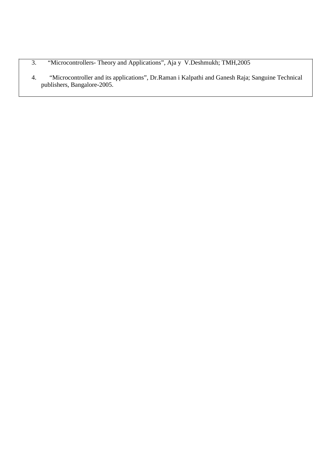- 3. "Microcontrollers- Theory and Applications", Aja y V.Deshmukh; TMH,2005
- 4. "Microcontroller and its applications", Dr.Raman i Kalpathi and Ganesh Raja; Sanguine Technical publishers, Bangalore-2005.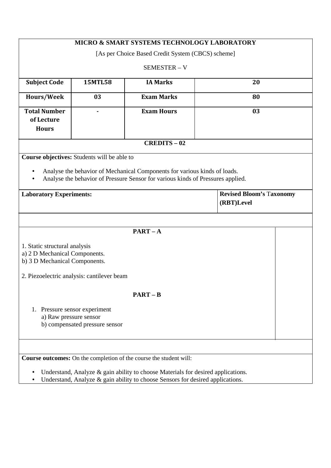| <b>MICRO &amp; SMART SYSTEMS TECHNOLOGY LABORATORY</b>                           |                                             |                                                                                 |                                               |  |  |  |  |
|----------------------------------------------------------------------------------|---------------------------------------------|---------------------------------------------------------------------------------|-----------------------------------------------|--|--|--|--|
| [As per Choice Based Credit System (CBCS) scheme]                                |                                             |                                                                                 |                                               |  |  |  |  |
|                                                                                  | SEMESTER - V                                |                                                                                 |                                               |  |  |  |  |
| <b>Subject Code</b>                                                              | <b>15MTL58</b><br><b>IA Marks</b><br>20     |                                                                                 |                                               |  |  |  |  |
| Hours/Week                                                                       | 03                                          | <b>Exam Marks</b>                                                               | 80                                            |  |  |  |  |
| <b>Total Number</b>                                                              |                                             | <b>Exam Hours</b>                                                               | 03                                            |  |  |  |  |
| of Lecture<br><b>Hours</b>                                                       |                                             |                                                                                 |                                               |  |  |  |  |
|                                                                                  |                                             |                                                                                 |                                               |  |  |  |  |
|                                                                                  |                                             | <b>CREDITS-02</b>                                                               |                                               |  |  |  |  |
|                                                                                  | Course objectives: Students will be able to |                                                                                 |                                               |  |  |  |  |
|                                                                                  |                                             | Analyse the behavior of Mechanical Components for various kinds of loads.       |                                               |  |  |  |  |
|                                                                                  |                                             | Analyse the behavior of Pressure Sensor for various kinds of Pressures applied. |                                               |  |  |  |  |
|                                                                                  |                                             |                                                                                 |                                               |  |  |  |  |
| <b>Laboratory Experiments:</b>                                                   |                                             |                                                                                 | <b>Revised Bloom's Taxonomy</b><br>(RBT)Level |  |  |  |  |
|                                                                                  |                                             |                                                                                 |                                               |  |  |  |  |
|                                                                                  |                                             |                                                                                 |                                               |  |  |  |  |
|                                                                                  |                                             | $PART - A$                                                                      |                                               |  |  |  |  |
| 1. Static structural analysis                                                    |                                             |                                                                                 |                                               |  |  |  |  |
| a) 2 D Mechanical Components.                                                    |                                             |                                                                                 |                                               |  |  |  |  |
| b) 3 D Mechanical Components.                                                    |                                             |                                                                                 |                                               |  |  |  |  |
|                                                                                  | 2. Piezoelectric analysis: cantilever beam  |                                                                                 |                                               |  |  |  |  |
|                                                                                  |                                             |                                                                                 |                                               |  |  |  |  |
|                                                                                  |                                             | $PART - B$                                                                      |                                               |  |  |  |  |
|                                                                                  | 1. Pressure sensor experiment               |                                                                                 |                                               |  |  |  |  |
|                                                                                  | a) Raw pressure sensor                      |                                                                                 |                                               |  |  |  |  |
|                                                                                  | b) compensated pressure sensor              |                                                                                 |                                               |  |  |  |  |
|                                                                                  |                                             |                                                                                 |                                               |  |  |  |  |
|                                                                                  |                                             |                                                                                 |                                               |  |  |  |  |
|                                                                                  |                                             | <b>Course outcomes:</b> On the completion of the course the student will:       |                                               |  |  |  |  |
| Understand, Analyze & gain ability to choose Materials for desired applications. |                                             |                                                                                 |                                               |  |  |  |  |
| Understand, Analyze & gain ability to choose Sensors for desired applications.   |                                             |                                                                                 |                                               |  |  |  |  |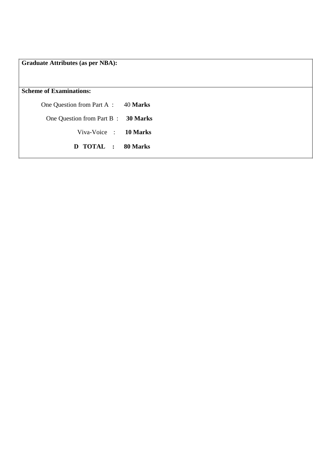**Graduate Attributes (as per NBA):** 

**Scheme of Examinations:** 

One Question from Part A : 40 **Marks**  One Question from Part B : **30 Marks**  Viva-Voice : **10 Marks D TOTAL : 80 Marks**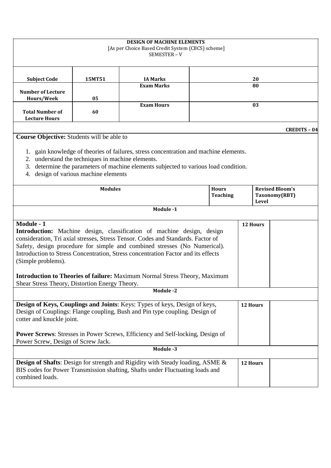| <b>DESIGN OF MACHINE ELEMENTS</b><br>[As per Choice Based Credit System (CBCS) scheme]<br>SEMESTER-V                                                                                                                                                                                                                                           |                                                                                                                                                                                                                                                                                                                                                                                                                               |                   |    |  |    |                                                         |  |
|------------------------------------------------------------------------------------------------------------------------------------------------------------------------------------------------------------------------------------------------------------------------------------------------------------------------------------------------|-------------------------------------------------------------------------------------------------------------------------------------------------------------------------------------------------------------------------------------------------------------------------------------------------------------------------------------------------------------------------------------------------------------------------------|-------------------|----|--|----|---------------------------------------------------------|--|
| <b>Subject Code</b>                                                                                                                                                                                                                                                                                                                            | 15MT51                                                                                                                                                                                                                                                                                                                                                                                                                        | <b>IA Marks</b>   |    |  | 20 |                                                         |  |
| <b>Number of Lecture</b>                                                                                                                                                                                                                                                                                                                       |                                                                                                                                                                                                                                                                                                                                                                                                                               | <b>Exam Marks</b> | 80 |  |    |                                                         |  |
| Hours/Week<br><b>Total Number of</b><br><b>Lecture Hours</b>                                                                                                                                                                                                                                                                                   | 05<br>60                                                                                                                                                                                                                                                                                                                                                                                                                      | <b>Exam Hours</b> |    |  | 03 |                                                         |  |
|                                                                                                                                                                                                                                                                                                                                                |                                                                                                                                                                                                                                                                                                                                                                                                                               |                   |    |  |    | <b>CREDITS - 04</b>                                     |  |
| Course Objective: Students will be able to<br>1. gain knowledge of theories of failures, stress concentration and machine elements.<br>2. understand the techniques in machine elements.<br>determine the parameters of machine elements subjected to various load condition.<br>3.<br>design of various machine elements<br>4.                |                                                                                                                                                                                                                                                                                                                                                                                                                               |                   |    |  |    |                                                         |  |
|                                                                                                                                                                                                                                                                                                                                                | <b>Modules</b><br><b>Hours</b><br><b>Teaching</b>                                                                                                                                                                                                                                                                                                                                                                             |                   |    |  |    | <b>Revised Bloom's</b><br>Taxonomy(RBT)<br><b>Level</b> |  |
|                                                                                                                                                                                                                                                                                                                                                |                                                                                                                                                                                                                                                                                                                                                                                                                               | Module -1         |    |  |    |                                                         |  |
| Module - 1<br>(Simple problems).<br>Shear Stress Theory, Distortion Energy Theory.                                                                                                                                                                                                                                                             | 12 Hours<br>Introduction: Machine design, classification of machine design, design<br>consideration, Tri axial stresses, Stress Tensor. Codes and Standards. Factor of<br>Safety, design procedure for simple and combined stresses (No Numerical).<br>Introduction to Stress Concentration, Stress concentration Factor and its effects<br><b>Introduction to Theories of failure:</b> Maximum Normal Stress Theory, Maximum |                   |    |  |    |                                                         |  |
|                                                                                                                                                                                                                                                                                                                                                |                                                                                                                                                                                                                                                                                                                                                                                                                               | Module -2         |    |  |    |                                                         |  |
| Design of Keys, Couplings and Joints: Keys: Types of keys, Design of keys,<br>12 Hours<br>Design of Couplings: Flange coupling, Bush and Pin type coupling. Design of<br>cotter and knuckle joint.<br><b>Power Screws:</b> Stresses in Power Screws, Efficiency and Self-locking, Design of<br>Power Screw, Design of Screw Jack.<br>Module -3 |                                                                                                                                                                                                                                                                                                                                                                                                                               |                   |    |  |    |                                                         |  |
| combined loads.                                                                                                                                                                                                                                                                                                                                | <b>Design of Shafts:</b> Design for strength and Rigidity with Steady loading, ASME &<br>12 Hours<br>BIS codes for Power Transmission shafting, Shafts under Fluctuating loads and                                                                                                                                                                                                                                            |                   |    |  |    |                                                         |  |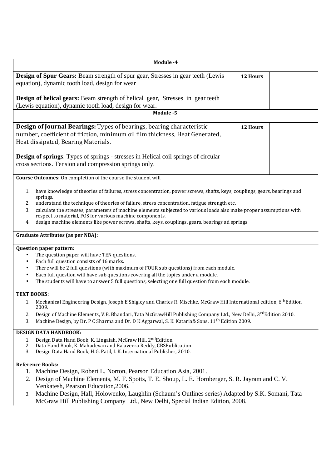| Module -4                                                                                                                                                                             |          |
|---------------------------------------------------------------------------------------------------------------------------------------------------------------------------------------|----------|
| <b>Design of Spur Gears:</b> Beam strength of spur gear, Stresses in gear teeth (Lewis                                                                                                | 12 Hours |
| equation), dynamic tooth load, design for wear                                                                                                                                        |          |
| Design of helical gears: Beam strength of helical gear, Stresses in gear teeth                                                                                                        |          |
| (Lewis equation), dynamic tooth load, design for wear.                                                                                                                                |          |
| Module -5                                                                                                                                                                             |          |
| Design of Journal Bearings: Types of bearings, bearing characteristic                                                                                                                 | 12 Hours |
| number, coefficient of friction, minimum oil film thickness, Heat Generated,                                                                                                          |          |
| Heat dissipated, Bearing Materials.                                                                                                                                                   |          |
| <b>Design of springs:</b> Types of springs - stresses in Helical coil springs of circular                                                                                             |          |
| cross sections. Tension and compression springs only.                                                                                                                                 |          |
| Course Outcomes: On completion of the course the student will                                                                                                                         |          |
| have knowledge of theories of failures, stress concentration, power screws, shafts, keys, couplings, gears, bearings and<br>1.<br>springs.                                            |          |
| understand the technique of theories of failure, stress concentration, fatigue strength etc.<br>2.                                                                                    |          |
| calculate the stresses, parameters of machine elements subjected to various loads also make proper assumptions with<br>3.<br>respect to material, FOS for various machine components. |          |
| design machine elements like power screws, shafts, keys, couplings, gears, bearings ad springs<br>4.                                                                                  |          |
| <b>Graduate Attributes (as per NBA):</b>                                                                                                                                              |          |
| <b>Question paper pattern:</b>                                                                                                                                                        |          |
| The question paper will have TEN questions.<br>$\bullet$                                                                                                                              |          |
| Each full question consists of 16 marks.<br>$\bullet$                                                                                                                                 |          |
| There will be 2 full questions (with maximum of FOUR sub questions) from each module.<br>$\bullet$                                                                                    |          |
| Each full question will have sub questions covering all the topics under a module.<br>$\bullet$                                                                                       |          |
| The students will have to answer 5 full questions, selecting one full question from each module.<br>$\bullet$                                                                         |          |
| <b>TEXT BOOKS:</b>                                                                                                                                                                    |          |
| Mechanical Engineering Design, Joseph E Shigley and Charles R. Mischke. McGraw Hill International edition, 6 <sup>th</sup> Edition<br>1.<br>2009.                                     |          |
| Design of Machine Elements, V.B. Bhandari, Tata McGrawHill Publishing Company Ltd., New Delhi, 3 <sup>rd</sup> Edition 2010.<br>2.                                                    |          |
| Machine Design, by Dr. P C Sharma and Dr. D K Aggarwal, S. K. Kataria& Sons, 11 <sup>th</sup> Edition 2009.<br>3.                                                                     |          |
| <b>DESIGN DATA HANDBOOK:</b>                                                                                                                                                          |          |
| Design Data Hand Book, K. Lingaiah, McGraw Hill, 2ndEdition.<br>1.<br>Data Hand Book, K. Mahadevan and Balaveera Reddy, CBSPublication.<br>2.                                         |          |
| Design Data Hand Book, H.G. Patil, I. K. International Publisher, 2010.<br>3.                                                                                                         |          |
| <b>Reference Books:</b>                                                                                                                                                               |          |
| 1. Machine Design, Robert L. Norton, Pearson Education Asia, 2001.                                                                                                                    |          |
| 2. Design of Machine Elements, M. F. Spotts, T. E. Shoup, L. E. Hornberger, S. R. Jayram and C. V.                                                                                    |          |
| Venkatesh, Pearson Education, 2006.                                                                                                                                                   |          |
| Machine Design, Hall, Holowenko, Laughlin (Schaum's Outlines series) Adapted by S.K. Somani, Tata<br>3.                                                                               |          |
| McGraw Hill Publishing Company Ltd., New Delhi, Special Indian Edition, 2008.                                                                                                         |          |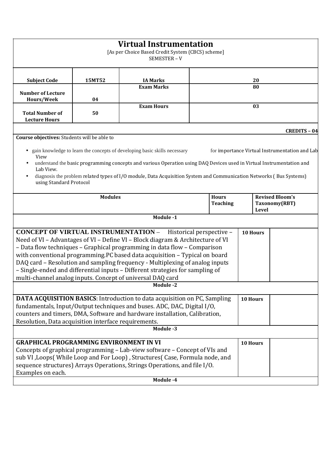|                                                                                                                                                                                                                                                                                                                                       |                                                                                                                                                                                                                                                                                                                                                                                                                                                                                                                                                                | <b>Virtual Instrumentation</b><br>[As per Choice Based Credit System (CBCS) scheme]<br>SEMESTER-V                                                                                                  |    |                 |    |       |                                                                       |
|---------------------------------------------------------------------------------------------------------------------------------------------------------------------------------------------------------------------------------------------------------------------------------------------------------------------------------------|----------------------------------------------------------------------------------------------------------------------------------------------------------------------------------------------------------------------------------------------------------------------------------------------------------------------------------------------------------------------------------------------------------------------------------------------------------------------------------------------------------------------------------------------------------------|----------------------------------------------------------------------------------------------------------------------------------------------------------------------------------------------------|----|-----------------|----|-------|-----------------------------------------------------------------------|
| <b>Subject Code</b>                                                                                                                                                                                                                                                                                                                   | 15MT52                                                                                                                                                                                                                                                                                                                                                                                                                                                                                                                                                         | <b>IA Marks</b>                                                                                                                                                                                    |    |                 | 20 |       |                                                                       |
| <b>Number of Lecture</b><br>Hours/Week                                                                                                                                                                                                                                                                                                | 04                                                                                                                                                                                                                                                                                                                                                                                                                                                                                                                                                             | <b>Exam Marks</b>                                                                                                                                                                                  |    | 80              |    |       |                                                                       |
| <b>Total Number of</b><br><b>Lecture Hours</b>                                                                                                                                                                                                                                                                                        | 50                                                                                                                                                                                                                                                                                                                                                                                                                                                                                                                                                             | <b>Exam Hours</b>                                                                                                                                                                                  | 03 |                 |    |       |                                                                       |
| Course objectives: Students will be able to<br>View<br>Lab View.                                                                                                                                                                                                                                                                      |                                                                                                                                                                                                                                                                                                                                                                                                                                                                                                                                                                | gain knowledge to learn the concepts of developing basic skills necessary<br>understand the basic programming concepts and various Operation using DAQ Devices used in Virtual Instrumentation and |    |                 |    |       | <b>CREDITS - 04</b><br>for importance Virtual Instrumentation and Lab |
| diagnosis the problem related types of I/O module, Data Acquisition System and Communication Networks (Bus Systems)<br>using Standard Protocol<br><b>Modules</b><br><b>Hours</b><br><b>Revised Bloom's</b>                                                                                                                            |                                                                                                                                                                                                                                                                                                                                                                                                                                                                                                                                                                |                                                                                                                                                                                                    |    |                 |    |       |                                                                       |
|                                                                                                                                                                                                                                                                                                                                       |                                                                                                                                                                                                                                                                                                                                                                                                                                                                                                                                                                |                                                                                                                                                                                                    |    | <b>Teaching</b> |    | Level | Taxonomy(RBT)                                                         |
|                                                                                                                                                                                                                                                                                                                                       |                                                                                                                                                                                                                                                                                                                                                                                                                                                                                                                                                                | Module -1                                                                                                                                                                                          |    |                 |    |       |                                                                       |
|                                                                                                                                                                                                                                                                                                                                       | <b>CONCEPT OF VIRTUAL INSTRUMENTATION -</b><br>Historical perspective -<br>10 Hours<br>Need of VI - Advantages of VI - Define VI - Block diagram & Architecture of VI<br>- Data flow techniques - Graphical programming in data flow - Comparison<br>with conventional programming.PC based data acquisition - Typical on board<br>DAQ card - Resolution and sampling frequency - Multiplexing of analog inputs<br>- Single-ended and differential inputs - Different strategies for sampling of<br>multi-channel analog inputs. Concept of universal DAQ card |                                                                                                                                                                                                    |    |                 |    |       |                                                                       |
|                                                                                                                                                                                                                                                                                                                                       |                                                                                                                                                                                                                                                                                                                                                                                                                                                                                                                                                                | <b>Module -2</b>                                                                                                                                                                                   |    |                 |    |       |                                                                       |
| DATA ACQUISITION BASICS: Introduction to data acquisition on PC, Sampling<br>10 Hours<br>fundamentals, Input/Output techniques and buses. ADC, DAC, Digital I/O,<br>counters and timers, DMA, Software and hardware installation, Calibration,<br>Resolution, Data acquisition interface requirements.                                |                                                                                                                                                                                                                                                                                                                                                                                                                                                                                                                                                                |                                                                                                                                                                                                    |    |                 |    |       |                                                                       |
|                                                                                                                                                                                                                                                                                                                                       |                                                                                                                                                                                                                                                                                                                                                                                                                                                                                                                                                                | Module -3                                                                                                                                                                                          |    |                 |    |       |                                                                       |
| <b>GRAPHICAL PROGRAMMING ENVIRONMENT IN VI</b><br>10 Hours<br>Concepts of graphical programming - Lab-view software - Concept of VIs and<br>sub VI, Loops(While Loop and For Loop), Structures(Case, Formula node, and<br>sequence structures) Arrays Operations, Strings Operations, and file I/O.<br>Examples on each.<br>Module -4 |                                                                                                                                                                                                                                                                                                                                                                                                                                                                                                                                                                |                                                                                                                                                                                                    |    |                 |    |       |                                                                       |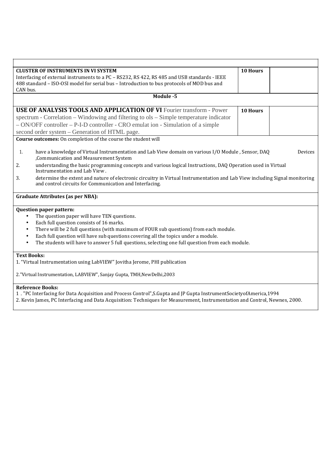| <b>CLUSTER OF INSTRUMENTS IN VI SYSTEM</b>                                                                                                   | 10 Hours |         |  |  |  |
|----------------------------------------------------------------------------------------------------------------------------------------------|----------|---------|--|--|--|
| Interfacing of external instruments to a PC - RS232, RS 422, RS 485 and USB standards - IEEE                                                 |          |         |  |  |  |
| 488 standard - ISO-OSI model for serial bus - Introduction to bus protocols of MOD bus and                                                   |          |         |  |  |  |
| CAN bus.<br>Module -5                                                                                                                        |          |         |  |  |  |
|                                                                                                                                              |          |         |  |  |  |
| <b>USE OF ANALYSIS TOOLS AND APPLICATION OF VI Fourier transform - Power</b>                                                                 | 10 Hours |         |  |  |  |
| spectrum - Correlation – Windowing and filtering to ols – Simple temperature indicator                                                       |          |         |  |  |  |
| - ON/OFF controller – P-I-D controller - CRO emulat ion - Simulation of a simple                                                             |          |         |  |  |  |
| second order system – Generation of HTML page.                                                                                               |          |         |  |  |  |
| Course outcomes: On completion of the course the student will                                                                                |          |         |  |  |  |
| 1.                                                                                                                                           |          | Devices |  |  |  |
| have a knowledge of Virtual Instrumentation and Lab View domain on various I/O Module, Sensor, DAQ<br>, Communication and Measurement System |          |         |  |  |  |
| understanding the basic programming concepts and various logical Instructions, DAQ Operation used in Virtual<br>2.                           |          |         |  |  |  |
| Instrumentation and Lab View.                                                                                                                |          |         |  |  |  |
| determine the extent and nature of electronic circuitry in Virtual Instrumentation and Lab View including Signal monitoring<br>3.            |          |         |  |  |  |
| and control circuits for Communication and Interfacing.                                                                                      |          |         |  |  |  |
| <b>Graduate Attributes (as per NBA):</b>                                                                                                     |          |         |  |  |  |
| <b>Question paper pattern:</b>                                                                                                               |          |         |  |  |  |
| The question paper will have TEN questions.<br>$\bullet$                                                                                     |          |         |  |  |  |
| Each full question consists of 16 marks.<br>$\bullet$                                                                                        |          |         |  |  |  |
| There will be 2 full questions (with maximum of FOUR sub questions) from each module.<br>$\bullet$                                           |          |         |  |  |  |
| Each full question will have sub questions covering all the topics under a module.<br>$\bullet$                                              |          |         |  |  |  |
| The students will have to answer 5 full questions, selecting one full question from each module.<br>$\bullet$                                |          |         |  |  |  |
| <b>Text Books:</b>                                                                                                                           |          |         |  |  |  |
| 1. "Virtual Instrumentation using LabVIEW" Jovitha Jerome, PHI publication                                                                   |          |         |  |  |  |
| 2. "Virtual Instrumentation, LABVIEW", Sanjay Gupta, TMH, New Delhi, 2003                                                                    |          |         |  |  |  |
|                                                                                                                                              |          |         |  |  |  |
| <b>Reference Books:</b>                                                                                                                      |          |         |  |  |  |
| 1. "PC Interfacing for Data Acquisition and Process Control", S. Gupta and JP Gupta Instrument Society of America, 1994                      |          |         |  |  |  |
| 2. Kevin James, PC Interfacing and Data Acquisition: Techniques for Measurement, Instrumentation and Control, Newnes, 2000.                  |          |         |  |  |  |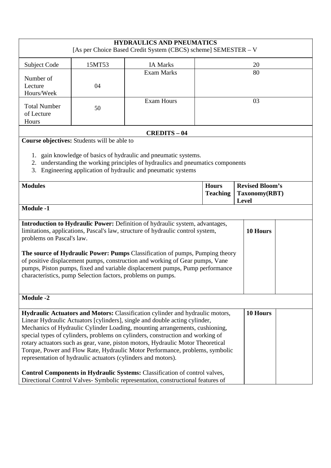|                                                                                                                                                                                                                                                                                                                                                                                                                                                                                                                         |                                                               | <b>HYDRAULICS AND PNEUMATICS</b><br>[As per Choice Based Credit System (CBCS) scheme] SEMESTER - V                                                                                                                                                                                                                                                                                                                                                                                                                                                                                                                                                               |  |                                                         |
|-------------------------------------------------------------------------------------------------------------------------------------------------------------------------------------------------------------------------------------------------------------------------------------------------------------------------------------------------------------------------------------------------------------------------------------------------------------------------------------------------------------------------|---------------------------------------------------------------|------------------------------------------------------------------------------------------------------------------------------------------------------------------------------------------------------------------------------------------------------------------------------------------------------------------------------------------------------------------------------------------------------------------------------------------------------------------------------------------------------------------------------------------------------------------------------------------------------------------------------------------------------------------|--|---------------------------------------------------------|
| Subject Code                                                                                                                                                                                                                                                                                                                                                                                                                                                                                                            | 15MT53                                                        | <b>IA Marks</b>                                                                                                                                                                                                                                                                                                                                                                                                                                                                                                                                                                                                                                                  |  | 20                                                      |
| Number of<br>Lecture<br>Hours/Week                                                                                                                                                                                                                                                                                                                                                                                                                                                                                      | 04                                                            | <b>Exam Marks</b>                                                                                                                                                                                                                                                                                                                                                                                                                                                                                                                                                                                                                                                |  | 80                                                      |
| <b>Total Number</b><br>of Lecture<br>Hours                                                                                                                                                                                                                                                                                                                                                                                                                                                                              | 50                                                            | <b>Exam Hours</b>                                                                                                                                                                                                                                                                                                                                                                                                                                                                                                                                                                                                                                                |  | 03                                                      |
|                                                                                                                                                                                                                                                                                                                                                                                                                                                                                                                         | Course objectives: Students will be able to                   | <b>CREDITS - 04</b>                                                                                                                                                                                                                                                                                                                                                                                                                                                                                                                                                                                                                                              |  |                                                         |
| 3.                                                                                                                                                                                                                                                                                                                                                                                                                                                                                                                      |                                                               | 1. gain knowledge of basics of hydraulic and pneumatic systems.<br>2. understanding the working principles of hydraulics and pneumatics components<br>Engineering application of hydraulic and pneumatic systems                                                                                                                                                                                                                                                                                                                                                                                                                                                 |  |                                                         |
| <b>Modules</b><br><b>Hours</b><br><b>Teaching</b>                                                                                                                                                                                                                                                                                                                                                                                                                                                                       |                                                               |                                                                                                                                                                                                                                                                                                                                                                                                                                                                                                                                                                                                                                                                  |  | <b>Revised Bloom's</b><br>Taxonomy(RBT)<br><b>Level</b> |
| <b>Module -1</b>                                                                                                                                                                                                                                                                                                                                                                                                                                                                                                        |                                                               |                                                                                                                                                                                                                                                                                                                                                                                                                                                                                                                                                                                                                                                                  |  |                                                         |
| Introduction to Hydraulic Power: Definition of hydraulic system, advantages,<br>limitations, applications, Pascal's law, structure of hydraulic control system,<br>10 Hours<br>problems on Pascal's law.<br>The source of Hydraulic Power: Pumps Classification of pumps, Pumping theory<br>of positive displacement pumps, construction and working of Gear pumps, Vane<br>pumps, Piston pumps, fixed and variable displacement pumps, Pump performance<br>characteristics, pump Selection factors, problems on pumps. |                                                               |                                                                                                                                                                                                                                                                                                                                                                                                                                                                                                                                                                                                                                                                  |  |                                                         |
| <b>Module -2</b>                                                                                                                                                                                                                                                                                                                                                                                                                                                                                                        |                                                               |                                                                                                                                                                                                                                                                                                                                                                                                                                                                                                                                                                                                                                                                  |  |                                                         |
|                                                                                                                                                                                                                                                                                                                                                                                                                                                                                                                         | representation of hydraulic actuators (cylinders and motors). | Hydraulic Actuators and Motors: Classification cylinder and hydraulic motors,<br>Linear Hydraulic Actuators [cylinders], single and double acting cylinder,<br>Mechanics of Hydraulic Cylinder Loading, mounting arrangements, cushioning,<br>special types of cylinders, problems on cylinders, construction and working of<br>rotary actuators such as gear, vane, piston motors, Hydraulic Motor Theoretical<br>Torque, Power and Flow Rate, Hydraulic Motor Performance, problems, symbolic<br>Control Components in Hydraulic Systems: Classification of control valves,<br>Directional Control Valves- Symbolic representation, constructional features of |  | 10 Hours                                                |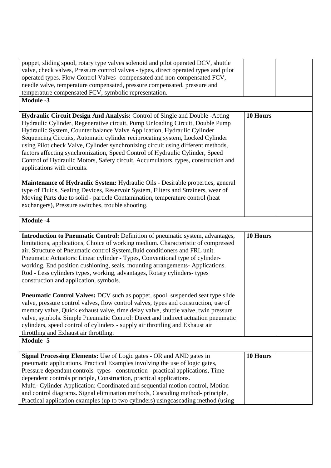| poppet, sliding spool, rotary type valves solenoid and pilot operated DCV, shuttle                                                                                                                                                                                                                                                                                                                                                                                                                                                                                                                                  |          |
|---------------------------------------------------------------------------------------------------------------------------------------------------------------------------------------------------------------------------------------------------------------------------------------------------------------------------------------------------------------------------------------------------------------------------------------------------------------------------------------------------------------------------------------------------------------------------------------------------------------------|----------|
| valve, check valves, Pressure control valves - types, direct operated types and pilot<br>operated types. Flow Control Valves -compensated and non-compensated FCV,                                                                                                                                                                                                                                                                                                                                                                                                                                                  |          |
| needle valve, temperature compensated, pressure compensated, pressure and                                                                                                                                                                                                                                                                                                                                                                                                                                                                                                                                           |          |
| temperature compensated FCV, symbolic representation.                                                                                                                                                                                                                                                                                                                                                                                                                                                                                                                                                               |          |
| Module -3                                                                                                                                                                                                                                                                                                                                                                                                                                                                                                                                                                                                           |          |
|                                                                                                                                                                                                                                                                                                                                                                                                                                                                                                                                                                                                                     |          |
| Hydraulic Circuit Design And Analysis: Control of Single and Double - Acting<br>Hydraulic Cylinder, Regenerative circuit, Pump Unloading Circuit, Double Pump<br>Hydraulic System, Counter balance Valve Application, Hydraulic Cylinder<br>Sequencing Circuits, Automatic cylinder reciprocating system, Locked Cylinder<br>using Pilot check Valve, Cylinder synchronizing circuit using different methods,<br>factors affecting synchronization, Speed Control of Hydraulic Cylinder, Speed<br>Control of Hydraulic Motors, Safety circuit, Accumulators, types, construction and<br>applications with circuits. | 10 Hours |
| <b>Maintenance of Hydraulic System:</b> Hydraulic Oils - Desirable properties, general<br>type of Fluids, Sealing Devices, Reservoir System, Filters and Strainers, wear of<br>Moving Parts due to solid - particle Contamination, temperature control (heat<br>exchangers), Pressure switches, trouble shooting.                                                                                                                                                                                                                                                                                                   |          |
| Module -4                                                                                                                                                                                                                                                                                                                                                                                                                                                                                                                                                                                                           |          |
| Introduction to Pneumatic Control: Definition of pneumatic system, advantages,<br>limitations, applications, Choice of working medium. Characteristic of compressed<br>air. Structure of Pneumatic control System, fluid conditioners and FRL unit.<br>Pneumatic Actuators: Linear cylinder - Types, Conventional type of cylinder-<br>working, End position cushioning, seals, mounting arrangements-Applications.                                                                                                                                                                                                 | 10 Hours |
| Rod - Less cylinders types, working, advantages, Rotary cylinders-types<br>construction and application, symbols.                                                                                                                                                                                                                                                                                                                                                                                                                                                                                                   |          |
| <b>Pheumatic Control Valves:</b> DCV such as poppet, spool, suspended seat type slide<br>valve, pressure control valves, flow control valves, types and construction, use of<br>memory valve, Quick exhaust valve, time delay valve, shuttle valve, twin pressure<br>valve, symbols. Simple Pneumatic Control: Direct and indirect actuation pneumatic<br>cylinders, speed control of cylinders - supply air throttling and Exhaust air<br>throttling and Exhaust air throttling.                                                                                                                                   |          |
| Module -5<br>Signal Processing Elements: Use of Logic gates - OR and AND gates in                                                                                                                                                                                                                                                                                                                                                                                                                                                                                                                                   | 10 Hours |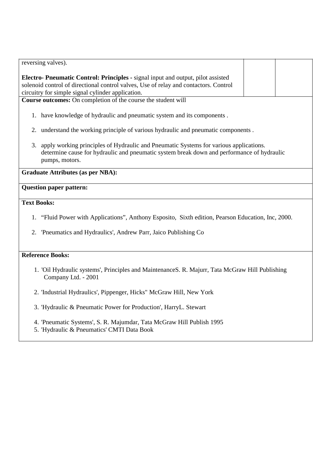| reversing valves).                                                                                                                                                                                                            |  |  |  |  |  |  |  |
|-------------------------------------------------------------------------------------------------------------------------------------------------------------------------------------------------------------------------------|--|--|--|--|--|--|--|
| Electro- Pneumatic Control: Principles - signal input and output, pilot assisted<br>solenoid control of directional control valves, Use of relay and contactors. Control<br>circuitry for simple signal cylinder application. |  |  |  |  |  |  |  |
| Course outcomes: On completion of the course the student will                                                                                                                                                                 |  |  |  |  |  |  |  |
| 1. have knowledge of hydraulic and pneumatic system and its components.                                                                                                                                                       |  |  |  |  |  |  |  |
| understand the working principle of various hydraulic and pneumatic components.<br>2.                                                                                                                                         |  |  |  |  |  |  |  |
| apply working principles of Hydraulic and Pneumatic Systems for various applications.<br>3.<br>determine cause for hydraulic and pneumatic system break down and performance of hydraulic<br>pumps, motors.                   |  |  |  |  |  |  |  |
| <b>Graduate Attributes (as per NBA):</b>                                                                                                                                                                                      |  |  |  |  |  |  |  |
| <b>Question paper pattern:</b>                                                                                                                                                                                                |  |  |  |  |  |  |  |
| <b>Text Books:</b>                                                                                                                                                                                                            |  |  |  |  |  |  |  |
| 1. "Fluid Power with Applications", Anthony Esposito, Sixth edition, Pearson Education, Inc, 2000.                                                                                                                            |  |  |  |  |  |  |  |
| 'Pneumatics and Hydraulics', Andrew Parr, Jaico Publishing Co<br>2.                                                                                                                                                           |  |  |  |  |  |  |  |
| <b>Reference Books:</b>                                                                                                                                                                                                       |  |  |  |  |  |  |  |
| 1. 'Oil Hydraulic systems', Principles and MaintenanceS. R. Majurr, Tata McGraw Hill Publishing<br>Company Ltd. - 2001                                                                                                        |  |  |  |  |  |  |  |
| 2. 'Industrial Hydraulics', Pippenger, Hicks'' McGraw Hill, New York                                                                                                                                                          |  |  |  |  |  |  |  |
| 3. 'Hydraulic & Pneumatic Power for Production', HarryL. Stewart                                                                                                                                                              |  |  |  |  |  |  |  |
| 4. 'Pneumatic Systems', S. R. Majumdar, Tata McGraw Hill Publish 1995<br>5. 'Hydraulic & Pneumatics' CMTI Data Book                                                                                                           |  |  |  |  |  |  |  |
|                                                                                                                                                                                                                               |  |  |  |  |  |  |  |
|                                                                                                                                                                                                                               |  |  |  |  |  |  |  |
|                                                                                                                                                                                                                               |  |  |  |  |  |  |  |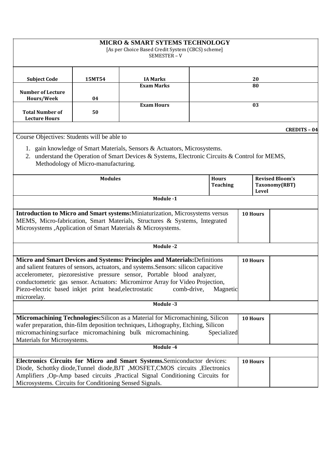|                                                                                                                                                                                                                                                                                                                                                                                                                                   |                                     | <b>MICRO &amp; SMART SYTEMS TECHNOLOGY</b><br>[As per Choice Based Credit System (CBCS) scheme]<br>SEMESTER - V                                                                                                                              |  |          |                                                         |  |                     |
|-----------------------------------------------------------------------------------------------------------------------------------------------------------------------------------------------------------------------------------------------------------------------------------------------------------------------------------------------------------------------------------------------------------------------------------|-------------------------------------|----------------------------------------------------------------------------------------------------------------------------------------------------------------------------------------------------------------------------------------------|--|----------|---------------------------------------------------------|--|---------------------|
| <b>Subject Code</b>                                                                                                                                                                                                                                                                                                                                                                                                               | 15MT54                              | <b>IA Marks</b>                                                                                                                                                                                                                              |  | 20       |                                                         |  |                     |
| <b>Number of Lecture</b>                                                                                                                                                                                                                                                                                                                                                                                                          |                                     | <b>Exam Marks</b>                                                                                                                                                                                                                            |  | 80       |                                                         |  |                     |
| Hours/Week                                                                                                                                                                                                                                                                                                                                                                                                                        | 04                                  | <b>Exam Hours</b>                                                                                                                                                                                                                            |  |          |                                                         |  |                     |
| <b>Total Number of</b><br><b>Lecture Hours</b>                                                                                                                                                                                                                                                                                                                                                                                    | 50                                  |                                                                                                                                                                                                                                              |  | 03       |                                                         |  |                     |
|                                                                                                                                                                                                                                                                                                                                                                                                                                   |                                     |                                                                                                                                                                                                                                              |  |          |                                                         |  | <b>CREDITS - 04</b> |
| Course Objectives: Students will be able to                                                                                                                                                                                                                                                                                                                                                                                       |                                     | 1. gain knowledge of Smart Materials, Sensors & Actuators, Microsystems.                                                                                                                                                                     |  |          |                                                         |  |                     |
| 2.                                                                                                                                                                                                                                                                                                                                                                                                                                | Methodology of Micro-manufacturing. | understand the Operation of Smart Devices & Systems, Electronic Circuits & Control for MEMS,                                                                                                                                                 |  |          |                                                         |  |                     |
| <b>Hours</b><br><b>Modules</b><br><b>Teaching</b>                                                                                                                                                                                                                                                                                                                                                                                 |                                     |                                                                                                                                                                                                                                              |  |          | <b>Revised Bloom's</b><br>Taxonomy(RBT)<br><b>Level</b> |  |                     |
|                                                                                                                                                                                                                                                                                                                                                                                                                                   |                                     | Module -1                                                                                                                                                                                                                                    |  |          |                                                         |  |                     |
| <b>Introduction to Micro and Smart systems:</b> Miniaturization, Microsystems versus<br>MEMS, Micro-fabrication, Smart Materials, Structures & Systems, Integrated<br>Microsystems , Application of Smart Materials & Microsystems.                                                                                                                                                                                               |                                     |                                                                                                                                                                                                                                              |  | 10 Hours |                                                         |  |                     |
|                                                                                                                                                                                                                                                                                                                                                                                                                                   |                                     | Module -2                                                                                                                                                                                                                                    |  |          |                                                         |  |                     |
| Micro and Smart Devices and Systems: Principles and Materials: Definitions<br>and salient features of sensors, actuators, and systems. Sensors: silicon capacitive<br>accelerometer, piezoresistive pressure sensor, Portable blood analyzer,<br>conductometric gas sensor. Actuators: Micromirror Array for Video Projection,<br>Piezo-electric based inkjet print head, electrostatic<br>Magnetic<br>comb-drive,<br>microrelay. |                                     |                                                                                                                                                                                                                                              |  |          | 10 Hours                                                |  |                     |
|                                                                                                                                                                                                                                                                                                                                                                                                                                   |                                     | Module -3                                                                                                                                                                                                                                    |  |          |                                                         |  |                     |
| Micromachining Technologies: Silicon as a Material for Micromachining, Silicon<br>wafer preparation, thin-film deposition techniques, Lithography, Etching, Silicon<br>micromachining:surface micromachining bulk micromachining.<br>Specialized<br>Materials for Microsystems.                                                                                                                                                   |                                     |                                                                                                                                                                                                                                              |  | 10 Hours |                                                         |  |                     |
|                                                                                                                                                                                                                                                                                                                                                                                                                                   |                                     | Module -4                                                                                                                                                                                                                                    |  |          |                                                         |  |                     |
| Microsystems. Circuits for Conditioning Sensed Signals.                                                                                                                                                                                                                                                                                                                                                                           |                                     | Electronics Circuits for Micro and Smart Systems.Semiconductor devices:<br>Diode, Schottky diode, Tunnel diode, BJT , MOSFET, CMOS circuits , Electronics<br>Amplifiers , Op-Amp based circuits , Practical Signal Conditioning Circuits for |  |          | 10 Hours                                                |  |                     |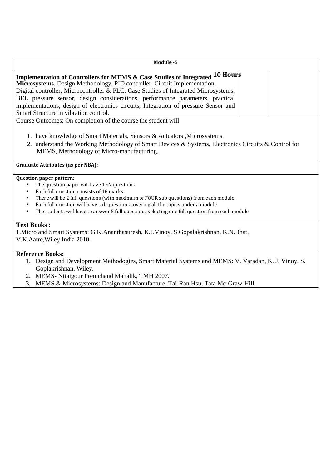| Module -5                                                                                                                                                                                                                                                                                                                                                                                                                                                                     |
|-------------------------------------------------------------------------------------------------------------------------------------------------------------------------------------------------------------------------------------------------------------------------------------------------------------------------------------------------------------------------------------------------------------------------------------------------------------------------------|
|                                                                                                                                                                                                                                                                                                                                                                                                                                                                               |
| Implementation of Controllers for MEMS & Case Studies of Integrated 10 Hours<br>Microsystems. Design Methodology, PID controller, Circuit Implementation,<br>Digital controller, Microcontroller & PLC. Case Studies of Integrated Microsystems:<br>BEL pressure sensor, design considerations, performance parameters, practical<br>implementations, design of electronics circuits, Integration of pressure Sensor and<br>Smart Structure in vibration control.             |
| Course Outcomes: On completion of the course the student will                                                                                                                                                                                                                                                                                                                                                                                                                 |
| 1. have knowledge of Smart Materials, Sensors & Actuators , Microsystems.<br>2. understand the Working Methodology of Smart Devices & Systems, Electronics Circuits & Control for<br>MEMS, Methodology of Micro-manufacturing.                                                                                                                                                                                                                                                |
| <b>Graduate Attributes (as per NBA):</b>                                                                                                                                                                                                                                                                                                                                                                                                                                      |
| <b>Question paper pattern:</b><br>The question paper will have TEN questions.<br>$\bullet$<br>Each full question consists of 16 marks.<br>$\bullet$<br>There will be 2 full questions (with maximum of FOUR sub questions) from each module.<br>$\bullet$<br>Each full question will have sub questions covering all the topics under a module.<br>$\bullet$<br>The students will have to answer 5 full questions, selecting one full question from each module.<br>$\bullet$ |
| <b>Text Books:</b><br>1. Micro and Smart Systems: G.K. Ananthasuresh, K.J. Vinoy, S. Gopalakrishnan, K.N. Bhat,<br>V.K.Aatre, Wiley India 2010.                                                                                                                                                                                                                                                                                                                               |
| <b>Reference Books:</b><br>1. Design and Development Methodogies, Smart Material Systems and MEMS: V. Varadan, K. J. Vinoy, S.<br>Goplakrishnan, Wiley.<br>2. MEMS- Nitaigour Premchand Mahalik, TMH 2007.<br>3. MEMS & Microsystems: Design and Manufacture, Tai-Ran Hsu, Tata Mc-Graw-Hill.                                                                                                                                                                                 |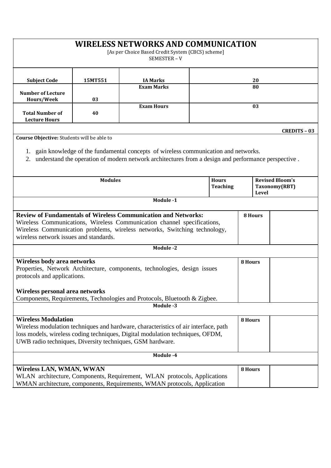| <b>WIRELESS NETWORKS AND COMMUNICATION</b><br>[As per Choice Based Credit System (CBCS) scheme]<br>SEMESTER-V                                                                                                                                                           |                                                                                                                                                                                                                                                                   |                                                                                                                                                      |         |                                                  |         |    |  |
|-------------------------------------------------------------------------------------------------------------------------------------------------------------------------------------------------------------------------------------------------------------------------|-------------------------------------------------------------------------------------------------------------------------------------------------------------------------------------------------------------------------------------------------------------------|------------------------------------------------------------------------------------------------------------------------------------------------------|---------|--------------------------------------------------|---------|----|--|
| <b>Subject Code</b>                                                                                                                                                                                                                                                     | 15MT551                                                                                                                                                                                                                                                           | <b>IA Marks</b>                                                                                                                                      |         |                                                  |         | 20 |  |
| <b>Number of Lecture</b>                                                                                                                                                                                                                                                |                                                                                                                                                                                                                                                                   | <b>Exam Marks</b>                                                                                                                                    |         | 80                                               |         |    |  |
| Hours/Week                                                                                                                                                                                                                                                              | 03                                                                                                                                                                                                                                                                |                                                                                                                                                      |         |                                                  |         |    |  |
| <b>Total Number of</b><br><b>Lecture Hours</b>                                                                                                                                                                                                                          | 40                                                                                                                                                                                                                                                                | <b>Exam Hours</b>                                                                                                                                    |         | 03                                               |         |    |  |
| 2.                                                                                                                                                                                                                                                                      | <b>CREDITS - 03</b><br>Course Objective: Students will be able to<br>1. gain knowledge of the fundamental concepts of wireless communication and networks.<br>understand the operation of modern network architectures from a design and performance perspective. |                                                                                                                                                      |         |                                                  |         |    |  |
|                                                                                                                                                                                                                                                                         |                                                                                                                                                                                                                                                                   |                                                                                                                                                      |         |                                                  |         |    |  |
| <b>Modules</b><br><b>Hours</b><br><b>Teaching</b>                                                                                                                                                                                                                       |                                                                                                                                                                                                                                                                   |                                                                                                                                                      |         | <b>Revised Bloom's</b><br>Taxonomy(RBT)<br>Level |         |    |  |
|                                                                                                                                                                                                                                                                         |                                                                                                                                                                                                                                                                   | Module -1                                                                                                                                            |         |                                                  |         |    |  |
| <b>Review of Fundamentals of Wireless Communication and Networks:</b><br>Wireless Communications, Wireless Communication channel specifications,<br>Wireless Communication problems, wireless networks, Switching technology,<br>wireless network issues and standards. |                                                                                                                                                                                                                                                                   |                                                                                                                                                      | 8 Hours |                                                  |         |    |  |
|                                                                                                                                                                                                                                                                         |                                                                                                                                                                                                                                                                   | Module -2                                                                                                                                            |         |                                                  |         |    |  |
| Wireless body area networks<br>Properties, Network Architecture, components, technologies, design issues<br>protocols and applications.<br>Wireless personal area networks                                                                                              |                                                                                                                                                                                                                                                                   |                                                                                                                                                      |         | 8 Hours                                          |         |    |  |
|                                                                                                                                                                                                                                                                         |                                                                                                                                                                                                                                                                   | Components, Requirements, Technologies and Protocols, Bluetooth & Zigbee.<br>Module -3                                                               |         |                                                  |         |    |  |
| <b>Wireless Modulation</b><br>Wireless modulation techniques and hardware, characteristics of air interface, path<br>loss models, wireless coding techniques, Digital modulation techniques, OFDM,<br>UWB radio techniques, Diversity techniques, GSM hardware.         |                                                                                                                                                                                                                                                                   |                                                                                                                                                      | 8 Hours |                                                  |         |    |  |
|                                                                                                                                                                                                                                                                         |                                                                                                                                                                                                                                                                   | Module -4                                                                                                                                            |         |                                                  |         |    |  |
| Wireless LAN, WMAN, WWAN                                                                                                                                                                                                                                                |                                                                                                                                                                                                                                                                   | WLAN architecture, Components, Requirement, WLAN protocols, Applications<br>WMAN architecture, components, Requirements, WMAN protocols, Application |         |                                                  | 8 Hours |    |  |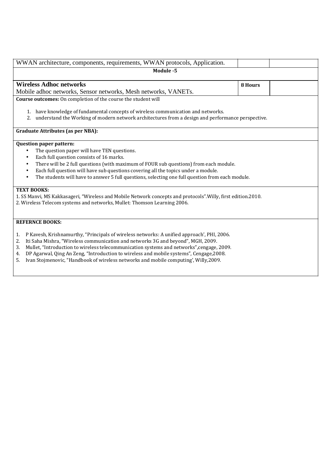| WWAN architecture, components, requirements, WWAN protocols, Application.                                                                                                                                                                                                                                                                                                                                                                                                                                                                                                                                                                                                                  |         |  |  |  |  |  |
|--------------------------------------------------------------------------------------------------------------------------------------------------------------------------------------------------------------------------------------------------------------------------------------------------------------------------------------------------------------------------------------------------------------------------------------------------------------------------------------------------------------------------------------------------------------------------------------------------------------------------------------------------------------------------------------------|---------|--|--|--|--|--|
| Module -5                                                                                                                                                                                                                                                                                                                                                                                                                                                                                                                                                                                                                                                                                  |         |  |  |  |  |  |
| <b>Wireless Adhoc networks</b>                                                                                                                                                                                                                                                                                                                                                                                                                                                                                                                                                                                                                                                             | 8 Hours |  |  |  |  |  |
| Mobile adhoc networks, Sensor networks, Mesh networks, VANETs.                                                                                                                                                                                                                                                                                                                                                                                                                                                                                                                                                                                                                             |         |  |  |  |  |  |
| Course outcomes: On completion of the course the student will                                                                                                                                                                                                                                                                                                                                                                                                                                                                                                                                                                                                                              |         |  |  |  |  |  |
| 1. have knowledge of fundamental concepts of wireless communication and networks.<br>understand the Working of modern network architectures from a design and performance perspective.<br>2.                                                                                                                                                                                                                                                                                                                                                                                                                                                                                               |         |  |  |  |  |  |
| <b>Graduate Attributes (as per NBA):</b>                                                                                                                                                                                                                                                                                                                                                                                                                                                                                                                                                                                                                                                   |         |  |  |  |  |  |
| Question paper pattern:<br>The question paper will have TEN questions.<br>$\bullet$<br>Each full question consists of 16 marks.<br>$\bullet$<br>There will be 2 full questions (with maximum of FOUR sub questions) from each module.<br>$\bullet$<br>Each full question will have sub questions covering all the topics under a module.<br>$\bullet$<br>The students will have to answer 5 full questions, selecting one full question from each module.<br>$\bullet$<br><b>TEXT BOOKS:</b><br>1. SS Manvi, MS Kakkasageri, "Wireless and Mobile Network concepts and protocols". Willy, first edition. 2010.<br>2. Wireless Telecom systems and networks, Mullet: Thomson Learning 2006. |         |  |  |  |  |  |
| <b>REFERNCE BOOKS:</b><br>P Kavesh, Krishnamurthy, "Principals of wireless networks: A unified approach', PHI, 2006.<br>1.<br>Iti Saha Mishra, "Wireless communication and networks 3G and beyond", MGH, 2009.<br>2.<br>Mullet, "Introduction to wireless telecommunication systems and networks", cengage, 2009.<br>3.<br>DP Agarwal, Qing An Zeng, "Introduction to wireless and mobile systems", Cengage, 2008.<br>4.<br>Ivan Stojmenovic, "Handbook of wireless networks and mobile computing', Willy, 2009.<br>5.                                                                                                                                                                     |         |  |  |  |  |  |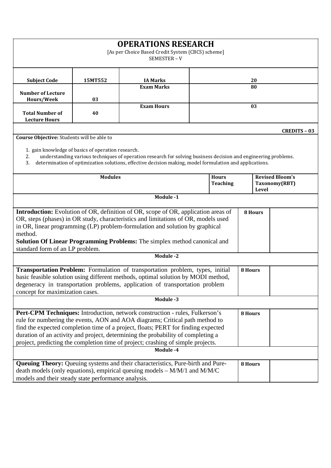| <b>OPERATIONS RESEARCH</b><br>[As per Choice Based Credit System (CBCS) scheme]<br>SEMESTER-V                                                                                                                                                                                                                                                                                                                             |                                                    |                                                                                                                                                                                                                           |  |                                                         |         |                |                     |
|---------------------------------------------------------------------------------------------------------------------------------------------------------------------------------------------------------------------------------------------------------------------------------------------------------------------------------------------------------------------------------------------------------------------------|----------------------------------------------------|---------------------------------------------------------------------------------------------------------------------------------------------------------------------------------------------------------------------------|--|---------------------------------------------------------|---------|----------------|---------------------|
| <b>Subject Code</b>                                                                                                                                                                                                                                                                                                                                                                                                       | 15MT552                                            | <b>IA Marks</b>                                                                                                                                                                                                           |  |                                                         |         | 20             |                     |
| <b>Number of Lecture</b>                                                                                                                                                                                                                                                                                                                                                                                                  |                                                    | <b>Exam Marks</b>                                                                                                                                                                                                         |  | 80                                                      |         |                |                     |
| Hours/Week                                                                                                                                                                                                                                                                                                                                                                                                                | 03                                                 |                                                                                                                                                                                                                           |  |                                                         |         |                |                     |
| <b>Total Number of</b><br><b>Lecture Hours</b>                                                                                                                                                                                                                                                                                                                                                                            | 40                                                 | <b>Exam Hours</b>                                                                                                                                                                                                         |  | 03                                                      |         |                |                     |
| Course Objective: Students will be able to                                                                                                                                                                                                                                                                                                                                                                                |                                                    |                                                                                                                                                                                                                           |  |                                                         |         |                | <b>CREDITS - 03</b> |
| 2.<br>3.                                                                                                                                                                                                                                                                                                                                                                                                                  | 1. gain knowledge of basics of operation research. | understanding various techniques of operation research for solving business decision and engineering problems.<br>determination of optimization solutions, effective decision making, model formulation and applications. |  |                                                         |         |                |                     |
| <b>Modules</b><br><b>Hours</b><br><b>Teaching</b>                                                                                                                                                                                                                                                                                                                                                                         |                                                    |                                                                                                                                                                                                                           |  | <b>Revised Bloom's</b><br>Taxonomy(RBT)<br><b>Level</b> |         |                |                     |
|                                                                                                                                                                                                                                                                                                                                                                                                                           |                                                    | Module -1                                                                                                                                                                                                                 |  |                                                         |         |                |                     |
| <b>Introduction:</b> Evolution of OR, definition of OR, scope of OR, application areas of<br>OR, steps (phases) in OR study, characteristics and limitations of OR, models used<br>in OR, linear programming (LP) problem-formulation and solution by graphical<br>method.<br><b>Solution Of Linear Programming Problems:</b> The simplex method canonical and                                                            |                                                    |                                                                                                                                                                                                                           |  |                                                         |         | <b>8 Hours</b> |                     |
| standard form of an LP problem.                                                                                                                                                                                                                                                                                                                                                                                           |                                                    | <b>Module -2</b>                                                                                                                                                                                                          |  |                                                         |         |                |                     |
| Transportation Problem: Formulation of transportation problem, types, initial<br>8 Hours<br>basic feasible solution using different methods, optimal solution by MODI method,<br>degeneracy in transportation problems, application of transportation problem<br>concept for maximization cases.<br>Module -3                                                                                                             |                                                    |                                                                                                                                                                                                                           |  |                                                         |         |                |                     |
|                                                                                                                                                                                                                                                                                                                                                                                                                           |                                                    |                                                                                                                                                                                                                           |  |                                                         | 8 Hours |                |                     |
| Pert-CPM Techniques: Introduction, network construction - rules, Fulkerson's<br>rule for numbering the events, AON and AOA diagrams; Critical path method to<br>find the expected completion time of a project, floats; PERT for finding expected<br>duration of an activity and project, determining the probability of completing a<br>project, predicting the completion time of project; crashing of simple projects. |                                                    |                                                                                                                                                                                                                           |  |                                                         |         |                |                     |
|                                                                                                                                                                                                                                                                                                                                                                                                                           |                                                    | Module -4                                                                                                                                                                                                                 |  |                                                         |         |                |                     |
| models and their steady state performance analysis.                                                                                                                                                                                                                                                                                                                                                                       |                                                    | Queuing Theory: Queuing systems and their characteristics, Pure-birth and Pure-<br>death models (only equations), empirical queuing models $-M/M/1$ and $M/M/C$                                                           |  |                                                         | 8 Hours |                |                     |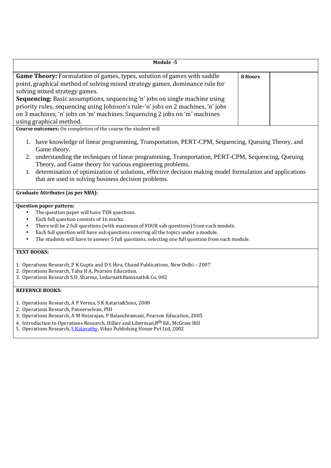| Module -5                                                                                                                                                                                                                                                                                                                                                                                                                                                                                                                             |         |  |
|---------------------------------------------------------------------------------------------------------------------------------------------------------------------------------------------------------------------------------------------------------------------------------------------------------------------------------------------------------------------------------------------------------------------------------------------------------------------------------------------------------------------------------------|---------|--|
| Game Theory: Formulation of games, types, solution of games with saddle<br>point, graphical method of solving mixed strategy games, dominance rule for<br>solving mixed strategy games.<br>Sequencing: Basic assumptions, sequencing 'n' jobs on single machine using<br>priority rules, sequencing using Johnson's rule-'n' jobs on 2 machines, 'n' jobs<br>on 3 machines, 'n' jobs on 'm' machines. Sequencing 2 jobs on 'm' machines<br>using graphical method.                                                                    | 8 Hours |  |
| Course outcomes: On completion of the course the student will<br>1. have knowledge of linear programming, Transportation, PERT-CPM, Sequencing, Queuing Theory, and<br>Game theory.<br>understanding the techniques of linear programming, Transportation, PERT-CPM, Sequencing, Queuing<br>2.<br>Theory, and Game theory for various engineering problems.<br>determination of optimization of solutions, effective decision making model formulation and applications<br>3.<br>that are used in solving business decision problems. |         |  |
| <b>Graduate Attributes (as per NBA):</b>                                                                                                                                                                                                                                                                                                                                                                                                                                                                                              |         |  |
| Question paper pattern:<br>The question paper will have TEN questions.<br>$\bullet$<br>Each full question consists of 16 marks.<br>$\bullet$<br>There will be 2 full questions (with maximum of FOUR sub questions) from each module.<br>$\bullet$<br>Each full question will have sub questions covering all the topics under a module.<br>$\bullet$<br>The students will have to answer 5 full questions, selecting one full question from each module.<br>$\bullet$                                                                |         |  |
| <b>TEXT BOOKS:</b><br>1. Operations Research, P K Gupta and D S Hira, Chand Publications, New Delhi - 2007<br>2. Operations Research, Taha H A, Pearson Education.<br>3. Operations Research S.D. Sharma, LedarnathRamanath& Co, 002                                                                                                                                                                                                                                                                                                  |         |  |
| <b>REFERNCE BOOKS:</b><br>1. Operations Research, A P Verma, S K Kataria&Sons, 2008<br>2. Operations Research, Paneerselvan, PHI                                                                                                                                                                                                                                                                                                                                                                                                      |         |  |

- 3. Operations Research, A M Natarajan, P Balasubramani, Pearson Education, 2005
- 4. Introduction to Operations Research, Hillier and Liberman, 8<sup>th</sup> Ed., McGraw Hill
- 5. Operations Research, **S Kalavathy**, Vikas Publishing House Pvt Ltd, 2002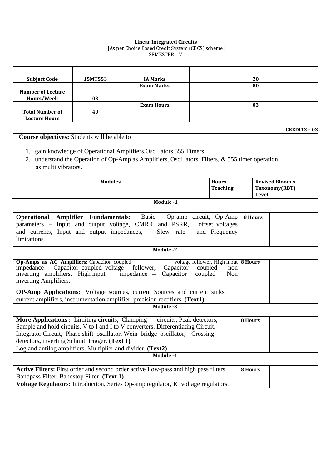| <b>Linear Integrated Circuits</b><br>[As per Choice Based Credit System (CBCS) scheme]<br>SEMESTER-V                                                                                                                                                                                                                                                                                                                                             |         |                                                                                                                                                                                                            |    |                                                  |         |                     |  |
|--------------------------------------------------------------------------------------------------------------------------------------------------------------------------------------------------------------------------------------------------------------------------------------------------------------------------------------------------------------------------------------------------------------------------------------------------|---------|------------------------------------------------------------------------------------------------------------------------------------------------------------------------------------------------------------|----|--------------------------------------------------|---------|---------------------|--|
| <b>Subject Code</b>                                                                                                                                                                                                                                                                                                                                                                                                                              | 15MT553 | <b>IA Marks</b>                                                                                                                                                                                            |    | 20                                               |         |                     |  |
| <b>Number of Lecture</b><br>Hours/Week                                                                                                                                                                                                                                                                                                                                                                                                           | 03      | <b>Exam Marks</b>                                                                                                                                                                                          | 80 |                                                  |         |                     |  |
| <b>Total Number of</b><br><b>Lecture Hours</b>                                                                                                                                                                                                                                                                                                                                                                                                   | 40      | <b>Exam Hours</b>                                                                                                                                                                                          | 03 |                                                  |         |                     |  |
| Course objectives: Students will be able to                                                                                                                                                                                                                                                                                                                                                                                                      |         |                                                                                                                                                                                                            |    |                                                  |         | <b>CREDITS - 03</b> |  |
| 2.<br>as multi vibrators.                                                                                                                                                                                                                                                                                                                                                                                                                        |         | 1. gain knowledge of Operational Amplifiers, Oscillators. 555 Timers,<br>understand the Operation of Op-Amp as Amplifiers, Oscillators. Filters, $\&$ 555 timer operation                                  |    |                                                  |         |                     |  |
| <b>Modules</b><br><b>Hours</b><br><b>Teaching</b>                                                                                                                                                                                                                                                                                                                                                                                                |         |                                                                                                                                                                                                            |    | <b>Revised Bloom's</b><br>Taxonomy(RBT)<br>Level |         |                     |  |
|                                                                                                                                                                                                                                                                                                                                                                                                                                                  |         | Module -1                                                                                                                                                                                                  |    |                                                  |         |                     |  |
| <b>Operational Amplifier Fundamentals:</b> Basic<br>Op-amp circuit, Op-Amp<br>8 Hours<br>offset voltages<br>parameters – Input and output voltage, CMRR and PSRR,<br>and currents, Input and output impedances,<br>and Frequency<br>Slew rate<br>limitations.                                                                                                                                                                                    |         |                                                                                                                                                                                                            |    |                                                  |         |                     |  |
|                                                                                                                                                                                                                                                                                                                                                                                                                                                  |         | Module -2                                                                                                                                                                                                  |    |                                                  |         |                     |  |
| Op-Amps as AC Amplifiers: Capacitor coupled<br>voltage follower, High input 8 Hours<br>impedance – Capacitor coupled voltage follower,<br>Capacitor<br>coupled<br>non<br>inverting amplifiers, High input impedance -<br>Capacitor<br>coupled<br>Non<br>inverting Amplifiers.<br><b>OP-Amp Applications:</b> Voltage sources, current Sources and current sinks,<br>current amplifiers, instrumentation amplifier, precision rectifiers. (Text1) |         |                                                                                                                                                                                                            |    |                                                  |         |                     |  |
|                                                                                                                                                                                                                                                                                                                                                                                                                                                  |         | Module -3                                                                                                                                                                                                  |    |                                                  |         |                     |  |
| More Applications: Limiting circuits, Clamping<br>detectors, inverting Schmitt trigger. (Text 1)<br>Log and antilog amplifiers, Multiplier and divider. (Text2)                                                                                                                                                                                                                                                                                  |         | circuits, Peak detectors,<br>Sample and hold circuits, V to I and I to V converters, Differentiating Circuit,<br>Integrator Circuit, Phase shift oscillator, Wein bridge oscillator, Crossing<br>Module -4 |    |                                                  | 8 Hours |                     |  |
|                                                                                                                                                                                                                                                                                                                                                                                                                                                  |         | Active Filters: First order and second order active Low-pass and high pass filters,                                                                                                                        |    |                                                  | 8 Hours |                     |  |
| Bandpass Filter, Bandstop Filter. (Text 1)                                                                                                                                                                                                                                                                                                                                                                                                       |         | Voltage Regulators: Introduction, Series Op-amp regulator, IC voltage regulators.                                                                                                                          |    |                                                  |         |                     |  |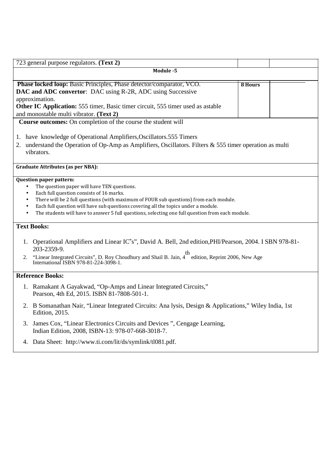| 723 general purpose regulators. (Text 2)                                                                                                                                                                                                                                                                                                                                                                                                                                      |                |  |
|-------------------------------------------------------------------------------------------------------------------------------------------------------------------------------------------------------------------------------------------------------------------------------------------------------------------------------------------------------------------------------------------------------------------------------------------------------------------------------|----------------|--|
| Module -5                                                                                                                                                                                                                                                                                                                                                                                                                                                                     |                |  |
| Phase locked loop: Basic Principles, Phase detector/comparator, VCO.<br>DAC and ADC convertor: DAC using R-2R, ADC using Successive<br>approximation.<br>Other IC Application: 555 timer, Basic timer circuit, 555 timer used as astable<br>and monostable multi vibrator. (Text 2)                                                                                                                                                                                           | <b>8 Hours</b> |  |
| Course outcomes: On completion of the course the student will                                                                                                                                                                                                                                                                                                                                                                                                                 |                |  |
| 1. have knowledge of Operational Amplifiers, Oscillators. 555 Timers<br>understand the Operation of Op-Amp as Amplifiers, Oscillators. Filters & 555 timer operation as multi<br>2.<br>vibrators.                                                                                                                                                                                                                                                                             |                |  |
| <b>Graduate Attributes (as per NBA):</b>                                                                                                                                                                                                                                                                                                                                                                                                                                      |                |  |
| <b>Question paper pattern:</b><br>The question paper will have TEN questions.<br>$\bullet$<br>Each full question consists of 16 marks.<br>$\bullet$<br>There will be 2 full questions (with maximum of FOUR sub questions) from each module.<br>$\bullet$<br>Each full question will have sub questions covering all the topics under a module.<br>$\bullet$<br>The students will have to answer 5 full questions, selecting one full question from each module.<br>$\bullet$ |                |  |
| <b>Text Books:</b>                                                                                                                                                                                                                                                                                                                                                                                                                                                            |                |  |
| 1. Operational Amplifiers and Linear IC"s", David A. Bell, 2nd edition, PHI/Pearson, 2004. I SBN 978-81-<br>203-2359-9.<br>"Linear Integrated Circuits", D. Roy Choudhury and Shail B. Jain, 4 <sup>th</sup> edition, Reprint 2006, New Age<br>2.<br>International ISBN 978-81-224-3098-1.                                                                                                                                                                                    |                |  |
| <b>Reference Books:</b>                                                                                                                                                                                                                                                                                                                                                                                                                                                       |                |  |
| 1. Ramakant A Gayakwad, "Op-Amps and Linear Integrated Circuits,"<br>Pearson, 4th Ed, 2015. ISBN 81-7808-501-1.                                                                                                                                                                                                                                                                                                                                                               |                |  |
| 2. B Somanathan Nair, "Linear Integrated Circuits: Ana lysis, Design & Applications," Wiley India, 1st<br><b>Edition</b> , 2015.                                                                                                                                                                                                                                                                                                                                              |                |  |
| James Cox, "Linear Electronics Circuits and Devices", Cengage Learning,<br>3.<br>Indian Edition, 2008, ISBN-13: 978-07-668-3018-7.                                                                                                                                                                                                                                                                                                                                            |                |  |

4. Data Sheet: http://www.ti.com/lit/ds/symlink/tl081.pdf.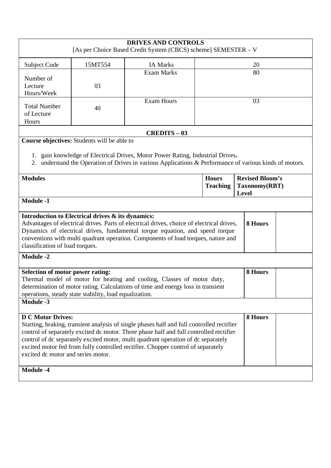| <b>DRIVES AND CONTROLS</b><br>[As per Choice Based Credit System (CBCS) scheme] SEMESTER - V                                                                                                                                                                                                                                                                                                                                                                  |                                                        |                                                                                                                                                                                           |                                                  |         |  |  |
|---------------------------------------------------------------------------------------------------------------------------------------------------------------------------------------------------------------------------------------------------------------------------------------------------------------------------------------------------------------------------------------------------------------------------------------------------------------|--------------------------------------------------------|-------------------------------------------------------------------------------------------------------------------------------------------------------------------------------------------|--------------------------------------------------|---------|--|--|
| Subject Code                                                                                                                                                                                                                                                                                                                                                                                                                                                  | 15MT554                                                | <b>IA Marks</b>                                                                                                                                                                           |                                                  | 20      |  |  |
| Number of<br>Lecture<br>Hours/Week                                                                                                                                                                                                                                                                                                                                                                                                                            | 03                                                     | <b>Exam Marks</b>                                                                                                                                                                         | 80                                               |         |  |  |
| <b>Total Number</b><br>of Lecture<br>Hours                                                                                                                                                                                                                                                                                                                                                                                                                    | 40                                                     | <b>Exam Hours</b>                                                                                                                                                                         |                                                  | 03      |  |  |
|                                                                                                                                                                                                                                                                                                                                                                                                                                                               |                                                        | <b>CREDITS - 03</b>                                                                                                                                                                       |                                                  |         |  |  |
|                                                                                                                                                                                                                                                                                                                                                                                                                                                               | Course objectives: Students will be able to            | 1. gain knowledge of Electrical Drives, Motor Power Rating, Industrial Drives.<br>2. understand the Operation of Drives in various Applications & Performance of various kinds of motors. |                                                  |         |  |  |
| <b>Modules</b><br><b>Hours</b><br><b>Teaching</b>                                                                                                                                                                                                                                                                                                                                                                                                             |                                                        |                                                                                                                                                                                           | <b>Revised Bloom's</b><br>Taxonomy(RBT)<br>Level |         |  |  |
| <b>Module -1</b>                                                                                                                                                                                                                                                                                                                                                                                                                                              |                                                        |                                                                                                                                                                                           |                                                  |         |  |  |
| Introduction to Electrical drives & its dynamics:<br>Advantages of electrical drives. Parts of electrical drives, choice of electrical drives,<br>8 Hours<br>Dynamics of electrical drives, fundamental torque equation, and speed torque<br>conventions with multi quadrant operation. Components of load torques, nature and<br>classification of load torques.                                                                                             |                                                        |                                                                                                                                                                                           |                                                  |         |  |  |
| <b>Module -2</b>                                                                                                                                                                                                                                                                                                                                                                                                                                              |                                                        |                                                                                                                                                                                           |                                                  |         |  |  |
| Selection of motor power rating:<br><b>Module -3</b>                                                                                                                                                                                                                                                                                                                                                                                                          | operations, steady state stability, load equalization. | Thermal model of motor for heating and cooling, Classes of motor duty,<br>determination of motor rating. Calculations of time and energy loss in transient                                |                                                  | 8 Hours |  |  |
|                                                                                                                                                                                                                                                                                                                                                                                                                                                               |                                                        |                                                                                                                                                                                           |                                                  |         |  |  |
| <b>D C Motor Drives:</b><br>8 Hours<br>Starting, braking, transient analysis of single phases half and full controlled rectifier<br>control of separately excited dc motor. Three phase half and full controlled rectifier<br>control of dc separately excited motor, multi quadrant operation of dc separately<br>excited motor fed from fully controlled rectifier. Chopper control of separately<br>excited dc motor and series motor.<br><b>Module -4</b> |                                                        |                                                                                                                                                                                           |                                                  |         |  |  |
|                                                                                                                                                                                                                                                                                                                                                                                                                                                               |                                                        |                                                                                                                                                                                           |                                                  |         |  |  |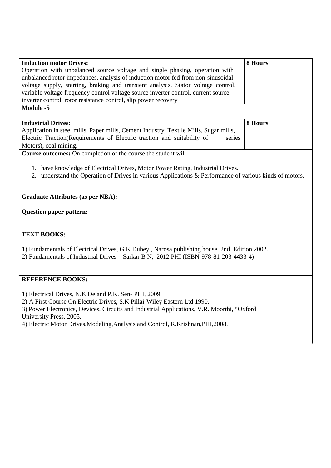| <b>Induction motor Drives:</b>                                                                          | 8 Hours |  |
|---------------------------------------------------------------------------------------------------------|---------|--|
| Operation with unbalanced source voltage and single phasing, operation with                             |         |  |
| unbalanced rotor impedances, analysis of induction motor fed from non-sinusoidal                        |         |  |
| voltage supply, starting, braking and transient analysis. Stator voltage control,                       |         |  |
| variable voltage frequency control voltage source inverter control, current source                      |         |  |
| inverter control, rotor resistance control, slip power recovery                                         |         |  |
| <b>Module -5</b>                                                                                        |         |  |
|                                                                                                         |         |  |
| <b>Industrial Drives:</b>                                                                               | 8 Hours |  |
| Application in steel mills, Paper mills, Cement Industry, Textile Mills, Sugar mills,                   |         |  |
| Electric Traction(Requirements of Electric traction and suitability of<br>series                        |         |  |
| Motors), coal mining.                                                                                   |         |  |
| Course outcomes: On completion of the course the student will                                           |         |  |
|                                                                                                         |         |  |
| 1. have knowledge of Electrical Drives, Motor Power Rating, Industrial Drives.                          |         |  |
| 2. understand the Operation of Drives in various Applications & Performance of various kinds of motors. |         |  |
|                                                                                                         |         |  |
|                                                                                                         |         |  |
| <b>Graduate Attributes (as per NBA):</b>                                                                |         |  |
|                                                                                                         |         |  |
| <b>Question paper pattern:</b>                                                                          |         |  |
|                                                                                                         |         |  |
|                                                                                                         |         |  |
| <b>TEXT BOOKS:</b>                                                                                      |         |  |
|                                                                                                         |         |  |
| 1) Fundamentals of Electrical Drives, G.K Dubey, Narosa publishing house, 2nd Edition, 2002.            |         |  |
| 2) Fundamentals of Industrial Drives - Sarkar B N, 2012 PHI (ISBN-978-81-203-4433-4)                    |         |  |
|                                                                                                         |         |  |
|                                                                                                         |         |  |
|                                                                                                         |         |  |
| <b>REFERENCE BOOKS:</b>                                                                                 |         |  |
|                                                                                                         |         |  |
|                                                                                                         |         |  |
| 1) Electrical Drives, N.K De and P.K. Sen-PHI, 2009.                                                    |         |  |
| 2) A First Course On Electric Drives, S.K Pillai-Wiley Eastern Ltd 1990.                                |         |  |
| 3) Power Electronics, Devices, Circuits and Industrial Applications, V.R. Moorthi, "Oxford              |         |  |
| University Press, 2005.                                                                                 |         |  |
| 4) Electric Motor Drives, Modeling, Analysis and Control, R.Krishnan, PHI, 2008.                        |         |  |
|                                                                                                         |         |  |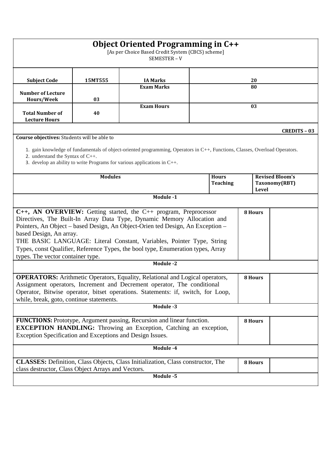|                                                                                                                                                                                                                                                                                                                                                                                                                                                            |         | <b>Object Oriented Programming in C++</b><br>[As per Choice Based Credit System (CBCS) scheme]<br>SEMESTER-V                                                                                                  |  |         |         |  |                     |
|------------------------------------------------------------------------------------------------------------------------------------------------------------------------------------------------------------------------------------------------------------------------------------------------------------------------------------------------------------------------------------------------------------------------------------------------------------|---------|---------------------------------------------------------------------------------------------------------------------------------------------------------------------------------------------------------------|--|---------|---------|--|---------------------|
| <b>Subject Code</b>                                                                                                                                                                                                                                                                                                                                                                                                                                        | 15MT555 | <b>IA Marks</b>                                                                                                                                                                                               |  |         | 20      |  |                     |
| <b>Number of Lecture</b><br>Hours/Week                                                                                                                                                                                                                                                                                                                                                                                                                     | 03      | <b>Exam Marks</b>                                                                                                                                                                                             |  | 80      |         |  |                     |
| <b>Total Number of</b><br><b>Lecture Hours</b>                                                                                                                                                                                                                                                                                                                                                                                                             | 40      | <b>Exam Hours</b>                                                                                                                                                                                             |  | 03      |         |  |                     |
| Course objectives: Students will be able to<br>2. understand the Syntax of C++.                                                                                                                                                                                                                                                                                                                                                                            |         | 1. gain knowledge of fundamentals of object-oriented programming, Operators in C++, Functions, Classes, Overload Operators.<br>3. develop an ability to write Programs for various applications in $C_{++}$ . |  |         |         |  | <b>CREDITS - 03</b> |
| <b>Modules</b><br><b>Revised Bloom's</b><br><b>Hours</b><br><b>Teaching</b><br>Taxonomy(RBT)<br>Level                                                                                                                                                                                                                                                                                                                                                      |         |                                                                                                                                                                                                               |  |         |         |  |                     |
|                                                                                                                                                                                                                                                                                                                                                                                                                                                            |         | Module -1                                                                                                                                                                                                     |  |         |         |  |                     |
| C++, AN OVERVIEW: Getting started, the C++ program, Preprocessor<br>Directives, The Built-In Array Data Type, Dynamic Memory Allocation and<br>Pointers, An Object – based Design, An Object-Orien ted Design, An Exception –<br>based Design, An array.<br>THE BASIC LANGUAGE: Literal Constant, Variables, Pointer Type, String<br>Types, const Qualifier, Reference Types, the bool type, Enumeration types, Array<br>types. The vector container type. |         |                                                                                                                                                                                                               |  |         | 8 Hours |  |                     |
|                                                                                                                                                                                                                                                                                                                                                                                                                                                            |         | <b>Module -2</b>                                                                                                                                                                                              |  |         |         |  |                     |
| <b>OPERATORS:</b> Arithmetic Operators, Equality, Relational and Logical operators,<br>8 Hours<br>Assignment operators, Increment and Decrement operator, The conditional<br>Operator, Bitwise operator, bitset operations. Statements: if, switch, for Loop,<br>while, break, goto, continue statements.                                                                                                                                                  |         |                                                                                                                                                                                                               |  |         |         |  |                     |
|                                                                                                                                                                                                                                                                                                                                                                                                                                                            |         | Module -3                                                                                                                                                                                                     |  |         |         |  |                     |
| <b>FUNCTIONS:</b> Prototype, Argument passing, Recursion and linear function.<br><b>EXCEPTION HANDLING:</b> Throwing an Exception, Catching an exception,<br>Exception Specification and Exceptions and Design Issues.                                                                                                                                                                                                                                     |         |                                                                                                                                                                                                               |  | 8 Hours |         |  |                     |
|                                                                                                                                                                                                                                                                                                                                                                                                                                                            |         | Module -4                                                                                                                                                                                                     |  |         |         |  |                     |
| class destructor, Class Object Arrays and Vectors.                                                                                                                                                                                                                                                                                                                                                                                                         |         | <b>CLASSES:</b> Definition, Class Objects, Class Initialization, Class constructor, The                                                                                                                       |  |         | 8 Hours |  |                     |
| Module -5                                                                                                                                                                                                                                                                                                                                                                                                                                                  |         |                                                                                                                                                                                                               |  |         |         |  |                     |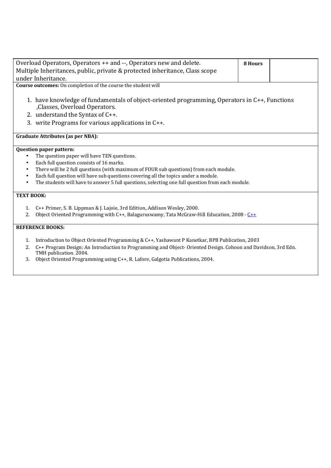| Overload Operators, Operators ++ and --, Operators new and delete.                                  | 8 Hours |  |  |  |  |  |
|-----------------------------------------------------------------------------------------------------|---------|--|--|--|--|--|
| Multiple Inheritances, public, private & protected inheritance, Class scope                         |         |  |  |  |  |  |
| under Inheritance.                                                                                  |         |  |  |  |  |  |
| Course outcomes: On completion of the course the student will                                       |         |  |  |  |  |  |
|                                                                                                     |         |  |  |  |  |  |
| 1. have knowledge of fundamentals of object-oriented programming, Operators in C++, Functions       |         |  |  |  |  |  |
| ,Classes, Overload Operators.                                                                       |         |  |  |  |  |  |
| 2. understand the Syntax of C++.                                                                    |         |  |  |  |  |  |
| 3. write Programs for various applications in C++.                                                  |         |  |  |  |  |  |
|                                                                                                     |         |  |  |  |  |  |
| <b>Graduate Attributes (as per NBA):</b>                                                            |         |  |  |  |  |  |
|                                                                                                     |         |  |  |  |  |  |
| <b>Question paper pattern:</b>                                                                      |         |  |  |  |  |  |
| The question paper will have TEN questions.                                                         |         |  |  |  |  |  |
| Each full question consists of 16 marks.<br>٠                                                       |         |  |  |  |  |  |
| There will be 2 full questions (with maximum of FOUR sub questions) from each module.               |         |  |  |  |  |  |
| Each full question will have sub questions covering all the topics under a module.                  |         |  |  |  |  |  |
| The students will have to answer 5 full questions, selecting one full question from each module.    |         |  |  |  |  |  |
| <b>TEXT BOOK:</b>                                                                                   |         |  |  |  |  |  |
|                                                                                                     |         |  |  |  |  |  |
| C++ Primer, S. B. Lippman & J. Lajoie, 3rd Edition, Addison Wesley, 2000.<br>1.                     |         |  |  |  |  |  |
| Object Oriented Programming with C++, Balaguruswamy, Tata McGraw-Hill Education, 2008 - $C++$<br>2. |         |  |  |  |  |  |
|                                                                                                     |         |  |  |  |  |  |
| <b>REFERENCE BOOKS:</b>                                                                             |         |  |  |  |  |  |
|                                                                                                     |         |  |  |  |  |  |

- 1. Introduction to Object Oriented Programming & C++, Yashawant P Kanetkar, BPB Publication, 2003
- 2. C++ Program Design: An Introduction to Programming and Object- Oriented Design. Cohoon and Davidson, 3rd Edn. TMH publication. 2004.
- 3. Object Oriented Programming using C++, R. Lafore, Galgotia Publications, 2004.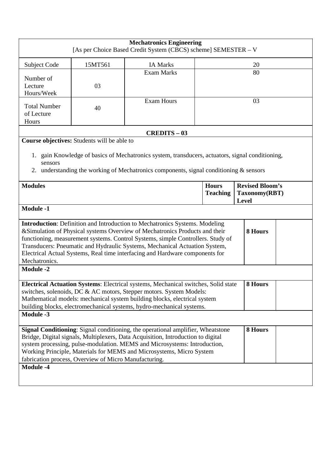| 15MT561<br><b>IA Marks</b><br>Subject Code<br>20<br><b>Exam Marks</b><br>80<br>Number of<br>03<br>Lecture<br>Hours/Week<br><b>Exam Hours</b><br>03<br><b>Total Number</b><br>40<br>of Lecture<br>Hours<br><b>CREDITS - 03</b><br>Course objectives: Students will be able to<br>1. gain Knowledge of basics of Mechatronics system, transducers, actuators, signal conditioning,<br>sensors<br>understanding the working of Mechatronics components, signal conditioning $\&$ sensors<br>2.<br><b>Revised Bloom's</b><br><b>Modules</b><br><b>Hours</b><br><b>Teaching</b><br>Taxonomy(RBT)<br>Level<br><b>Module -1</b><br>Introduction: Definition and Introduction to Mechatronics Systems. Modeling<br>&Simulation of Physical systems Overview of Mechatronics Products and their<br>8 Hours |  |  |  |  |  |
|---------------------------------------------------------------------------------------------------------------------------------------------------------------------------------------------------------------------------------------------------------------------------------------------------------------------------------------------------------------------------------------------------------------------------------------------------------------------------------------------------------------------------------------------------------------------------------------------------------------------------------------------------------------------------------------------------------------------------------------------------------------------------------------------------|--|--|--|--|--|
|                                                                                                                                                                                                                                                                                                                                                                                                                                                                                                                                                                                                                                                                                                                                                                                                   |  |  |  |  |  |
|                                                                                                                                                                                                                                                                                                                                                                                                                                                                                                                                                                                                                                                                                                                                                                                                   |  |  |  |  |  |
|                                                                                                                                                                                                                                                                                                                                                                                                                                                                                                                                                                                                                                                                                                                                                                                                   |  |  |  |  |  |
|                                                                                                                                                                                                                                                                                                                                                                                                                                                                                                                                                                                                                                                                                                                                                                                                   |  |  |  |  |  |
|                                                                                                                                                                                                                                                                                                                                                                                                                                                                                                                                                                                                                                                                                                                                                                                                   |  |  |  |  |  |
|                                                                                                                                                                                                                                                                                                                                                                                                                                                                                                                                                                                                                                                                                                                                                                                                   |  |  |  |  |  |
|                                                                                                                                                                                                                                                                                                                                                                                                                                                                                                                                                                                                                                                                                                                                                                                                   |  |  |  |  |  |
| functioning, measurement systems. Control Systems, simple Controllers. Study of<br>Transducers: Pneumatic and Hydraulic Systems, Mechanical Actuation System,<br>Electrical Actual Systems, Real time interfacing and Hardware components for<br>Mechatronics.                                                                                                                                                                                                                                                                                                                                                                                                                                                                                                                                    |  |  |  |  |  |
| <b>Module -2</b>                                                                                                                                                                                                                                                                                                                                                                                                                                                                                                                                                                                                                                                                                                                                                                                  |  |  |  |  |  |
| Electrical Actuation Systems: Electrical systems, Mechanical switches, Solid state<br>8 Hours<br>switches, solenoids, DC & AC motors, Stepper motors. System Models:<br>Mathematical models: mechanical system building blocks, electrical system<br>building blocks, electromechanical systems, hydro-mechanical systems.<br><b>Module -3</b>                                                                                                                                                                                                                                                                                                                                                                                                                                                    |  |  |  |  |  |
|                                                                                                                                                                                                                                                                                                                                                                                                                                                                                                                                                                                                                                                                                                                                                                                                   |  |  |  |  |  |
| Signal Conditioning: Signal conditioning, the operational amplifier, Wheatstone<br>8 Hours<br>Bridge, Digital signals, Multiplexers, Data Acquisition, Introduction to digital<br>system processing, pulse-modulation. MEMS and Microsystems: Introduction,<br>Working Principle, Materials for MEMS and Microsystems, Micro System<br>fabrication process, Overview of Micro Manufacturing.                                                                                                                                                                                                                                                                                                                                                                                                      |  |  |  |  |  |
| <b>Module -4</b>                                                                                                                                                                                                                                                                                                                                                                                                                                                                                                                                                                                                                                                                                                                                                                                  |  |  |  |  |  |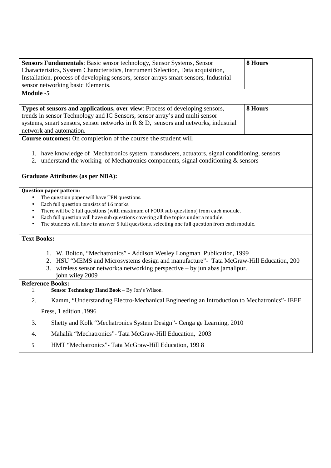| 8 Hours<br>Sensors Fundamentals: Basic sensor technology, Sensor Systems, Sensor<br>Characteristics, System Characteristics, Instrument Selection, Data acquisition,<br>Installation. process of developing sensors, sensor arrays smart sensors, Industrial           |         |  |  |  |  |  |
|------------------------------------------------------------------------------------------------------------------------------------------------------------------------------------------------------------------------------------------------------------------------|---------|--|--|--|--|--|
| sensor networking basic Elements.                                                                                                                                                                                                                                      |         |  |  |  |  |  |
| <b>Module -5</b>                                                                                                                                                                                                                                                       |         |  |  |  |  |  |
|                                                                                                                                                                                                                                                                        |         |  |  |  |  |  |
| Types of sensors and applications, over view: Process of developing sensors,                                                                                                                                                                                           | 8 Hours |  |  |  |  |  |
| trends in sensor Technology and IC Sensors, sensor array's and multi sensor<br>systems, smart sensors, sensor networks in $R \& D$ , sensors and networks, industrial                                                                                                  |         |  |  |  |  |  |
| network and automation.                                                                                                                                                                                                                                                |         |  |  |  |  |  |
| Course outcomes: On completion of the course the student will                                                                                                                                                                                                          |         |  |  |  |  |  |
| 1. have knowledge of Mechatronics system, transducers, actuators, signal conditioning, sensors<br>2. understand the working of Mechatronics components, signal conditioning & sensors                                                                                  |         |  |  |  |  |  |
| <b>Graduate Attributes (as per NBA):</b>                                                                                                                                                                                                                               |         |  |  |  |  |  |
| <b>Question paper pattern:</b>                                                                                                                                                                                                                                         |         |  |  |  |  |  |
| The question paper will have TEN questions.<br>$\bullet$<br>Each full question consists of 16 marks.<br>$\bullet$                                                                                                                                                      |         |  |  |  |  |  |
| There will be 2 full questions (with maximum of FOUR sub questions) from each module.<br>$\bullet$                                                                                                                                                                     |         |  |  |  |  |  |
| Each full question will have sub questions covering all the topics under a module.<br>$\bullet$                                                                                                                                                                        |         |  |  |  |  |  |
| The students will have to answer 5 full questions, selecting one full question from each module.<br>$\bullet$                                                                                                                                                          |         |  |  |  |  |  |
| <b>Text Books:</b>                                                                                                                                                                                                                                                     |         |  |  |  |  |  |
| 1. W. Bolton, "Mechatronics" - Addison Wesley Longman Publication, 1999<br>2. HSU "MEMS and Microsystems design and manufacture" - Tata McGraw-Hill Education, 200<br>3. wireless sensor network: a networking perspective – by jun abas jamalipur.<br>john wiley 2009 |         |  |  |  |  |  |
| <b>Reference Books:</b><br>Sensor Technology Hand Book - By Jon's Wilson.<br>1.                                                                                                                                                                                        |         |  |  |  |  |  |
|                                                                                                                                                                                                                                                                        |         |  |  |  |  |  |
| 2.<br>Kamm, "Understanding Electro-Mechanical Engineering an Introduction to Mechatronics"- IEEE                                                                                                                                                                       |         |  |  |  |  |  |
| Press, 1 edition , 1996                                                                                                                                                                                                                                                |         |  |  |  |  |  |
| 3.<br>Shetty and Kolk "Mechatronics System Design" - Cenga ge Learning, 2010                                                                                                                                                                                           |         |  |  |  |  |  |
| Mahalik "Mechatronics" - Tata McGraw-Hill Education, 2003<br>4.                                                                                                                                                                                                        |         |  |  |  |  |  |
| HMT "Mechatronics" - Tata McGraw-Hill Education, 1998<br>5.                                                                                                                                                                                                            |         |  |  |  |  |  |
|                                                                                                                                                                                                                                                                        |         |  |  |  |  |  |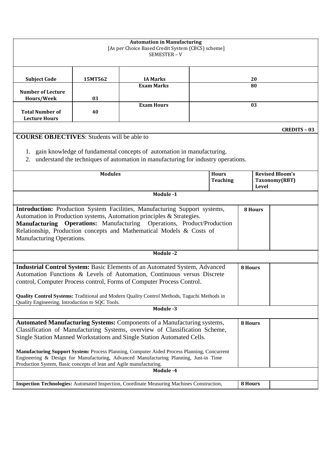| <b>Automation in Manufacturing</b><br>[As per Choice Based Credit System (CBCS) scheme]<br>SEMESTER-V                                                                                                                                                                                                                                                                                                                                                                                          |                                                                                            |                                                                                                                                                                |         |                                         |    |                     |
|------------------------------------------------------------------------------------------------------------------------------------------------------------------------------------------------------------------------------------------------------------------------------------------------------------------------------------------------------------------------------------------------------------------------------------------------------------------------------------------------|--------------------------------------------------------------------------------------------|----------------------------------------------------------------------------------------------------------------------------------------------------------------|---------|-----------------------------------------|----|---------------------|
| <b>Subject Code</b>                                                                                                                                                                                                                                                                                                                                                                                                                                                                            | 15MT562                                                                                    | <b>IA Marks</b>                                                                                                                                                |         |                                         | 20 |                     |
| <b>Exam Marks</b><br><b>Number of Lecture</b><br>Hours/Week<br>03                                                                                                                                                                                                                                                                                                                                                                                                                              |                                                                                            |                                                                                                                                                                |         | 80                                      |    |                     |
| <b>Total Number of</b><br><b>Lecture Hours</b>                                                                                                                                                                                                                                                                                                                                                                                                                                                 | <b>Exam Hours</b><br>03<br>40                                                              |                                                                                                                                                                |         |                                         |    |                     |
|                                                                                                                                                                                                                                                                                                                                                                                                                                                                                                |                                                                                            |                                                                                                                                                                |         |                                         |    | <b>CREDITS - 03</b> |
| <b>COURSE OBJECTIVES:</b> Students will be able to                                                                                                                                                                                                                                                                                                                                                                                                                                             |                                                                                            |                                                                                                                                                                |         |                                         |    |                     |
| 2.                                                                                                                                                                                                                                                                                                                                                                                                                                                                                             |                                                                                            | 1. gain knowledge of fundamental concepts of automation in manufacturing.<br>understand the techniques of automation in manufacturing for industry operations. |         |                                         |    |                     |
| <b>Modules</b><br><b>Hours</b><br><b>Teaching</b>                                                                                                                                                                                                                                                                                                                                                                                                                                              |                                                                                            |                                                                                                                                                                | Level   | <b>Revised Bloom's</b><br>Taxonomy(RBT) |    |                     |
|                                                                                                                                                                                                                                                                                                                                                                                                                                                                                                | Module -1                                                                                  |                                                                                                                                                                |         |                                         |    |                     |
| Introduction: Production System Facilities, Manufacturing Support systems,<br>8 Hours<br>Automation in Production systems, Automation principles & Strategies.<br>Manufacturing Operations: Manufacturing Operations, Product/Production<br>Relationship, Production concepts and Mathematical Models & Costs of<br>Manufacturing Operations.                                                                                                                                                  |                                                                                            |                                                                                                                                                                |         |                                         |    |                     |
| Module -2                                                                                                                                                                                                                                                                                                                                                                                                                                                                                      |                                                                                            |                                                                                                                                                                |         |                                         |    |                     |
| <b>Industrial Control System: Basic Elements of an Automated System, Advanced</b><br>Automation Functions & Levels of Automation, Continuous versus Discrete<br>control, Computer Process control, Forms of Computer Process Control.<br><b>Quality Control Systems:</b> Traditional and Modern Quality Control Methods, Taguchi Methods in<br>Quality Engineering. Introduction to SQC Tools.                                                                                                 |                                                                                            |                                                                                                                                                                | 8 Hours |                                         |    |                     |
| Module -3                                                                                                                                                                                                                                                                                                                                                                                                                                                                                      |                                                                                            |                                                                                                                                                                |         |                                         |    |                     |
| Automated Manufacturing Systems: Components of a Manufacturing systems,<br>Classification of Manufacturing Systems, overview of Classification Scheme,<br>Single Station Manned Workstations and Single Station Automated Cells.<br>Manufacturing Support System: Process Planning, Computer Aided Process Planning, Concurrent<br>Engineering & Design for Manufacturing, Advanced Manufacturing Planning, Just-in Time<br>Production System, Basic concepts of lean and Agile manufacturing. |                                                                                            |                                                                                                                                                                |         | 8 Hours                                 |    |                     |
| Module -4                                                                                                                                                                                                                                                                                                                                                                                                                                                                                      |                                                                                            |                                                                                                                                                                |         |                                         |    |                     |
|                                                                                                                                                                                                                                                                                                                                                                                                                                                                                                | Inspection Technologies: Automated Inspection, Coordinate Measuring Machines Construction, |                                                                                                                                                                |         |                                         |    |                     |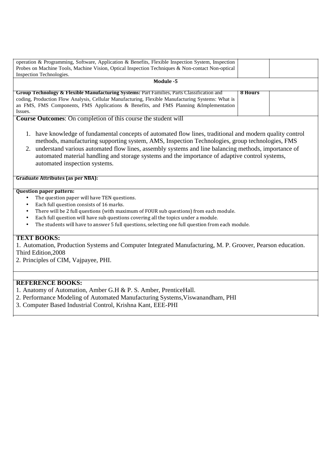| operation & Programming, Software, Application & Benefits, Flexible Inspection System, Inspection     |         |  |
|-------------------------------------------------------------------------------------------------------|---------|--|
| Probes on Machine Tools, Machine Vision, Optical Inspection Techniques & Non-contact Non-optical      |         |  |
| Inspection Technologies.                                                                              |         |  |
| Module -5                                                                                             |         |  |
|                                                                                                       |         |  |
| <b>Group Technology &amp; Flexible Manufacturing Systems: Part Families, Parts Classification and</b> | 8 Hours |  |
| coding, Production Flow Analysis, Cellular Manufacturing, Flexible Manufacturing Systems: What is     |         |  |
| an FMS, FMS Components, FMS Applications & Benefits, and FMS Planning &Implementation                 |         |  |
| Issues.                                                                                               |         |  |

**Course Outcomes**: On completion of this course the student will

- 1. have knowledge of fundamental concepts of automated flow lines, traditional and modern quality control methods, manufacturing supporting system, AMS, Inspection Technologies, group technologies, FMS
- 2. understand various automated flow lines, assembly systems and line balancing methods, importance of automated material handling and storage systems and the importance of adaptive control systems, automated inspection systems.

#### **Graduate Attributes (as per NBA):**

#### **Question paper pattern:**

- The question paper will have TEN questions.
- Each full question consists of 16 marks.
- There will be 2 full questions (with maximum of FOUR sub questions) from each module.
- Each full question will have sub questions covering all the topics under a module.
- The students will have to answer 5 full questions, selecting one full question from each module.

# **TEXT BOOKS:**

1. Automation, Production Systems and Computer Integrated Manufacturing, M. P. Groover, Pearson education. Third Edition,2008

2. Principles of CIM, Vajpayee, PHI.

# **REFERENCE BOOKS:**

- 1. Anatomy of Automation, Amber G.H & P. S. Amber, PrenticeHall.
- 2. Performance Modeling of Automated Manufacturing Systems,Viswanandham, PHI
- 3. Computer Based Industrial Control, Krishna Kant, EEE-PHI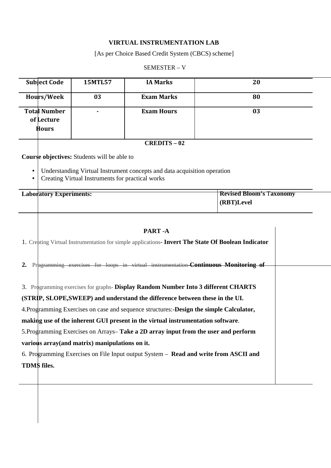# **VIRTUAL INSTRUMENTATION LAB**

# [As per Choice Based Credit System (CBCS) scheme]

#### SEMESTER – V

| <b>Subject Code</b>                               | <b>15MTL57</b> | <b>IA Marks</b>   | 20 |
|---------------------------------------------------|----------------|-------------------|----|
| Hours/Week                                        | 03             | <b>Exam Marks</b> | 80 |
| <b>Total Number</b><br>of Lecture<br><b>Hours</b> |                | <b>Exam Hours</b> | 03 |

#### **CREDITS – 02**

**Course objectives:** Students will be able to

- Understanding Virtual Instrument concepts and data acquisition operation
- Creating Virtual Instruments for practical works

| <b>Laboratory Experiments:</b> | <b>Revised Bloom's Taxonomy</b> |
|--------------------------------|---------------------------------|
|                                | (RBT)Level                      |
|                                |                                 |

|  | PART-A                                                                                             |  |
|--|----------------------------------------------------------------------------------------------------|--|
|  | 1. Creating Virtual Instrumentation for simple applications- Invert The State Of Boolean Indicator |  |
|  | 2. Pregramming exercises for loops in virtual instrumentation- <b>Continuous Monitoring of</b>     |  |
|  | 3. Programming exercises for graphs- Display Random Number Into 3 different CHARTS                 |  |
|  | (STRIP, SLOPE, SWEEP) and understand the difference between these in the UI.                       |  |
|  | 4. Programming Exercises on case and sequence structures: -Design the simple Calculator,           |  |
|  | making use of the inherent GUI present in the virtual instrumentation software.                    |  |
|  | 5. Programming Exercises on Arrays–Take a 2D array input from the user and perform                 |  |
|  | various array (and matrix) manipulations on it.                                                    |  |
|  | 6. Programming Exercises on File Input output System – Read and write from ASCII and               |  |
|  | <b>TDMS</b> files.                                                                                 |  |
|  |                                                                                                    |  |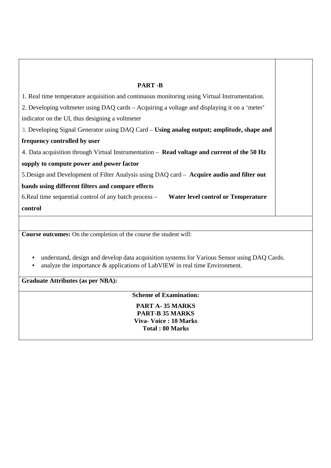| <b>PART-B</b>                                                                                                                                                             |
|---------------------------------------------------------------------------------------------------------------------------------------------------------------------------|
| 1. Real time temperature acquisition and continuous monitoring using Virtual Instrumentation.                                                                             |
| 2. Developing voltmeter using DAQ cards - Acquiring a voltage and displaying it on a 'meter'                                                                              |
| indicator on the UI, thus designing a voltmeter                                                                                                                           |
| 3. Developing Signal Generator using DAQ Card – Using analog output; amplitude, shape and                                                                                 |
| frequency controlled by user                                                                                                                                              |
| 4. Data acquisition through Virtual Instrumentation – Read voltage and current of the 50 Hz                                                                               |
| supply to compute power and power factor                                                                                                                                  |
| 5. Design and Development of Filter Analysis using DAQ card - Acquire audio and filter out                                                                                |
| bands using different filters and compare effects                                                                                                                         |
| 6. Real time sequential control of any batch process –<br><b>Water level control or Temperature</b>                                                                       |
| control                                                                                                                                                                   |
|                                                                                                                                                                           |
| Course outcomes: On the completion of the course the student will:                                                                                                        |
|                                                                                                                                                                           |
| understand, design and develop data acquisition systems for Various Sensor using DAQ Cards.<br>analyze the importance & applications of LabVIEW in real time Environment. |
| <b>Graduate Attributes (as per NBA):</b>                                                                                                                                  |
| <b>Scheme of Examination:</b>                                                                                                                                             |
| PART A-35 MARKS<br><b>PART-B 35 MARKS</b>                                                                                                                                 |
| <b>Viva- Voice: 10 Marks</b>                                                                                                                                              |
| <b>Total: 80 Marks</b>                                                                                                                                                    |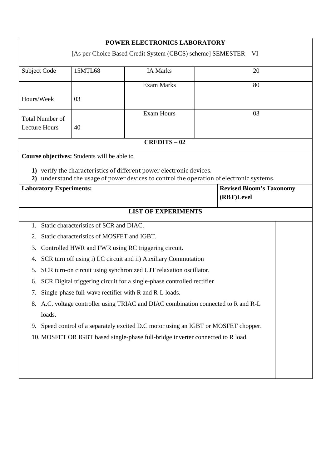| POWER ELECTRONICS LABORATORY                                                                    |                                                    |                                                                                          |  |    |  |  |
|-------------------------------------------------------------------------------------------------|----------------------------------------------------|------------------------------------------------------------------------------------------|--|----|--|--|
| [As per Choice Based Credit System (CBCS) scheme] SEMESTER - VI                                 |                                                    |                                                                                          |  |    |  |  |
| Subject Code                                                                                    | 15MTL68                                            | <b>IA Marks</b>                                                                          |  | 20 |  |  |
|                                                                                                 |                                                    | <b>Exam Marks</b>                                                                        |  | 80 |  |  |
| Hours/Week                                                                                      | 03                                                 |                                                                                          |  |    |  |  |
|                                                                                                 |                                                    | <b>Exam Hours</b>                                                                        |  | 03 |  |  |
| <b>Total Number of</b>                                                                          |                                                    |                                                                                          |  |    |  |  |
| <b>Lecture Hours</b>                                                                            | 40                                                 |                                                                                          |  |    |  |  |
|                                                                                                 |                                                    | <b>CREDITS-02</b>                                                                        |  |    |  |  |
|                                                                                                 | <b>Course objectives:</b> Students will be able to |                                                                                          |  |    |  |  |
|                                                                                                 |                                                    | 1) verify the characteristics of different power electronic devices.                     |  |    |  |  |
|                                                                                                 |                                                    | 2) understand the usage of power devices to control the operation of electronic systems. |  |    |  |  |
| <b>Revised Bloom's Taxonomy</b><br><b>Laboratory Experiments:</b><br>(RBT)Level                 |                                                    |                                                                                          |  |    |  |  |
| <b>LIST OF EXPERIMENTS</b>                                                                      |                                                    |                                                                                          |  |    |  |  |
| Static characteristics of SCR and DIAC.<br>$1_{-}$                                              |                                                    |                                                                                          |  |    |  |  |
| Static characteristics of MOSFET and IGBT.<br>2.                                                |                                                    |                                                                                          |  |    |  |  |
| Controlled HWR and FWR using RC triggering circuit.<br>3.                                       |                                                    |                                                                                          |  |    |  |  |
| SCR turn off using i) LC circuit and ii) Auxiliary Commutation<br>4.                            |                                                    |                                                                                          |  |    |  |  |
| SCR turn-on circuit using synchronized UJT relaxation oscillator.<br>5.                         |                                                    |                                                                                          |  |    |  |  |
| SCR Digital triggering circuit for a single-phase controlled rectifier<br>6.                    |                                                    |                                                                                          |  |    |  |  |
| Single-phase full-wave rectifier with R and R-L loads.<br>7.                                    |                                                    |                                                                                          |  |    |  |  |
| A.C. voltage controller using TRIAC and DIAC combination connected to R and R-L<br>8.<br>loads. |                                                    |                                                                                          |  |    |  |  |
| Speed control of a separately excited D.C motor using an IGBT or MOSFET chopper.<br>9.          |                                                    |                                                                                          |  |    |  |  |
|                                                                                                 |                                                    | 10. MOSFET OR IGBT based single-phase full-bridge inverter connected to R load.          |  |    |  |  |
|                                                                                                 |                                                    |                                                                                          |  |    |  |  |
|                                                                                                 |                                                    |                                                                                          |  |    |  |  |
|                                                                                                 |                                                    |                                                                                          |  |    |  |  |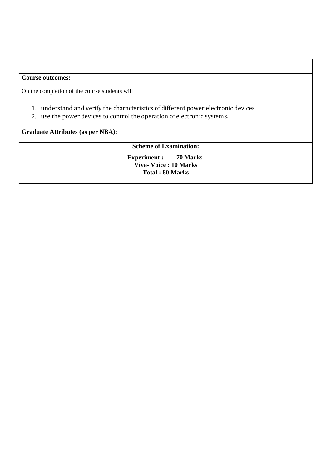## **Course outcomes:**

On the completion of the course students will

- 1. understand and verify the characteristics of different power electronic devices .
- 2. use the power devices to control the operation of electronic systems.

**Graduate Attributes (as per NBA):** 

**Scheme of Examination:** 

**Experiment : 70 Marks Viva- Voice : 10 Marks Total : 80 Marks**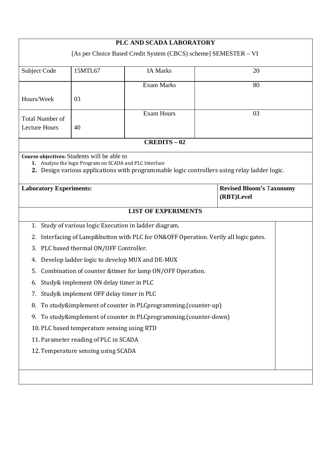| PLC AND SCADA LABORATORY                                                        |                                                         |                                                                                              |  |    |  |  |  |
|---------------------------------------------------------------------------------|---------------------------------------------------------|----------------------------------------------------------------------------------------------|--|----|--|--|--|
| [As per Choice Based Credit System (CBCS) scheme] SEMESTER - VI                 |                                                         |                                                                                              |  |    |  |  |  |
|                                                                                 | <b>Subject Code</b><br>15MTL67<br><b>IA Marks</b><br>20 |                                                                                              |  |    |  |  |  |
|                                                                                 |                                                         |                                                                                              |  |    |  |  |  |
|                                                                                 |                                                         | <b>Exam Marks</b>                                                                            |  | 80 |  |  |  |
| Hours/Week                                                                      | 03                                                      |                                                                                              |  |    |  |  |  |
|                                                                                 |                                                         | <b>Exam Hours</b>                                                                            |  | 03 |  |  |  |
| <b>Total Number of</b><br><b>Lecture Hours</b>                                  | 40                                                      |                                                                                              |  |    |  |  |  |
|                                                                                 |                                                         |                                                                                              |  |    |  |  |  |
|                                                                                 |                                                         | <b>CREDITS - 02</b>                                                                          |  |    |  |  |  |
|                                                                                 | Course objectives: Students will be able to             |                                                                                              |  |    |  |  |  |
|                                                                                 | 1. Analyse the logic Program on SCADA and PLC Interface | 2. Design various applications with programmable logic controllers using relay ladder logic. |  |    |  |  |  |
|                                                                                 |                                                         |                                                                                              |  |    |  |  |  |
| <b>Laboratory Experiments:</b><br><b>Revised Bloom's Taxonomy</b><br>(RBT)Level |                                                         |                                                                                              |  |    |  |  |  |
|                                                                                 |                                                         | <b>LIST OF EXPERIMENTS</b>                                                                   |  |    |  |  |  |
| 1.                                                                              |                                                         | Study of various logic Execution in ladder diagram.                                          |  |    |  |  |  |
| 2.                                                                              |                                                         | Interfacing of Lamp&button with PLC for ON&OFF Operation. Verify all logic gates.            |  |    |  |  |  |
| 3.                                                                              | PLC based thermal ON/OFF Controller.                    |                                                                                              |  |    |  |  |  |
| 4.                                                                              |                                                         | Develop ladder logic to develop MUX and DE-MUX                                               |  |    |  |  |  |
| 5.                                                                              |                                                         | Combination of counter & timer for lamp ON/OFF Operation.                                    |  |    |  |  |  |
|                                                                                 | 6. Study& implement ON delay timer in PLC               |                                                                                              |  |    |  |  |  |
|                                                                                 | 7. Study& implement OFF delay timer in PLC              |                                                                                              |  |    |  |  |  |
| 8.                                                                              |                                                         | To study&implement of counter in PLCprogramming.(counter-up)                                 |  |    |  |  |  |
|                                                                                 |                                                         | 9. To study&implement of counter in PLCprogramming.(counter-down)                            |  |    |  |  |  |
| 10. PLC based temperature sensing using RTD                                     |                                                         |                                                                                              |  |    |  |  |  |
|                                                                                 | 11. Parameter reading of PLC in SCADA                   |                                                                                              |  |    |  |  |  |
|                                                                                 | 12. Temperature sensing using SCADA                     |                                                                                              |  |    |  |  |  |
|                                                                                 |                                                         |                                                                                              |  |    |  |  |  |
|                                                                                 |                                                         |                                                                                              |  |    |  |  |  |
|                                                                                 |                                                         |                                                                                              |  |    |  |  |  |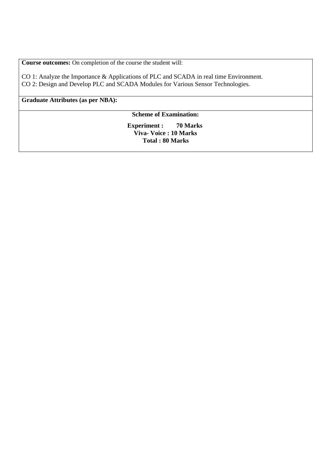**Course outcomes:** On completion of the course the student will:

CO 1: Analyze the Importance & Applications of PLC and SCADA in real time Environment. CO 2: Design and Develop PLC and SCADA Modules for Various Sensor Technologies.

**Graduate Attributes (as per NBA):** 

## **Scheme of Examination:**

**Experiment : 70 Marks Viva- Voice : 10 Marks Total : 80 Marks**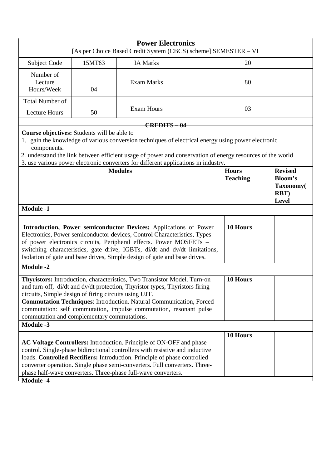| <b>Power Electronics</b><br>[As per Choice Based Credit System (CBCS) scheme] SEMESTER - VI                                                                                                                                                                                                                                                                                                                                      |        |                                                                                                                                                                                                                                                                                                       |  |                                 |                                                                       |
|----------------------------------------------------------------------------------------------------------------------------------------------------------------------------------------------------------------------------------------------------------------------------------------------------------------------------------------------------------------------------------------------------------------------------------|--------|-------------------------------------------------------------------------------------------------------------------------------------------------------------------------------------------------------------------------------------------------------------------------------------------------------|--|---------------------------------|-----------------------------------------------------------------------|
| Subject Code                                                                                                                                                                                                                                                                                                                                                                                                                     | 15MT63 | <b>IA Marks</b>                                                                                                                                                                                                                                                                                       |  | 20                              |                                                                       |
| Number of<br>Lecture<br>Hours/Week                                                                                                                                                                                                                                                                                                                                                                                               | 04     | <b>Exam Marks</b>                                                                                                                                                                                                                                                                                     |  | 80                              |                                                                       |
| Total Number of<br><b>Lecture Hours</b>                                                                                                                                                                                                                                                                                                                                                                                          | 50     | <b>Exam Hours</b>                                                                                                                                                                                                                                                                                     |  | 03                              |                                                                       |
|                                                                                                                                                                                                                                                                                                                                                                                                                                  |        | <b>CREDITS-04</b>                                                                                                                                                                                                                                                                                     |  |                                 |                                                                       |
| Course objectives: Students will be able to<br>components.                                                                                                                                                                                                                                                                                                                                                                       |        | 1. gain the knowledge of various conversion techniques of electrical energy using power electronic<br>2. understand the link between efficient usage of power and conservation of energy resources of the world<br>3. use various power electronic converters for different applications in industry. |  |                                 |                                                                       |
| <b>Modules</b>                                                                                                                                                                                                                                                                                                                                                                                                                   |        |                                                                                                                                                                                                                                                                                                       |  | <b>Hours</b><br><b>Teaching</b> | <b>Revised</b><br><b>Bloom's</b><br>Taxonomy(<br>RBT)<br><b>Level</b> |
| <b>Module -1</b>                                                                                                                                                                                                                                                                                                                                                                                                                 |        |                                                                                                                                                                                                                                                                                                       |  |                                 |                                                                       |
| 10 Hours<br>Introduction, Power semiconductor Devices: Applications of Power<br>Electronics, Power semiconductor devices, Control Characteristics, Types<br>of power electronics circuits, Peripheral effects. Power MOSFETs -<br>switching characteristics, gate drive, IGBTs, di/dt and dv/dt limitations,<br>Isolation of gate and base drives, Simple design of gate and base drives.                                        |        |                                                                                                                                                                                                                                                                                                       |  |                                 |                                                                       |
| <b>Module -2</b>                                                                                                                                                                                                                                                                                                                                                                                                                 |        |                                                                                                                                                                                                                                                                                                       |  |                                 |                                                                       |
| 10 Hours<br>Thyristors: Introduction, characteristics, Two Transistor Model. Turn-on<br>and turn-off, di/dt and dv/dt protection, Thyristor types, Thyristors firing<br>circuits, Simple design of firing circuits using UJT.<br><b>Commutation Techniques: Introduction. Natural Communication, Forced</b><br>commutation: self commutation, impulse commutation, resonant pulse<br>commutation and complementary commutations. |        |                                                                                                                                                                                                                                                                                                       |  |                                 |                                                                       |
| <b>Module -3</b>                                                                                                                                                                                                                                                                                                                                                                                                                 |        |                                                                                                                                                                                                                                                                                                       |  |                                 |                                                                       |
| 10 Hours<br>AC Voltage Controllers: Introduction. Principle of ON-OFF and phase<br>control. Single-phase bidirectional controllers with resistive and inductive<br>loads. Controlled Rectifiers: Introduction. Principle of phase controlled<br>converter operation. Single phase semi-converters. Full converters. Three-<br>phase half-wave converters. Three-phase full-wave converters.<br><b>Module -4</b>                  |        |                                                                                                                                                                                                                                                                                                       |  |                                 |                                                                       |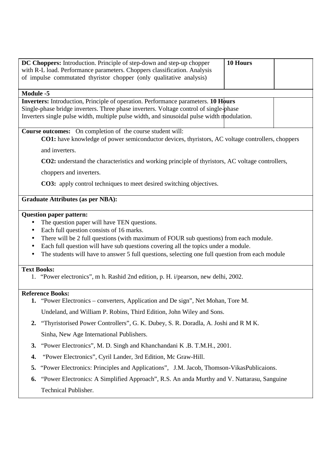|                    | 10 Hours<br><b>DC Choppers:</b> Introduction. Principle of step-down and step-up chopper<br>with R-L load. Performance parameters. Choppers classification. Analysis                                                                                                            |
|--------------------|---------------------------------------------------------------------------------------------------------------------------------------------------------------------------------------------------------------------------------------------------------------------------------|
|                    | of impulse commutated thyristor chopper (only qualitative analysis)                                                                                                                                                                                                             |
|                    |                                                                                                                                                                                                                                                                                 |
| <b>Module -5</b>   |                                                                                                                                                                                                                                                                                 |
|                    | <b>Inverters:</b> Introduction, Principle of operation. Performance parameters. 10 Hours<br>Single-phase bridge inverters. Three phase inverters. Voltage control of single-phase<br>Inverters single pulse width, multiple pulse width, and sinusoidal pulse width modulation. |
|                    | <b>Course outcomes:</b> On completion of the course student will:<br><b>CO1:</b> have knowledge of power semiconductor devices, thyristors, AC voltage controllers, choppers                                                                                                    |
|                    | and inverters.                                                                                                                                                                                                                                                                  |
|                    | <b>CO2:</b> understand the characteristics and working principle of thyristors, AC voltage controllers,                                                                                                                                                                         |
|                    | choppers and inverters.                                                                                                                                                                                                                                                         |
|                    | <b>CO3:</b> apply control techniques to meet desired switching objectives.                                                                                                                                                                                                      |
|                    | <b>Graduate Attributes (as per NBA):</b>                                                                                                                                                                                                                                        |
|                    | <b>Question paper pattern:</b>                                                                                                                                                                                                                                                  |
|                    | The question paper will have TEN questions.<br>Each full question consists of 16 marks.                                                                                                                                                                                         |
| $\bullet$          | There will be 2 full questions (with maximum of FOUR sub questions) from each module.                                                                                                                                                                                           |
| $\bullet$          | Each full question will have sub questions covering all the topics under a module.                                                                                                                                                                                              |
|                    | The students will have to answer 5 full questions, selecting one full question from each module                                                                                                                                                                                 |
| <b>Text Books:</b> |                                                                                                                                                                                                                                                                                 |
|                    | 1. "Power electronics", m h. Rashid 2nd edition, p. H. i/pearson, new delhi, 2002.                                                                                                                                                                                              |
|                    | <b>Reference Books:</b>                                                                                                                                                                                                                                                         |
|                    | 1. "Power Electronics – converters, Application and De sign", Net Mohan, Tore M.                                                                                                                                                                                                |
|                    | Undeland, and William P. Robins, Third Edition, John Wiley and Sons.                                                                                                                                                                                                            |
| 2.                 | "Thyristorised Power Controllers", G. K. Dubey, S. R. Doradla, A. Joshi and R M K.                                                                                                                                                                                              |
|                    | Sinha, New Age International Publishers.                                                                                                                                                                                                                                        |
| 3.                 | "Power Electronics", M. D. Singh and Khanchandani K.B. T.M.H., 2001.                                                                                                                                                                                                            |
| 4.                 | "Power Electronics", Cyril Lander, 3rd Edition, Mc Graw-Hill.                                                                                                                                                                                                                   |
| 5.                 | "Power Electronics: Principles and Applications", J.M. Jacob, Thomson-VikasPublicaions.                                                                                                                                                                                         |
| 6.                 | "Power Electronics: A Simplified Approach", R.S. An anda Murthy and V. Nattarasu, Sanguine                                                                                                                                                                                      |

Technical Publisher.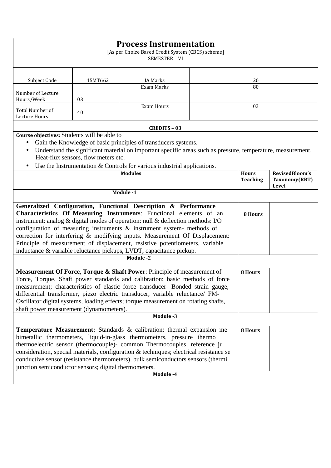|                                                                                                                                                                                                                                                                                                                                                                                                                                                                                                                                                             |         | <b>Process Instrumentation</b><br>[As per Choice Based Credit System (CBCS) scheme]<br>SEMESTER - VI |  |          |       |
|-------------------------------------------------------------------------------------------------------------------------------------------------------------------------------------------------------------------------------------------------------------------------------------------------------------------------------------------------------------------------------------------------------------------------------------------------------------------------------------------------------------------------------------------------------------|---------|------------------------------------------------------------------------------------------------------|--|----------|-------|
| Subject Code                                                                                                                                                                                                                                                                                                                                                                                                                                                                                                                                                | 15MT662 | <b>IA Marks</b><br>Exam Marks                                                                        |  | 20<br>80 |       |
| Number of Lecture<br>Hours/Week                                                                                                                                                                                                                                                                                                                                                                                                                                                                                                                             | 03      |                                                                                                      |  |          |       |
| Total Number of<br>Lecture Hours                                                                                                                                                                                                                                                                                                                                                                                                                                                                                                                            | 40      | <b>Exam Hours</b>                                                                                    |  | 03       |       |
|                                                                                                                                                                                                                                                                                                                                                                                                                                                                                                                                                             |         | <b>CREDITS - 03</b>                                                                                  |  |          |       |
| Course objectives: Students will be able to<br>Gain the Knowledge of basic principles of transducers systems.<br>$\bullet$<br>Understand the significant material on important specific areas such as pressure, temperature, measurement,<br>$\bullet$<br>Heat-flux sensors, flow meters etc.<br>Use the Instrumentation $&$ Controls for various industrial applications.<br>RevisedBloom's<br><b>Modules</b><br><b>Hours</b><br><b>Teaching</b><br>Taxonomy(RBT)                                                                                          |         |                                                                                                      |  |          |       |
|                                                                                                                                                                                                                                                                                                                                                                                                                                                                                                                                                             |         | Module -1                                                                                            |  |          | Level |
| Generalized Configuration, Functional Description & Performance<br>Characteristics Of Measuring Instruments: Functional elements of an<br><b>8 Hours</b><br>instrument: analog & digital modes of operation: null & deflection methods: I/O<br>configuration of measuring instruments & instrument system- methods of<br>correction for interfering & modifying inputs. Measurement Of Displacement:<br>Principle of measurement of displacement, resistive potentiometers, variable<br>inductance & variable reluctance pickups, LVDT, capacitance pickup. |         |                                                                                                      |  |          |       |
|                                                                                                                                                                                                                                                                                                                                                                                                                                                                                                                                                             |         | Module -2                                                                                            |  |          |       |
| Measurement Of Force, Torque & Shaft Power: Principle of measurement of<br><b>8 Hours</b><br>Force, Torque, Shaft power standards and calibration: basic methods of force<br>measurement; characteristics of elastic force transducer- Bonded strain gauge,<br>differential transformer, piezo electric transducer, variable reluctance/ FM-<br>Oscillator digital systems, loading effects; torque measurement on rotating shafts,<br>shaft power measurement (dynamometers).<br>Module -3                                                                 |         |                                                                                                      |  |          |       |
|                                                                                                                                                                                                                                                                                                                                                                                                                                                                                                                                                             |         |                                                                                                      |  |          |       |
| <b>Temperature Measurement:</b> Standards & calibration: thermal expansion me<br>8 Hours<br>bimetallic thermometers, liquid-in-glass thermometers, pressure thermo<br>thermoelectric sensor (thermocouple)- common Thermocouples, reference ju<br>consideration, special materials, configuration & techniques; electrical resistance se<br>conductive sensor (resistance thermometers), bulk semiconductors sensors (thermi<br>junction semiconductor sensors; digital thermometers.<br>Module -4                                                          |         |                                                                                                      |  |          |       |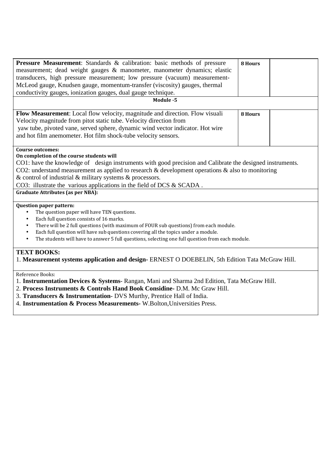| <b>Pressure Measurement:</b> Standards & calibration: basic methods of pressure                               | 8 Hours        |  |
|---------------------------------------------------------------------------------------------------------------|----------------|--|
| measurement; dead weight gauges & manometer, manometer dynamics; elastic                                      |                |  |
| transducers, high pressure measurement; low pressure (vacuum) measurement-                                    |                |  |
| McLeod gauge, Knudsen gauge, momentum-transfer (viscosity) gauges, thermal                                    |                |  |
| conductivity gauges, ionization gauges, dual gauge technique.                                                 |                |  |
| Module -5                                                                                                     |                |  |
|                                                                                                               |                |  |
| Flow Measurement: Local flow velocity, magnitude and direction. Flow visuali                                  | <b>8 Hours</b> |  |
| Velocity magnitude from pitot static tube. Velocity direction from                                            |                |  |
| yaw tube, pivoted vane, served sphere, dynamic wind vector indicator. Hot wire                                |                |  |
| and hot film anemometer. Hot film shock-tube velocity sensors.                                                |                |  |
|                                                                                                               |                |  |
| <b>Course outcomes:</b>                                                                                       |                |  |
| On completion of the course students will                                                                     |                |  |
| CO1: have the knowledge of design instruments with good precision and Calibrate the designed instruments.     |                |  |
| CO2: understand measurement as applied to research $\&$ development operations $\&$ also to monitoring        |                |  |
| & control of industrial $\&$ military systems $\&$ processors.                                                |                |  |
|                                                                                                               |                |  |
| CO3: illustrate the various applications in the field of DCS & SCADA.                                         |                |  |
| <b>Graduate Attributes (as per NBA):</b>                                                                      |                |  |
| <b>Question paper pattern:</b>                                                                                |                |  |
| The question paper will have TEN questions.<br>$\bullet$                                                      |                |  |
| Each full question consists of 16 marks.<br>$\bullet$                                                         |                |  |
| There will be 2 full questions (with maximum of FOUR sub questions) from each module.<br>$\bullet$            |                |  |
| Each full question will have sub questions covering all the topics under a module.<br>$\bullet$               |                |  |
| The students will have to answer 5 full questions, selecting one full question from each module.<br>$\bullet$ |                |  |
|                                                                                                               |                |  |
| <b>TEXT BOOKS:</b>                                                                                            |                |  |
| 1. Measurement systems application and design-ERNEST O DOEBELIN, 5th Edition Tata McGraw Hill.                |                |  |
|                                                                                                               |                |  |
| Reference Books:                                                                                              |                |  |
| 1. Instrumentation Devices & Systems-Rangan, Mani and Sharma 2nd Edition, Tata McGraw Hill.                   |                |  |
| 2. Process Instruments & Controls Hand Book Considine- D.M. Mc Graw Hill.                                     |                |  |
|                                                                                                               |                |  |

- 3. **Transducers & Instrumentation** DVS Murthy, Prentice Hall of India.
- 4. **Instrumentation & Process Measurements-** W.Bolton,Universities Press.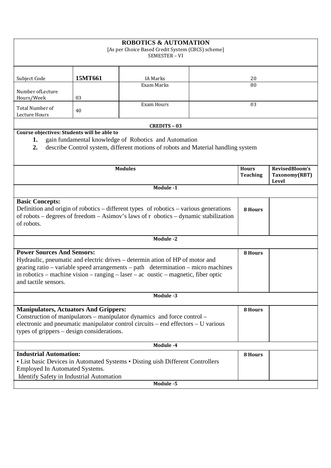| <b>ROBOTICS &amp; AUTOMATION</b><br>[As per Choice Based Credit System (CBCS) scheme]<br>SEMESTER - VI                                                                                                                                                                                                               |         |                                                                                                                                            |         |                                 |                                          |
|----------------------------------------------------------------------------------------------------------------------------------------------------------------------------------------------------------------------------------------------------------------------------------------------------------------------|---------|--------------------------------------------------------------------------------------------------------------------------------------------|---------|---------------------------------|------------------------------------------|
| Subject Code                                                                                                                                                                                                                                                                                                         | 15MT661 | <b>IA Marks</b>                                                                                                                            |         | 20                              |                                          |
| Number of Lecture<br>Hours/Week                                                                                                                                                                                                                                                                                      | 03      | Exam Marks                                                                                                                                 |         | 80                              |                                          |
| <b>Total Number of</b><br>Lecture Hours                                                                                                                                                                                                                                                                              | 40      | <b>Exam Hours</b>                                                                                                                          |         | 03                              |                                          |
|                                                                                                                                                                                                                                                                                                                      |         | <b>CREDITS - 03</b>                                                                                                                        |         |                                 |                                          |
| Course objectives: Students will be able to<br>1.<br>2.                                                                                                                                                                                                                                                              |         | gain fundamental knowledge of Robotics and Automation<br>describe Control system, different motions of robots and Material handling system |         |                                 |                                          |
|                                                                                                                                                                                                                                                                                                                      |         | <b>Modules</b>                                                                                                                             |         | <b>Hours</b><br><b>Teaching</b> | RevisedBloom's<br>Taxonomy(RBT)<br>Level |
|                                                                                                                                                                                                                                                                                                                      |         | Module -1                                                                                                                                  |         |                                 |                                          |
| <b>Basic Concepts:</b><br>Definition and origin of robotics – different types of robotics – various generations<br>of robots – degrees of freedom – Asimov's laws of r obotics – dynamic stabilization<br>of robots.                                                                                                 |         |                                                                                                                                            | 8 Hours |                                 |                                          |
|                                                                                                                                                                                                                                                                                                                      |         | Module -2                                                                                                                                  |         |                                 |                                          |
| <b>Power Sources And Sensors:</b><br>Hydraulic, pneumatic and electric drives – determin ation of HP of motor and<br>gearing ratio – variable speed arrangements – path determination – micro machines<br>in robotics – machine vision – ranging – laser – ac oustic – magnetic, fiber optic<br>and tactile sensors. |         |                                                                                                                                            |         |                                 |                                          |
|                                                                                                                                                                                                                                                                                                                      |         | Module -3                                                                                                                                  |         |                                 |                                          |
| <b>Manipulators, Actuators And Grippers:</b><br>Construction of manipulators – manipulator dynamics and force control –<br>electronic and pneumatic manipulator control circuits – end effectors – U various<br>types of grippers – design considerations.                                                           |         |                                                                                                                                            |         | 8 Hours                         |                                          |
|                                                                                                                                                                                                                                                                                                                      |         | Module -4                                                                                                                                  |         |                                 |                                          |
| <b>Industrial Automation:</b><br><b>Employed In Automated Systems.</b><br>Identify Safety in Industrial Automation                                                                                                                                                                                                   |         | • List basic Devices in Automated Systems • Disting uish Different Controllers<br>Module -5                                                |         | 8 Hours                         |                                          |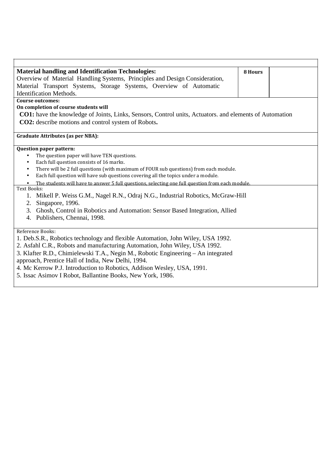| <b>Material handling and Identification Technologies:</b>                                                      | 8 Hours |  |
|----------------------------------------------------------------------------------------------------------------|---------|--|
| Overview of Material Handling Systems, Principles and Design Consideration,                                    |         |  |
| Material Transport Systems, Storage Systems, Overview of Automatic                                             |         |  |
| <b>Identification Methods.</b>                                                                                 |         |  |
| <b>Course outcomes:</b>                                                                                        |         |  |
| On completion of course students will                                                                          |         |  |
| <b>CO1:</b> have the knowledge of Joints, Links, Sensors, Control units, Actuators. and elements of Automation |         |  |
| CO2: describe motions and control system of Robots.                                                            |         |  |
|                                                                                                                |         |  |
| <b>Graduate Attributes (as per NBA):</b>                                                                       |         |  |
| <b>Question paper pattern:</b>                                                                                 |         |  |
| The question paper will have TEN questions.                                                                    |         |  |
| Each full question consists of 16 marks.<br>$\bullet$                                                          |         |  |
| There will be 2 full questions (with maximum of FOUR sub questions) from each module.<br>$\bullet$             |         |  |
| Each full question will have sub questions covering all the topics under a module.<br>$\bullet$                |         |  |
| The students will have to answer 5 full questions, selecting one full question from each module.<br>$\bullet$  |         |  |
| <b>Text Books:</b>                                                                                             |         |  |
| Mikell P. Weiss G.M., Nagel R.N., Odraj N.G., Industrial Robotics, McGraw-Hill                                 |         |  |
| 2. Singapore, 1996.                                                                                            |         |  |
| 3. Ghosh, Control in Robotics and Automation: Sensor Based Integration, Allied                                 |         |  |
| Publishers, Chennai, 1998.<br>4.                                                                               |         |  |
| Reference Books:                                                                                               |         |  |
| 1. Deb.S.R., Robotics technology and flexible Automation, John Wiley, USA 1992.                                |         |  |
| 2. Asfahl C.R., Robots and manufacturing Automation, John Wiley, USA 1992.                                     |         |  |
|                                                                                                                |         |  |
| 3. Klafter R.D., Chimielewski T.A., Negin M., Robotic Engineering - An integrated                              |         |  |
| approach, Prentice Hall of India, New Delhi, 1994.                                                             |         |  |
| 4. Mc Kerrow P.J. Introduction to Robotics, Addison Wesley, USA, 1991.                                         |         |  |
| 5. Issac Asimov I Robot, Ballantine Books, New York, 1986.                                                     |         |  |
|                                                                                                                |         |  |

 $\Gamma$ 

 $\overline{\phantom{a}}$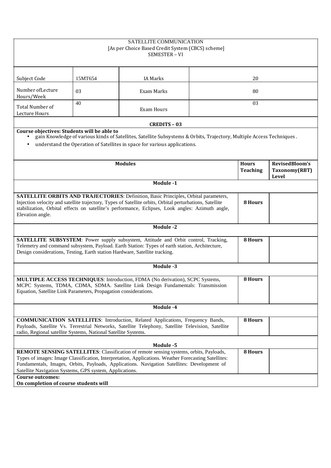|                                                                                                                                                                                                                                                                                                                                                                            |         | SATELLITE COMMUNICATION<br>[As per Choice Based Credit System (CBCS) scheme]<br>SEMESTER - VI                                                                                                                        |  |                 |                        |
|----------------------------------------------------------------------------------------------------------------------------------------------------------------------------------------------------------------------------------------------------------------------------------------------------------------------------------------------------------------------------|---------|----------------------------------------------------------------------------------------------------------------------------------------------------------------------------------------------------------------------|--|-----------------|------------------------|
| Subject Code                                                                                                                                                                                                                                                                                                                                                               | 15MT654 | <b>IA Marks</b>                                                                                                                                                                                                      |  | 20              |                        |
| Number of Lecture<br>Hours/Week                                                                                                                                                                                                                                                                                                                                            | 03      | Exam Marks                                                                                                                                                                                                           |  | 80              |                        |
| Total Number of<br>Lecture Hours                                                                                                                                                                                                                                                                                                                                           | 40      | <b>Exam Hours</b>                                                                                                                                                                                                    |  | 03              |                        |
|                                                                                                                                                                                                                                                                                                                                                                            |         | <b>CREDITS - 03</b>                                                                                                                                                                                                  |  |                 |                        |
| Course objectives: Students will be able to<br>$\bullet$                                                                                                                                                                                                                                                                                                                   |         | gain Knowledge of various kinds of Satellites, Satellite Subsystems & Orbits, Trajectory, Multiple Access Techniques.<br>understand the Operation of Satellites in space for various applications.<br><b>Modules</b> |  | <b>Hours</b>    | RevisedBloom's         |
|                                                                                                                                                                                                                                                                                                                                                                            |         |                                                                                                                                                                                                                      |  | <b>Teaching</b> | Taxonomy(RBT)<br>Level |
|                                                                                                                                                                                                                                                                                                                                                                            |         | Module -1                                                                                                                                                                                                            |  |                 |                        |
| <b>SATELLITE ORBITS AND TRAJECTORIES:</b> Definition, Basic Principles, Orbital parameters,<br>Injection velocity and satellite trajectory, Types of Satellite orbits, Orbital perturbations, Satellite<br>stabilization, Orbital effects on satellite's performance, Eclipses, Look angles: Azimuth angle,<br>Elevation angle.                                            |         |                                                                                                                                                                                                                      |  | 8 Hours         |                        |
|                                                                                                                                                                                                                                                                                                                                                                            |         | Module -2                                                                                                                                                                                                            |  |                 |                        |
| Design considerations, Testing, Earth station Hardware, Satellite tracking.                                                                                                                                                                                                                                                                                                |         | SATELLITE SUBSYSTEM: Power supply subsystem, Attitude and Orbit control, Tracking,<br>Telemetry and command subsystem, Payload. Earth Station: Types of earth station, Architecture,                                 |  | 8 Hours         |                        |
|                                                                                                                                                                                                                                                                                                                                                                            |         | Module -3                                                                                                                                                                                                            |  |                 |                        |
| MULTIPLE ACCESS TECHNIQUES: Introduction, FDMA (No derivation), SCPC Systems,<br>8 Hours<br>MCPC Systems, TDMA, CDMA, SDMA. Satellite Link Design Fundamentals: Transmission<br>Equation, Satellite Link Parameters, Propagation considerations.                                                                                                                           |         |                                                                                                                                                                                                                      |  |                 |                        |
|                                                                                                                                                                                                                                                                                                                                                                            |         | Module -4                                                                                                                                                                                                            |  |                 |                        |
| <b>COMMUNICATION SATELLITES:</b> Introduction, Related Applications, Frequency Bands,<br>8 Hours<br>Payloads, Satellite Vs. Terrestrial Networks, Satellite Telephony, Satellite Television, Satellite<br>radio, Regional satellite Systems, National Satellite Systems.                                                                                                   |         |                                                                                                                                                                                                                      |  |                 |                        |
|                                                                                                                                                                                                                                                                                                                                                                            |         | Module -5                                                                                                                                                                                                            |  |                 |                        |
| <b>REMOTE SENSING SATELLITES:</b> Classification of remote sensing systems, orbits, Payloads,<br>8 Hours<br>Types of images: Image Classification, Interpretation, Applications. Weather Forecasting Satellites:<br>Fundamentals, Images, Orbits, Payloads, Applications. Navigation Satellites: Development of<br>Satellite Navigation Systems, GPS system, Applications. |         |                                                                                                                                                                                                                      |  |                 |                        |
| <b>Course outcomes:</b><br>On completion of course students will                                                                                                                                                                                                                                                                                                           |         |                                                                                                                                                                                                                      |  |                 |                        |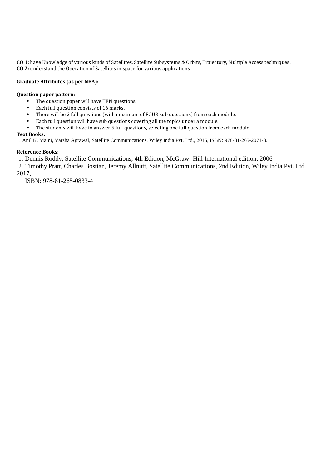**CO 1:** have Knowledge of various kinds of Satellites, Satellite Subsystems & Orbits, Trajectory, Multiple Access techniques . **CO 2:** understand the Operation of Satellites in space for various applications

## **Graduate Attributes (as per NBA):**

## **Question paper pattern:**

- The question paper will have TEN questions.
- Each full question consists of 16 marks.
- There will be 2 full questions (with maximum of FOUR sub questions) from each module.
- Each full question will have sub questions covering all the topics under a module.
- The students will have to answer 5 full questions, selecting one full question from each module.

#### **Text Books:**

1. Anil K. Maini, Varsha Agrawal, Satellite Communications, Wiley India Pvt. Ltd., 2015, ISBN: 978-81-265-2071-8.

#### **Reference Books:**

1. Dennis Roddy, Satellite Communications, 4th Edition, McGraw- Hill International edition, 2006

2. Timothy Pratt, Charles Bostian, Jeremy Allnutt, Satellite Communications, 2nd Edition, Wiley India Pvt. Ltd , 2017,

ISBN: 978-81-265-0833-4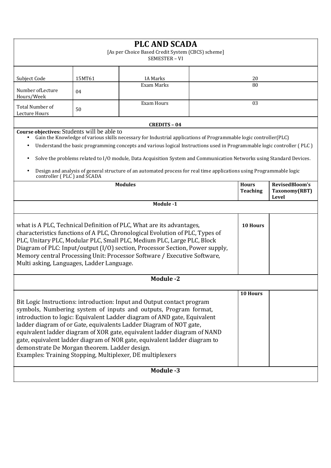| <b>PLC AND SCADA</b><br>[As per Choice Based Credit System (CBCS) scheme]<br>SEMESTER - VI                                                                                                                                                                                                                                                                                                                                                                                                                                                                                           |                                 |                     |  |                                 |                                          |  |
|--------------------------------------------------------------------------------------------------------------------------------------------------------------------------------------------------------------------------------------------------------------------------------------------------------------------------------------------------------------------------------------------------------------------------------------------------------------------------------------------------------------------------------------------------------------------------------------|---------------------------------|---------------------|--|---------------------------------|------------------------------------------|--|
| Subject Code                                                                                                                                                                                                                                                                                                                                                                                                                                                                                                                                                                         | 15MT61<br><b>IA Marks</b><br>20 |                     |  |                                 |                                          |  |
| Number of Lecture<br>Hours/Week                                                                                                                                                                                                                                                                                                                                                                                                                                                                                                                                                      | 04                              | <b>Exam Marks</b>   |  | 80                              |                                          |  |
| Total Number of<br>Lecture Hours                                                                                                                                                                                                                                                                                                                                                                                                                                                                                                                                                     | 50                              | <b>Exam Hours</b>   |  | 03                              |                                          |  |
|                                                                                                                                                                                                                                                                                                                                                                                                                                                                                                                                                                                      |                                 | <b>CREDITS - 04</b> |  |                                 |                                          |  |
| Course objectives: Students will be able to<br>Gain the Knowledge of various skills necessary for Industrial applications of Programmable logic controller(PLC)<br>Understand the basic programming concepts and various logical Instructions used in Programmable logic controller (PLC)<br>Solve the problems related to I/O module, Data Acquisition System and Communication Networks using Standard Devices.<br>$\bullet$<br>Design and analysis of general structure of an automated process for real time applications using Programmable logic<br>controller (PLC) and SCADA |                                 |                     |  |                                 |                                          |  |
|                                                                                                                                                                                                                                                                                                                                                                                                                                                                                                                                                                                      |                                 | <b>Modules</b>      |  | <b>Hours</b><br><b>Teaching</b> | RevisedBloom's<br>Taxonomy(RBT)<br>Level |  |
|                                                                                                                                                                                                                                                                                                                                                                                                                                                                                                                                                                                      |                                 | Module -1           |  |                                 |                                          |  |
| what is A PLC, Technical Definition of PLC, What are its advantages,<br><b>10 Hours</b><br>characteristics functions of A PLC, Chronological Evolution of PLC, Types of<br>PLC, Unitary PLC, Modular PLC, Small PLC, Medium PLC, Large PLC, Block<br>Diagram of PLC: Input/output (I/O) section, Processor Section, Power supply,<br>Memory central Processing Unit: Processor Software / Executive Software,<br>Multi asking, Languages, Ladder Language.                                                                                                                           |                                 |                     |  |                                 |                                          |  |
|                                                                                                                                                                                                                                                                                                                                                                                                                                                                                                                                                                                      |                                 | <b>Module -2</b>    |  |                                 |                                          |  |
| 10 Hours<br>Bit Logic Instructions: introduction: Input and Output contact program<br>symbols, Numbering system of inputs and outputs, Program format,<br>introduction to logic: Equivalent Ladder diagram of AND gate, Equivalent<br>ladder diagram of or Gate, equivalents Ladder Diagram of NOT gate,<br>equivalent ladder diagram of XOR gate, equivalent ladder diagram of NAND<br>gate, equivalent ladder diagram of NOR gate, equivalent ladder diagram to<br>demonstrate De Morgan theorem. Ladder design.<br>Examples: Training Stopping, Multiplexer, DE multiplexers      |                                 |                     |  |                                 |                                          |  |
|                                                                                                                                                                                                                                                                                                                                                                                                                                                                                                                                                                                      | Module -3                       |                     |  |                                 |                                          |  |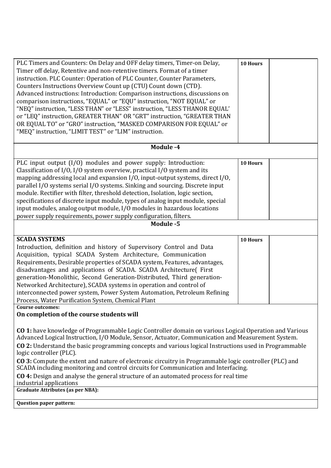| PLC Timers and Counters: On Delay and OFF delay timers, Timer-on Delay,<br>Timer off delay, Retentive and non-retentive timers. Format of a timer<br>instruction. PLC Counter: Operation of PLC Counter, Counter Parameters,<br>Counters Instructions Overview Count up (CTU) Count down (CTD).<br>Advanced instructions: Introduction: Comparison instructions, discussions on<br>comparison instructions, "EQUAL" or "EQU" instruction, "NOT EQUAL" or<br>"NEQ" instruction, "LESS THAN" or "LESS" instruction, "LESS THANOR EQUAL'<br>or "LEQ" instruction, GREATER THAN" OR "GRT" instruction, "GREATER THAN<br>OR EQUAL TO" or "GRO" instruction, "MASKED COMPARISON FOR EQUAL" or<br>"MEQ" instruction, "LIMIT TEST" or "LIM" instruction. | 10 Hours |  |  |  |
|--------------------------------------------------------------------------------------------------------------------------------------------------------------------------------------------------------------------------------------------------------------------------------------------------------------------------------------------------------------------------------------------------------------------------------------------------------------------------------------------------------------------------------------------------------------------------------------------------------------------------------------------------------------------------------------------------------------------------------------------------|----------|--|--|--|
| Module -4                                                                                                                                                                                                                                                                                                                                                                                                                                                                                                                                                                                                                                                                                                                                        |          |  |  |  |
| PLC input output (I/O) modules and power supply: Introduction:<br>Classification of I/O, I/O system overview, practical I/O system and its<br>mapping addressing local and expansion I/O, input-output systems, direct I/O,<br>parallel I/O systems serial I/O systems. Sinking and sourcing. Discrete input<br>module. Rectifier with filter, threshold detection, Isolation, logic section,<br>specifications of discrete input module, types of analog input module, special<br>input modules, analog output module, I/O modules in hazardous locations<br>power supply requirements, power supply configuration, filters.<br>Module -5                                                                                                       | 10 Hours |  |  |  |
|                                                                                                                                                                                                                                                                                                                                                                                                                                                                                                                                                                                                                                                                                                                                                  |          |  |  |  |
| <b>SCADA SYSTEMS</b><br>Introduction, definition and history of Supervisory Control and Data<br>Acquisition, typical SCADA System Architecture, Communication<br>Requirements, Desirable properties of SCADA system, Features, advantages,<br>disadvantages and applications of SCADA. SCADA Architecture(First<br>generation-Monolithic, Second Generation-Distributed, Third generation-<br>Networked Architecture), SCADA systems in operation and control of<br>interconnected power system, Power System Automation, Petroleum Refining<br>Process, Water Purification System, Chemical Plant                                                                                                                                               | 10 Hours |  |  |  |
| Course outcomes:<br>On completion of the course students will                                                                                                                                                                                                                                                                                                                                                                                                                                                                                                                                                                                                                                                                                    |          |  |  |  |
| CO 1: have knowledge of Programmable Logic Controller domain on various Logical Operation and Various<br>Advanced Logical Instruction, I/O Module, Sensor, Actuator, Communication and Measurement System.<br>CO 2: Understand the basic programming concepts and various logical Instructions used in Programmable<br>logic controller (PLC).<br>CO 3: Compute the extent and nature of electronic circuitry in Programmable logic controller (PLC) and<br>SCADA including monitoring and control circuits for Communication and Interfacing.<br>CO 4: Design and analyse the general structure of an automated process for real time<br>industrial applications                                                                                |          |  |  |  |
| <b>Graduate Attributes (as per NBA):</b>                                                                                                                                                                                                                                                                                                                                                                                                                                                                                                                                                                                                                                                                                                         |          |  |  |  |
| Question paper pattern:                                                                                                                                                                                                                                                                                                                                                                                                                                                                                                                                                                                                                                                                                                                          |          |  |  |  |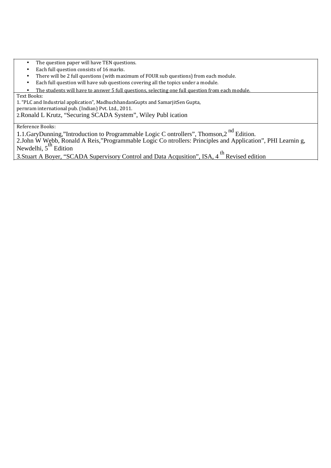- The question paper will have TEN questions.
- Each full question consists of 16 marks.
- There will be 2 full questions (with maximum of FOUR sub questions) from each module.
- Each full question will have sub questions covering all the topics under a module.
- The students will have to answer 5 full questions, selecting one full question from each module.

Text Books:

1."PLC and Industrial application", MadhuchhandanGupts and SamarjitSen Gupta,

pernram international pub. (Indian) Pvt. Ltd., 2011.

2.Ronald L Krutz, "Securing SCADA System", Wiley Publ ication

Reference Books:

1.1.GaryDunning,"Introduction to Programmable Logic C ontrollers", Thomson,2<sup>nd</sup> Edition. 2.John W Webb, Ronald A Reis,"Programmable Logic Co ntrollers: Principles and Application", PHI Learnin g,

 $N$ ewdelhi,  $5<sup>th</sup>$  Edition

3.Stuart A Boyer, "SCADA Supervisory Control and Data Acqusition", ISA, 4<sup>th</sup> Revised edition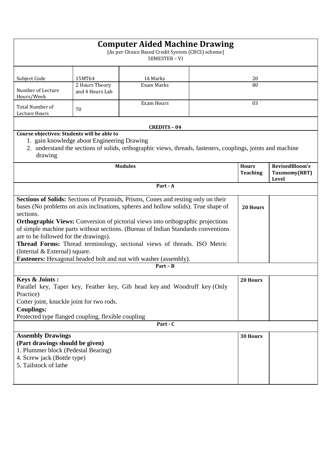| <b>Computer Aided Machine Drawing</b><br>[As per Choice Based Credit System (CBCS) scheme]<br>SEMESTER - VI                                                                                                                       |                                                                                                                                                                                                                                                                                                         |                                                                                                             |  |          |                                          |  |
|-----------------------------------------------------------------------------------------------------------------------------------------------------------------------------------------------------------------------------------|---------------------------------------------------------------------------------------------------------------------------------------------------------------------------------------------------------------------------------------------------------------------------------------------------------|-------------------------------------------------------------------------------------------------------------|--|----------|------------------------------------------|--|
| Subject Code                                                                                                                                                                                                                      | 15MT64<br><b>IA Marks</b><br>20<br>2 Hours Theory<br>Exam Marks<br>80                                                                                                                                                                                                                                   |                                                                                                             |  |          |                                          |  |
| Number of Lecture<br>Hours/Week                                                                                                                                                                                                   | and 4 Hours Lab                                                                                                                                                                                                                                                                                         |                                                                                                             |  |          |                                          |  |
| Total Number of<br>Lecture Hours                                                                                                                                                                                                  | 70                                                                                                                                                                                                                                                                                                      | <b>Exam Hours</b>                                                                                           |  | 03       |                                          |  |
|                                                                                                                                                                                                                                   |                                                                                                                                                                                                                                                                                                         | <b>CREDITS - 04</b>                                                                                         |  |          |                                          |  |
| Course objectives: Students will be able to<br>drawing                                                                                                                                                                            | 1. gain knowledge about Engineering Drawing                                                                                                                                                                                                                                                             | 2. understand the sections of solids, orthographic views, threads, fasteners, couplings, joints and machine |  |          |                                          |  |
| <b>Modules</b>                                                                                                                                                                                                                    |                                                                                                                                                                                                                                                                                                         |                                                                                                             |  |          | RevisedBloom's<br>Taxonomy(RBT)<br>Level |  |
|                                                                                                                                                                                                                                   |                                                                                                                                                                                                                                                                                                         | Part - A                                                                                                    |  |          |                                          |  |
| Sections of Solids: Sections of Pyramids, Prisms, Cones and resting only on their<br>bases (No problems on axis inclinations, spheres and hollow solids). True shape of<br>sections.                                              |                                                                                                                                                                                                                                                                                                         |                                                                                                             |  | 20 Hours |                                          |  |
|                                                                                                                                                                                                                                   | <b>Orthographic Views:</b> Conversion of pictorial views into orthographic projections<br>of simple machine parts without sections. (Bureau of Indian Standards conventions<br>are to be followed for the drawings).<br><b>Thread Forms:</b> Thread terminology, sectional views of threads. ISO Metric |                                                                                                             |  |          |                                          |  |
| (Internal & External) square.                                                                                                                                                                                                     |                                                                                                                                                                                                                                                                                                         | <b>Fasteners:</b> Hexagonal headed bolt and nut with washer (assembly).                                     |  |          |                                          |  |
|                                                                                                                                                                                                                                   |                                                                                                                                                                                                                                                                                                         | $Part - B$                                                                                                  |  |          |                                          |  |
| Keys & Joints :<br>Parallel key, Taper key, Feather key, Gib head key and Woodruff key (Only<br>Practice)<br>Cotter joint, knuckle joint for two rods.<br><b>Couplings:</b><br>Protected type flanged coupling, flexible coupling |                                                                                                                                                                                                                                                                                                         |                                                                                                             |  |          |                                          |  |
|                                                                                                                                                                                                                                   |                                                                                                                                                                                                                                                                                                         | $Part - C$                                                                                                  |  |          |                                          |  |
| <b>Assembly Drawings</b><br>(Part drawings should be given)<br>1. Plummer block (Pedestal Bearing)<br>4. Screw jack (Bottle type)<br>5. Tailstock of lathe                                                                        |                                                                                                                                                                                                                                                                                                         |                                                                                                             |  | 30 Hours |                                          |  |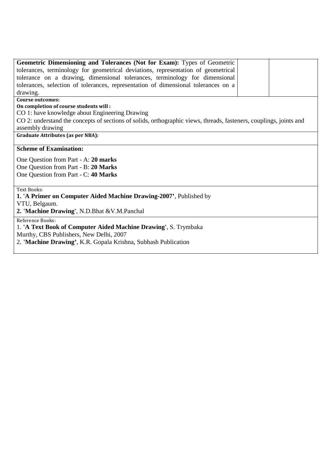| Geometric Dimensioning and Tolerances (Not for Exam): Types of Geometric                                           |  |
|--------------------------------------------------------------------------------------------------------------------|--|
| tolerances, terminology for geometrical deviations, representation of geometrical                                  |  |
| tolerance on a drawing, dimensional tolerances, terminology for dimensional                                        |  |
| tolerances, selection of tolerances, representation of dimensional tolerances on a                                 |  |
| drawing.                                                                                                           |  |
| Course outcomes:                                                                                                   |  |
| On completion of course students will:                                                                             |  |
| CO 1: have knowledge about Engineering Drawing                                                                     |  |
| CO 2: understand the concepts of sections of solids, orthographic views, threads, fasteners, couplings, joints and |  |
| assembly drawing                                                                                                   |  |
| <b>Graduate Attributes (as per NBA):</b>                                                                           |  |
|                                                                                                                    |  |
| <b>Scheme of Examination:</b>                                                                                      |  |
| One Question from Part - A: 20 marks                                                                               |  |
| One Question from Part - B: 20 Marks                                                                               |  |
| One Question from Part - C: 40 Marks                                                                               |  |
|                                                                                                                    |  |
| <b>Text Books:</b>                                                                                                 |  |
| 1. 'A Primer on Computer Aided Machine Drawing-2007', Published by                                                 |  |
| VTU, Belgaum.                                                                                                      |  |
| 2. 'Machine Drawing', N.D.Bhat & V.M.Panchal                                                                       |  |
| Reference Books:                                                                                                   |  |
| 1. 'A Text Book of Computer Aided Machine Drawing', S. Trymbaka                                                    |  |
| Murthy, CBS Publishers, New Delhi, 2007                                                                            |  |
|                                                                                                                    |  |
| 2. 'Machine Drawing', K.R. Gopala Krishna, Subhash Publication                                                     |  |
|                                                                                                                    |  |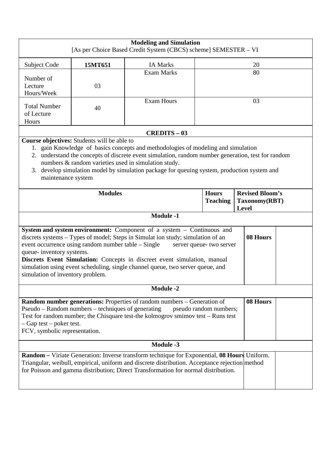|                                                                                                                                                                                                                                                                                                                                                                                                                                                                                        |                                             | <b>Modeling and Simulation</b><br>[As per Choice Based Credit System (CBCS) scheme] SEMESTER - VI                                                                                                                                                                                                                                              |                                 |                                                         |  |
|----------------------------------------------------------------------------------------------------------------------------------------------------------------------------------------------------------------------------------------------------------------------------------------------------------------------------------------------------------------------------------------------------------------------------------------------------------------------------------------|---------------------------------------------|------------------------------------------------------------------------------------------------------------------------------------------------------------------------------------------------------------------------------------------------------------------------------------------------------------------------------------------------|---------------------------------|---------------------------------------------------------|--|
| Subject Code                                                                                                                                                                                                                                                                                                                                                                                                                                                                           | 15MT651                                     | <b>IA Marks</b>                                                                                                                                                                                                                                                                                                                                |                                 | 20                                                      |  |
| Number of<br>Lecture<br>Hours/Week                                                                                                                                                                                                                                                                                                                                                                                                                                                     | 03                                          | <b>Exam Marks</b>                                                                                                                                                                                                                                                                                                                              |                                 | 80                                                      |  |
| <b>Total Number</b><br>of Lecture<br>Hours                                                                                                                                                                                                                                                                                                                                                                                                                                             | 40                                          | <b>Exam Hours</b>                                                                                                                                                                                                                                                                                                                              | 03                              |                                                         |  |
|                                                                                                                                                                                                                                                                                                                                                                                                                                                                                        |                                             | <b>CREDITS - 03</b>                                                                                                                                                                                                                                                                                                                            |                                 |                                                         |  |
| maintenance system                                                                                                                                                                                                                                                                                                                                                                                                                                                                     | Course objectives: Students will be able to | 1. gain Knowledge of basics concepts and methodologies of modeling and simulation<br>2. understand the concepts of discrete event simulation, random number generation, test for random<br>numbers & random varieties used in simulation study.<br>3. develop simulation model by simulation package for queuing system, production system and |                                 |                                                         |  |
|                                                                                                                                                                                                                                                                                                                                                                                                                                                                                        | <b>Modules</b>                              |                                                                                                                                                                                                                                                                                                                                                | <b>Hours</b><br><b>Teaching</b> | <b>Revised Bloom's</b><br>Taxonomy(RBT)<br><b>Level</b> |  |
|                                                                                                                                                                                                                                                                                                                                                                                                                                                                                        |                                             | <b>Module -1</b>                                                                                                                                                                                                                                                                                                                               |                                 |                                                         |  |
| System and system environment: Component of a system – Continuous and<br>discrets systems - Types of model; Steps in Simulat ion study; simulation of an<br>08 Hours<br>event occurrence using random number table – Single<br>server queue- two server<br>queue- inventory systems.<br>Discrets Event Simulation: Concepts in discreet event simulation, manual<br>simulation using event scheduling, single channel queue, two server queue, and<br>simulation of inventory problem. |                                             |                                                                                                                                                                                                                                                                                                                                                |                                 |                                                         |  |
|                                                                                                                                                                                                                                                                                                                                                                                                                                                                                        |                                             | <b>Module -2</b>                                                                                                                                                                                                                                                                                                                               |                                 |                                                         |  |
| 08 Hours<br>Random number generations: Properties of random numbers - Generation of<br>Pseudo – Random numbers – techniques of generating<br>pseudo random numbers;<br>Test for random number; the Chisquare test-the kolmogrov smimov test - Runs test<br>$-$ Gap test – poker test.<br>FCV, symbolic representation.                                                                                                                                                                 |                                             |                                                                                                                                                                                                                                                                                                                                                |                                 |                                                         |  |
|                                                                                                                                                                                                                                                                                                                                                                                                                                                                                        |                                             | <b>Module -3</b>                                                                                                                                                                                                                                                                                                                               |                                 |                                                         |  |
|                                                                                                                                                                                                                                                                                                                                                                                                                                                                                        |                                             | Random – Viriate Generation: Inverse transform technique for Exponential, 08 Hours Uniform.<br>Triangular, weibull, empirical, uniform and discrete distribution. Acceptance rejection method<br>for Poisson and gamma distribution; Direct Transformation for normal distribution.                                                            |                                 |                                                         |  |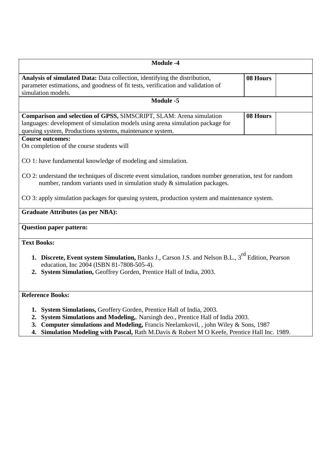| <b>Module -4</b>                                                                                                                                                                                                                                                                                                                                  |          |
|---------------------------------------------------------------------------------------------------------------------------------------------------------------------------------------------------------------------------------------------------------------------------------------------------------------------------------------------------|----------|
| Analysis of simulated Data: Data collection, identifying the distribution,<br>parameter estimations, and goodness of fit tests, verification and validation of<br>simulation models.                                                                                                                                                              | 08 Hours |
| Module -5                                                                                                                                                                                                                                                                                                                                         |          |
| Comparison and selection of GPSS, SIMSCRIPT, SLAM: Arena simulation<br>languages: development of simulation models using arena simulation package for<br>queuing system, Productions systems, maintenance system.                                                                                                                                 | 08 Hours |
| <b>Course outcomes:</b><br>On completion of the course students will                                                                                                                                                                                                                                                                              |          |
| CO 1: have fundamental knowledge of modeling and simulation.<br>CO 2: understand the techniques of discrete event simulation, random number generation, test for random<br>number, random variants used in simulation study $\&$ simulation packages.                                                                                             |          |
| CO 3: apply simulation packages for queuing system, production system and maintenance system.                                                                                                                                                                                                                                                     |          |
| <b>Graduate Attributes (as per NBA):</b>                                                                                                                                                                                                                                                                                                          |          |
| <b>Question paper pattern:</b>                                                                                                                                                                                                                                                                                                                    |          |
| <b>Text Books:</b>                                                                                                                                                                                                                                                                                                                                |          |
| 1. Discrete, Event system Simulation, Banks J., Carson J.S. and Nelson B.L., 3 <sup>rd</sup> Edition, Pearson<br>education, Inc 2004 (ISBN 81-7808-505-4).<br>2. System Simulation, Geoffrey Gorden, Prentice Hall of India, 2003.                                                                                                                |          |
| <b>Reference Books:</b>                                                                                                                                                                                                                                                                                                                           |          |
| 1. System Simulations, Geoffery Gorden, Prentice Hall of India, 2003.<br>2. System Simulations and Modeling, Narsingh deo., Prentice Hall of India 2003.<br>3. Computer simulations and Modeling, Francis Neelamkovil, , john Wiley & Sons, 1987<br>4. Simulation Modeling with Pascal, Rath M.Davis & Robert M O Keefe, Prentice Hall Inc. 1989. |          |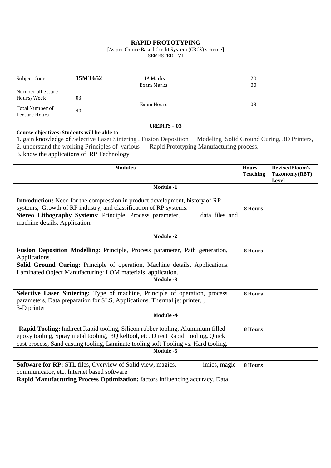| <b>RAPID PROTOTYPING</b><br>[As per Choice Based Credit System (CBCS) scheme]<br>SEMESTER - VI                                              |         |                                                                                                                                                                                                                                                            |                                          |                |  |
|---------------------------------------------------------------------------------------------------------------------------------------------|---------|------------------------------------------------------------------------------------------------------------------------------------------------------------------------------------------------------------------------------------------------------------|------------------------------------------|----------------|--|
| Subject Code                                                                                                                                | 15MT652 | <b>IA Marks</b>                                                                                                                                                                                                                                            |                                          | 20             |  |
| Number of Lecture<br>Hours/Week                                                                                                             | 03      | Exam Marks                                                                                                                                                                                                                                                 |                                          | 80             |  |
| Total Number of<br>Lecture Hours                                                                                                            | 40      | <b>Exam Hours</b>                                                                                                                                                                                                                                          |                                          | 03             |  |
|                                                                                                                                             |         | <b>CREDITS - 03</b>                                                                                                                                                                                                                                        |                                          |                |  |
| Course objectives: Students will be able to<br>2. understand the working Principles of various<br>3. know the applications of RP Technology |         | 1. gain knowledge of Selective Laser Sintering, Fusion Deposition Modeling Solid Ground Curing, 3D Printers,                                                                                                                                               | Rapid Prototyping Manufacturing process, |                |  |
| <b>Modules</b><br>RevisedBloom's<br><b>Hours</b><br><b>Teaching</b><br>Taxonomy(RBT)                                                        |         |                                                                                                                                                                                                                                                            |                                          | Level          |  |
|                                                                                                                                             |         | Module -1                                                                                                                                                                                                                                                  |                                          |                |  |
| machine details, Application.                                                                                                               |         | <b>Introduction:</b> Need for the compression in product development, history of RP<br>systems, Growth of RP industry, and classification of RP systems.<br>Stereo Lithography Systems: Principle, Process parameter,                                      | data files and                           | 8 Hours        |  |
|                                                                                                                                             |         | Module -2                                                                                                                                                                                                                                                  |                                          |                |  |
| Applications.                                                                                                                               |         | Fusion Deposition Modelling: Principle, Process parameter, Path generation,<br><b>Solid Ground Curing:</b> Principle of operation, Machine details, Applications.<br>Laminated Object Manufacturing: LOM materials. application.<br>Module -3              |                                          | 8 Hours        |  |
|                                                                                                                                             |         |                                                                                                                                                                                                                                                            |                                          |                |  |
| 3-D printer                                                                                                                                 |         | Selective Laser Sintering: Type of machine, Principle of operation, process<br>parameters, Data preparation for SLS, Applications. Thermal jet printer, ,                                                                                                  |                                          | <b>8 Hours</b> |  |
|                                                                                                                                             |         | Module -4                                                                                                                                                                                                                                                  |                                          |                |  |
|                                                                                                                                             |         | Rapid Tooling: Indirect Rapid tooling, Silicon rubber tooling, Aluminium filled<br>epoxy tooling, Spray metal tooling, 3Q keltool, etc. Direct Rapid Tooling, Quick<br>cast process, Sand casting tooling, Laminate tooling soft Tooling vs. Hard tooling. |                                          | 8 Hours        |  |
|                                                                                                                                             |         | Module -5                                                                                                                                                                                                                                                  |                                          |                |  |
| communicator, etc. Internet based software                                                                                                  |         | <b>Software for RP:</b> STL files, Overview of Solid view, magics,<br>Rapid Manufacturing Process Optimization: factors influencing accuracy. Data                                                                                                         | imics, magic-                            | 8 Hours        |  |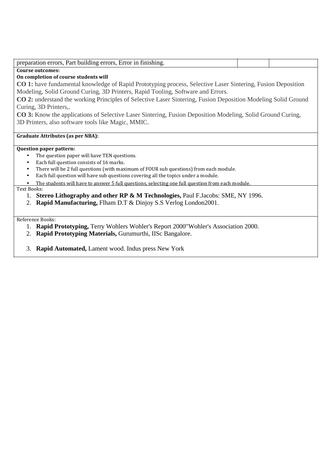| preparation errors, Part building errors, Error in finishing.                                                        |  |
|----------------------------------------------------------------------------------------------------------------------|--|
| <b>Course outcomes:</b>                                                                                              |  |
| On completion of course students will                                                                                |  |
| <b>CO 1:</b> have fundamental knowledge of Rapid Prototyping process, Selective Laser Sintering, Fusion Deposition   |  |
| Modeling, Solid Ground Curing, 3D Printers, Rapid Tooling, Software and Errors.                                      |  |
| <b>CO 2:</b> understand the working Principles of Selective Laser Sintering, Fusion Deposition Modeling Solid Ground |  |
| Curing, 3D Printers,.                                                                                                |  |
| <b>CO 3:</b> Know the applications of Selective Laser Sintering, Fusion Deposition Modeling, Solid Ground Curing,    |  |
| 3D Printers, also software tools like Magic, MMIC.                                                                   |  |
|                                                                                                                      |  |
| Graduate Attributes (as per NBA):                                                                                    |  |
|                                                                                                                      |  |
| <b>Question paper pattern:</b>                                                                                       |  |
| The question paper will have TEN questions.<br>٠                                                                     |  |
| Each full question consists of 16 marks.<br>$\bullet$                                                                |  |
| There will be 2 full questions (with maximum of FOUR sub questions) from each module.<br>$\bullet$                   |  |
| Each full question will have sub questions covering all the topics under a module.<br>$\bullet$                      |  |
| The students will have to answer 5 full questions, selecting one full question from each module.                     |  |
| Text Books:                                                                                                          |  |
| 1. Stereo Lithography and other RP & M Technologies, Paul F.Jacobs: SME, NY 1996.                                    |  |
| Rapid Manufacturing, Flham D.T & Dinjoy S.S Verlog London2001.<br>2.                                                 |  |
|                                                                                                                      |  |
|                                                                                                                      |  |

Reference Books:

- 1. **Rapid Prototyping,** Terry Wohlers Wohler's Report 2000"Wohler's Association 2000.
- 2. **Rapid Prototyping Materials,** Gurumurthi, IISc Bangalore.

3. **Rapid Automated,** Lament wood. Indus press New York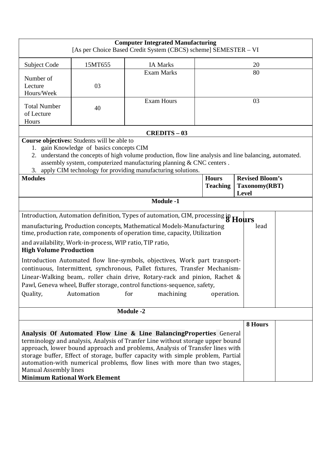|                                                                      |                                                                                         | <b>Computer Integrated Manufacturing</b><br>[As per Choice Based Credit System (CBCS) scheme] SEMESTER - VI                                                                                                                                                                                                                                                                                                                                                                                                                                                                        |                                 |                                                  |  |
|----------------------------------------------------------------------|-----------------------------------------------------------------------------------------|------------------------------------------------------------------------------------------------------------------------------------------------------------------------------------------------------------------------------------------------------------------------------------------------------------------------------------------------------------------------------------------------------------------------------------------------------------------------------------------------------------------------------------------------------------------------------------|---------------------------------|--------------------------------------------------|--|
| Subject Code                                                         | 15MT655                                                                                 | <b>IA Marks</b>                                                                                                                                                                                                                                                                                                                                                                                                                                                                                                                                                                    |                                 | 20                                               |  |
| Number of                                                            |                                                                                         | <b>Exam Marks</b>                                                                                                                                                                                                                                                                                                                                                                                                                                                                                                                                                                  |                                 | 80                                               |  |
| Lecture<br>Hours/Week                                                | 03                                                                                      |                                                                                                                                                                                                                                                                                                                                                                                                                                                                                                                                                                                    |                                 |                                                  |  |
| <b>Total Number</b><br>of Lecture<br>Hours                           | 40                                                                                      | <b>Exam Hours</b>                                                                                                                                                                                                                                                                                                                                                                                                                                                                                                                                                                  |                                 | 03                                               |  |
|                                                                      |                                                                                         | <b>CREDITS - 03</b>                                                                                                                                                                                                                                                                                                                                                                                                                                                                                                                                                                |                                 |                                                  |  |
|                                                                      | Course objectives: Students will be able to<br>1. gain Knowledge of basics concepts CIM | 2. understand the concepts of high volume production, flow line analysis and line balancing, automated.<br>assembly system, computerized manufacturing planning & CNC centers.                                                                                                                                                                                                                                                                                                                                                                                                     |                                 |                                                  |  |
|                                                                      |                                                                                         | 3. apply CIM technology for providing manufacturing solutions.                                                                                                                                                                                                                                                                                                                                                                                                                                                                                                                     |                                 |                                                  |  |
| <b>Modules</b>                                                       |                                                                                         |                                                                                                                                                                                                                                                                                                                                                                                                                                                                                                                                                                                    | <b>Hours</b><br><b>Teaching</b> | <b>Revised Bloom's</b><br>Taxonomy(RBT)<br>Level |  |
|                                                                      |                                                                                         | <b>Module -1</b>                                                                                                                                                                                                                                                                                                                                                                                                                                                                                                                                                                   |                                 |                                                  |  |
| <b>High Volume Production</b><br>Quality,                            | and availability, Work-in-process, WIP ratio, TIP ratio,<br>Automation                  | Introduction, Automation definition, Types of automation, CIM, processing in Hours<br>manufacturing, Production concepts, Mathematical Models-Manufacturing<br>time, production rate, components of operation time, capacity, Utilization<br>Introduction Automated flow line-symbols, objectives, Work part transport-<br>continuous, Intermittent, synchronous, Pallet fixtures, Transfer Mechanism-<br>Linear-Walking beam, roller chain drive, Rotary-rack and pinion, Rachet &<br>Pawl, Geneva wheel, Buffer storage, control functions-sequence, safety,<br>for<br>machining | operation.                      | lead                                             |  |
|                                                                      |                                                                                         |                                                                                                                                                                                                                                                                                                                                                                                                                                                                                                                                                                                    |                                 |                                                  |  |
|                                                                      |                                                                                         | <b>Module -2</b>                                                                                                                                                                                                                                                                                                                                                                                                                                                                                                                                                                   |                                 |                                                  |  |
| <b>Manual Assembly lines</b><br><b>Minimum Rational Work Element</b> |                                                                                         | Analysis Of Automated Flow Line & Line Balancing Properties General<br>terminology and analysis, Analysis of Tranfer Line without storage upper bound<br>approach, lower bound approach and problems, Analysis of Transfer lines with<br>storage buffer, Effect of storage, buffer capacity with simple problem, Partial<br>automation-with numerical problems, flow lines with more than two stages,                                                                                                                                                                              |                                 | 8 Hours                                          |  |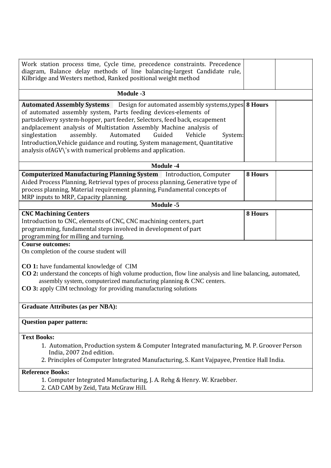| Work station process time, Cycle time, precedence constraints. Precedence<br>diagram, Balance delay methods of line balancing-largest Candidate rule,<br>Kilbridge and Westers method, Ranked positional weight method                                                                                                                                                                                                                                                                                                                |         |  |
|---------------------------------------------------------------------------------------------------------------------------------------------------------------------------------------------------------------------------------------------------------------------------------------------------------------------------------------------------------------------------------------------------------------------------------------------------------------------------------------------------------------------------------------|---------|--|
| <b>Module -3</b>                                                                                                                                                                                                                                                                                                                                                                                                                                                                                                                      |         |  |
| <b>Automated Assembly Systems</b> Design for automated assembly systems, types 8 Hours<br>of automated assembly system, Parts feeding devices-elements of<br>partsdelivery system-hopper, part feeder, Selectors, feed back, escapement<br>andplacement analysis of Multistation Assembly Machine analysis of<br>singlestation<br>assembly.<br>Automated<br>Guided<br>Vehicle<br>System:<br>Introduction, Vehicle guidance and routing, System management, Quantitative<br>analysis ofAGV\'s with numerical problems and application. |         |  |
| Module -4                                                                                                                                                                                                                                                                                                                                                                                                                                                                                                                             |         |  |
| <b>Computerized Manufacturing Planning System</b> Introduction, Computer<br>Aided Process Planning, Retrieval types of process planning, Generative type of<br>process planning, Material requirement planning, Fundamental concepts of<br>MRP inputs to MRP, Capacity planning.                                                                                                                                                                                                                                                      | 8 Hours |  |
| <b>Module -5</b>                                                                                                                                                                                                                                                                                                                                                                                                                                                                                                                      |         |  |
| <b>CNC Machining Centers</b><br>Introduction to CNC, elements of CNC, CNC machining centers, part<br>programming, fundamental steps involved in development of part<br>programming for milling and turning.                                                                                                                                                                                                                                                                                                                           | 8 Hours |  |
| <b>Course outcomes:</b><br>On completion of the course student will<br>CO 1: have fundamental knowledge of CIM<br>CO 2: understand the concepts of high volume production, flow line analysis and line balancing, automated,<br>assembly system, computerized manufacturing planning & CNC centers.<br>CO 3: apply CIM technology for providing manufacturing solutions                                                                                                                                                               |         |  |
| <b>Graduate Attributes (as per NBA):</b>                                                                                                                                                                                                                                                                                                                                                                                                                                                                                              |         |  |
| <b>Question paper pattern:</b>                                                                                                                                                                                                                                                                                                                                                                                                                                                                                                        |         |  |
| <b>Text Books:</b><br>1. Automation, Production system & Computer Integrated manufacturing, M. P. Groover Person<br>India, 2007 2nd edition.<br>2. Principles of Computer Integrated Manufacturing, S. Kant Vajpayee, Prentice Hall India.                                                                                                                                                                                                                                                                                            |         |  |
| <b>Reference Books:</b><br>1. Computer Integrated Manufacturing, J. A. Rehg & Henry. W. Kraebber.<br>2. CAD CAM by Zeid, Tata McGraw Hill.                                                                                                                                                                                                                                                                                                                                                                                            |         |  |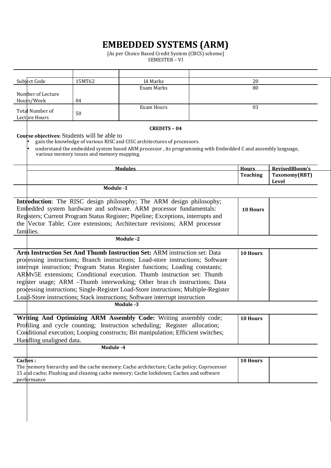# **EMBEDDED SYSTEMS (ARM)**

 [As per Choice Based Credit System (CBCS) scheme] SEMESTER – VI

| Subject Code                     | 15MT62 | IA Marks   | 20 |
|----------------------------------|--------|------------|----|
|                                  |        | Exam Marks | 80 |
| Number of Lecture                |        |            |    |
| Hours/Week                       | 04     |            |    |
| Total Number of<br>Lecture Hours | 50     | Exam Hours | 03 |

#### **CREDITS – 04**

**Course objectives:** Students will be able to

- gain the knowledge of various RISC and CISC architectures of processors.
- understand the embedded system based ARM processor , its programming with Embedded C and assembly language, various memory issues and memory mapping.

| <b>Modules</b> | <b>Hours</b>    | RevisedBloom's |
|----------------|-----------------|----------------|
|                | <b>Teaching</b> | Taxonomy(RBT)  |
|                |                 | Level          |
| Module -1      |                 |                |

| <b>Introduction:</b> The RISC design philosophy; The ARM design philosophy;      |                 |  |
|----------------------------------------------------------------------------------|-----------------|--|
| Embedded system hardware and software. ARM processor fundamentals:               | <b>10 Hours</b> |  |
| Registers; Current Program Status Register; Pipeline; Exceptions, interrupts and |                 |  |
| the Vector Table; Core extensions; Architecture revisions; ARM processor         |                 |  |
| families.                                                                        |                 |  |

**Module -2**

| <b>Arm Instruction Set And Thumb Instruction Set: ARM instruction set: Data</b>     | 10 Hours |  |
|-------------------------------------------------------------------------------------|----------|--|
| prodessing instructions; Branch instructions; Load-store instructions; Software     |          |  |
| interrupt instruction; Program Status Register functions; Loading constants;        |          |  |
| ARMv5E extensions; Conditional execution. Thumb instruction set: Thumb              |          |  |
| register usage; ARM -Thumb interworking; Other bran ch instructions; Data           |          |  |
| prodessing instructions; Single-Register Load-Store instructions; Multiple-Register |          |  |
| Load-Store instructions; Stack instructions; Software interrupt instruction         |          |  |

**Module -3**

| Writing And Optimizing ARM Assembly Code: Writing assembly code;                 | 10 Hours |  |
|----------------------------------------------------------------------------------|----------|--|
| Profiling and cycle counting; Instruction scheduling; Register allocation;       |          |  |
| Conditional execution; Looping constructs; Bit manipulation; Efficient switches; |          |  |
| Handling unaligned data.                                                         |          |  |

**Module -4**

| <b>Caches :</b>                                                                          | <b>10 Hours</b> |  |
|------------------------------------------------------------------------------------------|-----------------|--|
| The memory hierarchy and the cache memory; Cache architecture; Cache policy; Coprocessor |                 |  |
| 15 and cache; Flushing and cleaning cache memory; Cache lockdown; Caches and software    |                 |  |
| performance                                                                              |                 |  |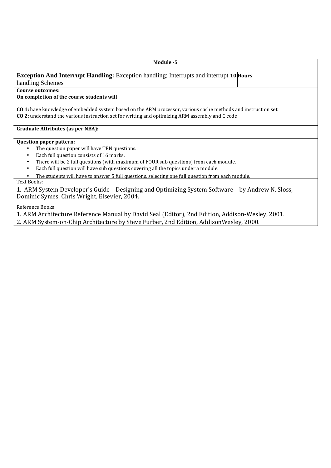| Module -5                                                                                                                                                                                                         |  |  |  |  |  |
|-------------------------------------------------------------------------------------------------------------------------------------------------------------------------------------------------------------------|--|--|--|--|--|
| <b>Exception And Interrupt Handling:</b> Exception handling; Interrupts and interrupt 10 <b>Hours</b>                                                                                                             |  |  |  |  |  |
| handling Schemes                                                                                                                                                                                                  |  |  |  |  |  |
| Course outcomes:                                                                                                                                                                                                  |  |  |  |  |  |
| On completion of the course students will                                                                                                                                                                         |  |  |  |  |  |
| CO 1: have knowledge of embedded system based on the ARM processor, various cache methods and instruction set.<br>CO 2: understand the various instruction set for writing and optimizing ARM assembly and C code |  |  |  |  |  |
| <b>Graduate Attributes (as per NBA):</b>                                                                                                                                                                          |  |  |  |  |  |
| <b>Question paper pattern:</b>                                                                                                                                                                                    |  |  |  |  |  |
| The question paper will have TEN questions.                                                                                                                                                                       |  |  |  |  |  |
| Each full question consists of 16 marks.<br>$\bullet$                                                                                                                                                             |  |  |  |  |  |
| There will be 2 full questions (with maximum of FOUR sub questions) from each module.<br>$\bullet$                                                                                                                |  |  |  |  |  |
| Each full question will have sub questions covering all the topics under a module.<br>$\bullet$                                                                                                                   |  |  |  |  |  |
| The students will have to answer 5 full questions, selecting one full question from each module.                                                                                                                  |  |  |  |  |  |
| Text Books:                                                                                                                                                                                                       |  |  |  |  |  |
| 1. ARM System Developer's Guide – Designing and Optimizing System Software – by Andrew N. Sloss,<br>Dominic Symes, Chris Wright, Elsevier, 2004.                                                                  |  |  |  |  |  |
| Reference Books:                                                                                                                                                                                                  |  |  |  |  |  |
| 1. ARM Architecture Reference Manual by David Seal (Editor), 2nd Edition, Addison-Wesley, 2001.                                                                                                                   |  |  |  |  |  |

2. ARM System-on-Chip Architecture by Steve Furber, 2nd Edition, AddisonWesley, 2000.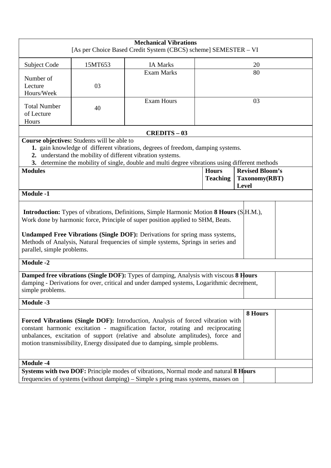|                                            |                                             | <b>Mechanical Vibrations</b><br>[As per Choice Based Credit System (CBCS) scheme] SEMESTER - VI                                                                                                                                                                                                                                                                      |                                 |                                         |  |  |
|--------------------------------------------|---------------------------------------------|----------------------------------------------------------------------------------------------------------------------------------------------------------------------------------------------------------------------------------------------------------------------------------------------------------------------------------------------------------------------|---------------------------------|-----------------------------------------|--|--|
| Subject Code                               | 15MT653                                     | <b>IA Marks</b>                                                                                                                                                                                                                                                                                                                                                      | 20                              |                                         |  |  |
| Number of<br>Lecture<br>Hours/Week         | 03                                          | <b>Exam Marks</b>                                                                                                                                                                                                                                                                                                                                                    | 80                              |                                         |  |  |
| <b>Total Number</b><br>of Lecture<br>Hours | 40                                          | <b>Exam Hours</b>                                                                                                                                                                                                                                                                                                                                                    | 03                              |                                         |  |  |
|                                            |                                             | <b>CREDITS - 03</b>                                                                                                                                                                                                                                                                                                                                                  |                                 |                                         |  |  |
|                                            | Course objectives: Students will be able to | 1. gain knowledge of different vibrations, degrees of freedom, damping systems.<br>2. understand the mobility of different vibration systems.<br>3. determine the mobility of single, double and multi degree vibrations using different methods                                                                                                                     |                                 |                                         |  |  |
| <b>Modules</b>                             |                                             |                                                                                                                                                                                                                                                                                                                                                                      | <b>Hours</b><br><b>Teaching</b> | <b>Revised Bloom's</b><br>Taxonomy(RBT) |  |  |
|                                            |                                             |                                                                                                                                                                                                                                                                                                                                                                      |                                 | <b>Level</b>                            |  |  |
| <b>Module -1</b>                           |                                             |                                                                                                                                                                                                                                                                                                                                                                      |                                 |                                         |  |  |
| parallel, simple problems.                 |                                             | <b>Introduction:</b> Types of vibrations, Definitions, Simple Harmonic Motion <b>8 Hours</b> (S H.M.),<br>Work done by harmonic force, Principle of super position applied to SHM, Beats.<br><b>Undamped Free Vibrations (Single DOF):</b> Derivations for spring mass systems,<br>Methods of Analysis, Natural frequencies of simple systems, Springs in series and |                                 |                                         |  |  |
| <b>Module -2</b>                           |                                             |                                                                                                                                                                                                                                                                                                                                                                      |                                 |                                         |  |  |
| simple problems.                           |                                             | Damped free vibrations (Single DOF): Types of damping, Analysis with viscous 8 Hours<br>damping - Derivations for over, critical and under damped systems, Logarithmic decrement,                                                                                                                                                                                    |                                 |                                         |  |  |
| <b>Module -3</b>                           |                                             |                                                                                                                                                                                                                                                                                                                                                                      |                                 |                                         |  |  |
|                                            |                                             | Forced Vibrations (Single DOF): Introduction, Analysis of forced vibration with<br>constant harmonic excitation - magnification factor, rotating and reciprocating<br>unbalances, excitation of support (relative and absolute amplitudes), force and<br>motion transmissibility, Energy dissipated due to damping, simple problems.                                 |                                 | 8 Hours                                 |  |  |
| <b>Module -4</b>                           |                                             |                                                                                                                                                                                                                                                                                                                                                                      |                                 |                                         |  |  |
|                                            |                                             | Systems with two DOF: Principle modes of vibrations, Normal mode and natural 8 Hours<br>frequencies of systems (without damping) – Simple s pring mass systems, masses on                                                                                                                                                                                            |                                 |                                         |  |  |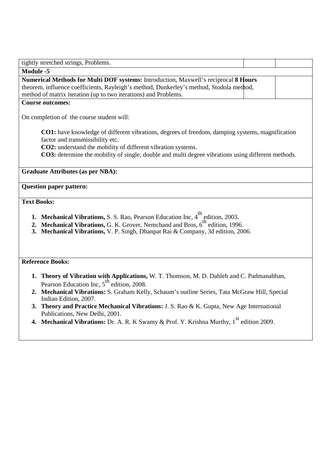| tightly stretched strings, Problems.                                                                                                                                                                                                                                                                             |  |
|------------------------------------------------------------------------------------------------------------------------------------------------------------------------------------------------------------------------------------------------------------------------------------------------------------------|--|
| <b>Module -5</b>                                                                                                                                                                                                                                                                                                 |  |
| Numerical Methods for Multi DOF systems: Introduction, Maxwell's reciprocal 8 Hours<br>theorem, influence coefficients, Rayleigh's method, Dunkerley's method, Stodola method,<br>method of matrix iteration (up to two iterations) and Problems.                                                                |  |
| <b>Course outcomes:</b>                                                                                                                                                                                                                                                                                          |  |
|                                                                                                                                                                                                                                                                                                                  |  |
| On completion of the course student will:                                                                                                                                                                                                                                                                        |  |
| CO1: have knowledge of different vibrations, degrees of freedom, damping systems, magnification<br>factor and transmissibility etc.<br>CO2: understand the mobility of different vibration systems.<br><b>CO3:</b> determine the mobility of single, double and multi degree vibrations using different methods. |  |
| <b>Graduate Attributes (as per NBA):</b>                                                                                                                                                                                                                                                                         |  |
| <b>Question paper pattern:</b>                                                                                                                                                                                                                                                                                   |  |
| <b>Text Books:</b>                                                                                                                                                                                                                                                                                               |  |
| <b>1. Mechanical Vibrations, S. S. Rao, Pearson Education Inc, 4<sup>th</sup> edition, 2003.</b><br>2. Mechanical Vibrations, G. K. Grover, Nemchand and Bros, 6 <sup>th</sup> edition, 1996.<br>3. Mechanical Vibrations, V. P. Singh, Dhanpat Rai & Company, 3d edition, 2006.                                 |  |
| <b>Reference Books:</b>                                                                                                                                                                                                                                                                                          |  |
| 1. Theory of Vibration with Applications, W. T. Thomson, M. D. Dahleh and C. Padmanabhan,<br>Pearson Education Inc, $5^{\text{th}}$ edition, 2008.<br>2. Mechanical Vibrations: S. Graham Kelly, Schaum's outline Series, Tata McGraw Hill, Special                                                              |  |
| Indian Edition, 2007.<br>3. Theory and Practice Mechanical Vibrations: J. S. Rao & K. Gupta, New Age International<br>Publications, New Delhi, 2001.                                                                                                                                                             |  |
| 4. Mechanical Vibrations: Dr. A. R. K Swamy & Prof. Y. Krishna Murthy, 1 <sup>st</sup> edition 2009.                                                                                                                                                                                                             |  |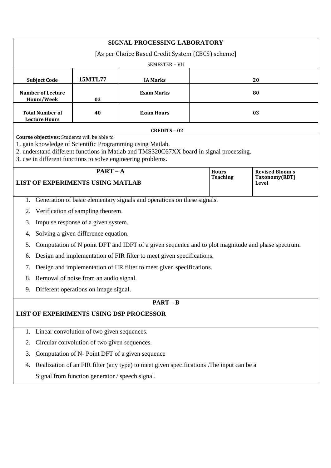| SIGNAL PROCESSING LABORATORY                                                                             |                                            |                                                                                                   |    |                                 |                                                         |  |  |  |
|----------------------------------------------------------------------------------------------------------|--------------------------------------------|---------------------------------------------------------------------------------------------------|----|---------------------------------|---------------------------------------------------------|--|--|--|
| [As per Choice Based Credit System (CBCS) scheme]                                                        |                                            |                                                                                                   |    |                                 |                                                         |  |  |  |
| SEMESTER - VII                                                                                           |                                            |                                                                                                   |    |                                 |                                                         |  |  |  |
| <b>15MTL77</b><br><b>Subject Code</b><br><b>IA Marks</b><br>20                                           |                                            |                                                                                                   |    |                                 |                                                         |  |  |  |
| <b>Number of Lecture</b><br>Hours/Week                                                                   | 03                                         | <b>Exam Marks</b>                                                                                 | 80 |                                 |                                                         |  |  |  |
| <b>Total Number of</b><br><b>Lecture Hours</b>                                                           | 40                                         | <b>Exam Hours</b>                                                                                 | 03 |                                 |                                                         |  |  |  |
|                                                                                                          |                                            | <b>CREDITS - 02</b>                                                                               |    |                                 |                                                         |  |  |  |
| Course objectives: Students will be able to<br>1. gain knowledge of Scientific Programming using Matlab. |                                            |                                                                                                   |    |                                 |                                                         |  |  |  |
|                                                                                                          |                                            | 2. understand different functions in Matlab and TMS320C67XX board in signal processing.           |    |                                 |                                                         |  |  |  |
| 3. use in different functions to solve engineering problems.                                             |                                            |                                                                                                   |    |                                 |                                                         |  |  |  |
| <b>LIST OF EXPERIMENTS USING MATLAB</b>                                                                  | $PART - A$                                 |                                                                                                   |    | <b>Hours</b><br><b>Teaching</b> | <b>Revised Bloom's</b><br>Taxonomy(RBT)<br><b>Level</b> |  |  |  |
|                                                                                                          |                                            | 1. Generation of basic elementary signals and operations on these signals.                        |    |                                 |                                                         |  |  |  |
| 2.                                                                                                       | Verification of sampling theorem.          |                                                                                                   |    |                                 |                                                         |  |  |  |
| 3.                                                                                                       | Impulse response of a given system.        |                                                                                                   |    |                                 |                                                         |  |  |  |
| 4.                                                                                                       | Solving a given difference equation.       |                                                                                                   |    |                                 |                                                         |  |  |  |
| 5.                                                                                                       |                                            | Computation of N point DFT and IDFT of a given sequence and to plot magnitude and phase spectrum. |    |                                 |                                                         |  |  |  |
| 6.                                                                                                       |                                            | Design and implementation of FIR filter to meet given specifications.                             |    |                                 |                                                         |  |  |  |
| 7.                                                                                                       |                                            | Design and implementation of IIR filter to meet given specifications.                             |    |                                 |                                                         |  |  |  |
| 8.                                                                                                       | Removal of noise from an audio signal.     |                                                                                                   |    |                                 |                                                         |  |  |  |
| 9.                                                                                                       | Different operations on image signal.      |                                                                                                   |    |                                 |                                                         |  |  |  |
|                                                                                                          |                                            | $PART - B$                                                                                        |    |                                 |                                                         |  |  |  |
| LIST OF EXPERIMENTS USING DSP PROCESSOR                                                                  |                                            |                                                                                                   |    |                                 |                                                         |  |  |  |
|                                                                                                          |                                            |                                                                                                   |    |                                 |                                                         |  |  |  |
| 1.                                                                                                       | Linear convolution of two given sequences. |                                                                                                   |    |                                 |                                                         |  |  |  |
| Circular convolution of two given sequences.<br>2.                                                       |                                            |                                                                                                   |    |                                 |                                                         |  |  |  |
| Computation of N- Point DFT of a given sequence<br>3.                                                    |                                            |                                                                                                   |    |                                 |                                                         |  |  |  |
| Realization of an FIR filter (any type) to meet given specifications. The input can be a<br>4.           |                                            |                                                                                                   |    |                                 |                                                         |  |  |  |
| Signal from function generator / speech signal.                                                          |                                            |                                                                                                   |    |                                 |                                                         |  |  |  |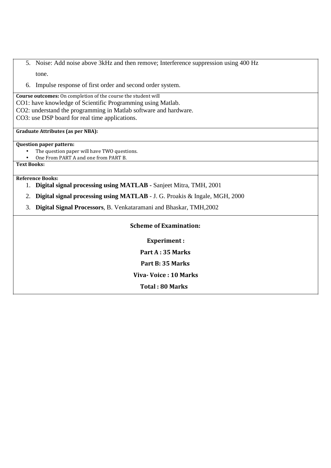- 5. Noise: Add noise above 3kHz and then remove; Interference suppression using 400 Hz tone.
- 6. Impulse response of first order and second order system.

**Course outcomes:** On completion of the course the student will CO1: have knowledge of Scientific Programming using Matlab. CO2: understand the programming in Matlab software and hardware. CO3: use DSP board for real time applications.

## **Graduate Attributes (as per NBA):**

## **Question paper pattern:**

- The question paper will have TWO questions.
- One From PART A and one from PART B.

**Text Books:** 

## **Reference Books:**

- 1. **Digital signal processing using MATLAB** Sanjeet Mitra, TMH, 2001
- 2. **Digital signal processing using MATLAB**  J. G. Proakis & Ingale, MGH, 2000
- 3. **Digital Signal Processors**, B. Venkataramani and Bhaskar, TMH,2002

## **Scheme of Examination:**

**Experiment :** 

**Part A : 35 Marks Part B: 35 Marks** 

**Viva- Voice : 10 Marks** 

**Total : 80 Marks**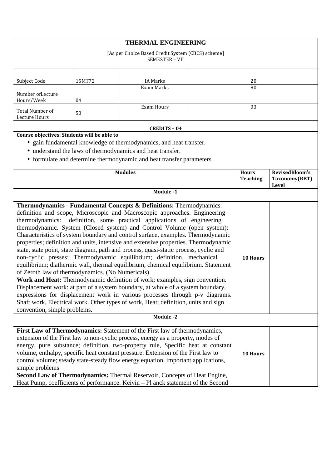|                                                                                                                                                                                                                                                                                                                                                                                                                                                                                                                                                                                                                                                                                                                                                                                                                                                                                                                                                                                                                                                                                                                                                                      |           | <b>THERMAL ENGINEERING</b>                                                                                                                                                                                                                                                                                                                                                                                                                                                                                                                                                                   |  |                                 |                                          |  |
|----------------------------------------------------------------------------------------------------------------------------------------------------------------------------------------------------------------------------------------------------------------------------------------------------------------------------------------------------------------------------------------------------------------------------------------------------------------------------------------------------------------------------------------------------------------------------------------------------------------------------------------------------------------------------------------------------------------------------------------------------------------------------------------------------------------------------------------------------------------------------------------------------------------------------------------------------------------------------------------------------------------------------------------------------------------------------------------------------------------------------------------------------------------------|-----------|----------------------------------------------------------------------------------------------------------------------------------------------------------------------------------------------------------------------------------------------------------------------------------------------------------------------------------------------------------------------------------------------------------------------------------------------------------------------------------------------------------------------------------------------------------------------------------------------|--|---------------------------------|------------------------------------------|--|
|                                                                                                                                                                                                                                                                                                                                                                                                                                                                                                                                                                                                                                                                                                                                                                                                                                                                                                                                                                                                                                                                                                                                                                      |           | [As per Choice Based Credit System (CBCS) scheme]<br>SEMESTER - VII                                                                                                                                                                                                                                                                                                                                                                                                                                                                                                                          |  |                                 |                                          |  |
| Subject Code                                                                                                                                                                                                                                                                                                                                                                                                                                                                                                                                                                                                                                                                                                                                                                                                                                                                                                                                                                                                                                                                                                                                                         | 15MT72    | <b>IA Marks</b>                                                                                                                                                                                                                                                                                                                                                                                                                                                                                                                                                                              |  | 20                              |                                          |  |
| Number ofLecture<br>Hours/Week                                                                                                                                                                                                                                                                                                                                                                                                                                                                                                                                                                                                                                                                                                                                                                                                                                                                                                                                                                                                                                                                                                                                       | 04        | Exam Marks                                                                                                                                                                                                                                                                                                                                                                                                                                                                                                                                                                                   |  | 80                              |                                          |  |
| Total Number of<br>Lecture Hours                                                                                                                                                                                                                                                                                                                                                                                                                                                                                                                                                                                                                                                                                                                                                                                                                                                                                                                                                                                                                                                                                                                                     | 50        | <b>Exam Hours</b>                                                                                                                                                                                                                                                                                                                                                                                                                                                                                                                                                                            |  | 03                              |                                          |  |
|                                                                                                                                                                                                                                                                                                                                                                                                                                                                                                                                                                                                                                                                                                                                                                                                                                                                                                                                                                                                                                                                                                                                                                      |           | <b>CREDITS - 04</b>                                                                                                                                                                                                                                                                                                                                                                                                                                                                                                                                                                          |  |                                 |                                          |  |
| Course objectives: Students will be able to                                                                                                                                                                                                                                                                                                                                                                                                                                                                                                                                                                                                                                                                                                                                                                                                                                                                                                                                                                                                                                                                                                                          |           | • gain fundamental knowledge of thermodynamics, and heat transfer.<br>• understand the laws of thermodynamics and heat transfer.<br>• formulate and determine thermodynamic and heat transfer parameters.                                                                                                                                                                                                                                                                                                                                                                                    |  |                                 |                                          |  |
| <b>Modules</b>                                                                                                                                                                                                                                                                                                                                                                                                                                                                                                                                                                                                                                                                                                                                                                                                                                                                                                                                                                                                                                                                                                                                                       |           |                                                                                                                                                                                                                                                                                                                                                                                                                                                                                                                                                                                              |  | <b>Hours</b><br><b>Teaching</b> | RevisedBloom's<br>Taxonomy(RBT)<br>Level |  |
|                                                                                                                                                                                                                                                                                                                                                                                                                                                                                                                                                                                                                                                                                                                                                                                                                                                                                                                                                                                                                                                                                                                                                                      | Module -1 |                                                                                                                                                                                                                                                                                                                                                                                                                                                                                                                                                                                              |  |                                 |                                          |  |
| Thermodynamics - Fundamental Concepts & Definitions: Thermodynamics:<br>definition and scope, Microscopic and Macroscopic approaches. Engineering<br>thermodynamics: definition, some practical applications of engineering<br>thermodynamic. System (Closed system) and Control Volume (open system):<br>Characteristics of system boundary and control surface, examples. Thermodynamic<br>properties; definition and units, intensive and extensive properties. Thermodynamic<br>state, state point, state diagram, path and process, quasi-static process, cyclic and<br>non-cyclic presses; Thermodynamic equilibrium; definition, mechanical<br>equilibrium; diathermic wall, thermal equilibrium, chemical equilibrium. Statement<br>of Zeroth law of thermodynamics. (No Numericals)<br>Work and Heat: Thermodynamic definition of work; examples, sign convention.<br>Displacement work: at part of a system boundary, at whole of a system boundary,<br>expressions for displacement work in various processes through p-v diagrams.<br>Shaft work, Electrical work. Other types of work, Heat; definition, units and sign<br>convention, simple problems. |           |                                                                                                                                                                                                                                                                                                                                                                                                                                                                                                                                                                                              |  | 10 Hours                        |                                          |  |
| <b>Module -2</b>                                                                                                                                                                                                                                                                                                                                                                                                                                                                                                                                                                                                                                                                                                                                                                                                                                                                                                                                                                                                                                                                                                                                                     |           |                                                                                                                                                                                                                                                                                                                                                                                                                                                                                                                                                                                              |  |                                 |                                          |  |
| simple problems                                                                                                                                                                                                                                                                                                                                                                                                                                                                                                                                                                                                                                                                                                                                                                                                                                                                                                                                                                                                                                                                                                                                                      |           | First Law of Thermodynamics: Statement of the First law of thermodynamics,<br>extension of the First law to non-cyclic process, energy as a property, modes of<br>energy, pure substance; definition, two-property rule, Specific heat at constant<br>volume, enthalpy, specific heat constant pressure. Extension of the First law to<br>control volume; steady state-steady flow energy equation, important applications,<br>Second Law of Thermodynamics: Thermal Reservoir, Concepts of Heat Engine,<br>Heat Pump, coefficients of performance. Keivin - Pl anck statement of the Second |  | 10 Hours                        |                                          |  |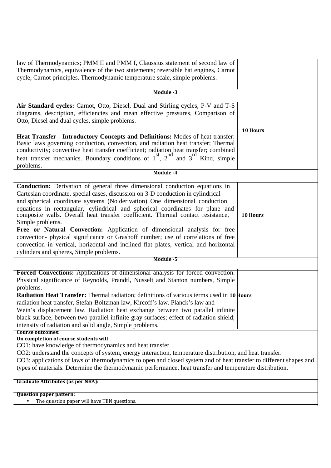| law of Thermodynamics; PMM II and PMM I, Claussius statement of second law of                                      |          |  |
|--------------------------------------------------------------------------------------------------------------------|----------|--|
| Thermodynamics, equivalence of the two statements; reversible hat engines, Carnot                                  |          |  |
| cycle, Carnot principles. Thermodynamic temperature scale, simple problems.                                        |          |  |
|                                                                                                                    |          |  |
| Module -3                                                                                                          |          |  |
| Air Standard cycles: Carnot, Otto, Diesel, Dual and Stirling cycles, P-V and T-S                                   |          |  |
| diagrams, description, efficiencies and mean effective pressures, Comparison of                                    |          |  |
| Otto, Diesel and dual cycles, simple problems.                                                                     |          |  |
|                                                                                                                    | 10 Hours |  |
| Heat Transfer - Introductory Concepts and Definitions: Modes of heat transfer:                                     |          |  |
| Basic laws governing conduction, convection, and radiation heat transfer; Thermal                                  |          |  |
| conductivity; convective heat transfer coefficient; radiation heat transfer; combined                              |          |  |
| heat transfer mechanics. Boundary conditions of $1st$ , $2nd$ and $3rd$ Kind, simple                               |          |  |
| problems.                                                                                                          |          |  |
| Module -4                                                                                                          |          |  |
| Conduction: Derivation of general three dimensional conduction equations in                                        |          |  |
| Cartesian coordinate, special cases, discussion on 3-D conduction in cylindrical                                   |          |  |
| and spherical coordinate systems (No derivation). One dimensional conduction                                       |          |  |
| equations in rectangular, cylindrical and spherical coordinates for plane and                                      |          |  |
| composite walls. Overall heat transfer coefficient. Thermal contact resistance,                                    | 10 Hours |  |
| Simple problems.                                                                                                   |          |  |
| Free or Natural Convection: Application of dimensional analysis for free                                           |          |  |
| convection- physical significance or Grashoff number; use of correlations of free                                  |          |  |
| convection in vertical, horizontal and inclined flat plates, vertical and horizontal                               |          |  |
| cylinders and spheres, Simple problems.                                                                            |          |  |
| Module -5                                                                                                          |          |  |
|                                                                                                                    |          |  |
| Forced Convections: Applications of dimensional analysis for forced convection.                                    |          |  |
| Physical significance of Reynolds, Prandtl, Nusselt and Stanton numbers, Simple                                    |          |  |
| problems.                                                                                                          |          |  |
| Radiation Heat Transfer: Thermal radiation; definitions of various terms used in 10 Hours                          |          |  |
| radiation heat transfer, Stefan-Boltzman law, Kircoff's law. Planck's law and                                      |          |  |
| Wein's displacement law. Radiation heat exchange between two parallel infinite                                     |          |  |
| black surface, between two parallel infinite gray surfaces; effect of radiation shield;                            |          |  |
| intensity of radiation and solid angle, Simple problems.                                                           |          |  |
| <b>Course outcomes:</b>                                                                                            |          |  |
| On completion of course students will                                                                              |          |  |
| CO1: have knowledge of thermodynamics and heat transfer.                                                           |          |  |
| CO2: understand the concepts of system, energy interaction, temperature distribution, and heat transfer.           |          |  |
| CO3: applications of laws of thermodynamics to open and closed system and of heat transfer to different shapes and |          |  |
| types of materials. Determine the thermodynamic performance, heat transfer and temperature distribution.           |          |  |
| <b>Graduate Attributes (as per NBA):</b>                                                                           |          |  |
| <b>Question paper pattern:</b>                                                                                     |          |  |
| The question paper will have TEN questions.                                                                        |          |  |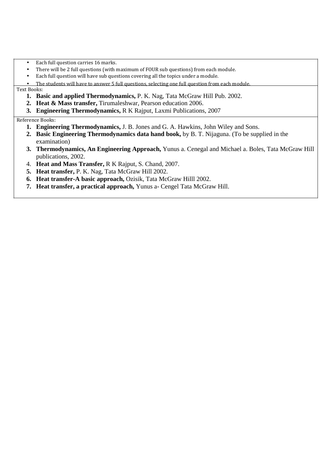- Each full question carries 16 marks.
- There will be 2 full questions (with maximum of FOUR sub questions) from each module.
- Each full question will have sub questions covering all the topics under a module.

• The students will have to answer 5 full questions, selecting one full question from each module.

Text Books:

- **1. Basic and applied Thermodynamics,** P. K. Nag, Tata McGraw Hill Pub. 2002.
- **2. Heat & Mass transfer,** Tirumaleshwar, Pearson education 2006.
- **3. Engineering Thermodynamics,** R K Rajput, Laxmi Publications, 2007

Reference Books:

- **1. Engineering Thermodynamics,** J. B. Jones and G. A. Hawkins, John Wiley and Sons.
- **2. Basic Engineering Thermodynamics data hand book,** by B. T. Nijaguna. (To be supplied in the examination)
- **3. Thermodynamics, An Engineering Approach,** Yunus a. Cenegal and Michael a. Boles, Tata McGraw Hill publications, 2002.
- 4. **Heat and Mass Transfer,** R K Rajput, S. Chand, 2007.
- **5. Heat transfer,** P. K. Nag, Tata McGraw Hill 2002.
- **6. Heat transfer-A basic approach,** Ozisik, Tata McGraw Hilll 2002.
- **7. Heat transfer, a practical approach,** Yunus a- Cengel Tata McGraw Hill.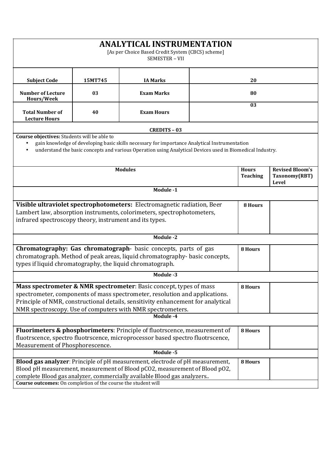| <b>ANALYTICAL INSTRUMENTATION</b><br>[As per Choice Based Credit System (CBCS) scheme]<br>SEMESTER - VII                                                                                                                                                                                                                   |                                                                                                                                                                                                                       |                                                                                                                                                                                                                                        |         |                                 |                                                         |  |
|----------------------------------------------------------------------------------------------------------------------------------------------------------------------------------------------------------------------------------------------------------------------------------------------------------------------------|-----------------------------------------------------------------------------------------------------------------------------------------------------------------------------------------------------------------------|----------------------------------------------------------------------------------------------------------------------------------------------------------------------------------------------------------------------------------------|---------|---------------------------------|---------------------------------------------------------|--|
| <b>Subject Code</b>                                                                                                                                                                                                                                                                                                        | 15MT745                                                                                                                                                                                                               | <b>IA Marks</b>                                                                                                                                                                                                                        |         | 20                              |                                                         |  |
| <b>Number of Lecture</b><br>Hours/Week                                                                                                                                                                                                                                                                                     | 03                                                                                                                                                                                                                    | <b>Exam Marks</b>                                                                                                                                                                                                                      |         | 80                              |                                                         |  |
| <b>Total Number of</b><br><b>Lecture Hours</b>                                                                                                                                                                                                                                                                             | 40                                                                                                                                                                                                                    | <b>Exam Hours</b>                                                                                                                                                                                                                      |         | 03                              |                                                         |  |
|                                                                                                                                                                                                                                                                                                                            |                                                                                                                                                                                                                       | <b>CREDITS - 03</b>                                                                                                                                                                                                                    |         |                                 |                                                         |  |
| Course objectives: Students will be able to                                                                                                                                                                                                                                                                                |                                                                                                                                                                                                                       | gain knowledge of developing basic skills necessary for importance Analytical Instrumentation<br>understand the basic concepts and various Operation using Analytical Devices used in Biomedical Industry.                             |         |                                 |                                                         |  |
|                                                                                                                                                                                                                                                                                                                            |                                                                                                                                                                                                                       | <b>Modules</b>                                                                                                                                                                                                                         |         | <b>Hours</b><br><b>Teaching</b> | <b>Revised Bloom's</b><br>Taxonomy(RBT)<br><b>Level</b> |  |
|                                                                                                                                                                                                                                                                                                                            |                                                                                                                                                                                                                       | Module -1                                                                                                                                                                                                                              |         |                                 |                                                         |  |
| Visible ultraviolet spectrophotometers: Electromagnetic radiation, Beer<br>Lambert law, absorption instruments, colorimeters, spectrophotometers,<br>infrared spectroscopy theory, instrument and its types.                                                                                                               |                                                                                                                                                                                                                       |                                                                                                                                                                                                                                        | 8 Hours |                                 |                                                         |  |
|                                                                                                                                                                                                                                                                                                                            |                                                                                                                                                                                                                       | <b>Module -2</b>                                                                                                                                                                                                                       |         |                                 |                                                         |  |
|                                                                                                                                                                                                                                                                                                                            | Chromatography: Gas chromatograph- basic concepts, parts of gas<br>8 Hours<br>chromatograph. Method of peak areas, liquid chromatography-basic concepts,<br>types if liquid chromatography, the liquid chromatograph. |                                                                                                                                                                                                                                        |         |                                 |                                                         |  |
|                                                                                                                                                                                                                                                                                                                            |                                                                                                                                                                                                                       | Module -3                                                                                                                                                                                                                              |         |                                 |                                                         |  |
| <b>Mass spectrometer &amp; NMR spectrometer</b> : Basic concept, types of mass<br>8 Hours<br>spectrometer, components of mass spectrometer, resolution and applications.<br>Principle of NMR, constructional details, sensitivity enhancement for analytical<br>NMR spectroscopy. Use of computers with NMR spectrometers. |                                                                                                                                                                                                                       |                                                                                                                                                                                                                                        |         |                                 |                                                         |  |
| Module -4                                                                                                                                                                                                                                                                                                                  |                                                                                                                                                                                                                       |                                                                                                                                                                                                                                        |         |                                 |                                                         |  |
| Fluorimeters & phosphorimeters: Principle of fluotrscence, measurement of<br>8 Hours<br>fluotrscence, spectro fluotrscence, microprocessor based spectro fluotrscence,<br>Measurement of Phosphorescence.                                                                                                                  |                                                                                                                                                                                                                       |                                                                                                                                                                                                                                        |         |                                 |                                                         |  |
|                                                                                                                                                                                                                                                                                                                            |                                                                                                                                                                                                                       | Module -5                                                                                                                                                                                                                              |         |                                 |                                                         |  |
| Course outcomes: On completion of the course the student will                                                                                                                                                                                                                                                              |                                                                                                                                                                                                                       | Blood gas analyzer: Principle of pH measurement, electrode of pH measurement,<br>Blood pH measurement, measurement of Blood pCO2, measurement of Blood pO2,<br>complete Blood gas analyzer, commercially available Blood gas analyzers |         | 8 Hours                         |                                                         |  |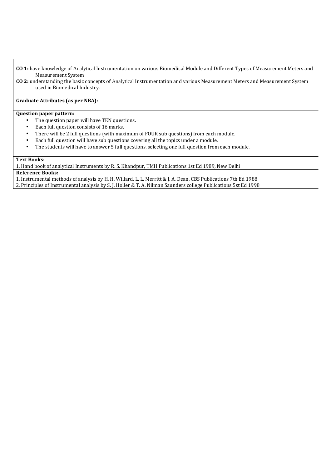- **CO 1:** have knowledge of Analytical Instrumentation on various Biomedical Module and Different Types of Measurement Meters and Measurement System
- **CO 2:** understanding the basic concepts of Analytical Instrumentation and various Measurement Meters and Measurement System used in Biomedical Industry.

## **Graduate Attributes (as per NBA):**

#### **Question paper pattern:**

- The question paper will have TEN questions.
- Each full question consists of 16 marks.
- There will be 2 full questions (with maximum of FOUR sub questions) from each module.
- Each full question will have sub questions covering all the topics under a module.
- The students will have to answer 5 full questions, selecting one full question from each module.

#### **Text Books:**

1. Hand book of analytical Instruments by R. S. Khandpur, TMH Publications 1st Ed 1989, New Delhi

**Reference Books:** 

1. Instrumental methods of analysis by H. H. Willard, L. L. Merritt & J. A. Dean, CBS Publications 7th Ed 1988

2. Principles of Instrumental analysis by S. J. Holler & T. A. Nilman Saunders college Publications 5st Ed 1998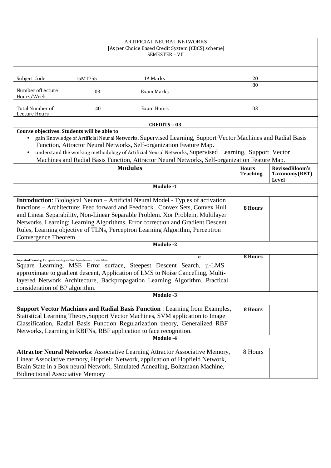| ARTIFICIAL NEURAL NETWORKS<br>[As per Choice Based Credit System (CBCS) scheme]<br>SEMESTER - VII                                                                                                                                                                                                                                                                                                                                                    |         |                                                                                                                                                                                                                                                                                                                                                                                              |  |                                 |                                          |
|------------------------------------------------------------------------------------------------------------------------------------------------------------------------------------------------------------------------------------------------------------------------------------------------------------------------------------------------------------------------------------------------------------------------------------------------------|---------|----------------------------------------------------------------------------------------------------------------------------------------------------------------------------------------------------------------------------------------------------------------------------------------------------------------------------------------------------------------------------------------------|--|---------------------------------|------------------------------------------|
| Subject Code                                                                                                                                                                                                                                                                                                                                                                                                                                         | 15MT755 | <b>IA Marks</b>                                                                                                                                                                                                                                                                                                                                                                              |  | 20                              |                                          |
| Number of Lecture<br>Hours/Week                                                                                                                                                                                                                                                                                                                                                                                                                      | 03      | Exam Marks                                                                                                                                                                                                                                                                                                                                                                                   |  | 80                              |                                          |
| <b>Total Number of</b><br>Lecture Hours                                                                                                                                                                                                                                                                                                                                                                                                              | 40      | Exam Hours                                                                                                                                                                                                                                                                                                                                                                                   |  | 03                              |                                          |
|                                                                                                                                                                                                                                                                                                                                                                                                                                                      |         | <b>CREDITS - 03</b>                                                                                                                                                                                                                                                                                                                                                                          |  |                                 |                                          |
| Course objectives: Students will be able to<br>$\bullet$                                                                                                                                                                                                                                                                                                                                                                                             |         | gain Knowledge of Artificial Neural Networks, Supervised Learning, Support Vector Machines and Radial Basis<br>Function, Attractor Neural Networks, Self-organization Feature Map.<br>understand the working methodology of Artificial Neural Networks, Supervised Learning, Support Vector<br>Machines and Radial Basis Function, Attractor Neural Networks, Self-organization Feature Map. |  |                                 |                                          |
|                                                                                                                                                                                                                                                                                                                                                                                                                                                      |         | <b>Modules</b>                                                                                                                                                                                                                                                                                                                                                                               |  | <b>Hours</b><br><b>Teaching</b> | RevisedBloom's<br>Taxonomy(RBT)<br>Level |
|                                                                                                                                                                                                                                                                                                                                                                                                                                                      |         | Module -1                                                                                                                                                                                                                                                                                                                                                                                    |  |                                 |                                          |
| <b>Introduction:</b> Biological Neuron – Artificial Neural Model - Typ es of activation<br>functions - Architecture: Feed forward and Feedback, Convex Sets, Convex Hull<br>and Linear Separability, Non-Linear Separable Problem. Xor Problem, Multilayer<br>Networks. Learning: Learning Algorithms, Error correction and Gradient Descent<br>Rules, Learning objective of TLNs, Perceptron Learning Algorithm, Perceptron<br>Convergence Theorem. |         |                                                                                                                                                                                                                                                                                                                                                                                              |  | 8 Hours                         |                                          |
|                                                                                                                                                                                                                                                                                                                                                                                                                                                      |         | Module -2                                                                                                                                                                                                                                                                                                                                                                                    |  |                                 |                                          |
| <b>8 Hours</b><br>$\alpha$<br>Supervised Learning: Perceptron learning and Non Separable sets, -Least Mean<br>Square Learning, MSE Error surface, Steepest Descent Search, µ-LMS<br>approximate to gradient descent, Application of LMS to Noise Cancelling, Multi-<br>layered Network Architecture, Backpropagation Learning Algorithm, Practical<br>consideration of BP algorithm.                                                                 |         |                                                                                                                                                                                                                                                                                                                                                                                              |  |                                 |                                          |
|                                                                                                                                                                                                                                                                                                                                                                                                                                                      |         | Module -3                                                                                                                                                                                                                                                                                                                                                                                    |  |                                 |                                          |
| <b>Support Vector Machines and Radial Basis Function: Learning from Examples,</b><br><b>8 Hours</b><br>Statistical Learning Theory, Support Vector Machines, SVM application to Image<br>Classification, Radial Basis Function Regularization theory, Generalized RBF<br>Networks, Learning in RBFNs, RBF application to face recognition.                                                                                                           |         |                                                                                                                                                                                                                                                                                                                                                                                              |  |                                 |                                          |
| Module -4                                                                                                                                                                                                                                                                                                                                                                                                                                            |         |                                                                                                                                                                                                                                                                                                                                                                                              |  |                                 |                                          |
| <b>Attractor Neural Networks: Associative Learning Attractor Associative Memory,</b><br>8 Hours<br>Linear Associative memory, Hopfield Network, application of Hopfield Network,<br>Brain State in a Box neural Network, Simulated Annealing, Boltzmann Machine,<br><b>Bidirectional Associative Memory</b>                                                                                                                                          |         |                                                                                                                                                                                                                                                                                                                                                                                              |  |                                 |                                          |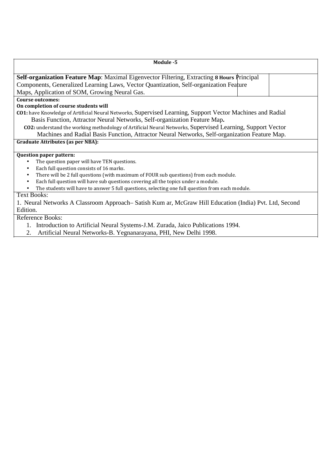| Module -5                                                                                                  |
|------------------------------------------------------------------------------------------------------------|
| Self-organization Feature Map: Maximal Eigenvector Filtering, Extracting 8 Hours Principal                 |
| Components, Generalized Learning Laws, Vector Quantization, Self-organization Feature                      |
| Maps, Application of SOM, Growing Neural Gas.                                                              |
| Course outcomes:                                                                                           |
| On completion of course students will                                                                      |
| CO1: have Knowledge of Artificial Neural Networks, Supervised Learning, Support Vector Machines and Radial |
| Basis Function, Attractor Neural Networks, Self-organization Feature Map.                                  |
| CO2: understand the working methodology of Artificial Neural Networks, Supervised Learning, Support Vector |
| Machines and Radial Basis Function, Attractor Neural Networks, Self-organization Feature Map.              |
| <b>Graduate Attributes (as per NBA):</b>                                                                   |
|                                                                                                            |
| <b>Question paper pattern:</b>                                                                             |
| The question paper will have TEN questions.                                                                |
| Each full question consists of 16 marks.<br>$\bullet$                                                      |
| There will be 2 full questions (with maximum of FOUR sub questions) from each module.                      |
| Each full question will have sub questions covering all the topics under a module.                         |
| The students will have to answer 5 full questions, selecting one full question from each module.           |
| <b>Text Books:</b>                                                                                         |
| 1. Neural Networks A Classroom Approach– Satish Kum ar, McGraw Hill Education (India) Pvt. Ltd, Second     |
| Edition.                                                                                                   |
| <b>Reference Books:</b>                                                                                    |
| 1. Introduction to Artificial Neural Systems-J.M. Zurada, Jaico Publications 1994.                         |

2. Artificial Neural Networks-B. Yegnanarayana, PHI, New Delhi 1998.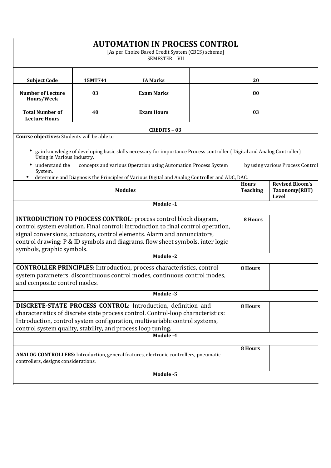|                                                                                                                 |         | <b>AUTOMATION IN PROCESS CONTROL</b><br>[As per Choice Based Credit System (CBCS) scheme]<br>SEMESTER - VII                                                                                                                                                                                                                           |                                 |                                                  |  |  |
|-----------------------------------------------------------------------------------------------------------------|---------|---------------------------------------------------------------------------------------------------------------------------------------------------------------------------------------------------------------------------------------------------------------------------------------------------------------------------------------|---------------------------------|--------------------------------------------------|--|--|
| <b>Subject Code</b>                                                                                             | 15MT741 | <b>IA Marks</b>                                                                                                                                                                                                                                                                                                                       | 20                              |                                                  |  |  |
| <b>Number of Lecture</b><br>Hours/Week                                                                          | 03      | <b>Exam Marks</b>                                                                                                                                                                                                                                                                                                                     | 80                              |                                                  |  |  |
| <b>Total Number of</b><br><b>Lecture Hours</b>                                                                  | 40      | <b>Exam Hours</b>                                                                                                                                                                                                                                                                                                                     | 03                              |                                                  |  |  |
| Course objectives: Students will be able to                                                                     |         | <b>CREDITS - 03</b>                                                                                                                                                                                                                                                                                                                   |                                 |                                                  |  |  |
| Using in Various Industry.<br>understand the<br>System.                                                         |         | gain knowledge of developing basic skills necessary for importance Process controller (Digital and Analog Controller)<br>concepts and various Operation using Automation Process System                                                                                                                                               |                                 | by using various Process Control                 |  |  |
| determine and Diagnosis the Principles of Various Digital and Analog Controller and ADC, DAC.<br><b>Modules</b> |         |                                                                                                                                                                                                                                                                                                                                       | <b>Hours</b><br><b>Teaching</b> | <b>Revised Bloom's</b><br>Taxonomy(RBT)<br>Level |  |  |
|                                                                                                                 |         | Module -1                                                                                                                                                                                                                                                                                                                             |                                 |                                                  |  |  |
| symbols, graphic symbols.                                                                                       |         | <b>INTRODUCTION TO PROCESS CONTROL:</b> process control block diagram,<br>control system evolution. Final control: introduction to final control operation,<br>signal conversions, actuators, control elements. Alarm and annunciators,<br>control drawing: P & ID symbols and diagrams, flow sheet symbols, inter logic<br>Module -2 | 8 Hours                         |                                                  |  |  |
|                                                                                                                 |         |                                                                                                                                                                                                                                                                                                                                       |                                 |                                                  |  |  |
| and composite control modes.                                                                                    |         | <b>CONTROLLER PRINCIPLES:</b> Introduction, process characteristics, control<br>system parameters, discontinuous control modes, continuous control modes,                                                                                                                                                                             | 8 Hours                         |                                                  |  |  |
|                                                                                                                 |         | Module -3                                                                                                                                                                                                                                                                                                                             |                                 |                                                  |  |  |
| control system quality, stability, and process loop tuning.                                                     |         | DISCRETE-STATE PROCESS CONTROL: Introduction, definition and<br>characteristics of discrete state process control. Control-loop characteristics:<br>Introduction, control system configuration, multivariable control systems,<br>Module -4                                                                                           | 8 Hours                         |                                                  |  |  |
| controllers, designs considerations.                                                                            |         | ANALOG CONTROLLERS: Introduction, general features, electronic controllers, pneumatic                                                                                                                                                                                                                                                 | 8 Hours                         |                                                  |  |  |
|                                                                                                                 |         | Module -5                                                                                                                                                                                                                                                                                                                             |                                 |                                                  |  |  |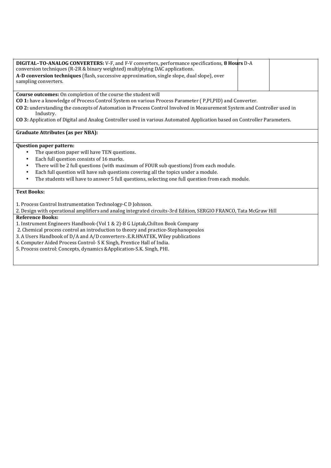| DIGITAL-TO-ANALOG CONVERTERS: V-F, and F-V converters, performance specifications, 8 Hours D-A<br>conversion techniques (R-2R & binary weighted) multiplying DAC applications.<br>A-D conversion techniques (flash, successive approximation, single slope, dual slope), over<br>sampling converters. |  |
|-------------------------------------------------------------------------------------------------------------------------------------------------------------------------------------------------------------------------------------------------------------------------------------------------------|--|
| <b>Course outcomes:</b> On completion of the course the student will                                                                                                                                                                                                                                  |  |

**CO 1:** have a knowledge of Process Control System on various Process Parameter ( P,PI,PID) and Converter.

**CO 2:** understanding the concepts of Automation in Process Control Involved in Measurement System and Controller used in Industry.

**CO 3:** Application of Digital and Analog Controller used in various Automated Application based on Controller Parameters.

#### **Graduate Attributes (as per NBA):**

#### **Question paper pattern:**

- The question paper will have TEN questions.
- Each full question consists of 16 marks.
- There will be 2 full questions (with maximum of FOUR sub questions) from each module.
- Each full question will have sub questions covering all the topics under a module.
- The students will have to answer 5 full questions, selecting one full question from each module.

## **Text Books:**

1. Process Control Instrumentation Technology-C D Johnson.

2. Design with operational amplifiers and analog integrated circuits-3rd Edition, SERGIO FRANCO, Tata McGraw Hill

## **Reference Books:**

- 1. Instrument Engineers Handbook-(Vol 1 & 2)-B G Liptak,Chilton Book Company
- 2. Chemical process control an introduction to theory and practice-Stephanopoulos
- 3. A Users Handbook of D/A and A/D converters-.E.R.HNATEK, Wiley publications
- 4. Computer Aided Process Control- S K Singh, Prentice Hall of India.
- 5. Process control: Concepts, dynamics &Application-S.K. Singh, PHI.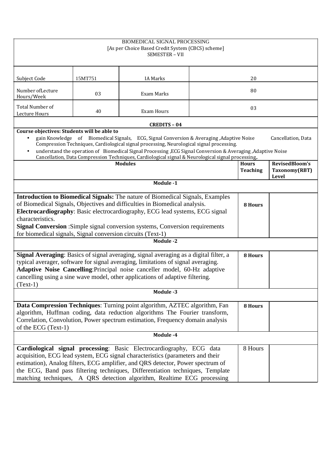|                                                                                                                                                                                                                                                                                                                                                                                                                                                                                                                                                                                                    |         | <b>BIOMEDICAL SIGNAL PROCESSING</b><br>[As per Choice Based Credit System (CBCS) scheme]<br>SEMESTER - VII |    |         |       |
|----------------------------------------------------------------------------------------------------------------------------------------------------------------------------------------------------------------------------------------------------------------------------------------------------------------------------------------------------------------------------------------------------------------------------------------------------------------------------------------------------------------------------------------------------------------------------------------------------|---------|------------------------------------------------------------------------------------------------------------|----|---------|-------|
| Subject Code                                                                                                                                                                                                                                                                                                                                                                                                                                                                                                                                                                                       | 15MT751 | <b>IA Marks</b>                                                                                            | 20 |         |       |
| Number of Lecture<br>Hours/Week                                                                                                                                                                                                                                                                                                                                                                                                                                                                                                                                                                    | 03      | Exam Marks                                                                                                 |    | 80      |       |
| Total Number of<br>Lecture Hours                                                                                                                                                                                                                                                                                                                                                                                                                                                                                                                                                                   | 40      | Exam Hours                                                                                                 |    | 03      |       |
|                                                                                                                                                                                                                                                                                                                                                                                                                                                                                                                                                                                                    |         | <b>CREDITS - 04</b>                                                                                        |    |         |       |
| Course objectives: Students will be able to<br>gain Knowledge of Biomedical Signals, ECG, Signal Conversion & Averaging, Adaptive Noise<br>Cancellation, Data<br>$\bullet$<br>Compression Techniques, Cardiological signal processing, Neurological signal processing.<br>understand the operation of Biomedical Signal Processing , ECG Signal Conversion & Averaging , Adaptive Noise<br>$\bullet$<br>Cancellation, Data Compression Techniques, Cardiological signal & Neurological signal processing,.<br>RevisedBloom's<br><b>Modules</b><br><b>Hours</b><br>Taxonomy(RBT)<br><b>Teaching</b> |         |                                                                                                            |    |         |       |
|                                                                                                                                                                                                                                                                                                                                                                                                                                                                                                                                                                                                    |         | Module -1                                                                                                  |    |         | Level |
| <b>Introduction to Biomedical Signals:</b> The nature of Biomedical Signals, Examples<br>of Biomedical Signals, Objectives and difficulties in Biomedical analysis.<br>Electrocardiography: Basic electrocardiography, ECG lead systems, ECG signal<br>characteristics.<br>Signal Conversion : Simple signal conversion systems, Conversion requirements<br>for biomedical signals, Signal conversion circuits (Text-1)                                                                                                                                                                            |         |                                                                                                            |    |         |       |
|                                                                                                                                                                                                                                                                                                                                                                                                                                                                                                                                                                                                    |         | Module -2                                                                                                  |    |         |       |
| Signal Averaging: Basics of signal averaging, signal averaging as a digital filter, a<br>typical averager, software for signal averaging, limitations of signal averaging.<br>Adaptive Noise Cancelling: Principal noise canceller model, 60-Hz adaptive<br>cancelling using a sine wave model, other applications of adaptive filtering.<br>$(Text-1)$                                                                                                                                                                                                                                            |         |                                                                                                            |    | 8 Hours |       |
|                                                                                                                                                                                                                                                                                                                                                                                                                                                                                                                                                                                                    |         | Module -3                                                                                                  |    |         |       |
| Data Compression Techniques: Turning point algorithm, AZTEC algorithm, Fan<br>algorithm, Huffman coding, data reduction algorithms The Fourier transform,<br>Correlation, Convolution, Power spectrum estimation, Frequency domain analysis<br>of the ECG (Text-1)                                                                                                                                                                                                                                                                                                                                 |         |                                                                                                            |    | 8 Hours |       |
|                                                                                                                                                                                                                                                                                                                                                                                                                                                                                                                                                                                                    |         | Module -4                                                                                                  |    |         |       |
| Cardiological signal processing: Basic Electrocardiography, ECG data<br>8 Hours<br>acquisition, ECG lead system, ECG signal characteristics (parameters and their<br>estimation), Analog filters, ECG amplifier, and QRS detector, Power spectrum of<br>the ECG, Band pass filtering techniques, Differentiation techniques, Template<br>matching techniques, A QRS detection algorithm, Realtime ECG processing                                                                                                                                                                                   |         |                                                                                                            |    |         |       |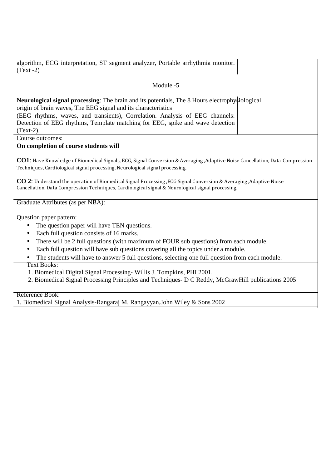| algorithm, ECG interpretation, ST segment analyzer, Portable arrhythmia monitor.<br>$(Text -2)$                                                                                                                                                                                                                                                                                                                                                                                                                                                                                                                                                                |  |  |  |  |  |
|----------------------------------------------------------------------------------------------------------------------------------------------------------------------------------------------------------------------------------------------------------------------------------------------------------------------------------------------------------------------------------------------------------------------------------------------------------------------------------------------------------------------------------------------------------------------------------------------------------------------------------------------------------------|--|--|--|--|--|
| Module -5                                                                                                                                                                                                                                                                                                                                                                                                                                                                                                                                                                                                                                                      |  |  |  |  |  |
| Neurological signal processing: The brain and its potentials, The 8 Hours electrophysiological<br>origin of brain waves, The EEG signal and its characteristics<br>(EEG rhythms, waves, and transients), Correlation. Analysis of EEG channels:<br>Detection of EEG rhythms, Template matching for EEG, spike and wave detection                                                                                                                                                                                                                                                                                                                               |  |  |  |  |  |
| $(Text-2)$ .                                                                                                                                                                                                                                                                                                                                                                                                                                                                                                                                                                                                                                                   |  |  |  |  |  |
| Course outcomes:                                                                                                                                                                                                                                                                                                                                                                                                                                                                                                                                                                                                                                               |  |  |  |  |  |
| On completion of course students will                                                                                                                                                                                                                                                                                                                                                                                                                                                                                                                                                                                                                          |  |  |  |  |  |
| CO1: Have Knowledge of Biomedical Signals, ECG, Signal Conversion & Averaging , Adaptive Noise Cancellation, Data Compression<br>Techniques, Cardiological signal processing, Neurological signal processing.<br>CO 2: Understand the operation of Biomedical Signal Processing, ECG Signal Conversion & Averaging, Adaptive Noise<br>Cancellation, Data Compression Techniques, Cardiological signal & Neurological signal processing.                                                                                                                                                                                                                        |  |  |  |  |  |
| Graduate Attributes (as per NBA):                                                                                                                                                                                                                                                                                                                                                                                                                                                                                                                                                                                                                              |  |  |  |  |  |
| Question paper pattern:<br>The question paper will have TEN questions.<br>$\bullet$<br>Each full question consists of 16 marks.<br>$\bullet$<br>There will be 2 full questions (with maximum of FOUR sub questions) from each module.<br>$\bullet$<br>Each full question will have sub questions covering all the topics under a module.<br>$\bullet$<br>The students will have to answer 5 full questions, selecting one full question from each module.<br><b>Text Books:</b><br>1. Biomedical Digital Signal Processing-Willis J. Tompkins, PHI 2001.<br>2. Biomedical Signal Processing Principles and Techniques- D C Reddy, McGrawHill publications 2005 |  |  |  |  |  |

Reference Book:

1. Biomedical Signal Analysis-Rangaraj M. Rangayyan,John Wiley & Sons 2002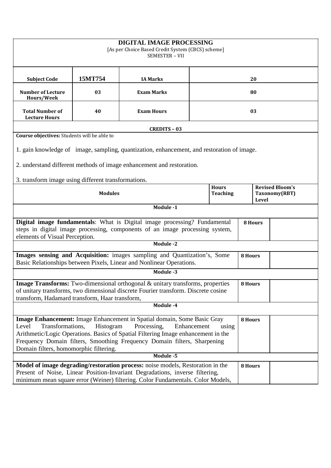| DIGITAL IMAGE PROCESSING<br>[As per Choice Based Credit System (CBCS) scheme]<br><b>SEMESTER - VII</b>                                                                                                                                                                                                                                                                         |         |                                                                                            |  |       |                                         |                |  |  |
|--------------------------------------------------------------------------------------------------------------------------------------------------------------------------------------------------------------------------------------------------------------------------------------------------------------------------------------------------------------------------------|---------|--------------------------------------------------------------------------------------------|--|-------|-----------------------------------------|----------------|--|--|
| <b>Subject Code</b>                                                                                                                                                                                                                                                                                                                                                            | 15MT754 | <b>IA Marks</b>                                                                            |  | 20    |                                         |                |  |  |
| <b>Number of Lecture</b><br>Hours/Week                                                                                                                                                                                                                                                                                                                                         | 03      | <b>Exam Marks</b>                                                                          |  | 80    |                                         |                |  |  |
| <b>Total Number of</b><br><b>Lecture Hours</b>                                                                                                                                                                                                                                                                                                                                 | 40      | <b>Exam Hours</b>                                                                          |  | 03    |                                         |                |  |  |
|                                                                                                                                                                                                                                                                                                                                                                                |         | <b>CREDITS - 03</b>                                                                        |  |       |                                         |                |  |  |
| Course objectives: Students will be able to                                                                                                                                                                                                                                                                                                                                    |         |                                                                                            |  |       |                                         |                |  |  |
|                                                                                                                                                                                                                                                                                                                                                                                |         | 1. gain knowledge of image, sampling, quantization, enhancement, and restoration of image. |  |       |                                         |                |  |  |
|                                                                                                                                                                                                                                                                                                                                                                                |         | 2. understand different methods of image enhancement and restoration.                      |  |       |                                         |                |  |  |
| 3. transform image using different transformations.                                                                                                                                                                                                                                                                                                                            |         |                                                                                            |  |       |                                         |                |  |  |
| <b>Hours</b><br><b>Modules</b><br><b>Teaching</b>                                                                                                                                                                                                                                                                                                                              |         |                                                                                            |  | Level | <b>Revised Bloom's</b><br>Taxonomy(RBT) |                |  |  |
|                                                                                                                                                                                                                                                                                                                                                                                |         | Module -1                                                                                  |  |       |                                         |                |  |  |
| Digital image fundamentals: What is Digital image processing? Fundamental<br>steps in digital image processing, components of an image processing system,<br>elements of Visual Perception.                                                                                                                                                                                    |         |                                                                                            |  |       |                                         | <b>8 Hours</b> |  |  |
|                                                                                                                                                                                                                                                                                                                                                                                |         | <b>Module -2</b>                                                                           |  |       |                                         |                |  |  |
| Images sensing and Acquisition: images sampling and Quantization's, Some<br>Basic Relationships between Pixels, Linear and Nonlinear Operations.                                                                                                                                                                                                                               |         |                                                                                            |  |       | 8 Hours                                 |                |  |  |
|                                                                                                                                                                                                                                                                                                                                                                                |         | Module -3                                                                                  |  |       |                                         |                |  |  |
| Image Transforms: Two-dimensional orthogonal & unitary transforms, properties<br>of unitary transforms, two dimensional discrete Fourier transform. Discrete cosine<br>transform, Hadamard transform, Haar transform,                                                                                                                                                          |         |                                                                                            |  |       | 8 Hours                                 |                |  |  |
| Module -4                                                                                                                                                                                                                                                                                                                                                                      |         |                                                                                            |  |       |                                         |                |  |  |
| Image Enhancement: Image Enhancement in Spatial domain, Some Basic Gray<br>8 Hours<br>Transformations,<br>Histogram<br>Processing,<br>Enhancement<br>Level<br>using<br>Arithmetic/Logic Operations. Basics of Spatial Filtering Image enhancement in the<br>Frequency Domain filters, Smoothing Frequency Domain filters, Sharpening<br>Domain filters, homomorphic filtering. |         |                                                                                            |  |       |                                         |                |  |  |
|                                                                                                                                                                                                                                                                                                                                                                                |         | Module -5                                                                                  |  |       |                                         |                |  |  |
| Model of image degrading/restoration process: noise models, Restoration in the<br>Present of Noise, Linear Position-Invariant Degradations, inverse filtering,<br>minimum mean square error (Weiner) filtering. Color Fundamentals. Color Models,                                                                                                                              |         |                                                                                            |  |       | 8 Hours                                 |                |  |  |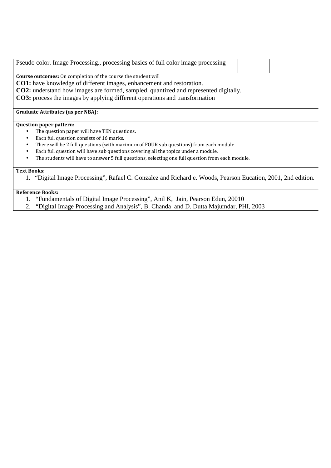| Pseudo color. Image Processing., processing basics of full color image processing                             |  |
|---------------------------------------------------------------------------------------------------------------|--|
| <b>Course outcomes:</b> On completion of the course the student will                                          |  |
| <b>CO1:</b> have knowledge of different images, enhancement and restoration.                                  |  |
| <b>CO2:</b> understand how images are formed, sampled, quantized and represented digitally.                   |  |
| CO3: process the images by applying different operations and transformation                                   |  |
|                                                                                                               |  |
| <b>Graduate Attributes (as per NBA):</b>                                                                      |  |
| <b>Question paper pattern:</b>                                                                                |  |
| The question paper will have TEN questions.<br>٠                                                              |  |
| Each full question consists of 16 marks.<br>$\bullet$                                                         |  |
| There will be 2 full questions (with maximum of FOUR sub questions) from each module.<br>$\bullet$            |  |
| Each full question will have sub questions covering all the topics under a module.                            |  |
| The students will have to answer 5 full questions, selecting one full question from each module.<br>$\bullet$ |  |
|                                                                                                               |  |
| <b>Text Books:</b>                                                                                            |  |
| "Digital Image Processing", Rafael C. Gonzalez and Richard e. Woods, Pearson Eucation, 2001, 2nd edition.     |  |
|                                                                                                               |  |

# **Reference Books:**

- 1. "Fundamentals of Digital Image Processing", Anil K, Jain, Pearson Edun, 20010
- 2. "Digital Image Processing and Analysis", B. Chanda and D. Dutta Majumdar, PHI, 2003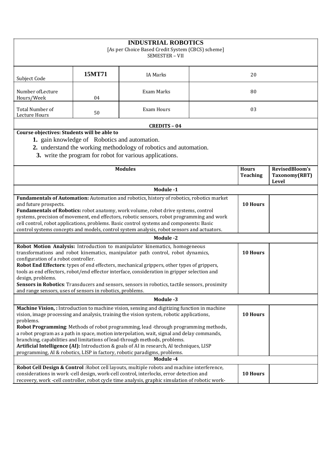| <b>INDUSTRIAL ROBOTICS</b><br>[As per Choice Based Credit System (CBCS) scheme]<br>SEMESTER - VII                                                                                                                                                                                                                                                                                                                                                                                                                                                                                                                                                              |        |                     |          |                                 |                                          |  |  |
|----------------------------------------------------------------------------------------------------------------------------------------------------------------------------------------------------------------------------------------------------------------------------------------------------------------------------------------------------------------------------------------------------------------------------------------------------------------------------------------------------------------------------------------------------------------------------------------------------------------------------------------------------------------|--------|---------------------|----------|---------------------------------|------------------------------------------|--|--|
| Subject Code                                                                                                                                                                                                                                                                                                                                                                                                                                                                                                                                                                                                                                                   | 15MT71 | <b>IA Marks</b>     | 20       |                                 |                                          |  |  |
| Number of Lecture<br>Hours/Week                                                                                                                                                                                                                                                                                                                                                                                                                                                                                                                                                                                                                                | 04     | Exam Marks          |          | 80                              |                                          |  |  |
| Total Number of<br>Lecture Hours                                                                                                                                                                                                                                                                                                                                                                                                                                                                                                                                                                                                                               | 50     | <b>Exam Hours</b>   |          | 03                              |                                          |  |  |
|                                                                                                                                                                                                                                                                                                                                                                                                                                                                                                                                                                                                                                                                |        | <b>CREDITS - 04</b> |          |                                 |                                          |  |  |
| Course objectives: Students will be able to<br>1. gain knowledge of Robotics and automation.<br>2. understand the working methodology of robotics and automation.<br>3. write the program for robot for various applications.                                                                                                                                                                                                                                                                                                                                                                                                                                  |        |                     |          |                                 |                                          |  |  |
| <b>Modules</b>                                                                                                                                                                                                                                                                                                                                                                                                                                                                                                                                                                                                                                                 |        |                     |          | <b>Hours</b><br><b>Teaching</b> | RevisedBloom's<br>Taxonomy(RBT)<br>Level |  |  |
| Module -1                                                                                                                                                                                                                                                                                                                                                                                                                                                                                                                                                                                                                                                      |        |                     |          |                                 |                                          |  |  |
| Fundamentals of Automation: Automation and robotics, history of robotics, robotics market<br>and future prospects.<br>Fundamentals of Robotics: robot anatomy, work volume, robot drive systems, control<br>systems, precision of movement, end effectors, robotic sensors, robot programming and work<br>cell control, robot applications, problems. Basic control systems and components: Basic<br>control systems concepts and models, control system analysis, robot sensors and actuators.                                                                                                                                                                |        |                     | 10 Hours |                                 |                                          |  |  |
|                                                                                                                                                                                                                                                                                                                                                                                                                                                                                                                                                                                                                                                                |        | <b>Module-2</b>     |          |                                 |                                          |  |  |
| Robot Motion Analysis: Introduction to manipulator kinematics, homogeneous<br>transformations and robot kinematics, manipulator path control, robot dynamics,<br>configuration of a robot controller.<br>Robot End Effectors: types of end effecters, mechanical grippers, other types of grippers,<br>tools as end effectors, robot/end effector interface, consideration in gripper selection and<br>design, problems.<br>Sensors in Robotics: Transducers and sensors, sensors in robotics, tactile sensors, proximity<br>and range sensors, uses of sensors in robotics, problems.                                                                         |        |                     |          | 10 Hours                        |                                          |  |  |
| Module -3                                                                                                                                                                                                                                                                                                                                                                                                                                                                                                                                                                                                                                                      |        |                     |          |                                 |                                          |  |  |
| Machine Vision, : Introduction to machine vision, sensing and digitizing function in machine<br>10 Hours<br>vision, image processing and analysis, training the vision system, robotic applications,<br>problems.<br>Robot Programming: Methods of robot programming, lead -through programming methods,<br>a robot program as a path in space, motion interpolation, wait, signal and delay commands,<br>branching, capabilities and limitations of lead-through methods, problems.<br>Artificial Intelligence (AI): Introduction & goals of AI in research, AI techniques, LISP<br>programming, AI & robotics, LISP in factory, robotic paradigms, problems. |        |                     |          |                                 |                                          |  |  |
|                                                                                                                                                                                                                                                                                                                                                                                                                                                                                                                                                                                                                                                                |        | Module -4           |          |                                 |                                          |  |  |
| Robot Cell Design & Control: Robot cell layouts, multiple robots and machine interference,<br>considerations in work -cell design, work-cell control, interlocks, error detection and<br>recovery, work -cell controller, robot cycle time analysis, graphic simulation of robotic work-                                                                                                                                                                                                                                                                                                                                                                       |        |                     |          | 10 Hours                        |                                          |  |  |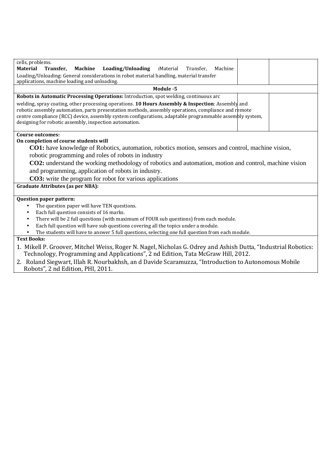| cells, problems.                                                                                                                                                                                                                                                                                                                                                              |  |  |  |  |  |  |
|-------------------------------------------------------------------------------------------------------------------------------------------------------------------------------------------------------------------------------------------------------------------------------------------------------------------------------------------------------------------------------|--|--|--|--|--|--|
| <b>Material</b><br>Transfer.<br>Loading/Unloading<br>Machine<br>:Material<br>Machine<br>Transfer,                                                                                                                                                                                                                                                                             |  |  |  |  |  |  |
| Loading/Unloading: General considerations in robot material handling, material transfer<br>applications, machine loading and unloading.                                                                                                                                                                                                                                       |  |  |  |  |  |  |
| Module -5                                                                                                                                                                                                                                                                                                                                                                     |  |  |  |  |  |  |
| Robots in Automatic Processing Operations: Introduction, spot welding, continuous arc                                                                                                                                                                                                                                                                                         |  |  |  |  |  |  |
| welding, spray coating, other processing operations. 10 Hours Assembly & Inspection: Assembly and<br>robotic assembly automation, parts presentation methods, assembly operations, compliance and remote<br>centre compliance (RCC) device, assembly system configurations, adaptable programmable assembly system,<br>designing for robotic assembly, inspection automation. |  |  |  |  |  |  |
| <b>Course outcomes:</b>                                                                                                                                                                                                                                                                                                                                                       |  |  |  |  |  |  |
| On completion of course students will                                                                                                                                                                                                                                                                                                                                         |  |  |  |  |  |  |
| <b>CO1:</b> have knowledge of Robotics, automation, robotics motion, sensors and control, machine vision,                                                                                                                                                                                                                                                                     |  |  |  |  |  |  |
| robotic programming and roles of robots in industry                                                                                                                                                                                                                                                                                                                           |  |  |  |  |  |  |
| <b>CO2:</b> understand the working methodology of robotics and automation, motion and control, machine vision                                                                                                                                                                                                                                                                 |  |  |  |  |  |  |
| and programming, application of robots in industry.                                                                                                                                                                                                                                                                                                                           |  |  |  |  |  |  |
| <b>CO3:</b> write the program for robot for various applications                                                                                                                                                                                                                                                                                                              |  |  |  |  |  |  |
| <b>Graduate Attributes (as per NBA):</b>                                                                                                                                                                                                                                                                                                                                      |  |  |  |  |  |  |
|                                                                                                                                                                                                                                                                                                                                                                               |  |  |  |  |  |  |
| Question paper pattern:                                                                                                                                                                                                                                                                                                                                                       |  |  |  |  |  |  |
| The question paper will have TEN questions.                                                                                                                                                                                                                                                                                                                                   |  |  |  |  |  |  |
| Each full question consists of 16 marks.<br>$\bullet$                                                                                                                                                                                                                                                                                                                         |  |  |  |  |  |  |
| There will be 2 full questions (with maximum of FOUR sub questions) from each module.<br>$\bullet$                                                                                                                                                                                                                                                                            |  |  |  |  |  |  |
| Each full question will have sub questions covering all the topics under a module.                                                                                                                                                                                                                                                                                            |  |  |  |  |  |  |
| The students will have to answer 5 full questions, selecting one full question from each module.                                                                                                                                                                                                                                                                              |  |  |  |  |  |  |
| <b>Text Books:</b>                                                                                                                                                                                                                                                                                                                                                            |  |  |  |  |  |  |
| 1. Mikell P. Groover, Mitchel Weiss, Roger N. Nagel, Nicholas G. Odrey and Ashish Dutta, "Industrial Robotics:<br>Technology, Programming and Applications", 2 nd Edition, Tata McGraw Hill, 2012.                                                                                                                                                                            |  |  |  |  |  |  |

2. Roland Siegwart, Illah R. Nourbakhsh, an d Davide Scaramuzza, "Introduction to Autonomous Mobile Robots", 2 nd Edition, PHI, 2011.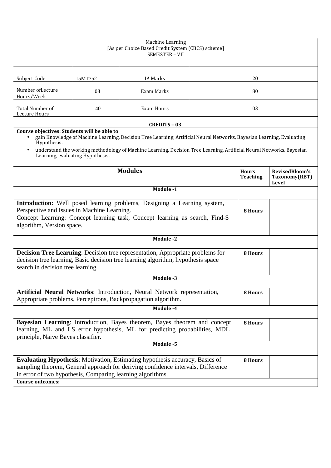| Machine Learning<br>[As per Choice Based Credit System (CBCS) scheme]<br>SEMESTER - VII                                                                                                                                                                                                                                                                                   |         |                                                                                                                                           |    |                                 |                                                 |  |
|---------------------------------------------------------------------------------------------------------------------------------------------------------------------------------------------------------------------------------------------------------------------------------------------------------------------------------------------------------------------------|---------|-------------------------------------------------------------------------------------------------------------------------------------------|----|---------------------------------|-------------------------------------------------|--|
| Subject Code                                                                                                                                                                                                                                                                                                                                                              | 15MT752 | <b>IA Marks</b>                                                                                                                           | 20 |                                 |                                                 |  |
| Number of Lecture<br>Hours/Week                                                                                                                                                                                                                                                                                                                                           | 03      | Exam Marks                                                                                                                                |    | 80                              |                                                 |  |
| Total Number of<br>Lecture Hours                                                                                                                                                                                                                                                                                                                                          | 40      | <b>Exam Hours</b>                                                                                                                         |    | 03                              |                                                 |  |
|                                                                                                                                                                                                                                                                                                                                                                           |         | <b>CREDITS - 03</b>                                                                                                                       |    |                                 |                                                 |  |
| Course objectives: Students will be able to<br>gain Knowledge of Machine Learning, Decision Tree Learning, Artificial Neural Networks, Bayesian Learning, Evaluating<br>$\bullet$<br>Hypothesis.<br>understand the working methodology of Machine Learning, Decision Tree Learning, Artificial Neural Networks, Bayesian<br>$\bullet$<br>Learning, evaluating Hypothesis. |         |                                                                                                                                           |    |                                 |                                                 |  |
| <b>Modules</b>                                                                                                                                                                                                                                                                                                                                                            |         |                                                                                                                                           |    | <b>Hours</b><br><b>Teaching</b> | RevisedBloom's<br>Taxonomy(RBT)<br><b>Level</b> |  |
|                                                                                                                                                                                                                                                                                                                                                                           |         | Module -1                                                                                                                                 |    |                                 |                                                 |  |
| Introduction: Well posed learning problems, Designing a Learning system,<br>Perspective and Issues in Machine Learning.<br>Concept Learning: Concept learning task, Concept learning as search, Find-S<br>algorithm, Version space.                                                                                                                                       |         |                                                                                                                                           |    | <b>8 Hours</b>                  |                                                 |  |
|                                                                                                                                                                                                                                                                                                                                                                           |         | Module -2                                                                                                                                 |    |                                 |                                                 |  |
| Decision Tree Learning: Decision tree representation, Appropriate problems for<br><b>8 Hours</b><br>decision tree learning, Basic decision tree learning algorithm, hypothesis space<br>search in decision tree learning.                                                                                                                                                 |         |                                                                                                                                           |    |                                 |                                                 |  |
|                                                                                                                                                                                                                                                                                                                                                                           |         | Module -3                                                                                                                                 |    |                                 |                                                 |  |
|                                                                                                                                                                                                                                                                                                                                                                           |         | Artificial Neural Networks: Introduction, Neural Network representation,<br>Appropriate problems, Perceptrons, Backpropagation algorithm. |    | 8 Hours                         |                                                 |  |
| Module -4                                                                                                                                                                                                                                                                                                                                                                 |         |                                                                                                                                           |    |                                 |                                                 |  |
| Bayesian Learning: Introduction, Bayes theorem, Bayes theorem and concept<br>learning, ML and LS error hypothesis, ML for predicting probabilities, MDL<br>principle, Naive Bayes classifier.                                                                                                                                                                             |         |                                                                                                                                           |    | 8 Hours                         |                                                 |  |
| Module -5                                                                                                                                                                                                                                                                                                                                                                 |         |                                                                                                                                           |    |                                 |                                                 |  |
| <b>Evaluating Hypothesis:</b> Motivation, Estimating hypothesis accuracy, Basics of<br>8 Hours<br>sampling theorem, General approach for deriving confidence intervals, Difference<br>in error of two hypothesis, Comparing learning algorithms.<br><b>Course outcomes:</b>                                                                                               |         |                                                                                                                                           |    |                                 |                                                 |  |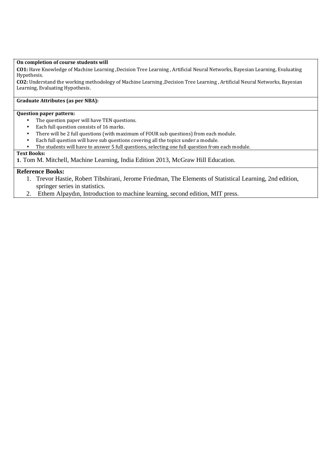#### **On completion of course students will**

**CO1:** Have Knowledge of Machine Learning ,Decision Tree Learning , Artificial Neural Networks, Bayesian Learning, Evaluating Hypothesis.

**CO2:** Understand the working methodology of Machine Learning ,Decision Tree Learning , Artificial Neural Networks, Bayesian Learning, Evaluating Hypothesis.

## **Graduate Attributes (as per NBA):**

#### **Question paper pattern:**

- The question paper will have TEN questions.
- Each full question consists of 16 marks.
- There will be 2 full questions (with maximum of FOUR sub questions) from each module.
- Each full question will have sub questions covering all the topics under a module.
- The students will have to answer 5 full questions, selecting one full question from each module.

### **Text Books:**

**1**. Tom M. Mitchell, Machine Learning, India Edition 2013, McGraw Hill Education.

# **Reference Books:**

- 1. Trevor Hastie, Robert Tibshirani, Jerome Friedman, The Elements of Statistical Learning, 2nd edition, springer series in statistics.
- 2. Ethem Alpaydın, Introduction to machine learning, second edition, MIT press.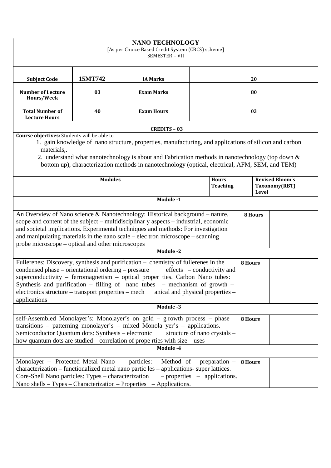| <b>NANO TECHNOLOGY</b><br>[As per Choice Based Credit System (CBCS) scheme]<br>SEMESTER - VII                                                                                                                                                                                                                                                                                                                                                                 |         |                     |    |                                                  |         |  |  |
|---------------------------------------------------------------------------------------------------------------------------------------------------------------------------------------------------------------------------------------------------------------------------------------------------------------------------------------------------------------------------------------------------------------------------------------------------------------|---------|---------------------|----|--------------------------------------------------|---------|--|--|
| <b>Subject Code</b>                                                                                                                                                                                                                                                                                                                                                                                                                                           | 15MT742 | <b>IA Marks</b>     | 20 |                                                  |         |  |  |
| <b>Number of Lecture</b><br>Hours/Week                                                                                                                                                                                                                                                                                                                                                                                                                        | 03      | <b>Exam Marks</b>   | 80 |                                                  |         |  |  |
| <b>Total Number of</b><br><b>Lecture Hours</b>                                                                                                                                                                                                                                                                                                                                                                                                                | 40      | <b>Exam Hours</b>   | 03 |                                                  |         |  |  |
|                                                                                                                                                                                                                                                                                                                                                                                                                                                               |         | <b>CREDITS - 03</b> |    |                                                  |         |  |  |
| Course objectives: Students will be able to<br>1. gain knowledge of nano structure, properties, manufacturing, and applications of silicon and carbon<br>materials,.<br>2. understand what nanotechnology is about and Fabrication methods in nanotechnology (top down &<br>bottom up), characterization methods in nanotechnology (optical, electrical, AFM, SEM, and TEM)                                                                                   |         |                     |    |                                                  |         |  |  |
| <b>Modules</b><br><b>Hours</b><br><b>Teaching</b>                                                                                                                                                                                                                                                                                                                                                                                                             |         |                     |    | <b>Revised Bloom's</b><br>Taxonomy(RBT)<br>Level |         |  |  |
|                                                                                                                                                                                                                                                                                                                                                                                                                                                               |         | Module -1           |    |                                                  |         |  |  |
| An Overview of Nano science & Nanotechnology: Historical background – nature,<br>scope and content of the subject – multidisciplinar y aspects – industrial, economic<br>and societal implications. Experimental techniques and methods: For investigation<br>and manipulating materials in the nano scale – electron microscope – scanning<br>probe microscope – optical and other microscopes                                                               |         |                     |    |                                                  | 8 Hours |  |  |
| <b>Module-2</b>                                                                                                                                                                                                                                                                                                                                                                                                                                               |         |                     |    |                                                  |         |  |  |
| Fullerenes: Discovery, synthesis and purification - chemistry of fullerenes in the<br>8 Hours<br>condensed phase – orientational ordering – pressure<br>effects – conductivity and<br>superconductivity – ferromagnetism – optical proper ties. Carbon Nano tubes:<br>Synthesis and purification $-$ filling of nano tubes $-$ mechanism of growth<br>electronics structure – transport properties – mech<br>anical and physical properties –<br>applications |         |                     |    |                                                  |         |  |  |
| Module -3                                                                                                                                                                                                                                                                                                                                                                                                                                                     |         |                     |    |                                                  |         |  |  |
| self-Assembled Monolayer's: Monolayer's on gold - g rowth process - phase<br>8 Hours<br>transitions – patterning monolayer's – mixed Monola yer's – applications.<br>Semiconductor Quantum dots: Synthesis - electronic<br>structure of nano crystals -<br>how quantum dots are studied – correlation of prope rties with size – uses<br>Module -4                                                                                                            |         |                     |    |                                                  |         |  |  |
| Monolayer - Protected Metal Nano<br>Method of<br>particles:<br>preparation $-$<br>8 Hours<br>characterization – functionalized metal nano partic les – applications- super lattices.<br>Core-Shell Nano particles: Types - characterization<br>$-$ properties $-$ applications.<br>Nano shells – Types – Characterization – Properties – Applications.                                                                                                        |         |                     |    |                                                  |         |  |  |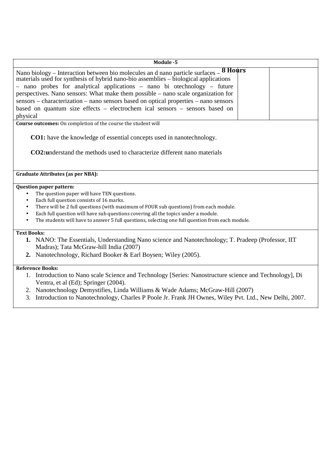| Module -5                                                                                                                                                                                                                                                                                                                                                                                                                                                                                                                           |
|-------------------------------------------------------------------------------------------------------------------------------------------------------------------------------------------------------------------------------------------------------------------------------------------------------------------------------------------------------------------------------------------------------------------------------------------------------------------------------------------------------------------------------------|
| Nano biology – Interaction between bio molecules and nano particle surfaces – $8$ Hours<br>materials used for synthesis of hybrid nano-bio assemblies – biological applications<br>- nano probes for analytical applications - nano bi otechnology - future<br>perspectives. Nano sensors: What make them possible – nano scale organization for<br>sensors – characterization – nano sensors based on optical properties – nano sensors<br>based on quantum size effects – electrochem ical sensors – sensors based on<br>physical |
| Course outcomes: On completion of the course the student will                                                                                                                                                                                                                                                                                                                                                                                                                                                                       |
| <b>CO1:</b> have the knowledge of essential concepts used in nanotechnology.<br><b>CO2:</b> understand the methods used to characterize different nano materials                                                                                                                                                                                                                                                                                                                                                                    |
| <b>Graduate Attributes (as per NBA):</b>                                                                                                                                                                                                                                                                                                                                                                                                                                                                                            |
| <b>Question paper pattern:</b><br>The question paper will have TEN questions.<br>$\bullet$<br>Each full question consists of 16 marks.<br>$\bullet$<br>There will be 2 full questions (with maximum of FOUR sub questions) from each module.<br>$\bullet$<br>Each full question will have sub questions covering all the topics under a module.<br>$\bullet$<br>The students will have to answer 5 full questions, selecting one full question from each module.<br>$\bullet$                                                       |
| <b>Text Books:</b><br>1. NANO: The Essentials, Understanding Nano science and Nanotechnology; T. Pradeep (Professor, IIT)<br>Madras); Tata McGraw-hill India (2007)<br>2. Nanotechnology, Richard Booker & Earl Boysen; Wiley (2005).                                                                                                                                                                                                                                                                                               |
| <b>Reference Books:</b><br>1. Introduction to Nano scale Science and Technology [Series: Nanostructure science and Technology], Di<br>Ventra, et al (Ed); Springer (2004).<br>2. Nanotechnology Demystifies, Linda Williams & Wade Adams; McGraw-Hill (2007)                                                                                                                                                                                                                                                                        |

3. Introduction to Nanotechnology, Charles P Poole Jr. Frank JH Ownes, Wiley Pvt. Ltd., New Delhi, 2007.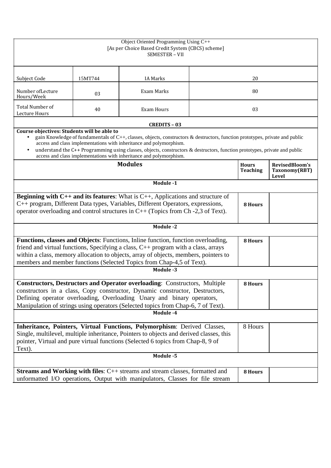| Object Oriented Programming Using C++<br>[As per Choice Based Credit System (CBCS) scheme]<br>SEMESTER - VII                                                                                                                                                                                                                                                                                                                                                                      |         |                     |                                 |                                          |  |  |
|-----------------------------------------------------------------------------------------------------------------------------------------------------------------------------------------------------------------------------------------------------------------------------------------------------------------------------------------------------------------------------------------------------------------------------------------------------------------------------------|---------|---------------------|---------------------------------|------------------------------------------|--|--|
| Subject Code                                                                                                                                                                                                                                                                                                                                                                                                                                                                      | 15MT744 | <b>IA Marks</b>     |                                 | 20                                       |  |  |
| Number of Lecture<br>Hours/Week                                                                                                                                                                                                                                                                                                                                                                                                                                                   | 03      | <b>Exam Marks</b>   |                                 | 80                                       |  |  |
| Total Number of<br>Lecture Hours                                                                                                                                                                                                                                                                                                                                                                                                                                                  | 40      | Exam Hours          |                                 | 03                                       |  |  |
|                                                                                                                                                                                                                                                                                                                                                                                                                                                                                   |         | <b>CREDITS - 03</b> |                                 |                                          |  |  |
| Course objectives: Students will be able to<br>gain Knowledge of fundamentals of C++, classes, objects, constructors & destructors, function prototypes, private and public<br>$\bullet$<br>access and class implementations with inheritance and polymorphism.<br>understand the C++ Programming using classes, objects, constructors & destructors, function prototypes, private and public<br>$\bullet$<br>access and class implementations with inheritance and polymorphism. |         |                     |                                 |                                          |  |  |
| <b>Modules</b>                                                                                                                                                                                                                                                                                                                                                                                                                                                                    |         |                     | <b>Hours</b><br><b>Teaching</b> | RevisedBloom's<br>Taxonomy(RBT)<br>Level |  |  |
|                                                                                                                                                                                                                                                                                                                                                                                                                                                                                   |         | Module -1           |                                 |                                          |  |  |
| <b>Beginning with C++ and its features:</b> What is $C++$ , Applications and structure of<br>C++ program, Different Data types, Variables, Different Operators, expressions,<br>operator overloading and control structures in $C++$ (Topics from Ch -2,3 of Text).                                                                                                                                                                                                               |         |                     |                                 | 8 Hours                                  |  |  |
|                                                                                                                                                                                                                                                                                                                                                                                                                                                                                   |         | Module -2           |                                 |                                          |  |  |
| Functions, classes and Objects: Functions, Inline function, function overloading,<br>8 Hours<br>friend and virtual functions, Specifying a class, $C++$ program with a class, arrays<br>within a class, memory allocation to objects, array of objects, members, pointers to<br>members and member functions (Selected Topics from Chap-4,5 of Text).                                                                                                                             |         |                     |                                 |                                          |  |  |
|                                                                                                                                                                                                                                                                                                                                                                                                                                                                                   |         | Module -3           |                                 |                                          |  |  |
| <b>Constructors, Destructors and Operator overloading: Constructors, Multiple</b><br>8 Hours<br>constructors in a class, Copy constructor, Dynamic constructor, Destructors,<br>Defining operator overloading, Overloading Unary and binary operators,<br>Manipulation of strings using operators (Selected topics from Chap-6, 7 of Text).                                                                                                                                       |         |                     |                                 |                                          |  |  |
| Module -4                                                                                                                                                                                                                                                                                                                                                                                                                                                                         |         |                     |                                 |                                          |  |  |
| Inheritance, Pointers, Virtual Functions, Polymorphism: Derived Classes,<br>8 Hours<br>Single, multilevel, multiple inheritance, Pointers to objects and derived classes, this<br>pointer, Virtual and pure virtual functions (Selected 6 topics from Chap-8, 9 of<br>Text).                                                                                                                                                                                                      |         |                     |                                 |                                          |  |  |
|                                                                                                                                                                                                                                                                                                                                                                                                                                                                                   |         | Module -5           |                                 |                                          |  |  |
| <b>Streams and Working with files:</b> $C++$ streams and stream classes, formatted and<br>8 Hours<br>unformatted I/O operations, Output with manipulators, Classes for file stream                                                                                                                                                                                                                                                                                                |         |                     |                                 |                                          |  |  |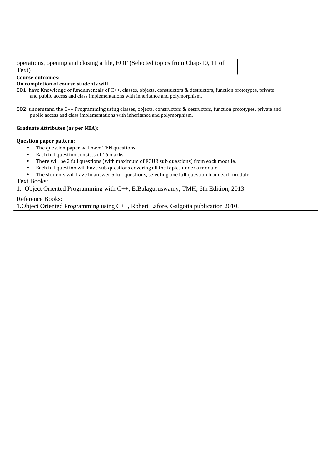| operations, opening and closing a file, EOF (Selected topics from Chap-10, 11 of                                                                                                                                |  |  |  |  |  |  |
|-----------------------------------------------------------------------------------------------------------------------------------------------------------------------------------------------------------------|--|--|--|--|--|--|
| Text)                                                                                                                                                                                                           |  |  |  |  |  |  |
| <b>Course outcomes:</b>                                                                                                                                                                                         |  |  |  |  |  |  |
| On completion of course students will                                                                                                                                                                           |  |  |  |  |  |  |
| <b>CO1:</b> have Knowledge of fundamentals of C++, classes, objects, constructors & destructors, function prototypes, private<br>and public access and class implementations with inheritance and polymorphism. |  |  |  |  |  |  |
| <b>CO2:</b> understand the C++ Programming using classes, objects, constructors & destructors, function prototypes, private and<br>public access and class implementations with inheritance and polymorphism.   |  |  |  |  |  |  |
| Graduate Attributes (as per NBA):                                                                                                                                                                               |  |  |  |  |  |  |
| <b>Question paper pattern:</b>                                                                                                                                                                                  |  |  |  |  |  |  |
| The question paper will have TEN questions.<br>٠                                                                                                                                                                |  |  |  |  |  |  |
| Each full question consists of 16 marks.<br>٠                                                                                                                                                                   |  |  |  |  |  |  |
| There will be 2 full questions (with maximum of FOUR sub questions) from each module.<br>$\bullet$                                                                                                              |  |  |  |  |  |  |
| Each full question will have sub questions covering all the topics under a module.<br>$\bullet$                                                                                                                 |  |  |  |  |  |  |
| The students will have to answer 5 full questions, selecting one full question from each module.                                                                                                                |  |  |  |  |  |  |
| <b>Text Books:</b>                                                                                                                                                                                              |  |  |  |  |  |  |
| 1. Object Oriented Programming with C++, E.Balaguruswamy, TMH, 6th Edition, 2013.                                                                                                                               |  |  |  |  |  |  |
| <b>Reference Books:</b>                                                                                                                                                                                         |  |  |  |  |  |  |
| 1. Object Oriented Programming using C++, Robert Lafore, Galgotia publication 2010.                                                                                                                             |  |  |  |  |  |  |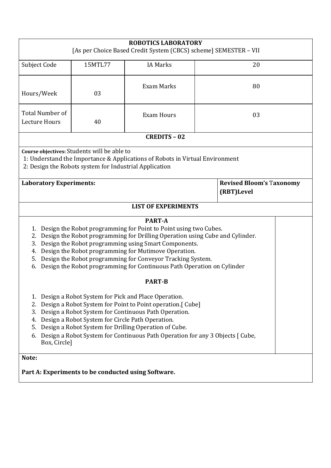| <b>ROBOTICS LABORATORY</b><br>[As per Choice Based Credit System (CBCS) scheme] SEMESTER - VII                                                                                                                                                                                                                                                                                                                                                             |         |                            |    |                                 |  |  |
|------------------------------------------------------------------------------------------------------------------------------------------------------------------------------------------------------------------------------------------------------------------------------------------------------------------------------------------------------------------------------------------------------------------------------------------------------------|---------|----------------------------|----|---------------------------------|--|--|
| Subject Code                                                                                                                                                                                                                                                                                                                                                                                                                                               | 15MTL77 | <b>IA Marks</b>            | 20 |                                 |  |  |
| Hours/Week                                                                                                                                                                                                                                                                                                                                                                                                                                                 | 03      | <b>Exam Marks</b>          | 80 |                                 |  |  |
| <b>Total Number of</b><br>Lecture Hours                                                                                                                                                                                                                                                                                                                                                                                                                    | 40      | <b>Exam Hours</b>          | 03 |                                 |  |  |
|                                                                                                                                                                                                                                                                                                                                                                                                                                                            |         | <b>CREDITS - 02</b>        |    |                                 |  |  |
| Course objectives: Students will be able to<br>1: Understand the Importance & Applications of Robots in Virtual Environment<br>2: Design the Robots system for Industrial Application                                                                                                                                                                                                                                                                      |         |                            |    |                                 |  |  |
| <b>Laboratory Experiments:</b><br>(RBT)Level                                                                                                                                                                                                                                                                                                                                                                                                               |         |                            |    | <b>Revised Bloom's Taxonomy</b> |  |  |
|                                                                                                                                                                                                                                                                                                                                                                                                                                                            |         | <b>LIST OF EXPERIMENTS</b> |    |                                 |  |  |
| <b>PART-A</b><br>1. Design the Robot programming for Point to Point using two Cubes.<br>Design the Robot programming for Drilling Operation using Cube and Cylinder.<br>2.<br>Design the Robot programming using Smart Components.<br>3.<br>Design the Robot programming for Mutimove Operation.<br>4.<br>Design the Robot programming for Conveyor Tracking System.<br>5.<br>Design the Robot programming for Continuous Path Operation on Cylinder<br>6. |         |                            |    |                                 |  |  |
|                                                                                                                                                                                                                                                                                                                                                                                                                                                            |         | <b>PART-B</b>              |    |                                 |  |  |
| Design a Robot System for Pick and Place Operation.<br>1.<br>Design a Robot System for Point to Point operation. [ Cube]<br>2.<br>Design a Robot System for Continuous Path Operation.<br>3.<br>Design a Robot System for Circle Path Operation.<br>4.<br>Design a Robot System for Drilling Operation of Cube.<br>5.<br>6. Design a Robot System for Continuous Path Operation for any 3 Objects [ Cube,<br>Box, Circle]                                  |         |                            |    |                                 |  |  |
| Note:<br>Part A: Experiments to be conducted using Software.                                                                                                                                                                                                                                                                                                                                                                                               |         |                            |    |                                 |  |  |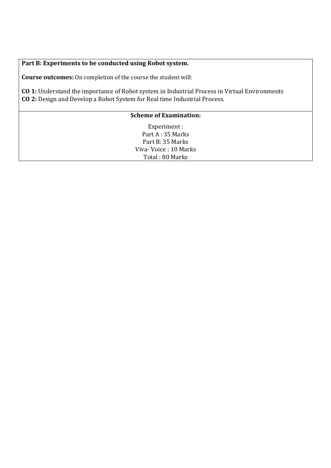**Part B: Experiments to be conducted using Robot system.** 

**Course outcomes:** On completion of the course the student will:

**CO 1:** Understand the importance of Robot system in Industrial Process in Virtual Environments **CO 2:** Design and Develop a Robot System for Real time Industrial Process.

# **Scheme of Examination:**

Experiment : Part A : 35 Marks Part B: 35 Marks Viva- Voice : 10 Marks Total : 80 Marks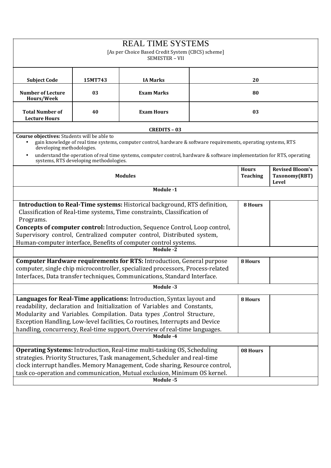| <b>REAL TIME SYSTEMS</b><br>[As per Choice Based Credit System (CBCS) scheme]<br>SEMESTER - VII                                                                                                                                                                                                                                                                                                                  |                                                                                                                                                                                                                                                                                                                                                                                          |                                                                                                                                                                                                                                           |  |                                 |                                                  |  |
|------------------------------------------------------------------------------------------------------------------------------------------------------------------------------------------------------------------------------------------------------------------------------------------------------------------------------------------------------------------------------------------------------------------|------------------------------------------------------------------------------------------------------------------------------------------------------------------------------------------------------------------------------------------------------------------------------------------------------------------------------------------------------------------------------------------|-------------------------------------------------------------------------------------------------------------------------------------------------------------------------------------------------------------------------------------------|--|---------------------------------|--------------------------------------------------|--|
| <b>Subject Code</b>                                                                                                                                                                                                                                                                                                                                                                                              | 15MT743                                                                                                                                                                                                                                                                                                                                                                                  | <b>IA Marks</b>                                                                                                                                                                                                                           |  | 20                              |                                                  |  |
| <b>Number of Lecture</b><br>Hours/Week                                                                                                                                                                                                                                                                                                                                                                           | 03                                                                                                                                                                                                                                                                                                                                                                                       | <b>Exam Marks</b>                                                                                                                                                                                                                         |  | 80                              |                                                  |  |
| <b>Total Number of</b><br><b>Lecture Hours</b>                                                                                                                                                                                                                                                                                                                                                                   | 40                                                                                                                                                                                                                                                                                                                                                                                       | <b>Exam Hours</b>                                                                                                                                                                                                                         |  | 03                              |                                                  |  |
|                                                                                                                                                                                                                                                                                                                                                                                                                  |                                                                                                                                                                                                                                                                                                                                                                                          | <b>CREDITS - 03</b>                                                                                                                                                                                                                       |  |                                 |                                                  |  |
| Course objectives: Students will be able to<br>developing methodologies.<br>$\bullet$                                                                                                                                                                                                                                                                                                                            | systems, RTS developing methodologies.                                                                                                                                                                                                                                                                                                                                                   | gain knowledge of real time systems, computer control, hardware & software requirements, operating systems, RTS<br>understand the operation of real time systems, computer control, hardware & software implementation for RTS, operating |  |                                 |                                                  |  |
|                                                                                                                                                                                                                                                                                                                                                                                                                  |                                                                                                                                                                                                                                                                                                                                                                                          | <b>Modules</b>                                                                                                                                                                                                                            |  | <b>Hours</b><br><b>Teaching</b> | <b>Revised Bloom's</b><br>Taxonomy(RBT)<br>Level |  |
|                                                                                                                                                                                                                                                                                                                                                                                                                  |                                                                                                                                                                                                                                                                                                                                                                                          | Module -1                                                                                                                                                                                                                                 |  |                                 |                                                  |  |
| Programs.                                                                                                                                                                                                                                                                                                                                                                                                        | Introduction to Real-Time systems: Historical background, RTS definition,<br>Classification of Real-time systems, Time constraints, Classification of<br><b>Concepts of computer control:</b> Introduction, Sequence Control, Loop control,<br>Supervisory control, Centralized computer control, Distributed system,<br>Human-computer interface, Benefits of computer control systems. |                                                                                                                                                                                                                                           |  |                                 |                                                  |  |
|                                                                                                                                                                                                                                                                                                                                                                                                                  |                                                                                                                                                                                                                                                                                                                                                                                          | Module -2                                                                                                                                                                                                                                 |  |                                 |                                                  |  |
|                                                                                                                                                                                                                                                                                                                                                                                                                  | <b>Computer Hardware requirements for RTS:</b> Introduction, General purpose<br>computer, single chip microcontroller, specialized processors, Process-related<br>Interfaces, Data transfer techniques, Communications, Standard Interface.                                                                                                                                              |                                                                                                                                                                                                                                           |  |                                 |                                                  |  |
|                                                                                                                                                                                                                                                                                                                                                                                                                  |                                                                                                                                                                                                                                                                                                                                                                                          | Module -3                                                                                                                                                                                                                                 |  |                                 |                                                  |  |
| Languages for Real-Time applications: Introduction, Syntax layout and<br>8 Hours<br>readability, declaration and Initialization of Variables and Constants,<br>Modularity and Variables. Compilation. Data types , Control Structure,<br>Exception Handling, Low-level facilities, Co routines, Interrupts and Device<br>handling, concurrency, Real-time support, Overview of real-time languages.<br>Module -4 |                                                                                                                                                                                                                                                                                                                                                                                          |                                                                                                                                                                                                                                           |  |                                 |                                                  |  |
|                                                                                                                                                                                                                                                                                                                                                                                                                  |                                                                                                                                                                                                                                                                                                                                                                                          |                                                                                                                                                                                                                                           |  |                                 |                                                  |  |
|                                                                                                                                                                                                                                                                                                                                                                                                                  | <b>Operating Systems:</b> Introduction, Real-time multi-tasking OS, Scheduling<br>08 Hours<br>strategies. Priority Structures, Task management, Scheduler and real-time<br>clock interrupt handles. Memory Management, Code sharing, Resource control,<br>task co-operation and communication, Mutual exclusion, Minimum OS kernel.<br>Module -5                                         |                                                                                                                                                                                                                                           |  |                                 |                                                  |  |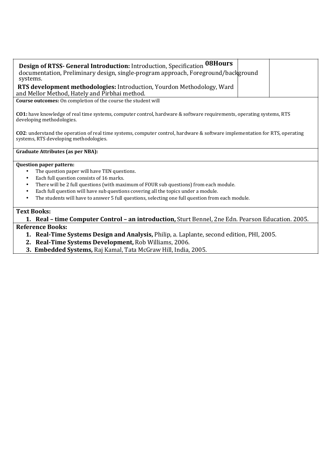| Design of RTSS- General Introduction: Introduction, Specification 08Hours<br>documentation, Preliminary design, single-program approach, Foreground/background<br>systems.    |  |
|-------------------------------------------------------------------------------------------------------------------------------------------------------------------------------|--|
| <b>RTS development methodologies:</b> Introduction, Yourdon Methodology, Ward                                                                                                 |  |
| and Mellor Method, Hately and Pirbhai method.                                                                                                                                 |  |
| Course outcomes: On completion of the course the student will                                                                                                                 |  |
| <b>CO1</b> : have knowledge of real time systems, computer control, hardware & software requirements, operating systems, RTS<br>developing methodologies.                     |  |
| <b>CO2</b> : understand the operation of real time systems, computer control, hardware & software implementation for RTS, operating<br>systems, RTS developing methodologies. |  |
| <b>Graduate Attributes (as per NBA):</b>                                                                                                                                      |  |
| <b>Question paper pattern:</b>                                                                                                                                                |  |
| The question paper will have TEN questions.                                                                                                                                   |  |
| Each full question consists of 16 marks.<br>$\bullet$                                                                                                                         |  |
| There will be 2 full questions (with maximum of FOUR sub questions) from each module.<br>$\bullet$                                                                            |  |
| Each full question will have sub questions covering all the topics under a module.<br>$\bullet$                                                                               |  |
| The students will have to answer 5 full questions, selecting one full question from each module.<br>$\bullet$                                                                 |  |
|                                                                                                                                                                               |  |

# **Text Books:**

**1. Real – time Computer Control – an introduction,** Sturt Bennel, 2ne Edn. Pearson Education. 2005. **Reference Books:** 

- **1. Real-Time Systems Design and Analysis,** Philip, a. Laplante, second edition, PHI, 2005.
- **2. Real-Time Systems Development,** Rob Williams, 2006.
- **3. Embedded Systems,** Raj Kamal, Tata McGraw Hill, India, 2005.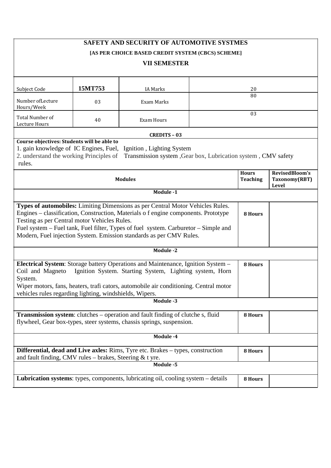| SAFETY AND SECURITY OF AUTOMOTIVE SYSTMES<br>[AS PER CHOICE BASED CREDIT SYSTEM (CBCS) SCHEME]                                                                                                                                                                                                                                                                                     |                                 |                                          |  |  |  |  |
|------------------------------------------------------------------------------------------------------------------------------------------------------------------------------------------------------------------------------------------------------------------------------------------------------------------------------------------------------------------------------------|---------------------------------|------------------------------------------|--|--|--|--|
| <b>VII SEMESTER</b>                                                                                                                                                                                                                                                                                                                                                                |                                 |                                          |  |  |  |  |
| 15MT753<br>Subject Code<br><b>IA Marks</b>                                                                                                                                                                                                                                                                                                                                         | 20                              |                                          |  |  |  |  |
| Number of Lecture<br>03<br>Exam Marks<br>Hours/Week                                                                                                                                                                                                                                                                                                                                | 80                              |                                          |  |  |  |  |
| <b>Total Number of</b><br>40<br>Exam Hours<br>Lecture Hours                                                                                                                                                                                                                                                                                                                        | 03                              |                                          |  |  |  |  |
| <b>CREDITS - 03</b>                                                                                                                                                                                                                                                                                                                                                                |                                 |                                          |  |  |  |  |
| Course objectives: Students will be able to<br>1. gain knowledge of IC Engines, Fuel,<br>Ignition, Lighting System<br>2. understand the working Principles of<br>Transmission system , Gear box, Lubrication system , CMV safety<br>rules.                                                                                                                                         |                                 |                                          |  |  |  |  |
| <b>Modules</b>                                                                                                                                                                                                                                                                                                                                                                     | <b>Hours</b><br><b>Teaching</b> | RevisedBloom's<br>Taxonomy(RBT)<br>Level |  |  |  |  |
| Module -1                                                                                                                                                                                                                                                                                                                                                                          |                                 |                                          |  |  |  |  |
| Types of automobiles: Limiting Dimensions as per Central Motor Vehicles Rules.<br>Engines - classification, Construction, Materials o f engine components. Prototype<br>Testing as per Central motor Vehicles Rules.<br>Fuel system – Fuel tank, Fuel filter, Types of fuel system. Carburetor – Simple and<br>Modern, Fuel injection System. Emission standards as per CMV Rules. | 8 Hours                         |                                          |  |  |  |  |
| Module -2                                                                                                                                                                                                                                                                                                                                                                          |                                 |                                          |  |  |  |  |
| Electrical System: Storage battery Operations and Maintenance, Ignition System -<br>Ignition System. Starting System, Lighting system, Horn<br>Coil and Magneto<br>System.<br>Wiper motors, fans, heaters, trafi cators, automobile air conditioning. Central motor<br>vehicles rules regarding lighting, windshields, Wipers.                                                     | 8 Hours                         |                                          |  |  |  |  |
| Module -3                                                                                                                                                                                                                                                                                                                                                                          |                                 |                                          |  |  |  |  |
| <b>Transmission system:</b> clutches – operation and fault finding of clutche s, fluid<br>flywheel, Gear box-types, steer systems, chassis springs, suspension.                                                                                                                                                                                                                    | 8 Hours                         |                                          |  |  |  |  |
| Module -4                                                                                                                                                                                                                                                                                                                                                                          |                                 |                                          |  |  |  |  |
| Differential, dead and Live axles: Rims, Tyre etc. Brakes - types, construction<br>8 Hours<br>and fault finding, CMV rules $-$ brakes, Steering & t yre.                                                                                                                                                                                                                           |                                 |                                          |  |  |  |  |
| Module -5                                                                                                                                                                                                                                                                                                                                                                          |                                 |                                          |  |  |  |  |
| <b>Lubrication systems:</b> types, components, lubricating oil, cooling system – details                                                                                                                                                                                                                                                                                           | 8 Hours                         |                                          |  |  |  |  |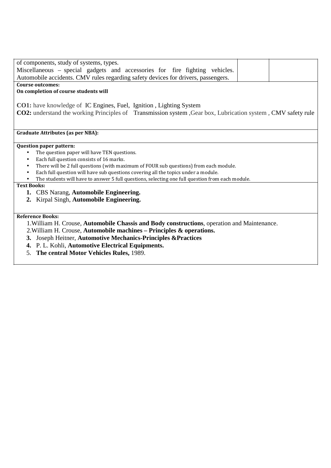| of components, study of systems, types.                                                                               |  |
|-----------------------------------------------------------------------------------------------------------------------|--|
| Miscellaneous – special gadgets and accessories for fire fighting vehicles.                                           |  |
| Automobile accidents. CMV rules regarding safety devices for drivers, passengers.                                     |  |
| <b>Course outcomes:</b>                                                                                               |  |
| On completion of course students will                                                                                 |  |
|                                                                                                                       |  |
| <b>CO1:</b> have knowledge of IC Engines, Fuel, Ignition, Lighting System                                             |  |
| <b>CO2:</b> understand the working Principles of Transmission system , Gear box, Lubrication system , CMV safety rule |  |
|                                                                                                                       |  |
|                                                                                                                       |  |
| <b>Graduate Attributes (as per NBA):</b>                                                                              |  |
|                                                                                                                       |  |
| <b>Question paper pattern:</b>                                                                                        |  |
| The question paper will have TEN questions.                                                                           |  |
| Each full question consists of 16 marks.<br>$\bullet$                                                                 |  |
| There will be 2 full questions (with maximum of FOUR sub questions) from each module.<br>$\bullet$                    |  |
| Each full question will have sub questions covering all the topics under a module.<br>$\bullet$                       |  |
| The students will have to answer 5 full questions, selecting one full question from each module.                      |  |
| <b>Text Books:</b>                                                                                                    |  |
| 1. CBS Narang, Automobile Engineering.                                                                                |  |
| 2. Kirpal Singh, Automobile Engineering.                                                                              |  |
|                                                                                                                       |  |
| <b>Reference Books:</b>                                                                                               |  |
| 1. William H. Crouse, Automobile Chassis and Body constructions, operation and Maintenance.                           |  |
|                                                                                                                       |  |
| 2. William H. Crouse, Automobile machines - Principles & operations.                                                  |  |
| 3. Joseph Heitner, Automotive Mechanics-Principles & Practices                                                        |  |
| 4. P. L. Kohli, Automotive Electrical Equipments.                                                                     |  |
| The central Motor Vehicles Rules, 1989.<br>5.                                                                         |  |
|                                                                                                                       |  |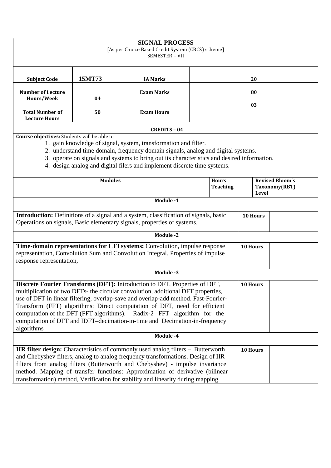| <b>SIGNAL PROCESS</b><br>[As per Choice Based Credit System (CBCS) scheme]<br><b>SEMESTER - VII</b>                                                                                                                                                                                                                                                                                                                                                                                                                        |                |                                                                                                                                                                        |    |                                 |          |       |                                         |
|----------------------------------------------------------------------------------------------------------------------------------------------------------------------------------------------------------------------------------------------------------------------------------------------------------------------------------------------------------------------------------------------------------------------------------------------------------------------------------------------------------------------------|----------------|------------------------------------------------------------------------------------------------------------------------------------------------------------------------|----|---------------------------------|----------|-------|-----------------------------------------|
| <b>Subject Code</b>                                                                                                                                                                                                                                                                                                                                                                                                                                                                                                        | 15MT73         | <b>IA Marks</b>                                                                                                                                                        | 20 |                                 |          |       |                                         |
| <b>Number of Lecture</b><br>Hours/Week                                                                                                                                                                                                                                                                                                                                                                                                                                                                                     | 04             | <b>Exam Marks</b>                                                                                                                                                      |    |                                 | 80       |       |                                         |
| <b>Total Number of</b><br><b>Lecture Hours</b>                                                                                                                                                                                                                                                                                                                                                                                                                                                                             | 50             | <b>Exam Hours</b>                                                                                                                                                      | 03 |                                 |          |       |                                         |
|                                                                                                                                                                                                                                                                                                                                                                                                                                                                                                                            |                | <b>CREDITS - 04</b>                                                                                                                                                    |    |                                 |          |       |                                         |
| Course objectives: Students will be able to<br>1. gain knowledge of signal, system, transformation and filter.<br>2. understand time domain, frequency domain signals, analog and digital systems.<br>3. operate on signals and systems to bring out its characteristics and desired information.<br>4. design analog and digital filers and implement discrete time systems.                                                                                                                                              |                |                                                                                                                                                                        |    |                                 |          |       |                                         |
|                                                                                                                                                                                                                                                                                                                                                                                                                                                                                                                            | <b>Modules</b> |                                                                                                                                                                        |    | <b>Hours</b><br><b>Teaching</b> |          | Level | <b>Revised Bloom's</b><br>Taxonomy(RBT) |
|                                                                                                                                                                                                                                                                                                                                                                                                                                                                                                                            |                | Module -1                                                                                                                                                              |    |                                 |          |       |                                         |
|                                                                                                                                                                                                                                                                                                                                                                                                                                                                                                                            |                | <b>Introduction:</b> Definitions of a signal and a system, classification of signals, basic<br>Operations on signals, Basic elementary signals, properties of systems. |    |                                 | 10 Hours |       |                                         |
|                                                                                                                                                                                                                                                                                                                                                                                                                                                                                                                            |                | Module -2                                                                                                                                                              |    |                                 |          |       |                                         |
| response representation,                                                                                                                                                                                                                                                                                                                                                                                                                                                                                                   |                | Time-domain representations for LTI systems: Convolution, impulse response<br>representation, Convolution Sum and Convolution Integral. Properties of impulse          |    |                                 | 10 Hours |       |                                         |
|                                                                                                                                                                                                                                                                                                                                                                                                                                                                                                                            |                | Module -3                                                                                                                                                              |    |                                 |          |       |                                         |
| <b>Discrete Fourier Transforms (DFT):</b> Introduction to DFT, Properties of DFT,<br>10 Hours<br>multiplication of two DFTs- the circular convolution, additional DFT properties,<br>use of DFT in linear filtering, overlap-save and overlap-add method. Fast-Fourier-<br>Transform (FFT) algorithms: Direct computation of DFT, need for efficient<br>computation of the DFT (FFT algorithms). Radix-2 FFT algorithm for the<br>computation of DFT and IDFT-decimation-in-time and Decimation-in-frequency<br>algorithms |                |                                                                                                                                                                        |    |                                 |          |       |                                         |
|                                                                                                                                                                                                                                                                                                                                                                                                                                                                                                                            |                | Module -4                                                                                                                                                              |    |                                 |          |       |                                         |
| IIR filter design: Characteristics of commonly used analog filters - Butterworth<br>10 Hours<br>and Chebyshev filters, analog to analog frequency transformations. Design of IIR<br>filters from analog filters (Butterworth and Chebyshev) - impulse invariance<br>method. Mapping of transfer functions: Approximation of derivative (bilinear<br>transformation) method, Verification for stability and linearity during mapping                                                                                        |                |                                                                                                                                                                        |    |                                 |          |       |                                         |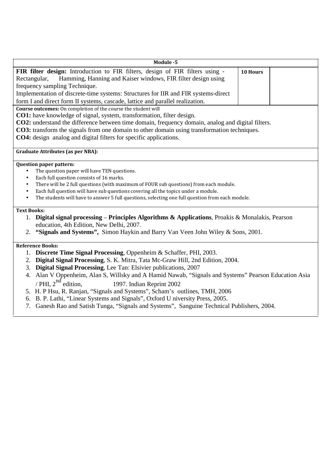| Module -5                                                                                                                                                                                                                                                                                                                                                                                                                                                 |
|-----------------------------------------------------------------------------------------------------------------------------------------------------------------------------------------------------------------------------------------------------------------------------------------------------------------------------------------------------------------------------------------------------------------------------------------------------------|
| FIR filter design: Introduction to FIR filters, design of FIR filters using -<br>10 Hours<br>Hamming, Hanning and Kaiser windows, FIR filter design using<br>Rectangular,<br>frequency sampling Technique.<br>Implementation of discrete-time systems: Structures for IIR and FIR systems-direct<br>form I and direct form II systems, cascade, lattice and parallel realization.                                                                         |
| Course outcomes: On completion of the course the student will<br>CO1: have knowledge of signal, system, transformation, filter design.<br><b>CO2:</b> understand the difference between time domain, frequency domain, analog and digital filters.<br><b>CO3:</b> transform the signals from one domain to other domain using transformation techniques.<br><b>CO4:</b> design analog and digital filters for specific applications.                      |
| <b>Graduate Attributes (as per NBA):</b>                                                                                                                                                                                                                                                                                                                                                                                                                  |
| Question paper pattern:<br>The question paper will have TEN questions.<br>Each full question consists of 16 marks.<br>$\bullet$<br>There will be 2 full questions (with maximum of FOUR sub questions) from each module.<br>$\bullet$<br>Each full question will have sub questions covering all the topics under a module.<br>$\bullet$<br>The students will have to answer 5 full questions, selecting one full question from each module.<br>$\bullet$ |
| <b>Text Books:</b><br><b>Digital signal processing – Principles Algorithms &amp; Applications, Proakis &amp; Monalakis, Pearson</b><br>1.<br>education, 4th Edition, New Delhi, 2007.<br>"Signals and Systems", Simon Haykin and Barry Van Veen John Wiley & Sons, 2001.<br>2.                                                                                                                                                                            |
| <b>Reference Books:</b><br>1. Discrete Time Signal Processing, Oppenheim & Schaffer, PHI, 2003.<br>2. Digital Signal Processing, S. K. Mitra, Tata Mc-Graw Hill, 2nd Edition, 2004.<br>3. Digital Signal Processing, Lee Tan: Elsivier publications, 2007<br>4. Alan V Oppenheim, Alan S, Willsky and A Hamid Nawab, "Signals and Systems" Pearson Education Asia<br>/ PHI, $2^{nd}$ edition,<br>1997. Indian Reprint 2002                                |
| 5. H. P Hsu, R. Ranjan, "Signals and Systems", Scham's outlines, TMH, 2006<br>B. P. Lathi, "Linear Systems and Signals", Oxford U niversity Press, 2005.<br>6.                                                                                                                                                                                                                                                                                            |

7. Ganesh Rao and Satish Tunga, "Signals and Systems", Sanguine Technical Publishers, 2004.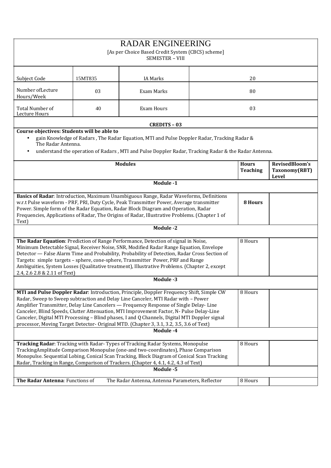|                                                                                                                                                                                                                                                                                                                                                                                                                                                                                                                                                                            |                                                                                                                                                                                                                                                                                                                                                                                       | <b>RADAR ENGINEERING</b><br>[As per Choice Based Credit System (CBCS) scheme]<br><b>SEMESTER - VIII</b>                                                                                             |  |                                 |                                          |  |
|----------------------------------------------------------------------------------------------------------------------------------------------------------------------------------------------------------------------------------------------------------------------------------------------------------------------------------------------------------------------------------------------------------------------------------------------------------------------------------------------------------------------------------------------------------------------------|---------------------------------------------------------------------------------------------------------------------------------------------------------------------------------------------------------------------------------------------------------------------------------------------------------------------------------------------------------------------------------------|-----------------------------------------------------------------------------------------------------------------------------------------------------------------------------------------------------|--|---------------------------------|------------------------------------------|--|
| Subject Code                                                                                                                                                                                                                                                                                                                                                                                                                                                                                                                                                               | 15MT835                                                                                                                                                                                                                                                                                                                                                                               | <b>IA Marks</b>                                                                                                                                                                                     |  | 20                              |                                          |  |
| Number of Lecture<br>Hours/Week                                                                                                                                                                                                                                                                                                                                                                                                                                                                                                                                            | 03                                                                                                                                                                                                                                                                                                                                                                                    | Exam Marks                                                                                                                                                                                          |  | 80                              |                                          |  |
| Total Number of<br>Lecture Hours                                                                                                                                                                                                                                                                                                                                                                                                                                                                                                                                           | 40                                                                                                                                                                                                                                                                                                                                                                                    | <b>Exam Hours</b>                                                                                                                                                                                   |  | 03                              |                                          |  |
|                                                                                                                                                                                                                                                                                                                                                                                                                                                                                                                                                                            |                                                                                                                                                                                                                                                                                                                                                                                       | <b>CREDITS - 03</b>                                                                                                                                                                                 |  |                                 |                                          |  |
| Course objectives: Students will be able to<br>The Radar Antenna.                                                                                                                                                                                                                                                                                                                                                                                                                                                                                                          |                                                                                                                                                                                                                                                                                                                                                                                       | gain Knowledge of Radars, The Radar Equation, MTI and Pulse Doppler Radar, Tracking Radar &<br>understand the operation of Radars, MTI and Pulse Doppler Radar, Tracking Radar & the Radar Antenna. |  |                                 |                                          |  |
|                                                                                                                                                                                                                                                                                                                                                                                                                                                                                                                                                                            |                                                                                                                                                                                                                                                                                                                                                                                       | <b>Modules</b>                                                                                                                                                                                      |  | <b>Hours</b><br><b>Teaching</b> | RevisedBloom's<br>Taxonomy(RBT)<br>Level |  |
|                                                                                                                                                                                                                                                                                                                                                                                                                                                                                                                                                                            |                                                                                                                                                                                                                                                                                                                                                                                       | Module -1                                                                                                                                                                                           |  |                                 |                                          |  |
| Text)                                                                                                                                                                                                                                                                                                                                                                                                                                                                                                                                                                      | Basics of Radar: Introduction, Maximum Unambiguous Range, Radar Waveforms, Definitions<br>w.r.t Pulse waveform - PRF, PRI, Duty Cycle, Peak Transmitter Power, Average transmitter<br>8 Hours<br>Power. Simple form of the Radar Equation, Radar Block Diagram and Operation, Radar<br>Frequencies, Applications of Radar, The Origins of Radar, Illustrative Problems. (Chapter 1 of |                                                                                                                                                                                                     |  |                                 |                                          |  |
|                                                                                                                                                                                                                                                                                                                                                                                                                                                                                                                                                                            |                                                                                                                                                                                                                                                                                                                                                                                       | Module -2                                                                                                                                                                                           |  |                                 |                                          |  |
| The Radar Equation: Prediction of Range Performance, Detection of signal in Noise,<br>8 Hours<br>Minimum Detectable Signal, Receiver Noise, SNR, Modified Radar Range Equation, Envelope<br>Detector - False Alarm Time and Probability, Probability of Detection, Radar Cross Section of<br>Targets: simple targets - sphere, cone-sphere, Transmitter Power, PRF and Range<br>Ambiguities, System Losses (Qualitative treatment), Illustrative Problems. (Chapter 2, except<br>2.4, 2.6 2.8 & 2.11 of Text)                                                              |                                                                                                                                                                                                                                                                                                                                                                                       |                                                                                                                                                                                                     |  |                                 |                                          |  |
|                                                                                                                                                                                                                                                                                                                                                                                                                                                                                                                                                                            |                                                                                                                                                                                                                                                                                                                                                                                       | Module -3                                                                                                                                                                                           |  |                                 |                                          |  |
| MTI and Pulse Doppler Radar: Introduction, Principle, Doppler Frequency Shift, Simple CW<br>8 Hours<br>Radar, Sweep to Sweep subtraction and Delay Line Canceler, MTI Radar with - Power<br>Amplifier Transmitter, Delay Line Cancelers — Frequency Response of Single Delay-Line<br>Canceler, Blind Speeds, Clutter Attenuation, MTI Improvement Factor, N- Pulse Delay-Line<br>Canceler, Digital MTI Processing - Blind phases, I and Q Channels, Digital MTI Doppler signal<br>processor, Moving Target Detector- Original MTD. (Chapter 3, 3.1, 3.2, 3.5, 3.6 of Text) |                                                                                                                                                                                                                                                                                                                                                                                       |                                                                                                                                                                                                     |  |                                 |                                          |  |
|                                                                                                                                                                                                                                                                                                                                                                                                                                                                                                                                                                            |                                                                                                                                                                                                                                                                                                                                                                                       | Module -4                                                                                                                                                                                           |  |                                 |                                          |  |
|                                                                                                                                                                                                                                                                                                                                                                                                                                                                                                                                                                            | Tracking Radar: Tracking with Radar- Types of Tracking Radar Systems, Monopulse<br>8 Hours<br>TrackingAmplitude Comparison Monopulse (one-and two-coordinates), Phase Comparison<br>Monopulse. Sequential Lobing, Conical Scan Tracking, Block Diagram of Conical Scan Tracking<br>Radar, Tracking in Range, Comparison of Trackers. (Chapter 4, 4.1, 4.2, 4.3 of Text)               |                                                                                                                                                                                                     |  |                                 |                                          |  |
|                                                                                                                                                                                                                                                                                                                                                                                                                                                                                                                                                                            |                                                                                                                                                                                                                                                                                                                                                                                       | Module -5                                                                                                                                                                                           |  |                                 |                                          |  |
| The Radar Antenna: Functions of                                                                                                                                                                                                                                                                                                                                                                                                                                                                                                                                            |                                                                                                                                                                                                                                                                                                                                                                                       | The Radar Antenna, Antenna Parameters, Reflector                                                                                                                                                    |  | 8 Hours                         |                                          |  |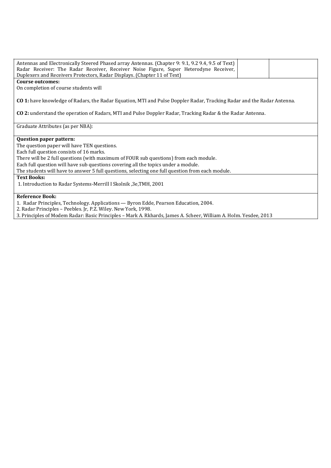| Antennas and Electronically Steered Phased array Antennas. (Chapter 9: 9.1, 9.2 9.4, 9.5 of Text)<br>Radar Receiver: The Radar Receiver, Receiver Noise Figure, Super Heterodyne Receiver,<br>Duplexers and Receivers Protectors, Radar Displays. (Chapter 11 of Text) |
|------------------------------------------------------------------------------------------------------------------------------------------------------------------------------------------------------------------------------------------------------------------------|
| Course outcomes:                                                                                                                                                                                                                                                       |
| On completion of course students will                                                                                                                                                                                                                                  |
|                                                                                                                                                                                                                                                                        |
| <b>CO 1:</b> have knowledge of Radars, the Radar Equation, MTI and Pulse Doppler Radar, Tracking Radar and the Radar Antenna.                                                                                                                                          |
| <b>CO 2:</b> understand the operation of Radars, MTI and Pulse Doppler Radar, Tracking Radar & the Radar Antenna.                                                                                                                                                      |
|                                                                                                                                                                                                                                                                        |
| Graduate Attributes (as per NBA):                                                                                                                                                                                                                                      |
|                                                                                                                                                                                                                                                                        |
| <b>Question paper pattern:</b>                                                                                                                                                                                                                                         |
| The question paper will have TEN questions.                                                                                                                                                                                                                            |
| Each full question consists of 16 marks.                                                                                                                                                                                                                               |
| There will be 2 full questions (with maximum of FOUR sub questions) from each module.                                                                                                                                                                                  |
| Each full question will have sub questions covering all the topics under a module.                                                                                                                                                                                     |
| The students will have to answer 5 full questions, selecting one full question from each module.                                                                                                                                                                       |
| <b>Text Books:</b>                                                                                                                                                                                                                                                     |
| 1. Introduction to Radar Systems-Merrill I Skolnik, 3e, TMH, 2001                                                                                                                                                                                                      |
|                                                                                                                                                                                                                                                                        |
| <b>Reference Book:</b>                                                                                                                                                                                                                                                 |
| 1. Radar Principles, Technology. Applications - Byron Edde, Pearson Education, 2004.                                                                                                                                                                                   |
| 2. Radar Principles - Peebles. Jr, P.Z. Wiley. New York, 1998.                                                                                                                                                                                                         |
| 3. Principles of Modem Radar: Basic Principles - Mark A. Rkhards, James A. Scheer, William A. Holm. Yesdee, 2013                                                                                                                                                       |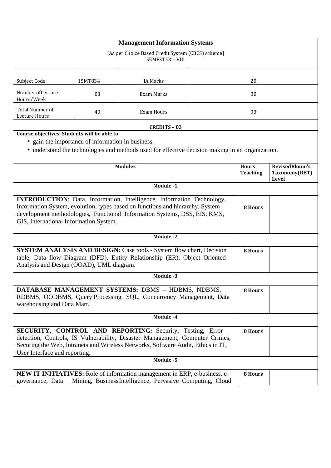| <b>Management Information Systems</b>                                                                                                                                                                                                                                                  |                                                   |                                                                                                                                                          |  |                 |                        |  |
|----------------------------------------------------------------------------------------------------------------------------------------------------------------------------------------------------------------------------------------------------------------------------------------|---------------------------------------------------|----------------------------------------------------------------------------------------------------------------------------------------------------------|--|-----------------|------------------------|--|
| [As per Choice Based Credit System (CBCS) scheme]<br><b>SEMESTER - VIII</b>                                                                                                                                                                                                            |                                                   |                                                                                                                                                          |  |                 |                        |  |
|                                                                                                                                                                                                                                                                                        |                                                   |                                                                                                                                                          |  |                 |                        |  |
| Subject Code                                                                                                                                                                                                                                                                           | 15MT834                                           | <b>IA Marks</b>                                                                                                                                          |  | 20              |                        |  |
| Number of Lecture<br>Hours/Week                                                                                                                                                                                                                                                        | 03                                                | Exam Marks                                                                                                                                               |  | 80              |                        |  |
| Total Number of<br>Lecture Hours                                                                                                                                                                                                                                                       | 40                                                | <b>Exam Hours</b>                                                                                                                                        |  | 03              |                        |  |
|                                                                                                                                                                                                                                                                                        |                                                   | <b>CREDITS - 03</b>                                                                                                                                      |  |                 |                        |  |
| Course objectives: Students will be able to                                                                                                                                                                                                                                            |                                                   |                                                                                                                                                          |  |                 |                        |  |
|                                                                                                                                                                                                                                                                                        | • gain the importance of information in business. |                                                                                                                                                          |  |                 |                        |  |
|                                                                                                                                                                                                                                                                                        |                                                   | • understand the technologies and methods used for effective decision making in an organization.                                                         |  |                 |                        |  |
|                                                                                                                                                                                                                                                                                        |                                                   | <b>Modules</b>                                                                                                                                           |  | <b>Hours</b>    | RevisedBloom's         |  |
|                                                                                                                                                                                                                                                                                        |                                                   |                                                                                                                                                          |  | <b>Teaching</b> | Taxonomy(RBT)<br>Level |  |
|                                                                                                                                                                                                                                                                                        |                                                   | Module -1                                                                                                                                                |  |                 |                        |  |
| <b>INTRODUCTION</b> : Data, Information, Intelligence, Information Technology,<br>Information System, evolution, types based on functions and hierarchy, System<br>development methodologies, Functional Information Systems, DSS, EIS, KMS,<br>GIS, International Information System. |                                                   |                                                                                                                                                          |  | 8 Hours         |                        |  |
|                                                                                                                                                                                                                                                                                        |                                                   | Module -2                                                                                                                                                |  |                 |                        |  |
|                                                                                                                                                                                                                                                                                        |                                                   |                                                                                                                                                          |  |                 |                        |  |
| Analysis and Design (OOAD), UML diagram.                                                                                                                                                                                                                                               |                                                   | <b>SYSTEM ANALYSIS AND DESIGN:</b> Case tools - System flow chart, Decision<br>table, Data flow Diagram (DFD), Entity Relationship (ER), Object Oriented |  | 8 Hours         |                        |  |
|                                                                                                                                                                                                                                                                                        |                                                   | Module -3                                                                                                                                                |  |                 |                        |  |
| DATABASE MANAGEMENT SYSTEMS: DBMS - HDBMS, NDBMS,<br>8 Hours<br>RDBMS, OODBMS, Query Processing, SQL, Concurrency Management, Data<br>warehousing and Data Mart.                                                                                                                       |                                                   |                                                                                                                                                          |  |                 |                        |  |
| Module -4                                                                                                                                                                                                                                                                              |                                                   |                                                                                                                                                          |  |                 |                        |  |
| SECURITY, CONTROL AND REPORTING: Security, Testing, Error<br>8 Hours<br>detection, Controls, IS Vulnerability, Disaster Management, Computer Crimes,<br>Securing the Web, Intranets and Wireless Networks, Software Audit, Ethics in IT,<br>User Interface and reporting.              |                                                   |                                                                                                                                                          |  |                 |                        |  |
|                                                                                                                                                                                                                                                                                        |                                                   | Module -5                                                                                                                                                |  |                 |                        |  |
| governance, Data                                                                                                                                                                                                                                                                       |                                                   | <b>NEW IT INITIATIVES:</b> Role of information management in ERP, e-business, e-<br>Mining, Business Intelligence, Pervasive Computing, Cloud            |  | 8 Hours         |                        |  |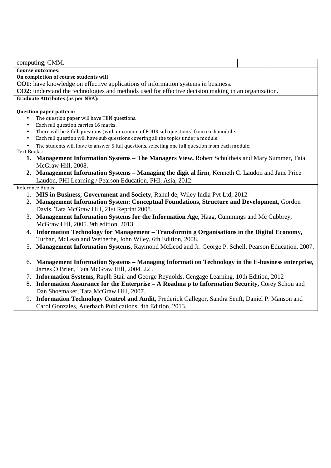computing, CMM. **Course outcomes: On completion of course students will CO1:** have knowledge on effective applications of information systems in business. **CO2:** understand the technologies and methods used for effective decision making in an organization. **Graduate Attributes (as per NBA): Question paper pattern:**  The question paper will have TEN questions. • Each full question carries 16 marks. • There will be 2 full questions (with maximum of FOUR sub questions) from each module. • Each full question will have sub questions covering all the topics under a module. The students will have to answer 5 full questions, selecting one full question from each module. Text Books: **1. Management Information Systems – The Managers View,** Robert Schultheis and Mary Summer, Tata McGraw Hill, 2008. **2. Management Information Systems – Managing the digit al firm**, Kenneth C. Laudon and Jane Price Laudon, PHI Learning / Pearson Education, PHI, Asia, 2012. Reference Books: 1. **MIS in Business, Government and Society**, Rahul de, Wiley India Pvt Ltd, 2012 2. **Management Information System: Conceptual Foundations, Structure and Development,** Gordon Davis, Tata McGraw Hill, 21st Reprint 2008. 3. **Management Information Systems for the Information Age,** Haag, Cummings and Mc Cubbrey, McGraw Hill, 2005. 9th edition, 2013. 4. **Information Technology for Management – Transformin g Organisations in the Digital Economy,**  Turban, McLean and Wetherbe, John Wiley, 6th Edition, 2008. 5. **Management Information Systems,** Raymond McLeod and Jr. George P. Schell, Pearson Education, 2007. 6. **Management Information Systems – Managing Informati on Technology in the E-business enterprise,**  James O Brien, Tata McGraw Hill, 2004. 22 . 7. **Information Systems,** Raplh Stair and George Reynolds, Cengage Learning, 10th Edition, 2012

- 8. **Information Assurance for the Enterprise A Roadma p to Information Security,** Corey Schou and Dan Shoemaker, Tata McGraw Hill, 2007.
- 9. **Information Technology Control and Audit,** Frederick Gallegor, Sandra Senft, Daniel P. Manson and Carol Gonzales, Auerbach Publications, 4th Edition, 2013.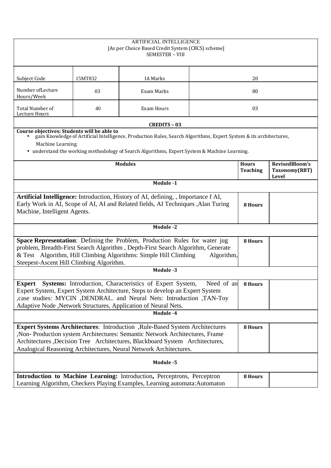| <b>ARTIFICIAL INTELLIGENCE</b><br>[As per Choice Based Credit System (CBCS) scheme]<br><b>SEMESTER - VIII</b>                                                                                                                                                                                                                |                                                                                                                                                                                                                                                                                                                                                                                |                     |    |         |       |  |  |
|------------------------------------------------------------------------------------------------------------------------------------------------------------------------------------------------------------------------------------------------------------------------------------------------------------------------------|--------------------------------------------------------------------------------------------------------------------------------------------------------------------------------------------------------------------------------------------------------------------------------------------------------------------------------------------------------------------------------|---------------------|----|---------|-------|--|--|
| Subject Code                                                                                                                                                                                                                                                                                                                 | 15MT832                                                                                                                                                                                                                                                                                                                                                                        | <b>IA Marks</b>     | 20 |         |       |  |  |
| Number of Lecture<br>Hours/Week                                                                                                                                                                                                                                                                                              | 03                                                                                                                                                                                                                                                                                                                                                                             | Exam Marks          |    | 80      |       |  |  |
| Total Number of<br>Lecture Hours                                                                                                                                                                                                                                                                                             | 40                                                                                                                                                                                                                                                                                                                                                                             | <b>Exam Hours</b>   |    | 03      |       |  |  |
|                                                                                                                                                                                                                                                                                                                              |                                                                                                                                                                                                                                                                                                                                                                                | <b>CREDITS - 03</b> |    |         |       |  |  |
|                                                                                                                                                                                                                                                                                                                              | Course objectives: Students will be able to<br>gain Knowledge of Artificial Intelligence, Production Rules, Search Algorithms, Expert System & its architectures,<br>Machine Learning.<br>• understand the working methodology of Search Algorithms, Expert System & Machine Learning.<br><b>Modules</b><br>RevisedBloom's<br><b>Hours</b><br><b>Teaching</b><br>Taxonomy(RBT) |                     |    |         |       |  |  |
|                                                                                                                                                                                                                                                                                                                              |                                                                                                                                                                                                                                                                                                                                                                                | Module -1           |    |         | Level |  |  |
| Artificial Intelligence: Introduction, History of AI, defining, , Importance f AI,<br>Early Work in AI, Scope of AI, AI and Related fields, AI Techniques , Alan Turing<br>Machine, Intelligent Agents.                                                                                                                      |                                                                                                                                                                                                                                                                                                                                                                                |                     |    | 8 Hours |       |  |  |
|                                                                                                                                                                                                                                                                                                                              |                                                                                                                                                                                                                                                                                                                                                                                | Module -2           |    |         |       |  |  |
| <b>Space Representation:</b> Defining the Problem, Production Rules for water jug<br>8 Hours<br>problem, Breadth-First Search Algorithm, Depth-First Search Algorithm, Generate<br>& Test Algorithm, Hill Climbing Algorithms: Simple Hill Climbing<br>Algorithm,<br>Steepest-Ascent Hill Climbing Algorithm.                |                                                                                                                                                                                                                                                                                                                                                                                |                     |    |         |       |  |  |
|                                                                                                                                                                                                                                                                                                                              |                                                                                                                                                                                                                                                                                                                                                                                | Module -3           |    |         |       |  |  |
| <b>Systems:</b> Introduction, Characteristics of Expert System,<br><b>Expert</b><br>Need of an<br>Expert System, Expert System Architecture, Steps to develop an Expert System<br>, case studies: MYCIN , DENDRAL. and Neural Nets: Introduction , TAN-Toy<br>Adaptive Node, Network Structures, Application of Neural Nets. |                                                                                                                                                                                                                                                                                                                                                                                |                     |    | 8 Hours |       |  |  |
|                                                                                                                                                                                                                                                                                                                              |                                                                                                                                                                                                                                                                                                                                                                                | Module -4           |    |         |       |  |  |
| Expert Systems Architectures: Introduction , Rule-Based System Architectures<br>, Non-Production system Architectures: Semantic Network Architectures, Frame<br>Architectures , Decision Tree Architectures, Blackboard System Architectures,<br>Analogical Reasoning Architectures, Neural Network Architectures.           |                                                                                                                                                                                                                                                                                                                                                                                |                     |    | 8 Hours |       |  |  |
| Module -5                                                                                                                                                                                                                                                                                                                    |                                                                                                                                                                                                                                                                                                                                                                                |                     |    |         |       |  |  |
|                                                                                                                                                                                                                                                                                                                              | Introduction to Machine Learning: Introduction, Perceptrons, Perceptron<br>8 Hours<br>Learning Algorithm, Checkers Playing Examples, Learning automata: Automaton                                                                                                                                                                                                              |                     |    |         |       |  |  |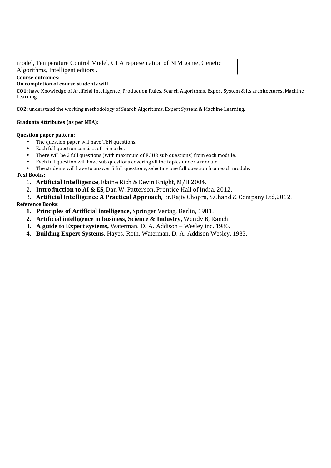| model, Temperature Control Model, CLA representation of NIM game, Genetic                                                                    |  |  |  |  |  |  |  |
|----------------------------------------------------------------------------------------------------------------------------------------------|--|--|--|--|--|--|--|
| Algorithms, Intelligent editors.                                                                                                             |  |  |  |  |  |  |  |
| Course outcomes:                                                                                                                             |  |  |  |  |  |  |  |
| On completion of course students will                                                                                                        |  |  |  |  |  |  |  |
| CO1: have Knowledge of Artificial Intelligence, Production Rules, Search Algorithms, Expert System & its architectures, Machine<br>Learning. |  |  |  |  |  |  |  |
| CO2: understand the working methodology of Search Algorithms, Expert System & Machine Learning.                                              |  |  |  |  |  |  |  |
| <b>Graduate Attributes (as per NBA):</b>                                                                                                     |  |  |  |  |  |  |  |
| <b>Question paper pattern:</b>                                                                                                               |  |  |  |  |  |  |  |
| The question paper will have TEN questions.                                                                                                  |  |  |  |  |  |  |  |
| Each full question consists of 16 marks.<br>$\bullet$                                                                                        |  |  |  |  |  |  |  |
| There will be 2 full questions (with maximum of FOUR sub questions) from each module.<br>٠                                                   |  |  |  |  |  |  |  |
| Each full question will have sub questions covering all the topics under a module.<br>$\bullet$                                              |  |  |  |  |  |  |  |
| The students will have to answer 5 full questions, selecting one full question from each module.                                             |  |  |  |  |  |  |  |
| <b>Text Books:</b>                                                                                                                           |  |  |  |  |  |  |  |
| 1. Artificial Intelligence, Elaine Rich & Kevin Knight, M/H 2004.                                                                            |  |  |  |  |  |  |  |
| 2. Introduction to AI & ES, Dan W. Patterson, Prentice Hall of India, 2012.                                                                  |  |  |  |  |  |  |  |
| 3. Artificial Intelligence A Practical Approach, Er. Rajiv Chopra, S. Chand & Company Ltd, 2012.                                             |  |  |  |  |  |  |  |
| <b>Reference Books:</b>                                                                                                                      |  |  |  |  |  |  |  |
| 1. Principles of Artificial intelligence, Springer Vertag, Berlin, 1981.                                                                     |  |  |  |  |  |  |  |
| 2. Artificial intelligence in business, Science & Industry, Wendy B, Ranch                                                                   |  |  |  |  |  |  |  |
| 3. A guide to Expert systems, Waterman, D. A. Addison – Wesley inc. 1986.                                                                    |  |  |  |  |  |  |  |
| <b>4. Building Expert Systems, Hayes, Roth, Waterman, D. A. Addison Wesley, 1983.</b>                                                        |  |  |  |  |  |  |  |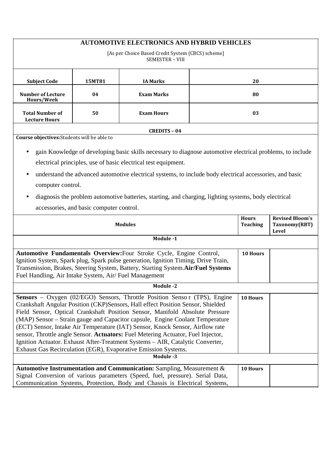| <b>AUTOMOTIVE ELECTRONICS AND HYBRID VEHICLES</b>                                                                                                                                                                                                                                                                                                                                                                                                                                                                                                                                                                                                                                |                                                                                                                                                                                                                                                                                                                     |                                                                                                                                                                                                                                      |  |                                 |                                                         |  |  |
|----------------------------------------------------------------------------------------------------------------------------------------------------------------------------------------------------------------------------------------------------------------------------------------------------------------------------------------------------------------------------------------------------------------------------------------------------------------------------------------------------------------------------------------------------------------------------------------------------------------------------------------------------------------------------------|---------------------------------------------------------------------------------------------------------------------------------------------------------------------------------------------------------------------------------------------------------------------------------------------------------------------|--------------------------------------------------------------------------------------------------------------------------------------------------------------------------------------------------------------------------------------|--|---------------------------------|---------------------------------------------------------|--|--|
| [As per Choice Based Credit System (CBCS) scheme]<br>SEMESTER - VIII                                                                                                                                                                                                                                                                                                                                                                                                                                                                                                                                                                                                             |                                                                                                                                                                                                                                                                                                                     |                                                                                                                                                                                                                                      |  |                                 |                                                         |  |  |
| <b>Subject Code</b>                                                                                                                                                                                                                                                                                                                                                                                                                                                                                                                                                                                                                                                              | 15MT81<br><b>IA Marks</b><br>20                                                                                                                                                                                                                                                                                     |                                                                                                                                                                                                                                      |  |                                 |                                                         |  |  |
| <b>Number of Lecture</b><br>Hours/Week                                                                                                                                                                                                                                                                                                                                                                                                                                                                                                                                                                                                                                           | 04                                                                                                                                                                                                                                                                                                                  | <b>Exam Marks</b>                                                                                                                                                                                                                    |  | 80                              |                                                         |  |  |
| <b>Total Number of</b><br><b>Lecture Hours</b>                                                                                                                                                                                                                                                                                                                                                                                                                                                                                                                                                                                                                                   | 50                                                                                                                                                                                                                                                                                                                  | <b>Exam Hours</b>                                                                                                                                                                                                                    |  | 03                              |                                                         |  |  |
|                                                                                                                                                                                                                                                                                                                                                                                                                                                                                                                                                                                                                                                                                  |                                                                                                                                                                                                                                                                                                                     | <b>CREDITS - 04</b>                                                                                                                                                                                                                  |  |                                 |                                                         |  |  |
| Course objectives: Students will be able to                                                                                                                                                                                                                                                                                                                                                                                                                                                                                                                                                                                                                                      |                                                                                                                                                                                                                                                                                                                     |                                                                                                                                                                                                                                      |  |                                 |                                                         |  |  |
|                                                                                                                                                                                                                                                                                                                                                                                                                                                                                                                                                                                                                                                                                  |                                                                                                                                                                                                                                                                                                                     | gain Knowledge of developing basic skills necessary to diagnose automotive electrical problems, to include<br>electrical principles, use of basic electrical test equipment.                                                         |  |                                 |                                                         |  |  |
| computer control.                                                                                                                                                                                                                                                                                                                                                                                                                                                                                                                                                                                                                                                                |                                                                                                                                                                                                                                                                                                                     | understand the advanced automotive electrical systems, to include body electrical accessories, and basic                                                                                                                             |  |                                 |                                                         |  |  |
|                                                                                                                                                                                                                                                                                                                                                                                                                                                                                                                                                                                                                                                                                  | accessories, and basic computer control.                                                                                                                                                                                                                                                                            | diagnosis the problem automotive batteries, starting, and charging, lighting systems, body electrical                                                                                                                                |  |                                 |                                                         |  |  |
|                                                                                                                                                                                                                                                                                                                                                                                                                                                                                                                                                                                                                                                                                  |                                                                                                                                                                                                                                                                                                                     | <b>Modules</b>                                                                                                                                                                                                                       |  | <b>Hours</b><br><b>Teaching</b> | <b>Revised Bloom's</b><br>Taxonomy(RBT)<br><b>Level</b> |  |  |
|                                                                                                                                                                                                                                                                                                                                                                                                                                                                                                                                                                                                                                                                                  |                                                                                                                                                                                                                                                                                                                     | Module -1                                                                                                                                                                                                                            |  |                                 |                                                         |  |  |
|                                                                                                                                                                                                                                                                                                                                                                                                                                                                                                                                                                                                                                                                                  | Automotive Fundamentals Overview: Four Stroke Cycle, Engine Control,<br>10 Hours<br>Ignition System, Spark plug, Spark pulse generation, Ignition Timing, Drive Train,<br>Transmission, Brakes, Steering System, Battery, Starting System.Air/Fuel Systems<br>Fuel Handling, Air Intake System, Air/Fuel Management |                                                                                                                                                                                                                                      |  |                                 |                                                         |  |  |
|                                                                                                                                                                                                                                                                                                                                                                                                                                                                                                                                                                                                                                                                                  |                                                                                                                                                                                                                                                                                                                     | Module -2                                                                                                                                                                                                                            |  |                                 |                                                         |  |  |
| Sensors - Oxygen (02/EGO) Sensors, Throttle Position Senso r (TPS), Engine<br>10 Hours<br>Crankshaft Angular Position (CKP)Sensors, Hall effect Position Sensor, Shielded<br>Field Sensor, Optical Crankshaft Position Sensor, Manifold Absolute Pressure<br>(MAP) Sensor – Strain gauge and Capacitor capsule, Engine Coolant Temperature<br>(ECT) Sensor, Intake Air Temperature (IAT) Sensor, Knock Sensor, Airflow rate<br>sensor, Throttle angle Sensor. Actuators: Fuel Metering Actuator, Fuel Injector,<br>Ignition Actuator. Exhaust After-Treatment Systems - AIR, Catalytic Converter,<br>Exhaust Gas Recirculation (EGR), Evaporative Emission Systems.<br>Module -3 |                                                                                                                                                                                                                                                                                                                     |                                                                                                                                                                                                                                      |  |                                 |                                                         |  |  |
|                                                                                                                                                                                                                                                                                                                                                                                                                                                                                                                                                                                                                                                                                  |                                                                                                                                                                                                                                                                                                                     | Automotive Instrumentation and Communication: Sampling, Measurement &<br>Signal Conversion of various parameters (Speed, fuel, pressure). Serial Data,<br>Communication Systems, Protection, Body and Chassis is Electrical Systems, |  | 10 Hours                        |                                                         |  |  |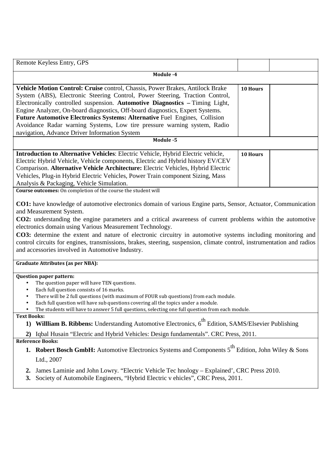| Remote Keyless Entry, GPS                                                                                                                                                                                                                                                                                                                                                                                                                                                                                                                                                                                        |          |  |  |  |  |  |  |
|------------------------------------------------------------------------------------------------------------------------------------------------------------------------------------------------------------------------------------------------------------------------------------------------------------------------------------------------------------------------------------------------------------------------------------------------------------------------------------------------------------------------------------------------------------------------------------------------------------------|----------|--|--|--|--|--|--|
| Module -4                                                                                                                                                                                                                                                                                                                                                                                                                                                                                                                                                                                                        |          |  |  |  |  |  |  |
| Vehicle Motion Control: Cruise control, Chassis, Power Brakes, Antilock Brake<br>System (ABS), Electronic Steering Control, Power Steering, Traction Control,<br>Electronically controlled suspension. Automotive Diagnostics - Timing Light,<br>Engine Analyzer, On-board diagnostics, Off-board diagnostics, Expert Systems.<br>Future Automotive Electronics Systems: Alternative Fuel Engines, Collision<br>Avoidance Radar warning Systems, Low tire pressure warning system, Radio<br>navigation, Advance Driver Information System<br>Module -5                                                           | 10 Hours |  |  |  |  |  |  |
|                                                                                                                                                                                                                                                                                                                                                                                                                                                                                                                                                                                                                  |          |  |  |  |  |  |  |
| Introduction to Alternative Vehicles: Electric Vehicle, Hybrid Electric vehicle,<br>Electric Hybrid Vehicle, Vehicle components, Electric and Hybrid history EV/CEV<br>Comparison. Alternative Vehicle Architecture: Electric Vehicles, Hybrid Electric<br>Vehicles, Plug-in Hybrid Electric Vehicles, Power Train component Sizing, Mass<br>Analysis & Packaging, Vehicle Simulation.                                                                                                                                                                                                                           | 10 Hours |  |  |  |  |  |  |
| Course outcomes: On completion of the course the student will                                                                                                                                                                                                                                                                                                                                                                                                                                                                                                                                                    |          |  |  |  |  |  |  |
| CO1: have knowledge of automotive electronics domain of various Engine parts, Sensor, Actuator, Communication<br>and Measurement System.<br>CO2: understanding the engine parameters and a critical awareness of current problems within the automotive<br>electronics domain using Various Measurement Technology.<br>CO3: determine the extent and nature of electronic circuitry in automotive systems including monitoring and<br>control circuits for engines, transmissions, brakes, steering, suspension, climate control, instrumentation and radios<br>and accessories involved in Automotive Industry. |          |  |  |  |  |  |  |
| <b>Graduate Attributes (as per NBA):</b>                                                                                                                                                                                                                                                                                                                                                                                                                                                                                                                                                                         |          |  |  |  |  |  |  |
| <b>Question paper pattern:</b><br>The question paper will have TEN questions.<br>$\bullet$<br>Each full question consists of 16 marks.<br>$\bullet$<br>There will be 2 full questions (with maximum of FOUR sub questions) from each module.<br>$\bullet$<br>Each full question will have sub questions covering all the topics under a module.<br>$\bullet$<br>The students will have to answer 5 full questions, selecting one full question from each module.                                                                                                                                                 |          |  |  |  |  |  |  |
| <b>Text Books:</b>                                                                                                                                                                                                                                                                                                                                                                                                                                                                                                                                                                                               |          |  |  |  |  |  |  |
| Willliam B. Ribbens: Understanding Automotive Electronics, 6 <sup>th</sup> Edition, SAMS/Elsevier Publishing<br>1)                                                                                                                                                                                                                                                                                                                                                                                                                                                                                               |          |  |  |  |  |  |  |
| Iqbal Husain "Electric and Hybrid Vehicles: Design fundamentals". CRC Press, 2011.<br>2)<br><b>Reference Books:</b>                                                                                                                                                                                                                                                                                                                                                                                                                                                                                              |          |  |  |  |  |  |  |
| <b>Robert Bosch GmbH:</b> Automotive Electronics Systems and Components 5 <sup>th</sup> Edition, John Wiley & Sons<br>1.<br>Ltd., 2007                                                                                                                                                                                                                                                                                                                                                                                                                                                                           |          |  |  |  |  |  |  |
| James Laminie and John Lowry. "Electric Vehicle Tec hnology – Explained', CRC Press 2010.<br>2.<br>Society of Automobile Engineers, "Hybrid Electric v ehicles", CRC Press, 2011.<br>3.                                                                                                                                                                                                                                                                                                                                                                                                                          |          |  |  |  |  |  |  |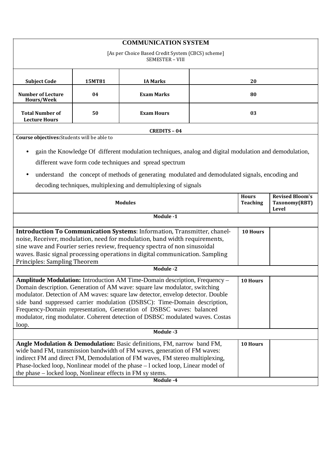| <b>COMMUNICATION SYSTEM</b>                                                                                                                                      |                                                                                        |                                                                                                        |                                 |                                         |  |  |  |
|------------------------------------------------------------------------------------------------------------------------------------------------------------------|----------------------------------------------------------------------------------------|--------------------------------------------------------------------------------------------------------|---------------------------------|-----------------------------------------|--|--|--|
| [As per Choice Based Credit System (CBCS) scheme]<br><b>SEMESTER - VIII</b>                                                                                      |                                                                                        |                                                                                                        |                                 |                                         |  |  |  |
| <b>Subject Code</b>                                                                                                                                              | 15MT81                                                                                 | <b>IA Marks</b><br>20                                                                                  |                                 |                                         |  |  |  |
| <b>Number of Lecture</b><br>Hours/Week                                                                                                                           | 04                                                                                     | <b>Exam Marks</b>                                                                                      | 80                              |                                         |  |  |  |
| <b>Total Number of</b><br><b>Lecture Hours</b>                                                                                                                   | 50                                                                                     | <b>Exam Hours</b>                                                                                      | 03                              |                                         |  |  |  |
|                                                                                                                                                                  |                                                                                        | <b>CREDITS - 04</b>                                                                                    |                                 |                                         |  |  |  |
| Course objectives: Students will be able to                                                                                                                      |                                                                                        |                                                                                                        |                                 |                                         |  |  |  |
| $\bullet$                                                                                                                                                        |                                                                                        | gain the Knowledge Of different modulation techniques, analog and digital modulation and demodulation, |                                 |                                         |  |  |  |
|                                                                                                                                                                  |                                                                                        | different wave form code techniques and spread spectrum                                                |                                 |                                         |  |  |  |
| $\bullet$                                                                                                                                                        |                                                                                        | understand the concept of methods of generating modulated and demodulated signals, encoding and        |                                 |                                         |  |  |  |
|                                                                                                                                                                  |                                                                                        | decoding techniques, multiplexing and demultiplexing of signals                                        |                                 |                                         |  |  |  |
| <b>Modules</b>                                                                                                                                                   |                                                                                        |                                                                                                        | <b>Hours</b><br><b>Teaching</b> | <b>Revised Bloom's</b><br>Taxonomy(RBT) |  |  |  |
| Level<br>Module -1                                                                                                                                               |                                                                                        |                                                                                                        |                                 |                                         |  |  |  |
|                                                                                                                                                                  |                                                                                        |                                                                                                        |                                 |                                         |  |  |  |
|                                                                                                                                                                  |                                                                                        | Introduction To Communication Systems: Information, Transmitter, chanel-                               |                                 | 10 Hours                                |  |  |  |
| noise, Receiver, modulation, need for modulation, band width requirements,<br>sine wave and Fourier series review, frequency spectra of non sinusoidal           |                                                                                        |                                                                                                        |                                 |                                         |  |  |  |
| waves. Basic signal processing operations in digital communication. Sampling                                                                                     |                                                                                        |                                                                                                        |                                 |                                         |  |  |  |
| Principles: Sampling Theorem<br>Module -2                                                                                                                        |                                                                                        |                                                                                                        |                                 |                                         |  |  |  |
|                                                                                                                                                                  | Amplitude Modulation: Introduction AM Time-Domain description, Frequency -<br>10 Hours |                                                                                                        |                                 |                                         |  |  |  |
| Domain description. Generation of AM wave: square law modulator, switching                                                                                       |                                                                                        |                                                                                                        |                                 |                                         |  |  |  |
| modulator. Detection of AM waves: square law detector, envelop detector. Double<br>side band suppressed carrier modulation (DSBSC): Time-Domain description,     |                                                                                        |                                                                                                        |                                 |                                         |  |  |  |
| Frequency-Domain representation, Generation of DSBSC waves: balanced                                                                                             |                                                                                        |                                                                                                        |                                 |                                         |  |  |  |
| modulator, ring modulator. Coherent detection of DSBSC modulated waves. Costas                                                                                   |                                                                                        |                                                                                                        |                                 |                                         |  |  |  |
| loop.<br>Module -3                                                                                                                                               |                                                                                        |                                                                                                        |                                 |                                         |  |  |  |
|                                                                                                                                                                  |                                                                                        |                                                                                                        |                                 |                                         |  |  |  |
| Angle Modulation & Demodulation: Basic definitions, FM, narrow band FM,<br>10 Hours<br>wide band FM, transmission bandwidth of FM waves, generation of FM waves: |                                                                                        |                                                                                                        |                                 |                                         |  |  |  |
| indirect FM and direct FM, Demodulation of FM waves, FM stereo multiplexing,                                                                                     |                                                                                        |                                                                                                        |                                 |                                         |  |  |  |
| Phase-locked loop, Nonlinear model of the phase – 1 ocked loop, Linear model of                                                                                  |                                                                                        |                                                                                                        |                                 |                                         |  |  |  |
| the phase – locked loop, Nonlinear effects in FM sy stems.<br>Module -4                                                                                          |                                                                                        |                                                                                                        |                                 |                                         |  |  |  |
|                                                                                                                                                                  |                                                                                        |                                                                                                        |                                 |                                         |  |  |  |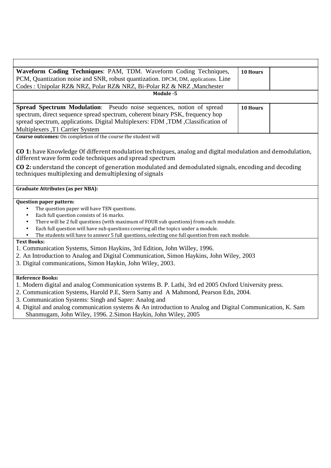| Waveform Coding Techniques: PAM, TDM. Waveform Coding Techniques,                                                                                                                                     | 10 Hours |  |  |  |  |  |
|-------------------------------------------------------------------------------------------------------------------------------------------------------------------------------------------------------|----------|--|--|--|--|--|
| PCM, Quantization noise and SNR, robust quantization. DPCM, DM, applications. Line                                                                                                                    |          |  |  |  |  |  |
| Codes : Unipolar RZ& NRZ, Polar RZ& NRZ, Bi-Polar RZ & NRZ, Manchester                                                                                                                                |          |  |  |  |  |  |
| Module -5                                                                                                                                                                                             |          |  |  |  |  |  |
| Spread Spectrum Modulation: Pseudo noise sequences, notion of spread                                                                                                                                  | 10 Hours |  |  |  |  |  |
| spectrum, direct sequence spread spectrum, coherent binary PSK, frequency hop                                                                                                                         |          |  |  |  |  |  |
| spread spectrum, applications. Digital Multiplexers: FDM, TDM, Classification of                                                                                                                      |          |  |  |  |  |  |
| Multiplexers ,T1 Carrier System                                                                                                                                                                       |          |  |  |  |  |  |
| Course outcomes: On completion of the course the student will                                                                                                                                         |          |  |  |  |  |  |
| CO 1: have Knowledge Of different modulation techniques, analog and digital modulation and demodulation,<br>different wave form code techniques and spread spectrum                                   |          |  |  |  |  |  |
| CO 2: understand the concept of generation modulated and demodulated signals, encoding and decoding<br>techniques multiplexing and demultiplexing of signals                                          |          |  |  |  |  |  |
| <b>Graduate Attributes (as per NBA):</b>                                                                                                                                                              |          |  |  |  |  |  |
| <b>Question paper pattern:</b>                                                                                                                                                                        |          |  |  |  |  |  |
| The question paper will have TEN questions.<br>$\bullet$                                                                                                                                              |          |  |  |  |  |  |
| Each full question consists of 16 marks.<br>$\bullet$                                                                                                                                                 |          |  |  |  |  |  |
| There will be 2 full questions (with maximum of FOUR sub questions) from each module.<br>$\bullet$<br>Each full question will have sub questions covering all the topics under a module.<br>$\bullet$ |          |  |  |  |  |  |
| The students will have to answer 5 full questions, selecting one full question from each module.<br>$\bullet$                                                                                         |          |  |  |  |  |  |
| <b>Text Books:</b>                                                                                                                                                                                    |          |  |  |  |  |  |
| 1. Communication Systems, Simon Haykins, 3rd Edition, John Willey, 1996.                                                                                                                              |          |  |  |  |  |  |
| 2. An Introduction to Analog and Digital Communication, Simon Haykins, John Wiley, 2003                                                                                                               |          |  |  |  |  |  |
| 3. Digital communications, Simon Haykin, John Wiley, 2003.                                                                                                                                            |          |  |  |  |  |  |
| <b>Reference Books:</b>                                                                                                                                                                               |          |  |  |  |  |  |
| 1. Modern digital and analog Communication systems B. P. Lathi, 3rd ed 2005 Oxford University press.                                                                                                  |          |  |  |  |  |  |
| 2. Communication Systems, Harold P.E, Stern Samy and A Mahmond, Pearson Edn, 2004.                                                                                                                    |          |  |  |  |  |  |
| 3. Communication Systems: Singh and Sapre: Analog and                                                                                                                                                 |          |  |  |  |  |  |
| 4. Digital and analog communication systems & An introduction to Analog and Digital Communication, K. Sam<br>Shanmugam, John Wiley, 1996. 2. Simon Haykin, John Wiley, 2005                           |          |  |  |  |  |  |
|                                                                                                                                                                                                       |          |  |  |  |  |  |

 $\overline{\phantom{a}}$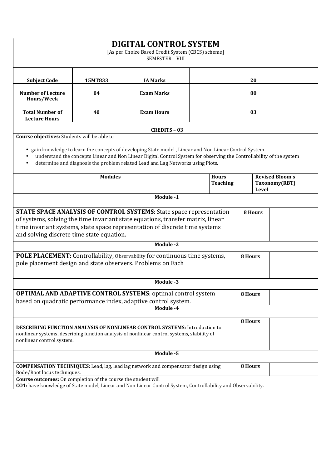| <b>DIGITAL CONTROL SYSTEM</b><br>[As per Choice Based Credit System (CBCS) scheme]<br>SEMESTER - VIII                                                                                                                                                                                                                                                                                                 |         |                                                                                          |                 |    |                |  |               |
|-------------------------------------------------------------------------------------------------------------------------------------------------------------------------------------------------------------------------------------------------------------------------------------------------------------------------------------------------------------------------------------------------------|---------|------------------------------------------------------------------------------------------|-----------------|----|----------------|--|---------------|
| <b>Subject Code</b>                                                                                                                                                                                                                                                                                                                                                                                   | 15MT833 | <b>IA Marks</b>                                                                          | 20              |    |                |  |               |
| <b>Number of Lecture</b><br>Hours/Week                                                                                                                                                                                                                                                                                                                                                                | 04      | <b>Exam Marks</b>                                                                        |                 | 80 |                |  |               |
| <b>Total Number of</b><br><b>Lecture Hours</b>                                                                                                                                                                                                                                                                                                                                                        | 40      | <b>Exam Hours</b>                                                                        |                 | 03 |                |  |               |
|                                                                                                                                                                                                                                                                                                                                                                                                       |         | <b>CREDITS - 03</b>                                                                      |                 |    |                |  |               |
| Course objectives: Students will be able to                                                                                                                                                                                                                                                                                                                                                           |         |                                                                                          |                 |    |                |  |               |
| gain knowledge to learn the concepts of developing State model, Linear and Non Linear Control System.<br>$\bullet$<br>understand the concepts Linear and Non Linear Digital Control System for observing the Controllability of the system<br>determine and diagnosis the problem related Lead and Lag Networks using Plots.<br>$\bullet$<br><b>Modules</b><br><b>Revised Bloom's</b><br><b>Hours</b> |         |                                                                                          |                 |    |                |  |               |
|                                                                                                                                                                                                                                                                                                                                                                                                       |         |                                                                                          | <b>Teaching</b> |    | <b>Level</b>   |  | Taxonomy(RBT) |
|                                                                                                                                                                                                                                                                                                                                                                                                       |         | Module -1                                                                                |                 |    |                |  |               |
| <b>STATE SPACE ANALYSIS OF CONTROL SYSTEMS:</b> State space representation<br>8 Hours<br>of systems, solving the time invariant state equations, transfer matrix, linear<br>time invariant systems, state space representation of discrete time systems<br>and solving discrete time state equation.                                                                                                  |         |                                                                                          |                 |    |                |  |               |
|                                                                                                                                                                                                                                                                                                                                                                                                       |         | <b>Module -2</b>                                                                         |                 |    |                |  |               |
| POLE PLACEMENT: Controllability, Observability for continuous time systems,<br>pole placement design and state observers. Problems on Each                                                                                                                                                                                                                                                            |         |                                                                                          | 8 Hours         |    |                |  |               |
|                                                                                                                                                                                                                                                                                                                                                                                                       |         | Module -3                                                                                |                 |    |                |  |               |
| <b>OPTIMAL AND ADAPTIVE CONTROL SYSTEMS:</b> optimal control system<br>based on quadratic performance index, adaptive control system.                                                                                                                                                                                                                                                                 |         |                                                                                          | 8 Hours         |    |                |  |               |
| Module -4                                                                                                                                                                                                                                                                                                                                                                                             |         |                                                                                          |                 |    |                |  |               |
| <b>DESCRIBING FUNCTION ANALYSIS OF NONLINEAR CONTROL SYSTEMS:</b> Introduction to<br>nonlinear systems, describing function analysis of nonlinear control systems, stability of<br>nonlinear control system.                                                                                                                                                                                          |         |                                                                                          | 8 Hours         |    |                |  |               |
| Module -5                                                                                                                                                                                                                                                                                                                                                                                             |         |                                                                                          |                 |    |                |  |               |
| Bode/Root locus techniques.                                                                                                                                                                                                                                                                                                                                                                           |         | <b>COMPENSATION TECHNIQUES:</b> Lead, lag, lead lag network and compensator design using |                 |    | <b>8 Hours</b> |  |               |
| Course outcomes: On completion of the course the student will<br>CO1: have knowledge of State model, Linear and Non Linear Control System, Controllability and Observability.                                                                                                                                                                                                                         |         |                                                                                          |                 |    |                |  |               |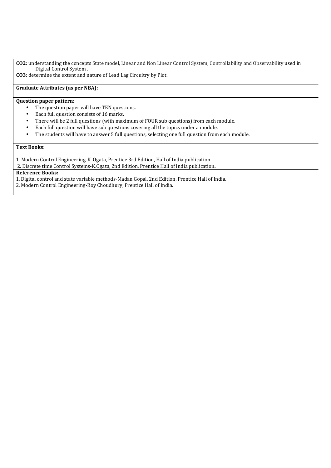**CO2:** understanding the concepts State model, Linear and Non Linear Control System, Controllability and Observability used in Digital Control System .

**CO3:** determine the extent and nature of Lead Lag Circuitry by Plot.

## **Graduate Attributes (as per NBA):**

## **Question paper pattern:**

- The question paper will have TEN questions.
- Each full question consists of 16 marks.
- There will be 2 full questions (with maximum of FOUR sub questions) from each module.
- Each full question will have sub questions covering all the topics under a module.
- The students will have to answer 5 full questions, selecting one full question from each module.

#### **Text Books:**

1. Modern Control Engineering-K. Ogata, Prentice 3rd Edition, Hall of India publication.

2. Discrete time Control Systems-K.Ogata, 2nd Edition, Prentice Hall of India publication**.**

### **Reference Books:**

1. Digital control and state variable methods-Madan Gopal, 2nd Edition, Prentice Hall of India.

2. Modern Control Engineering-Roy Choudhury, Prentice Hall of India.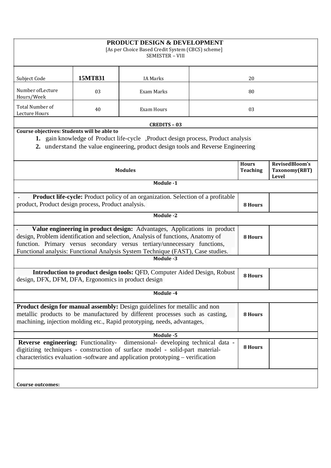| <b>PRODUCT DESIGN &amp; DEVELOPMENT</b><br>[As per Choice Based Credit System (CBCS) scheme]<br><b>SEMESTER - VIII</b>                                                                                                                                                                                                      |         |                     |                |                 |                        |  |  |
|-----------------------------------------------------------------------------------------------------------------------------------------------------------------------------------------------------------------------------------------------------------------------------------------------------------------------------|---------|---------------------|----------------|-----------------|------------------------|--|--|
| Subject Code                                                                                                                                                                                                                                                                                                                | 15MT831 | <b>IA Marks</b>     | 20             |                 |                        |  |  |
| Number of Lecture<br>Hours/Week                                                                                                                                                                                                                                                                                             | 03      | Exam Marks          | 80             |                 |                        |  |  |
| Total Number of<br>Lecture Hours                                                                                                                                                                                                                                                                                            | 40      | <b>Exam Hours</b>   | 03             |                 |                        |  |  |
|                                                                                                                                                                                                                                                                                                                             |         | <b>CREDITS - 03</b> |                |                 |                        |  |  |
| Course objectives: Students will be able to<br>1. gain knowledge of Product life-cycle ,Product design process, Product analysis<br>2. understand the value engineering, product design tools and Reverse Engineering<br>RevisedBloom's<br><b>Hours</b>                                                                     |         |                     |                |                 |                        |  |  |
|                                                                                                                                                                                                                                                                                                                             |         | <b>Modules</b>      |                | <b>Teaching</b> | Taxonomy(RBT)<br>Level |  |  |
|                                                                                                                                                                                                                                                                                                                             |         | Module -1           |                |                 |                        |  |  |
| <b>Product life-cycle:</b> Product policy of an organization. Selection of a profitable<br>product, Product design process, Product analysis.                                                                                                                                                                               |         |                     | <b>8 Hours</b> |                 |                        |  |  |
| <b>Module -2</b>                                                                                                                                                                                                                                                                                                            |         |                     |                |                 |                        |  |  |
| Value engineering in product design: Advantages, Applications in product<br>design, Problem identification and selection, Analysis of functions, Anatomy of<br>function. Primary versus secondary versus tertiary/unnecessary functions,<br>Functional analysis: Functional Analysis System Technique (FAST), Case studies. |         |                     |                |                 |                        |  |  |
| Module -3                                                                                                                                                                                                                                                                                                                   |         |                     |                |                 |                        |  |  |
| Introduction to product design tools: QFD, Computer Aided Design, Robust<br>design, DFX, DFM, DFA, Ergonomics in product design                                                                                                                                                                                             |         |                     | 8 Hours        |                 |                        |  |  |
| Module -4                                                                                                                                                                                                                                                                                                                   |         |                     |                |                 |                        |  |  |
| <b>Product design for manual assembly:</b> Design guidelines for metallic and non<br>metallic products to be manufactured by different processes such as casting,<br>machining, injection molding etc., Rapid prototyping, needs, advantages,                                                                               |         |                     | 8 Hours        |                 |                        |  |  |
| Module -5                                                                                                                                                                                                                                                                                                                   |         |                     |                |                 |                        |  |  |
| Reverse engineering: Functionality- dimensional- developing technical data -<br>digitizing techniques - construction of surface model - solid-part material-<br>characteristics evaluation -software and application prototyping – verification                                                                             |         |                     | 8 Hours        |                 |                        |  |  |
| Course outcomes:                                                                                                                                                                                                                                                                                                            |         |                     |                |                 |                        |  |  |